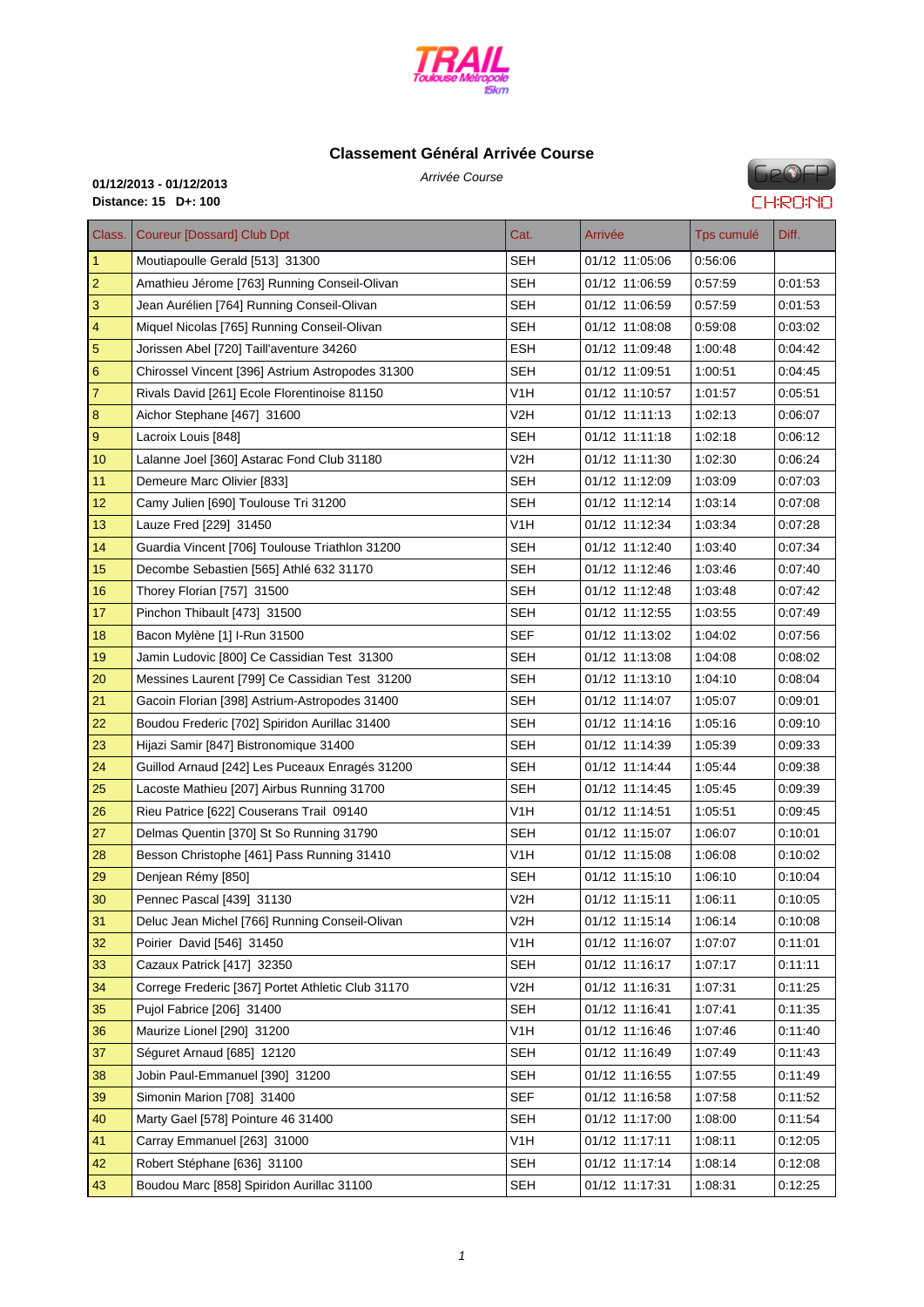

# **Classemen[t Général Arri](http://www.cosatrail.fr/crbst_25.html)vée Course**

Arrivée Course **01/12/2013 - 01/12/2013 Distance: 15 D+: 100**

# **GeOFP CHRONO**

| Class.          | <b>Coureur [Dossard] Club Dpt</b>                 | Cat.             | Arrivée        | Tps cumulé | Diff.   |
|-----------------|---------------------------------------------------|------------------|----------------|------------|---------|
| $\mathbf{1}$    | Moutiapoulle Gerald [513] 31300                   | SEH              | 01/12 11:05:06 | 0.56.06    |         |
| $\overline{2}$  | Amathieu Jérome [763] Running Conseil-Olivan      | <b>SEH</b>       | 01/12 11:06:59 | 0:57:59    | 0:01:53 |
| $\mathbf{3}$    | Jean Aurélien [764] Running Conseil-Olivan        | SEH              | 01/12 11:06:59 | 0:57:59    | 0.01:53 |
| 4               | Miquel Nicolas [765] Running Conseil-Olivan       | SEH              | 01/12 11:08:08 | 0:59:08    | 0.03.02 |
| $\overline{5}$  | Jorissen Abel [720] Taill'aventure 34260          | <b>ESH</b>       | 01/12 11:09:48 | 1:00:48    | 0:04:42 |
| $6\phantom{1}6$ | Chirossel Vincent [396] Astrium Astropodes 31300  | SEH              | 01/12 11:09:51 | 1:00:51    | 0:04:45 |
| $\overline{7}$  | Rivals David [261] Ecole Florentinoise 81150      | V1H              | 01/12 11:10:57 | 1:01:57    | 0:05:51 |
| $\bf 8$         | Aichor Stephane [467] 31600                       | V2H              | 01/12 11:11:13 | 1:02:13    | 0:06:07 |
| $9\,$           | Lacroix Louis [848]                               | SEH              | 01/12 11:11:18 | 1:02:18    | 0:06:12 |
| 10              | Lalanne Joel [360] Astarac Fond Club 31180        | V2H              | 01/12 11:11:30 | 1:02:30    | 0:06:24 |
| 11              | Demeure Marc Olivier [833]                        | SEH              | 01/12 11:12:09 | 1:03:09    | 0:07:03 |
| 12              | Camy Julien [690] Toulouse Tri 31200              | <b>SEH</b>       | 01/12 11:12:14 | 1:03:14    | 0:07:08 |
| 13              | Lauze Fred [229] 31450                            | V1H              | 01/12 11:12:34 | 1:03:34    | 0.07:28 |
| 14              | Guardia Vincent [706] Toulouse Triathlon 31200    | <b>SEH</b>       | 01/12 11:12:40 | 1:03:40    | 0:07:34 |
| 15              | Decombe Sebastien [565] Athlé 632 31170           | SEH              | 01/12 11:12:46 | 1:03:46    | 0:07:40 |
| 16              | Thorey Florian [757] 31500                        | <b>SEH</b>       | 01/12 11:12:48 | 1:03:48    | 0.07:42 |
| 17              | Pinchon Thibault [473] 31500                      | SEH              | 01/12 11:12:55 | 1:03:55    | 0:07:49 |
| 18              | Bacon Mylène [1] I-Run 31500                      | <b>SEF</b>       | 01/12 11:13:02 | 1:04:02    | 0:07:56 |
| 19              | Jamin Ludovic [800] Ce Cassidian Test 31300       | <b>SEH</b>       | 01/12 11:13:08 | 1:04:08    | 0:08:02 |
| 20              | Messines Laurent [799] Ce Cassidian Test 31200    | <b>SEH</b>       | 01/12 11:13:10 | 1:04:10    | 0:08:04 |
| 21              | Gacoin Florian [398] Astrium-Astropodes 31400     | SEH              | 01/12 11:14:07 | 1:05:07    | 0:09:01 |
| 22              | Boudou Frederic [702] Spiridon Aurillac 31400     | SEH              | 01/12 11:14:16 | 1:05:16    | 0:09:10 |
| 23              | Hijazi Samir [847] Bistronomique 31400            | <b>SEH</b>       | 01/12 11:14:39 | 1:05:39    | 0:09:33 |
| 24              | Guillod Arnaud [242] Les Puceaux Enragés 31200    | <b>SEH</b>       | 01/12 11:14:44 | 1:05:44    | 0:09:38 |
| 25              | Lacoste Mathieu [207] Airbus Running 31700        | <b>SEH</b>       | 01/12 11:14:45 | 1:05:45    | 0:09:39 |
| 26              | Rieu Patrice [622] Couserans Trail 09140          | V1H              | 01/12 11:14:51 | 1:05:51    | 0:09:45 |
| 27              | Delmas Quentin [370] St So Running 31790          | <b>SEH</b>       | 01/12 11:15:07 | 1:06:07    | 0.10:01 |
| 28              | Besson Christophe [461] Pass Running 31410        | V1H              | 01/12 11:15:08 | 1:06:08    | 0:10:02 |
| 29              | Denjean Rémy [850]                                | <b>SEH</b>       | 01/12 11:15:10 | 1:06:10    | 0:10:04 |
| 30              | Pennec Pascal [439] 31130                         | V2H              | 01/12 11:15:11 | 1:06:11    | 0:10:05 |
| 31              | Deluc Jean Michel [766] Running Conseil-Olivan    | V <sub>2</sub> H | 01/12 11:15:14 | 1:06:14    | 0:10:08 |
| 32              | Poirier David [546] 31450                         | V <sub>1</sub> H | 01/12 11:16:07 | 1:07:07    | 0:11:01 |
| 33              | Cazaux Patrick [417] 32350                        | <b>SEH</b>       | 01/12 11:16:17 | 1:07:17    | 0.11:11 |
| 34              | Correge Frederic [367] Portet Athletic Club 31170 | V <sub>2</sub> H | 01/12 11:16:31 | 1:07:31    | 0:11:25 |
| 35              | Pujol Fabrice [206] 31400                         | <b>SEH</b>       | 01/12 11:16:41 | 1:07:41    | 0:11:35 |
| 36              | Maurize Lionel [290] 31200                        | V <sub>1</sub> H | 01/12 11:16:46 | 1:07:46    | 0:11:40 |
| 37              | Séguret Arnaud [685] 12120                        | <b>SEH</b>       | 01/12 11:16:49 | 1:07:49    | 0:11:43 |
| 38              | Jobin Paul-Emmanuel [390] 31200                   | <b>SEH</b>       | 01/12 11:16:55 | 1:07:55    | 0.11.49 |
| 39              | Simonin Marion [708] 31400                        | <b>SEF</b>       | 01/12 11:16:58 | 1:07:58    | 0:11:52 |
| 40              | Marty Gael [578] Pointure 46 31400                | <b>SEH</b>       | 01/12 11:17:00 | 1:08:00    | 0:11:54 |
| 41              | Carray Emmanuel [263] 31000                       | V <sub>1</sub> H | 01/12 11:17:11 | 1:08:11    | 0:12:05 |
| 42              | Robert Stéphane [636] 31100                       | <b>SEH</b>       | 01/12 11:17:14 | 1:08:14    | 0:12:08 |
| 43              | Boudou Marc [858] Spiridon Aurillac 31100         | SEH              | 01/12 11:17:31 | 1:08:31    | 0:12:25 |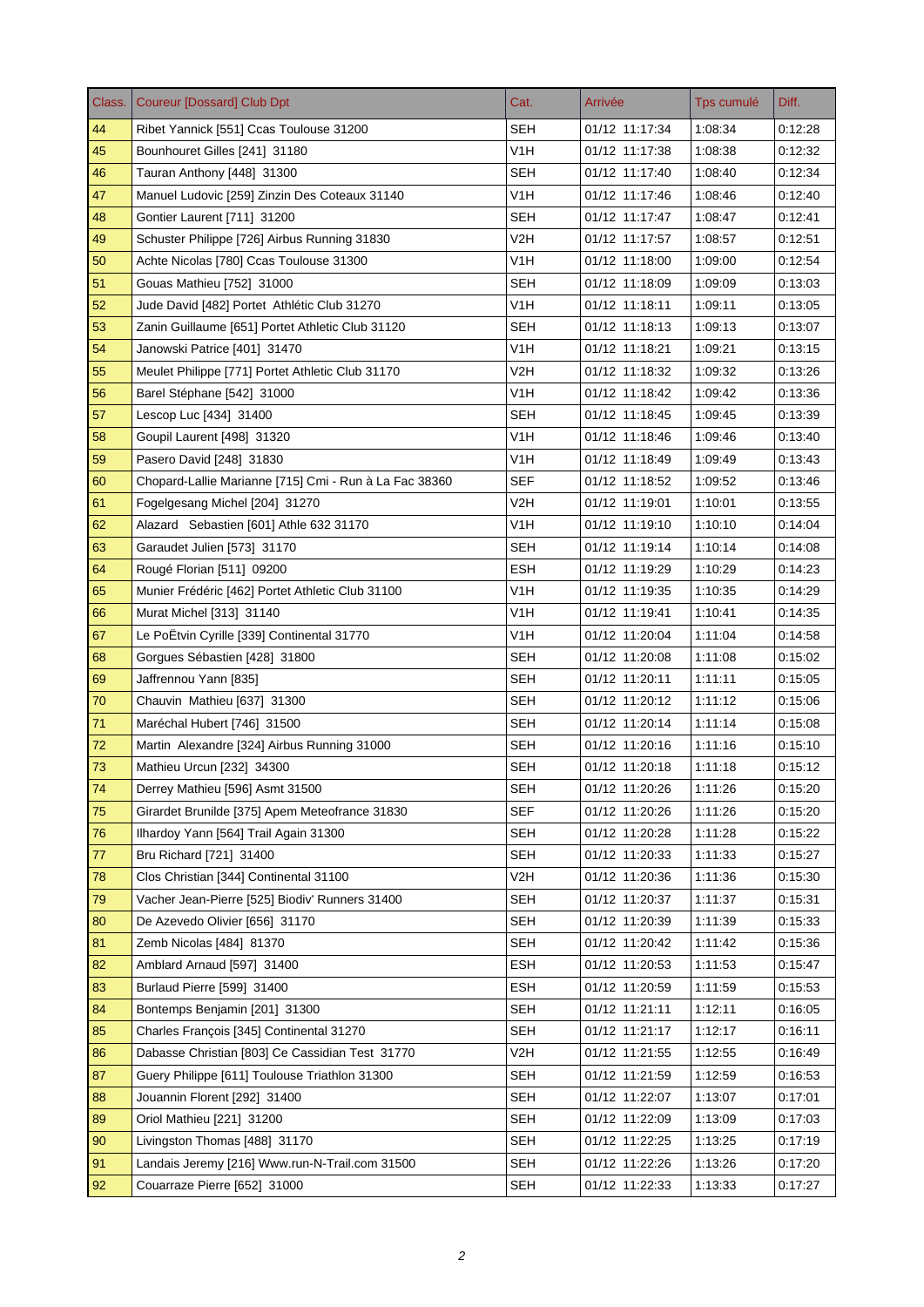| <b>SEH</b><br>44<br>01/12 11:17:34<br>1:08:34<br>0.12.28<br>Ribet Yannick [551] Ccas Toulouse 31200<br>45<br>V1H<br>Bounhouret Gilles [241] 31180<br>01/12 11:17:38<br>1:08:38<br>0:12:32<br><b>SEH</b><br>46<br>Tauran Anthony [448] 31300<br>01/12 11:17:40<br>0.12.34<br>1:08:40<br>V <sub>1</sub> H<br>47<br>Manuel Ludovic [259] Zinzin Des Coteaux 31140<br>01/12 11:17:46<br>1:08:46<br>0.12:40<br>48<br><b>SEH</b><br>01/12 11:17:47<br>1:08:47<br>Gontier Laurent [711] 31200<br>0:12:41<br>49<br>Schuster Philippe [726] Airbus Running 31830<br>V2H<br>01/12 11:17:57<br>1:08:57<br>0.12.51<br>50<br>V <sub>1</sub> H<br>01/12 11:18:00<br>1:09:00<br>0:12:54<br>Achte Nicolas [780] Ccas Toulouse 31300<br>51<br>SEH<br>01/12 11:18:09<br>1:09:09<br>Gouas Mathieu [752] 31000<br>0.13.03<br>V <sub>1</sub> H<br>52<br>Jude David [482] Portet Athlétic Club 31270<br>01/12 11:18:11<br>1:09:11<br>0.13:05<br><b>SEH</b><br>53<br>Zanin Guillaume [651] Portet Athletic Club 31120<br>01/12 11:18:13<br>1:09:13<br>0:13:07<br>V <sub>1</sub> H<br>54<br>01/12 11:18:21<br>1:09:21<br>0.13.15<br>Janowski Patrice [401] 31470<br>V2H<br>55<br>Meulet Philippe [771] Portet Athletic Club 31170<br>01/12 11:18:32<br>1:09:32<br>0.13.26<br>V1H<br>56<br>Barel Stéphane [542] 31000<br>01/12 11:18:42<br>1:09:42<br>0:13:36<br>57<br><b>SEH</b><br>Lescop Luc [434] 31400<br>01/12 11:18:45<br>0.13.39<br>1:09:45<br>58<br>Goupil Laurent [498] 31320<br>V1H<br>01/12 11:18:46<br>1:09:46<br>0.13.40<br>59<br>V1H<br>Pasero David [248] 31830<br>01/12 11:18:49<br>1:09:49<br>0:13:43<br>60<br>SEF<br>Chopard-Lallie Marianne [715] Cmi - Run à La Fac 38360<br>01/12 11:18:52<br>1:09:52<br>0:13:46<br>V2H<br>01/12 11:19:01<br>61<br>Fogelgesang Michel [204] 31270<br>1:10:01<br>0.13.55<br>V1H<br>62<br>01/12 11:19:10<br>Alazard Sebastien [601] Athle 632 31170<br>1:10:10<br>0.14.04<br>63<br><b>SEH</b><br>Garaudet Julien [573] 31170<br>01/12 11:19:14<br>1:10:14<br>0.14.08<br><b>ESH</b><br>64<br>Rougé Florian [511] 09200<br>01/12 11:19:29<br>1:10:29<br>0:14:23<br>V <sub>1</sub> H<br>65<br>Munier Frédéric [462] Portet Athletic Club 31100<br>01/12 11:19:35<br>1:10:35<br>0.14.29<br>V1H<br>66<br>Murat Michel [313] 31140<br>01/12 11:19:41<br>1:10:41<br>0.14.35<br>Le PoËtvin Cyrille [339] Continental 31770<br>V1H<br>67<br>01/12 11:20:04<br>1:11:04<br>0:14:58<br>68<br>Gorgues Sébastien [428] 31800<br>SEH<br>01/12 11:20:08<br>1:11:08<br>0:15:02<br>69<br>Jaffrennou Yann [835]<br>SEH<br>01/12 11:20:11<br>1:11:11<br>0.15:05<br><b>SEH</b><br>70<br>Chauvin Mathieu [637] 31300<br>01/12 11:20:12<br>1:11:12<br>0:15:06<br>71<br>SEH<br>Maréchal Hubert [746] 31500<br>01/12 11:20:14<br>1:11:14<br>0:15:08<br><b>SEH</b><br>01/12 11:20:16<br>1:11:16<br>72<br>Martin Alexandre [324] Airbus Running 31000<br>0:15:10<br>73<br>Mathieu Urcun [232] 34300<br>SEH<br>01/12 11:20:18<br>1:11:18<br>0:15:12<br>74<br>Derrey Mathieu [596] Asmt 31500<br><b>SEH</b><br>01/12 11:20:26<br>1:11:26<br>0:15:20<br>75<br><b>SEF</b><br>Girardet Brunilde [375] Apem Meteofrance 31830<br>01/12 11:20:26<br>1:11:26<br>0.15.20<br>76<br>Ilhardoy Yann [564] Trail Again 31300<br><b>SEH</b><br>01/12 11:20:28<br>1:11:28<br>0:15:22<br><b>SEH</b><br>77<br>Bru Richard [721] 31400<br>01/12 11:20:33<br>0:15:27<br>1:11:33<br>78<br>Clos Christian [344] Continental 31100<br>V2H<br>01/12 11:20:36<br>1:11:36<br>0.15.30<br>79<br><b>SEH</b><br>Vacher Jean-Pierre [525] Biodiv' Runners 31400<br>01/12 11:20:37<br>1:11:37<br>0:15:31<br>80<br>De Azevedo Olivier [656] 31170<br><b>SEH</b><br>01/12 11:20:39<br>1:11:39<br>0:15:33<br><b>SEH</b><br>81<br>Zemb Nicolas [484] 81370<br>01/12 11:20:42<br>1:11:42<br>0:15:36<br>82<br>Amblard Arnaud [597] 31400<br><b>ESH</b><br>01/12 11:20:53<br>1:11:53<br>0.15.47<br><b>ESH</b><br>83<br>Burlaud Pierre [599] 31400<br>01/12 11:20:59<br>1:11:59<br>0:15:53<br>84<br><b>SEH</b><br>01/12 11:21:11<br>Bontemps Benjamin [201] 31300<br>1:12:11<br>0:16:05<br>85<br>Charles François [345] Continental 31270<br><b>SEH</b><br>01/12 11:21:17<br>1:12:17<br>0:16:11<br>86<br>Dabasse Christian [803] Ce Cassidian Test 31770<br>V2H<br>01/12 11:21:55<br>1:12:55<br>0:16:49<br>87<br>Guery Philippe [611] Toulouse Triathlon 31300<br><b>SEH</b><br>01/12 11:21:59<br>1:12:59<br>0:16:53<br><b>SEH</b><br>88<br>Jouannin Florent [292] 31400<br>01/12 11:22:07<br>1:13:07<br>0:17:01<br><b>SEH</b><br>89<br>Oriol Mathieu [221] 31200<br>01/12 11:22:09<br>1:13:09<br>0:17:03<br><b>SEH</b><br>90<br>Livingston Thomas [488] 31170<br>01/12 11:22:25<br>1:13:25<br>0:17:19<br>91<br>Landais Jeremy [216] Www.run-N-Trail.com 31500<br><b>SEH</b><br>01/12 11:22:26<br>1:13:26<br>0:17:20<br><b>SEH</b><br>92<br>01/12 11:22:33<br>1:13:33<br>Couarraze Pierre [652] 31000<br>0:17:27 | Class. | <b>Coureur [Dossard] Club Dpt</b> | Cat. | Arrivée | Tps cumulé | Diff. |
|--------------------------------------------------------------------------------------------------------------------------------------------------------------------------------------------------------------------------------------------------------------------------------------------------------------------------------------------------------------------------------------------------------------------------------------------------------------------------------------------------------------------------------------------------------------------------------------------------------------------------------------------------------------------------------------------------------------------------------------------------------------------------------------------------------------------------------------------------------------------------------------------------------------------------------------------------------------------------------------------------------------------------------------------------------------------------------------------------------------------------------------------------------------------------------------------------------------------------------------------------------------------------------------------------------------------------------------------------------------------------------------------------------------------------------------------------------------------------------------------------------------------------------------------------------------------------------------------------------------------------------------------------------------------------------------------------------------------------------------------------------------------------------------------------------------------------------------------------------------------------------------------------------------------------------------------------------------------------------------------------------------------------------------------------------------------------------------------------------------------------------------------------------------------------------------------------------------------------------------------------------------------------------------------------------------------------------------------------------------------------------------------------------------------------------------------------------------------------------------------------------------------------------------------------------------------------------------------------------------------------------------------------------------------------------------------------------------------------------------------------------------------------------------------------------------------------------------------------------------------------------------------------------------------------------------------------------------------------------------------------------------------------------------------------------------------------------------------------------------------------------------------------------------------------------------------------------------------------------------------------------------------------------------------------------------------------------------------------------------------------------------------------------------------------------------------------------------------------------------------------------------------------------------------------------------------------------------------------------------------------------------------------------------------------------------------------------------------------------------------------------------------------------------------------------------------------------------------------------------------------------------------------------------------------------------------------------------------------------------------------------------------------------------------------------------------------------------------------------------------------------------------------------------------------------------------------------------------------------------------------------------------------------------------------------------------------------------------------------------------------------------------------------------------------------------------------------------------------------------------------------------------------------------------------------------------------------------------------------------------------------------------------------------------------------------------------------------------------------------------------------------------------------------------------------------------------------------------------------------------------|--------|-----------------------------------|------|---------|------------|-------|
|                                                                                                                                                                                                                                                                                                                                                                                                                                                                                                                                                                                                                                                                                                                                                                                                                                                                                                                                                                                                                                                                                                                                                                                                                                                                                                                                                                                                                                                                                                                                                                                                                                                                                                                                                                                                                                                                                                                                                                                                                                                                                                                                                                                                                                                                                                                                                                                                                                                                                                                                                                                                                                                                                                                                                                                                                                                                                                                                                                                                                                                                                                                                                                                                                                                                                                                                                                                                                                                                                                                                                                                                                                                                                                                                                                                                                                                                                                                                                                                                                                                                                                                                                                                                                                                                                                                                                                                                                                                                                                                                                                                                                                                                                                                                                                                                                                                                          |        |                                   |      |         |            |       |
|                                                                                                                                                                                                                                                                                                                                                                                                                                                                                                                                                                                                                                                                                                                                                                                                                                                                                                                                                                                                                                                                                                                                                                                                                                                                                                                                                                                                                                                                                                                                                                                                                                                                                                                                                                                                                                                                                                                                                                                                                                                                                                                                                                                                                                                                                                                                                                                                                                                                                                                                                                                                                                                                                                                                                                                                                                                                                                                                                                                                                                                                                                                                                                                                                                                                                                                                                                                                                                                                                                                                                                                                                                                                                                                                                                                                                                                                                                                                                                                                                                                                                                                                                                                                                                                                                                                                                                                                                                                                                                                                                                                                                                                                                                                                                                                                                                                                          |        |                                   |      |         |            |       |
|                                                                                                                                                                                                                                                                                                                                                                                                                                                                                                                                                                                                                                                                                                                                                                                                                                                                                                                                                                                                                                                                                                                                                                                                                                                                                                                                                                                                                                                                                                                                                                                                                                                                                                                                                                                                                                                                                                                                                                                                                                                                                                                                                                                                                                                                                                                                                                                                                                                                                                                                                                                                                                                                                                                                                                                                                                                                                                                                                                                                                                                                                                                                                                                                                                                                                                                                                                                                                                                                                                                                                                                                                                                                                                                                                                                                                                                                                                                                                                                                                                                                                                                                                                                                                                                                                                                                                                                                                                                                                                                                                                                                                                                                                                                                                                                                                                                                          |        |                                   |      |         |            |       |
|                                                                                                                                                                                                                                                                                                                                                                                                                                                                                                                                                                                                                                                                                                                                                                                                                                                                                                                                                                                                                                                                                                                                                                                                                                                                                                                                                                                                                                                                                                                                                                                                                                                                                                                                                                                                                                                                                                                                                                                                                                                                                                                                                                                                                                                                                                                                                                                                                                                                                                                                                                                                                                                                                                                                                                                                                                                                                                                                                                                                                                                                                                                                                                                                                                                                                                                                                                                                                                                                                                                                                                                                                                                                                                                                                                                                                                                                                                                                                                                                                                                                                                                                                                                                                                                                                                                                                                                                                                                                                                                                                                                                                                                                                                                                                                                                                                                                          |        |                                   |      |         |            |       |
|                                                                                                                                                                                                                                                                                                                                                                                                                                                                                                                                                                                                                                                                                                                                                                                                                                                                                                                                                                                                                                                                                                                                                                                                                                                                                                                                                                                                                                                                                                                                                                                                                                                                                                                                                                                                                                                                                                                                                                                                                                                                                                                                                                                                                                                                                                                                                                                                                                                                                                                                                                                                                                                                                                                                                                                                                                                                                                                                                                                                                                                                                                                                                                                                                                                                                                                                                                                                                                                                                                                                                                                                                                                                                                                                                                                                                                                                                                                                                                                                                                                                                                                                                                                                                                                                                                                                                                                                                                                                                                                                                                                                                                                                                                                                                                                                                                                                          |        |                                   |      |         |            |       |
|                                                                                                                                                                                                                                                                                                                                                                                                                                                                                                                                                                                                                                                                                                                                                                                                                                                                                                                                                                                                                                                                                                                                                                                                                                                                                                                                                                                                                                                                                                                                                                                                                                                                                                                                                                                                                                                                                                                                                                                                                                                                                                                                                                                                                                                                                                                                                                                                                                                                                                                                                                                                                                                                                                                                                                                                                                                                                                                                                                                                                                                                                                                                                                                                                                                                                                                                                                                                                                                                                                                                                                                                                                                                                                                                                                                                                                                                                                                                                                                                                                                                                                                                                                                                                                                                                                                                                                                                                                                                                                                                                                                                                                                                                                                                                                                                                                                                          |        |                                   |      |         |            |       |
|                                                                                                                                                                                                                                                                                                                                                                                                                                                                                                                                                                                                                                                                                                                                                                                                                                                                                                                                                                                                                                                                                                                                                                                                                                                                                                                                                                                                                                                                                                                                                                                                                                                                                                                                                                                                                                                                                                                                                                                                                                                                                                                                                                                                                                                                                                                                                                                                                                                                                                                                                                                                                                                                                                                                                                                                                                                                                                                                                                                                                                                                                                                                                                                                                                                                                                                                                                                                                                                                                                                                                                                                                                                                                                                                                                                                                                                                                                                                                                                                                                                                                                                                                                                                                                                                                                                                                                                                                                                                                                                                                                                                                                                                                                                                                                                                                                                                          |        |                                   |      |         |            |       |
|                                                                                                                                                                                                                                                                                                                                                                                                                                                                                                                                                                                                                                                                                                                                                                                                                                                                                                                                                                                                                                                                                                                                                                                                                                                                                                                                                                                                                                                                                                                                                                                                                                                                                                                                                                                                                                                                                                                                                                                                                                                                                                                                                                                                                                                                                                                                                                                                                                                                                                                                                                                                                                                                                                                                                                                                                                                                                                                                                                                                                                                                                                                                                                                                                                                                                                                                                                                                                                                                                                                                                                                                                                                                                                                                                                                                                                                                                                                                                                                                                                                                                                                                                                                                                                                                                                                                                                                                                                                                                                                                                                                                                                                                                                                                                                                                                                                                          |        |                                   |      |         |            |       |
|                                                                                                                                                                                                                                                                                                                                                                                                                                                                                                                                                                                                                                                                                                                                                                                                                                                                                                                                                                                                                                                                                                                                                                                                                                                                                                                                                                                                                                                                                                                                                                                                                                                                                                                                                                                                                                                                                                                                                                                                                                                                                                                                                                                                                                                                                                                                                                                                                                                                                                                                                                                                                                                                                                                                                                                                                                                                                                                                                                                                                                                                                                                                                                                                                                                                                                                                                                                                                                                                                                                                                                                                                                                                                                                                                                                                                                                                                                                                                                                                                                                                                                                                                                                                                                                                                                                                                                                                                                                                                                                                                                                                                                                                                                                                                                                                                                                                          |        |                                   |      |         |            |       |
|                                                                                                                                                                                                                                                                                                                                                                                                                                                                                                                                                                                                                                                                                                                                                                                                                                                                                                                                                                                                                                                                                                                                                                                                                                                                                                                                                                                                                                                                                                                                                                                                                                                                                                                                                                                                                                                                                                                                                                                                                                                                                                                                                                                                                                                                                                                                                                                                                                                                                                                                                                                                                                                                                                                                                                                                                                                                                                                                                                                                                                                                                                                                                                                                                                                                                                                                                                                                                                                                                                                                                                                                                                                                                                                                                                                                                                                                                                                                                                                                                                                                                                                                                                                                                                                                                                                                                                                                                                                                                                                                                                                                                                                                                                                                                                                                                                                                          |        |                                   |      |         |            |       |
|                                                                                                                                                                                                                                                                                                                                                                                                                                                                                                                                                                                                                                                                                                                                                                                                                                                                                                                                                                                                                                                                                                                                                                                                                                                                                                                                                                                                                                                                                                                                                                                                                                                                                                                                                                                                                                                                                                                                                                                                                                                                                                                                                                                                                                                                                                                                                                                                                                                                                                                                                                                                                                                                                                                                                                                                                                                                                                                                                                                                                                                                                                                                                                                                                                                                                                                                                                                                                                                                                                                                                                                                                                                                                                                                                                                                                                                                                                                                                                                                                                                                                                                                                                                                                                                                                                                                                                                                                                                                                                                                                                                                                                                                                                                                                                                                                                                                          |        |                                   |      |         |            |       |
|                                                                                                                                                                                                                                                                                                                                                                                                                                                                                                                                                                                                                                                                                                                                                                                                                                                                                                                                                                                                                                                                                                                                                                                                                                                                                                                                                                                                                                                                                                                                                                                                                                                                                                                                                                                                                                                                                                                                                                                                                                                                                                                                                                                                                                                                                                                                                                                                                                                                                                                                                                                                                                                                                                                                                                                                                                                                                                                                                                                                                                                                                                                                                                                                                                                                                                                                                                                                                                                                                                                                                                                                                                                                                                                                                                                                                                                                                                                                                                                                                                                                                                                                                                                                                                                                                                                                                                                                                                                                                                                                                                                                                                                                                                                                                                                                                                                                          |        |                                   |      |         |            |       |
|                                                                                                                                                                                                                                                                                                                                                                                                                                                                                                                                                                                                                                                                                                                                                                                                                                                                                                                                                                                                                                                                                                                                                                                                                                                                                                                                                                                                                                                                                                                                                                                                                                                                                                                                                                                                                                                                                                                                                                                                                                                                                                                                                                                                                                                                                                                                                                                                                                                                                                                                                                                                                                                                                                                                                                                                                                                                                                                                                                                                                                                                                                                                                                                                                                                                                                                                                                                                                                                                                                                                                                                                                                                                                                                                                                                                                                                                                                                                                                                                                                                                                                                                                                                                                                                                                                                                                                                                                                                                                                                                                                                                                                                                                                                                                                                                                                                                          |        |                                   |      |         |            |       |
|                                                                                                                                                                                                                                                                                                                                                                                                                                                                                                                                                                                                                                                                                                                                                                                                                                                                                                                                                                                                                                                                                                                                                                                                                                                                                                                                                                                                                                                                                                                                                                                                                                                                                                                                                                                                                                                                                                                                                                                                                                                                                                                                                                                                                                                                                                                                                                                                                                                                                                                                                                                                                                                                                                                                                                                                                                                                                                                                                                                                                                                                                                                                                                                                                                                                                                                                                                                                                                                                                                                                                                                                                                                                                                                                                                                                                                                                                                                                                                                                                                                                                                                                                                                                                                                                                                                                                                                                                                                                                                                                                                                                                                                                                                                                                                                                                                                                          |        |                                   |      |         |            |       |
|                                                                                                                                                                                                                                                                                                                                                                                                                                                                                                                                                                                                                                                                                                                                                                                                                                                                                                                                                                                                                                                                                                                                                                                                                                                                                                                                                                                                                                                                                                                                                                                                                                                                                                                                                                                                                                                                                                                                                                                                                                                                                                                                                                                                                                                                                                                                                                                                                                                                                                                                                                                                                                                                                                                                                                                                                                                                                                                                                                                                                                                                                                                                                                                                                                                                                                                                                                                                                                                                                                                                                                                                                                                                                                                                                                                                                                                                                                                                                                                                                                                                                                                                                                                                                                                                                                                                                                                                                                                                                                                                                                                                                                                                                                                                                                                                                                                                          |        |                                   |      |         |            |       |
|                                                                                                                                                                                                                                                                                                                                                                                                                                                                                                                                                                                                                                                                                                                                                                                                                                                                                                                                                                                                                                                                                                                                                                                                                                                                                                                                                                                                                                                                                                                                                                                                                                                                                                                                                                                                                                                                                                                                                                                                                                                                                                                                                                                                                                                                                                                                                                                                                                                                                                                                                                                                                                                                                                                                                                                                                                                                                                                                                                                                                                                                                                                                                                                                                                                                                                                                                                                                                                                                                                                                                                                                                                                                                                                                                                                                                                                                                                                                                                                                                                                                                                                                                                                                                                                                                                                                                                                                                                                                                                                                                                                                                                                                                                                                                                                                                                                                          |        |                                   |      |         |            |       |
|                                                                                                                                                                                                                                                                                                                                                                                                                                                                                                                                                                                                                                                                                                                                                                                                                                                                                                                                                                                                                                                                                                                                                                                                                                                                                                                                                                                                                                                                                                                                                                                                                                                                                                                                                                                                                                                                                                                                                                                                                                                                                                                                                                                                                                                                                                                                                                                                                                                                                                                                                                                                                                                                                                                                                                                                                                                                                                                                                                                                                                                                                                                                                                                                                                                                                                                                                                                                                                                                                                                                                                                                                                                                                                                                                                                                                                                                                                                                                                                                                                                                                                                                                                                                                                                                                                                                                                                                                                                                                                                                                                                                                                                                                                                                                                                                                                                                          |        |                                   |      |         |            |       |
|                                                                                                                                                                                                                                                                                                                                                                                                                                                                                                                                                                                                                                                                                                                                                                                                                                                                                                                                                                                                                                                                                                                                                                                                                                                                                                                                                                                                                                                                                                                                                                                                                                                                                                                                                                                                                                                                                                                                                                                                                                                                                                                                                                                                                                                                                                                                                                                                                                                                                                                                                                                                                                                                                                                                                                                                                                                                                                                                                                                                                                                                                                                                                                                                                                                                                                                                                                                                                                                                                                                                                                                                                                                                                                                                                                                                                                                                                                                                                                                                                                                                                                                                                                                                                                                                                                                                                                                                                                                                                                                                                                                                                                                                                                                                                                                                                                                                          |        |                                   |      |         |            |       |
|                                                                                                                                                                                                                                                                                                                                                                                                                                                                                                                                                                                                                                                                                                                                                                                                                                                                                                                                                                                                                                                                                                                                                                                                                                                                                                                                                                                                                                                                                                                                                                                                                                                                                                                                                                                                                                                                                                                                                                                                                                                                                                                                                                                                                                                                                                                                                                                                                                                                                                                                                                                                                                                                                                                                                                                                                                                                                                                                                                                                                                                                                                                                                                                                                                                                                                                                                                                                                                                                                                                                                                                                                                                                                                                                                                                                                                                                                                                                                                                                                                                                                                                                                                                                                                                                                                                                                                                                                                                                                                                                                                                                                                                                                                                                                                                                                                                                          |        |                                   |      |         |            |       |
|                                                                                                                                                                                                                                                                                                                                                                                                                                                                                                                                                                                                                                                                                                                                                                                                                                                                                                                                                                                                                                                                                                                                                                                                                                                                                                                                                                                                                                                                                                                                                                                                                                                                                                                                                                                                                                                                                                                                                                                                                                                                                                                                                                                                                                                                                                                                                                                                                                                                                                                                                                                                                                                                                                                                                                                                                                                                                                                                                                                                                                                                                                                                                                                                                                                                                                                                                                                                                                                                                                                                                                                                                                                                                                                                                                                                                                                                                                                                                                                                                                                                                                                                                                                                                                                                                                                                                                                                                                                                                                                                                                                                                                                                                                                                                                                                                                                                          |        |                                   |      |         |            |       |
|                                                                                                                                                                                                                                                                                                                                                                                                                                                                                                                                                                                                                                                                                                                                                                                                                                                                                                                                                                                                                                                                                                                                                                                                                                                                                                                                                                                                                                                                                                                                                                                                                                                                                                                                                                                                                                                                                                                                                                                                                                                                                                                                                                                                                                                                                                                                                                                                                                                                                                                                                                                                                                                                                                                                                                                                                                                                                                                                                                                                                                                                                                                                                                                                                                                                                                                                                                                                                                                                                                                                                                                                                                                                                                                                                                                                                                                                                                                                                                                                                                                                                                                                                                                                                                                                                                                                                                                                                                                                                                                                                                                                                                                                                                                                                                                                                                                                          |        |                                   |      |         |            |       |
|                                                                                                                                                                                                                                                                                                                                                                                                                                                                                                                                                                                                                                                                                                                                                                                                                                                                                                                                                                                                                                                                                                                                                                                                                                                                                                                                                                                                                                                                                                                                                                                                                                                                                                                                                                                                                                                                                                                                                                                                                                                                                                                                                                                                                                                                                                                                                                                                                                                                                                                                                                                                                                                                                                                                                                                                                                                                                                                                                                                                                                                                                                                                                                                                                                                                                                                                                                                                                                                                                                                                                                                                                                                                                                                                                                                                                                                                                                                                                                                                                                                                                                                                                                                                                                                                                                                                                                                                                                                                                                                                                                                                                                                                                                                                                                                                                                                                          |        |                                   |      |         |            |       |
|                                                                                                                                                                                                                                                                                                                                                                                                                                                                                                                                                                                                                                                                                                                                                                                                                                                                                                                                                                                                                                                                                                                                                                                                                                                                                                                                                                                                                                                                                                                                                                                                                                                                                                                                                                                                                                                                                                                                                                                                                                                                                                                                                                                                                                                                                                                                                                                                                                                                                                                                                                                                                                                                                                                                                                                                                                                                                                                                                                                                                                                                                                                                                                                                                                                                                                                                                                                                                                                                                                                                                                                                                                                                                                                                                                                                                                                                                                                                                                                                                                                                                                                                                                                                                                                                                                                                                                                                                                                                                                                                                                                                                                                                                                                                                                                                                                                                          |        |                                   |      |         |            |       |
|                                                                                                                                                                                                                                                                                                                                                                                                                                                                                                                                                                                                                                                                                                                                                                                                                                                                                                                                                                                                                                                                                                                                                                                                                                                                                                                                                                                                                                                                                                                                                                                                                                                                                                                                                                                                                                                                                                                                                                                                                                                                                                                                                                                                                                                                                                                                                                                                                                                                                                                                                                                                                                                                                                                                                                                                                                                                                                                                                                                                                                                                                                                                                                                                                                                                                                                                                                                                                                                                                                                                                                                                                                                                                                                                                                                                                                                                                                                                                                                                                                                                                                                                                                                                                                                                                                                                                                                                                                                                                                                                                                                                                                                                                                                                                                                                                                                                          |        |                                   |      |         |            |       |
|                                                                                                                                                                                                                                                                                                                                                                                                                                                                                                                                                                                                                                                                                                                                                                                                                                                                                                                                                                                                                                                                                                                                                                                                                                                                                                                                                                                                                                                                                                                                                                                                                                                                                                                                                                                                                                                                                                                                                                                                                                                                                                                                                                                                                                                                                                                                                                                                                                                                                                                                                                                                                                                                                                                                                                                                                                                                                                                                                                                                                                                                                                                                                                                                                                                                                                                                                                                                                                                                                                                                                                                                                                                                                                                                                                                                                                                                                                                                                                                                                                                                                                                                                                                                                                                                                                                                                                                                                                                                                                                                                                                                                                                                                                                                                                                                                                                                          |        |                                   |      |         |            |       |
|                                                                                                                                                                                                                                                                                                                                                                                                                                                                                                                                                                                                                                                                                                                                                                                                                                                                                                                                                                                                                                                                                                                                                                                                                                                                                                                                                                                                                                                                                                                                                                                                                                                                                                                                                                                                                                                                                                                                                                                                                                                                                                                                                                                                                                                                                                                                                                                                                                                                                                                                                                                                                                                                                                                                                                                                                                                                                                                                                                                                                                                                                                                                                                                                                                                                                                                                                                                                                                                                                                                                                                                                                                                                                                                                                                                                                                                                                                                                                                                                                                                                                                                                                                                                                                                                                                                                                                                                                                                                                                                                                                                                                                                                                                                                                                                                                                                                          |        |                                   |      |         |            |       |
|                                                                                                                                                                                                                                                                                                                                                                                                                                                                                                                                                                                                                                                                                                                                                                                                                                                                                                                                                                                                                                                                                                                                                                                                                                                                                                                                                                                                                                                                                                                                                                                                                                                                                                                                                                                                                                                                                                                                                                                                                                                                                                                                                                                                                                                                                                                                                                                                                                                                                                                                                                                                                                                                                                                                                                                                                                                                                                                                                                                                                                                                                                                                                                                                                                                                                                                                                                                                                                                                                                                                                                                                                                                                                                                                                                                                                                                                                                                                                                                                                                                                                                                                                                                                                                                                                                                                                                                                                                                                                                                                                                                                                                                                                                                                                                                                                                                                          |        |                                   |      |         |            |       |
|                                                                                                                                                                                                                                                                                                                                                                                                                                                                                                                                                                                                                                                                                                                                                                                                                                                                                                                                                                                                                                                                                                                                                                                                                                                                                                                                                                                                                                                                                                                                                                                                                                                                                                                                                                                                                                                                                                                                                                                                                                                                                                                                                                                                                                                                                                                                                                                                                                                                                                                                                                                                                                                                                                                                                                                                                                                                                                                                                                                                                                                                                                                                                                                                                                                                                                                                                                                                                                                                                                                                                                                                                                                                                                                                                                                                                                                                                                                                                                                                                                                                                                                                                                                                                                                                                                                                                                                                                                                                                                                                                                                                                                                                                                                                                                                                                                                                          |        |                                   |      |         |            |       |
|                                                                                                                                                                                                                                                                                                                                                                                                                                                                                                                                                                                                                                                                                                                                                                                                                                                                                                                                                                                                                                                                                                                                                                                                                                                                                                                                                                                                                                                                                                                                                                                                                                                                                                                                                                                                                                                                                                                                                                                                                                                                                                                                                                                                                                                                                                                                                                                                                                                                                                                                                                                                                                                                                                                                                                                                                                                                                                                                                                                                                                                                                                                                                                                                                                                                                                                                                                                                                                                                                                                                                                                                                                                                                                                                                                                                                                                                                                                                                                                                                                                                                                                                                                                                                                                                                                                                                                                                                                                                                                                                                                                                                                                                                                                                                                                                                                                                          |        |                                   |      |         |            |       |
|                                                                                                                                                                                                                                                                                                                                                                                                                                                                                                                                                                                                                                                                                                                                                                                                                                                                                                                                                                                                                                                                                                                                                                                                                                                                                                                                                                                                                                                                                                                                                                                                                                                                                                                                                                                                                                                                                                                                                                                                                                                                                                                                                                                                                                                                                                                                                                                                                                                                                                                                                                                                                                                                                                                                                                                                                                                                                                                                                                                                                                                                                                                                                                                                                                                                                                                                                                                                                                                                                                                                                                                                                                                                                                                                                                                                                                                                                                                                                                                                                                                                                                                                                                                                                                                                                                                                                                                                                                                                                                                                                                                                                                                                                                                                                                                                                                                                          |        |                                   |      |         |            |       |
|                                                                                                                                                                                                                                                                                                                                                                                                                                                                                                                                                                                                                                                                                                                                                                                                                                                                                                                                                                                                                                                                                                                                                                                                                                                                                                                                                                                                                                                                                                                                                                                                                                                                                                                                                                                                                                                                                                                                                                                                                                                                                                                                                                                                                                                                                                                                                                                                                                                                                                                                                                                                                                                                                                                                                                                                                                                                                                                                                                                                                                                                                                                                                                                                                                                                                                                                                                                                                                                                                                                                                                                                                                                                                                                                                                                                                                                                                                                                                                                                                                                                                                                                                                                                                                                                                                                                                                                                                                                                                                                                                                                                                                                                                                                                                                                                                                                                          |        |                                   |      |         |            |       |
|                                                                                                                                                                                                                                                                                                                                                                                                                                                                                                                                                                                                                                                                                                                                                                                                                                                                                                                                                                                                                                                                                                                                                                                                                                                                                                                                                                                                                                                                                                                                                                                                                                                                                                                                                                                                                                                                                                                                                                                                                                                                                                                                                                                                                                                                                                                                                                                                                                                                                                                                                                                                                                                                                                                                                                                                                                                                                                                                                                                                                                                                                                                                                                                                                                                                                                                                                                                                                                                                                                                                                                                                                                                                                                                                                                                                                                                                                                                                                                                                                                                                                                                                                                                                                                                                                                                                                                                                                                                                                                                                                                                                                                                                                                                                                                                                                                                                          |        |                                   |      |         |            |       |
|                                                                                                                                                                                                                                                                                                                                                                                                                                                                                                                                                                                                                                                                                                                                                                                                                                                                                                                                                                                                                                                                                                                                                                                                                                                                                                                                                                                                                                                                                                                                                                                                                                                                                                                                                                                                                                                                                                                                                                                                                                                                                                                                                                                                                                                                                                                                                                                                                                                                                                                                                                                                                                                                                                                                                                                                                                                                                                                                                                                                                                                                                                                                                                                                                                                                                                                                                                                                                                                                                                                                                                                                                                                                                                                                                                                                                                                                                                                                                                                                                                                                                                                                                                                                                                                                                                                                                                                                                                                                                                                                                                                                                                                                                                                                                                                                                                                                          |        |                                   |      |         |            |       |
|                                                                                                                                                                                                                                                                                                                                                                                                                                                                                                                                                                                                                                                                                                                                                                                                                                                                                                                                                                                                                                                                                                                                                                                                                                                                                                                                                                                                                                                                                                                                                                                                                                                                                                                                                                                                                                                                                                                                                                                                                                                                                                                                                                                                                                                                                                                                                                                                                                                                                                                                                                                                                                                                                                                                                                                                                                                                                                                                                                                                                                                                                                                                                                                                                                                                                                                                                                                                                                                                                                                                                                                                                                                                                                                                                                                                                                                                                                                                                                                                                                                                                                                                                                                                                                                                                                                                                                                                                                                                                                                                                                                                                                                                                                                                                                                                                                                                          |        |                                   |      |         |            |       |
|                                                                                                                                                                                                                                                                                                                                                                                                                                                                                                                                                                                                                                                                                                                                                                                                                                                                                                                                                                                                                                                                                                                                                                                                                                                                                                                                                                                                                                                                                                                                                                                                                                                                                                                                                                                                                                                                                                                                                                                                                                                                                                                                                                                                                                                                                                                                                                                                                                                                                                                                                                                                                                                                                                                                                                                                                                                                                                                                                                                                                                                                                                                                                                                                                                                                                                                                                                                                                                                                                                                                                                                                                                                                                                                                                                                                                                                                                                                                                                                                                                                                                                                                                                                                                                                                                                                                                                                                                                                                                                                                                                                                                                                                                                                                                                                                                                                                          |        |                                   |      |         |            |       |
|                                                                                                                                                                                                                                                                                                                                                                                                                                                                                                                                                                                                                                                                                                                                                                                                                                                                                                                                                                                                                                                                                                                                                                                                                                                                                                                                                                                                                                                                                                                                                                                                                                                                                                                                                                                                                                                                                                                                                                                                                                                                                                                                                                                                                                                                                                                                                                                                                                                                                                                                                                                                                                                                                                                                                                                                                                                                                                                                                                                                                                                                                                                                                                                                                                                                                                                                                                                                                                                                                                                                                                                                                                                                                                                                                                                                                                                                                                                                                                                                                                                                                                                                                                                                                                                                                                                                                                                                                                                                                                                                                                                                                                                                                                                                                                                                                                                                          |        |                                   |      |         |            |       |
|                                                                                                                                                                                                                                                                                                                                                                                                                                                                                                                                                                                                                                                                                                                                                                                                                                                                                                                                                                                                                                                                                                                                                                                                                                                                                                                                                                                                                                                                                                                                                                                                                                                                                                                                                                                                                                                                                                                                                                                                                                                                                                                                                                                                                                                                                                                                                                                                                                                                                                                                                                                                                                                                                                                                                                                                                                                                                                                                                                                                                                                                                                                                                                                                                                                                                                                                                                                                                                                                                                                                                                                                                                                                                                                                                                                                                                                                                                                                                                                                                                                                                                                                                                                                                                                                                                                                                                                                                                                                                                                                                                                                                                                                                                                                                                                                                                                                          |        |                                   |      |         |            |       |
|                                                                                                                                                                                                                                                                                                                                                                                                                                                                                                                                                                                                                                                                                                                                                                                                                                                                                                                                                                                                                                                                                                                                                                                                                                                                                                                                                                                                                                                                                                                                                                                                                                                                                                                                                                                                                                                                                                                                                                                                                                                                                                                                                                                                                                                                                                                                                                                                                                                                                                                                                                                                                                                                                                                                                                                                                                                                                                                                                                                                                                                                                                                                                                                                                                                                                                                                                                                                                                                                                                                                                                                                                                                                                                                                                                                                                                                                                                                                                                                                                                                                                                                                                                                                                                                                                                                                                                                                                                                                                                                                                                                                                                                                                                                                                                                                                                                                          |        |                                   |      |         |            |       |
|                                                                                                                                                                                                                                                                                                                                                                                                                                                                                                                                                                                                                                                                                                                                                                                                                                                                                                                                                                                                                                                                                                                                                                                                                                                                                                                                                                                                                                                                                                                                                                                                                                                                                                                                                                                                                                                                                                                                                                                                                                                                                                                                                                                                                                                                                                                                                                                                                                                                                                                                                                                                                                                                                                                                                                                                                                                                                                                                                                                                                                                                                                                                                                                                                                                                                                                                                                                                                                                                                                                                                                                                                                                                                                                                                                                                                                                                                                                                                                                                                                                                                                                                                                                                                                                                                                                                                                                                                                                                                                                                                                                                                                                                                                                                                                                                                                                                          |        |                                   |      |         |            |       |
|                                                                                                                                                                                                                                                                                                                                                                                                                                                                                                                                                                                                                                                                                                                                                                                                                                                                                                                                                                                                                                                                                                                                                                                                                                                                                                                                                                                                                                                                                                                                                                                                                                                                                                                                                                                                                                                                                                                                                                                                                                                                                                                                                                                                                                                                                                                                                                                                                                                                                                                                                                                                                                                                                                                                                                                                                                                                                                                                                                                                                                                                                                                                                                                                                                                                                                                                                                                                                                                                                                                                                                                                                                                                                                                                                                                                                                                                                                                                                                                                                                                                                                                                                                                                                                                                                                                                                                                                                                                                                                                                                                                                                                                                                                                                                                                                                                                                          |        |                                   |      |         |            |       |
|                                                                                                                                                                                                                                                                                                                                                                                                                                                                                                                                                                                                                                                                                                                                                                                                                                                                                                                                                                                                                                                                                                                                                                                                                                                                                                                                                                                                                                                                                                                                                                                                                                                                                                                                                                                                                                                                                                                                                                                                                                                                                                                                                                                                                                                                                                                                                                                                                                                                                                                                                                                                                                                                                                                                                                                                                                                                                                                                                                                                                                                                                                                                                                                                                                                                                                                                                                                                                                                                                                                                                                                                                                                                                                                                                                                                                                                                                                                                                                                                                                                                                                                                                                                                                                                                                                                                                                                                                                                                                                                                                                                                                                                                                                                                                                                                                                                                          |        |                                   |      |         |            |       |
|                                                                                                                                                                                                                                                                                                                                                                                                                                                                                                                                                                                                                                                                                                                                                                                                                                                                                                                                                                                                                                                                                                                                                                                                                                                                                                                                                                                                                                                                                                                                                                                                                                                                                                                                                                                                                                                                                                                                                                                                                                                                                                                                                                                                                                                                                                                                                                                                                                                                                                                                                                                                                                                                                                                                                                                                                                                                                                                                                                                                                                                                                                                                                                                                                                                                                                                                                                                                                                                                                                                                                                                                                                                                                                                                                                                                                                                                                                                                                                                                                                                                                                                                                                                                                                                                                                                                                                                                                                                                                                                                                                                                                                                                                                                                                                                                                                                                          |        |                                   |      |         |            |       |
|                                                                                                                                                                                                                                                                                                                                                                                                                                                                                                                                                                                                                                                                                                                                                                                                                                                                                                                                                                                                                                                                                                                                                                                                                                                                                                                                                                                                                                                                                                                                                                                                                                                                                                                                                                                                                                                                                                                                                                                                                                                                                                                                                                                                                                                                                                                                                                                                                                                                                                                                                                                                                                                                                                                                                                                                                                                                                                                                                                                                                                                                                                                                                                                                                                                                                                                                                                                                                                                                                                                                                                                                                                                                                                                                                                                                                                                                                                                                                                                                                                                                                                                                                                                                                                                                                                                                                                                                                                                                                                                                                                                                                                                                                                                                                                                                                                                                          |        |                                   |      |         |            |       |
|                                                                                                                                                                                                                                                                                                                                                                                                                                                                                                                                                                                                                                                                                                                                                                                                                                                                                                                                                                                                                                                                                                                                                                                                                                                                                                                                                                                                                                                                                                                                                                                                                                                                                                                                                                                                                                                                                                                                                                                                                                                                                                                                                                                                                                                                                                                                                                                                                                                                                                                                                                                                                                                                                                                                                                                                                                                                                                                                                                                                                                                                                                                                                                                                                                                                                                                                                                                                                                                                                                                                                                                                                                                                                                                                                                                                                                                                                                                                                                                                                                                                                                                                                                                                                                                                                                                                                                                                                                                                                                                                                                                                                                                                                                                                                                                                                                                                          |        |                                   |      |         |            |       |
|                                                                                                                                                                                                                                                                                                                                                                                                                                                                                                                                                                                                                                                                                                                                                                                                                                                                                                                                                                                                                                                                                                                                                                                                                                                                                                                                                                                                                                                                                                                                                                                                                                                                                                                                                                                                                                                                                                                                                                                                                                                                                                                                                                                                                                                                                                                                                                                                                                                                                                                                                                                                                                                                                                                                                                                                                                                                                                                                                                                                                                                                                                                                                                                                                                                                                                                                                                                                                                                                                                                                                                                                                                                                                                                                                                                                                                                                                                                                                                                                                                                                                                                                                                                                                                                                                                                                                                                                                                                                                                                                                                                                                                                                                                                                                                                                                                                                          |        |                                   |      |         |            |       |
|                                                                                                                                                                                                                                                                                                                                                                                                                                                                                                                                                                                                                                                                                                                                                                                                                                                                                                                                                                                                                                                                                                                                                                                                                                                                                                                                                                                                                                                                                                                                                                                                                                                                                                                                                                                                                                                                                                                                                                                                                                                                                                                                                                                                                                                                                                                                                                                                                                                                                                                                                                                                                                                                                                                                                                                                                                                                                                                                                                                                                                                                                                                                                                                                                                                                                                                                                                                                                                                                                                                                                                                                                                                                                                                                                                                                                                                                                                                                                                                                                                                                                                                                                                                                                                                                                                                                                                                                                                                                                                                                                                                                                                                                                                                                                                                                                                                                          |        |                                   |      |         |            |       |
|                                                                                                                                                                                                                                                                                                                                                                                                                                                                                                                                                                                                                                                                                                                                                                                                                                                                                                                                                                                                                                                                                                                                                                                                                                                                                                                                                                                                                                                                                                                                                                                                                                                                                                                                                                                                                                                                                                                                                                                                                                                                                                                                                                                                                                                                                                                                                                                                                                                                                                                                                                                                                                                                                                                                                                                                                                                                                                                                                                                                                                                                                                                                                                                                                                                                                                                                                                                                                                                                                                                                                                                                                                                                                                                                                                                                                                                                                                                                                                                                                                                                                                                                                                                                                                                                                                                                                                                                                                                                                                                                                                                                                                                                                                                                                                                                                                                                          |        |                                   |      |         |            |       |
|                                                                                                                                                                                                                                                                                                                                                                                                                                                                                                                                                                                                                                                                                                                                                                                                                                                                                                                                                                                                                                                                                                                                                                                                                                                                                                                                                                                                                                                                                                                                                                                                                                                                                                                                                                                                                                                                                                                                                                                                                                                                                                                                                                                                                                                                                                                                                                                                                                                                                                                                                                                                                                                                                                                                                                                                                                                                                                                                                                                                                                                                                                                                                                                                                                                                                                                                                                                                                                                                                                                                                                                                                                                                                                                                                                                                                                                                                                                                                                                                                                                                                                                                                                                                                                                                                                                                                                                                                                                                                                                                                                                                                                                                                                                                                                                                                                                                          |        |                                   |      |         |            |       |
|                                                                                                                                                                                                                                                                                                                                                                                                                                                                                                                                                                                                                                                                                                                                                                                                                                                                                                                                                                                                                                                                                                                                                                                                                                                                                                                                                                                                                                                                                                                                                                                                                                                                                                                                                                                                                                                                                                                                                                                                                                                                                                                                                                                                                                                                                                                                                                                                                                                                                                                                                                                                                                                                                                                                                                                                                                                                                                                                                                                                                                                                                                                                                                                                                                                                                                                                                                                                                                                                                                                                                                                                                                                                                                                                                                                                                                                                                                                                                                                                                                                                                                                                                                                                                                                                                                                                                                                                                                                                                                                                                                                                                                                                                                                                                                                                                                                                          |        |                                   |      |         |            |       |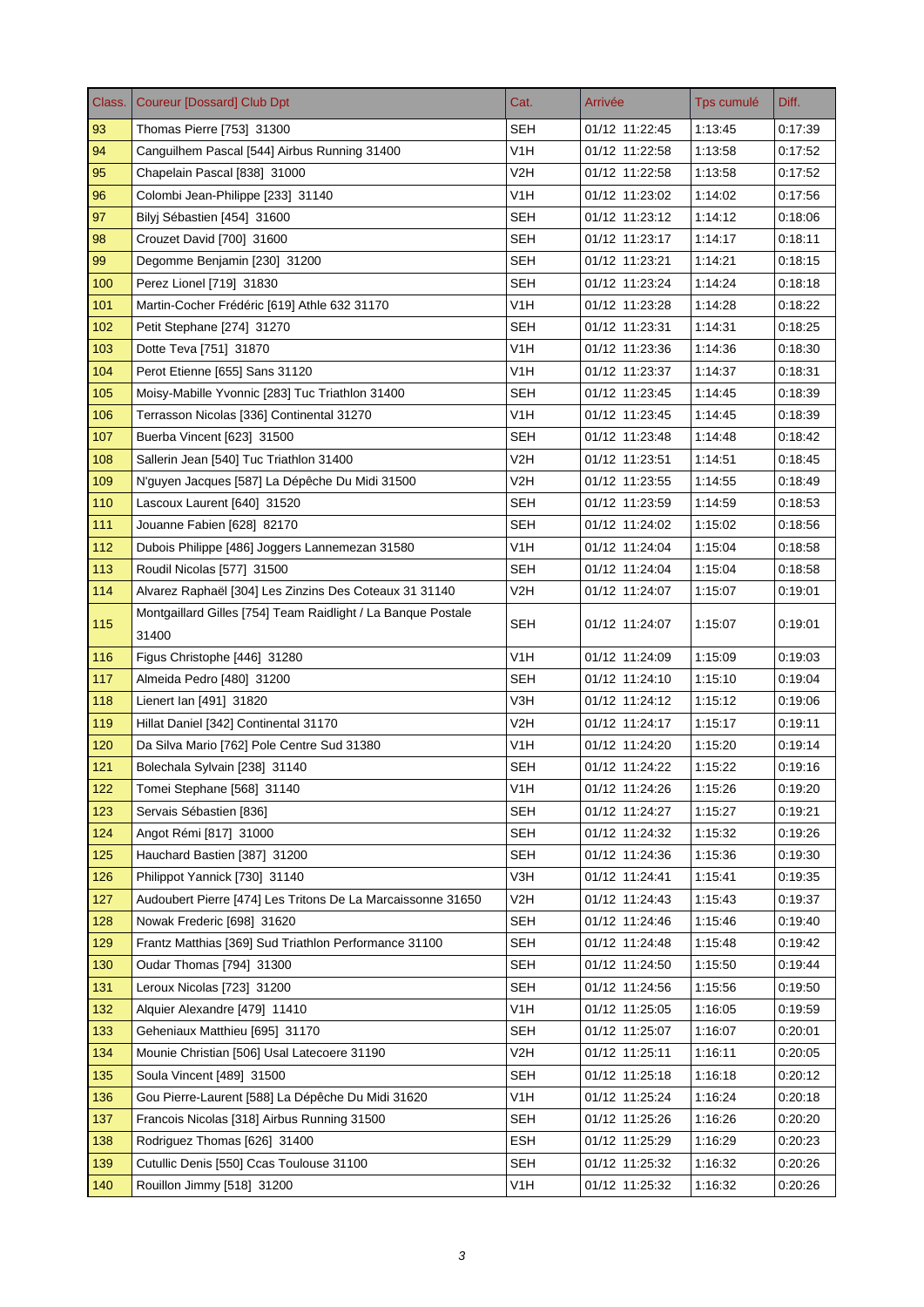| Class. | <b>Coureur [Dossard] Club Dpt</b>                            | Cat.             | Arrivée        | Tps cumulé | Diff.   |
|--------|--------------------------------------------------------------|------------------|----------------|------------|---------|
| 93     | Thomas Pierre [753] 31300                                    | <b>SEH</b>       | 01/12 11:22:45 | 1:13:45    | 0:17:39 |
| 94     | Canguilhem Pascal [544] Airbus Running 31400                 | V <sub>1</sub> H | 01/12 11:22:58 | 1:13:58    | 0.17.52 |
| 95     | Chapelain Pascal [838] 31000                                 | V2H              | 01/12 11:22:58 | 1:13:58    | 0.17.52 |
| 96     | Colombi Jean-Philippe [233] 31140                            | V1H              | 01/12 11:23:02 | 1:14:02    | 0:17:56 |
| 97     | Bilyj Sébastien [454] 31600                                  | SEH              | 01/12 11:23:12 | 1:14:12    | 0.18:06 |
| 98     | Crouzet David [700] 31600                                    | <b>SEH</b>       | 01/12 11:23:17 | 1:14:17    | 0:18:11 |
| 99     | Degomme Benjamin [230] 31200                                 | <b>SEH</b>       | 01/12 11:23:21 | 1:14:21    | 0:18:15 |
| 100    | Perez Lionel [719] 31830                                     | SEH              | 01/12 11:23:24 | 1:14:24    | 0.18.18 |
| 101    | Martin-Cocher Frédéric [619] Athle 632 31170                 | V <sub>1</sub> H | 01/12 11:23:28 | 1:14:28    | 0.18.22 |
| 102    | Petit Stephane [274] 31270                                   | SEH              | 01/12 11:23:31 | 1:14:31    | 0.18.25 |
| 103    | Dotte Teva [751] 31870                                       | V <sub>1</sub> H | 01/12 11:23:36 | 1:14:36    | 0.18.30 |
| 104    | Perot Etienne [655] Sans 31120                               | V <sub>1</sub> H | 01/12 11:23:37 | 1:14:37    | 0:18:31 |
| 105    | Moisy-Mabille Yvonnic [283] Tuc Triathlon 31400              | <b>SEH</b>       | 01/12 11:23:45 | 1:14:45    | 0:18:39 |
| 106    | Terrasson Nicolas [336] Continental 31270                    | V <sub>1</sub> H | 01/12 11:23:45 | 1:14:45    | 0:18:39 |
| 107    | Buerba Vincent [623] 31500                                   | SEH              | 01/12 11:23:48 | 1:14:48    | 0.18.42 |
| 108    | Sallerin Jean [540] Tuc Triathlon 31400                      | V <sub>2</sub> H | 01/12 11:23:51 | 1:14:51    | 0:18:45 |
| 109    | N'guyen Jacques [587] La Dépêche Du Midi 31500               | V2H              | 01/12 11:23:55 | 1:14:55    | 0:18:49 |
| 110    | Lascoux Laurent [640] 31520                                  | <b>SEH</b>       | 01/12 11:23:59 | 1:14:59    | 0:18:53 |
| 111    | Jouanne Fabien [628] 82170                                   | SEH              | 01/12 11:24:02 | 1:15:02    | 0.18.56 |
| 112    | Dubois Philippe [486] Joggers Lannemezan 31580               | V <sub>1</sub> H | 01/12 11:24:04 | 1:15:04    | 0.18.58 |
| 113    | Roudil Nicolas [577] 31500                                   | SEH              | 01/12 11:24:04 | 1:15:04    | 0:18:58 |
| 114    | Alvarez Raphaël [304] Les Zinzins Des Coteaux 31 31140       | V2H              | 01/12 11:24:07 | 1:15:07    | 0.19:01 |
| 115    | Montgaillard Gilles [754] Team Raidlight / La Banque Postale | <b>SEH</b>       | 01/12 11:24:07 | 1:15:07    | 0:19:01 |
|        | 31400                                                        |                  |                |            |         |
| 116    | Figus Christophe [446] 31280                                 | V <sub>1</sub> H | 01/12 11:24:09 | 1:15:09    | 0.19.03 |
| 117    | Almeida Pedro [480] 31200                                    | <b>SEH</b>       | 01/12 11:24:10 | 1:15:10    | 0.19:04 |
| 118    | Lienert Ian [491] 31820                                      | V3H              | 01/12 11:24:12 | 1:15:12    | 0:19:06 |
| 119    | Hillat Daniel [342] Continental 31170                        | V <sub>2</sub> H | 01/12 11:24:17 | 1:15:17    | 0:19:11 |
| 120    | Da Silva Mario [762] Pole Centre Sud 31380                   | V <sub>1</sub> H | 01/12 11:24:20 | 1:15:20    | 0.19.14 |
| 121    | Bolechala Sylvain [238] 31140                                | SEH              | 01/12 11:24:22 | 1:15:22    | 0:19:16 |
| 122    | Tomei Stephane [568] 31140                                   | V <sub>1</sub> H | 01/12 11:24:26 | 1:15:26    | 0:19:20 |
| 123    | Servais Sébastien [836]                                      | <b>SEH</b>       | 01/12 11:24:27 | 1:15:27    | 0:19:21 |
| 124    | Angot Rémi [817] 31000                                       | <b>SEH</b>       | 01/12 11:24:32 | 1:15:32    | 0.19.26 |
| 125    | Hauchard Bastien [387] 31200                                 | <b>SEH</b>       | 01/12 11:24:36 | 1:15:36    | 0:19:30 |
| 126    | Philippot Yannick [730] 31140                                | V3H              | 01/12 11:24:41 | 1:15:41    | 0:19:35 |
| 127    | Audoubert Pierre [474] Les Tritons De La Marcaissonne 31650  | V2H              | 01/12 11:24:43 | 1:15:43    | 0:19:37 |
| 128    | Nowak Frederic [698] 31620                                   | <b>SEH</b>       | 01/12 11:24:46 | 1:15:46    | 0.19.40 |
| 129    | Frantz Matthias [369] Sud Triathlon Performance 31100        | <b>SEH</b>       | 01/12 11:24:48 | 1:15:48    | 0:19:42 |
| 130    | Oudar Thomas [794] 31300                                     | <b>SEH</b>       | 01/12 11:24:50 | 1:15:50    | 0:19:44 |
| 131    | Leroux Nicolas [723] 31200                                   | <b>SEH</b>       | 01/12 11:24:56 | 1:15:56    | 0:19:50 |
| 132    | Alquier Alexandre [479] 11410                                | V <sub>1</sub> H | 01/12 11:25:05 | 1:16:05    | 0:19:59 |
| 133    | Geheniaux Matthieu [695] 31170                               | <b>SEH</b>       | 01/12 11:25:07 | 1:16:07    | 0.20.01 |
| 134    | Mounie Christian [506] Usal Latecoere 31190                  | V2H              | 01/12 11:25:11 | 1:16:11    | 0.20:05 |
| 135    | Soula Vincent [489] 31500                                    | <b>SEH</b>       | 01/12 11:25:18 | 1:16:18    | 0:20:12 |
| 136    | Gou Pierre-Laurent [588] La Dépêche Du Midi 31620            | V1H              | 01/12 11:25:24 | 1:16:24    | 0:20:18 |
| 137    | Francois Nicolas [318] Airbus Running 31500                  | <b>SEH</b>       | 01/12 11:25:26 | 1:16:26    | 0.20.20 |
| 138    | Rodriguez Thomas [626] 31400                                 | <b>ESH</b>       | 01/12 11:25:29 | 1:16:29    | 0:20:23 |
| 139    | Cutullic Denis [550] Ccas Toulouse 31100                     | <b>SEH</b>       | 01/12 11:25:32 | 1:16:32    | 0:20:26 |
| 140    | Rouillon Jimmy [518] 31200                                   | V <sub>1</sub> H | 01/12 11:25:32 | 1:16:32    | 0.20.26 |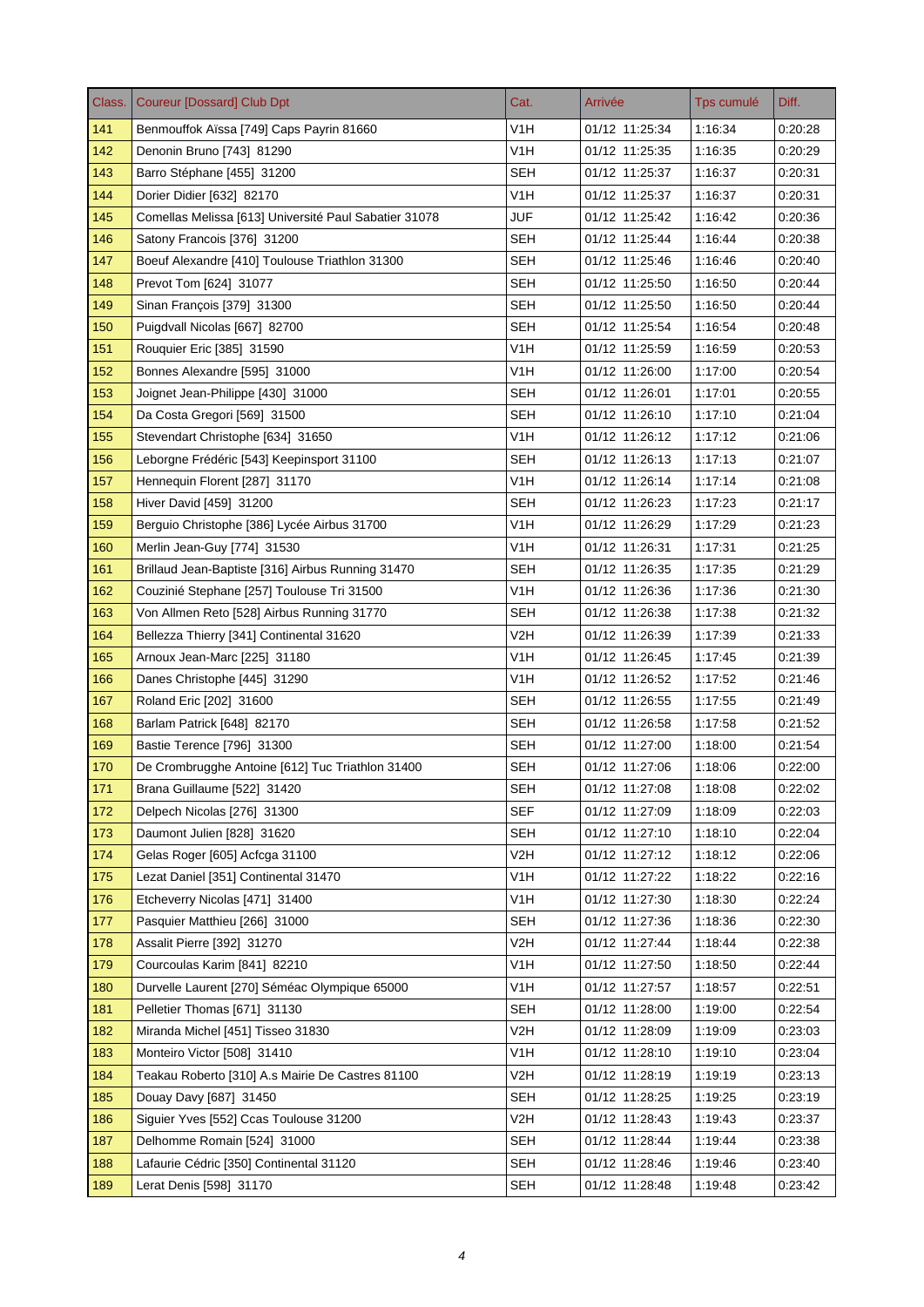| Class. | <b>Coureur [Dossard] Club Dpt</b>                     | Cat.             | Arrivée        | Tps cumulé | Diff.   |
|--------|-------------------------------------------------------|------------------|----------------|------------|---------|
| 141    | Benmouffok Aïssa [749] Caps Payrin 81660              | V <sub>1</sub> H | 01/12 11:25:34 | 1:16:34    | 0:20:28 |
| 142    | Denonin Bruno [743] 81290                             | V <sub>1</sub> H | 01/12 11:25:35 | 1:16:35    | 0:20:29 |
| 143    | Barro Stéphane [455] 31200                            | SEH              | 01/12 11:25:37 | 1:16:37    | 0:20:31 |
| 144    | Dorier Didier [632] 82170                             | V1H              | 01/12 11:25:37 | 1:16:37    | 0:20:31 |
| 145    | Comellas Melissa [613] Université Paul Sabatier 31078 | JUF              | 01/12 11:25:42 | 1:16:42    | 0:20:36 |
| 146    | Satony Francois [376] 31200                           | <b>SEH</b>       | 01/12 11:25:44 | 1:16:44    | 0.20:38 |
| 147    | Boeuf Alexandre [410] Toulouse Triathlon 31300        | <b>SEH</b>       | 01/12 11:25:46 | 1:16:46    | 0.20:40 |
| 148    | Prevot Tom [624] 31077                                | <b>SEH</b>       | 01/12 11:25:50 | 1:16:50    | 0:20:44 |
| 149    | Sinan François [379] 31300                            | <b>SEH</b>       | 01/12 11:25:50 | 1:16:50    | 0.20.44 |
| 150    | Puigdvall Nicolas [667] 82700                         | <b>SEH</b>       | 01/12 11:25:54 | 1:16:54    | 0.20.48 |
| 151    | Rouquier Eric [385] 31590                             | V1H              | 01/12 11:25:59 | 1:16:59    | 0:20:53 |
| 152    | Bonnes Alexandre [595] 31000                          | V1H              | 01/12 11:26:00 | 1:17:00    | 0.20.54 |
| 153    | Joignet Jean-Philippe [430] 31000                     | <b>SEH</b>       | 01/12 11:26:01 | 1:17:01    | 0:20:55 |
| 154    | Da Costa Gregori [569] 31500                          | SEH              | 01/12 11:26:10 | 1:17:10    | 0.21.04 |
| 155    | Stevendart Christophe [634] 31650                     | V1H              | 01/12 11:26:12 | 1:17:12    | 0:21:06 |
| 156    | Leborgne Frédéric [543] Keepinsport 31100             | SEH              | 01/12 11:26:13 | 1:17:13    | 0:21:07 |
| 157    | Hennequin Florent [287] 31170                         | V <sub>1</sub> H | 01/12 11:26:14 | 1:17:14    | 0:21:08 |
| 158    | Hiver David [459] 31200                               | SEH              | 01/12 11:26:23 | 1:17:23    | 0:21:17 |
| 159    | Berguio Christophe [386] Lycée Airbus 31700           | V <sub>1</sub> H | 01/12 11:26:29 | 1:17:29    | 0:21:23 |
| 160    | Merlin Jean-Guy [774] 31530                           | V1H              | 01/12 11:26:31 | 1:17:31    | 0:21:25 |
| 161    | Brillaud Jean-Baptiste [316] Airbus Running 31470     | <b>SEH</b>       | 01/12 11:26:35 | 1:17:35    | 0.21.29 |
| 162    | Couzinié Stephane [257] Toulouse Tri 31500            | V1H              | 01/12 11:26:36 | 1:17:36    | 0:21:30 |
| 163    | Von Allmen Reto [528] Airbus Running 31770            | <b>SEH</b>       | 01/12 11:26:38 | 1:17:38    | 0:21:32 |
| 164    | Bellezza Thierry [341] Continental 31620              | V2H              | 01/12 11:26:39 | 1:17:39    | 0:21:33 |
| 165    | Arnoux Jean-Marc [225] 31180                          | V1H              | 01/12 11:26:45 | 1:17:45    | 0:21:39 |
| 166    | Danes Christophe [445] 31290                          | V1H              | 01/12 11:26:52 | 1:17:52    | 0:21:46 |
| 167    | Roland Eric [202] 31600                               | SEH              | 01/12 11:26:55 | 1:17:55    | 0.21.49 |
| 168    | Barlam Patrick [648] 82170                            | <b>SEH</b>       | 01/12 11:26:58 | 1:17:58    | 0:21:52 |
| 169    | Bastie Terence [796] 31300                            | <b>SEH</b>       | 01/12 11:27:00 | 1:18:00    | 0:21:54 |
| 170    | De Crombrugghe Antoine [612] Tuc Triathlon 31400      | SEH              | 01/12 11:27:06 | 1:18:06    | 0.22:00 |
| 171    | Brana Guillaume [522] 31420                           | SEH              | 01/12 11:27:08 | 1:18:08    | 0:22:02 |
| 172    | Delpech Nicolas [276] 31300                           | <b>SEF</b>       | 01/12 11:27:09 | 1:18:09    | 0.22.03 |
| 173    | Daumont Julien [828] 31620                            | <b>SEH</b>       | 01/12 11:27:10 | 1:18:10    | 0.22:04 |
| 174    | Gelas Roger [605] Acfcga 31100                        | V2H              | 01/12 11:27:12 | 1:18:12    | 0.22.06 |
| 175    | Lezat Daniel [351] Continental 31470                  | V <sub>1</sub> H | 01/12 11:27:22 | 1:18:22    | 0.22.16 |
| 176    | Etcheverry Nicolas [471] 31400                        | V1H              | 01/12 11:27:30 | 1:18:30    | 0.22.24 |
| 177    | Pasquier Matthieu [266] 31000                         | <b>SEH</b>       | 01/12 11:27:36 | 1:18:36    | 0:22:30 |
| 178    | Assalit Pierre [392] 31270                            | V <sub>2</sub> H | 01/12 11:27:44 | 1:18:44    | 0.22.38 |
| 179    | Courcoulas Karim [841] 82210                          | V1H              | 01/12 11:27:50 | 1:18:50    | 0.22.44 |
| 180    | Durvelle Laurent [270] Séméac Olympique 65000         | V1H              | 01/12 11:27:57 | 1:18:57    | 0:22:51 |
| 181    | Pelletier Thomas [671] 31130                          | <b>SEH</b>       | 01/12 11:28:00 | 1:19:00    | 0:22:54 |
| 182    | Miranda Michel [451] Tisseo 31830                     | V2H              | 01/12 11:28:09 | 1:19:09    | 0:23:03 |
| 183    | Monteiro Victor [508] 31410                           | V <sub>1</sub> H | 01/12 11:28:10 | 1:19:10    | 0.23.04 |
| 184    | Teakau Roberto [310] A.s Mairie De Castres 81100      | V2H              | 01/12 11:28:19 | 1:19:19    | 0:23:13 |
| 185    | Douay Davy [687] 31450                                | <b>SEH</b>       | 01/12 11:28:25 | 1:19:25    | 0.23.19 |
| 186    | Siguier Yves [552] Ccas Toulouse 31200                | V2H              | 01/12 11:28:43 | 1:19:43    | 0.23.37 |
| 187    | Delhomme Romain [524] 31000                           | <b>SEH</b>       | 01/12 11:28:44 | 1:19:44    | 0:23:38 |
| 188    | Lafaurie Cédric [350] Continental 31120               | <b>SEH</b>       | 01/12 11:28:46 | 1:19:46    | 0.23.40 |
| 189    | Lerat Denis [598] 31170                               | <b>SEH</b>       | 01/12 11:28:48 | 1:19:48    | 0.23.42 |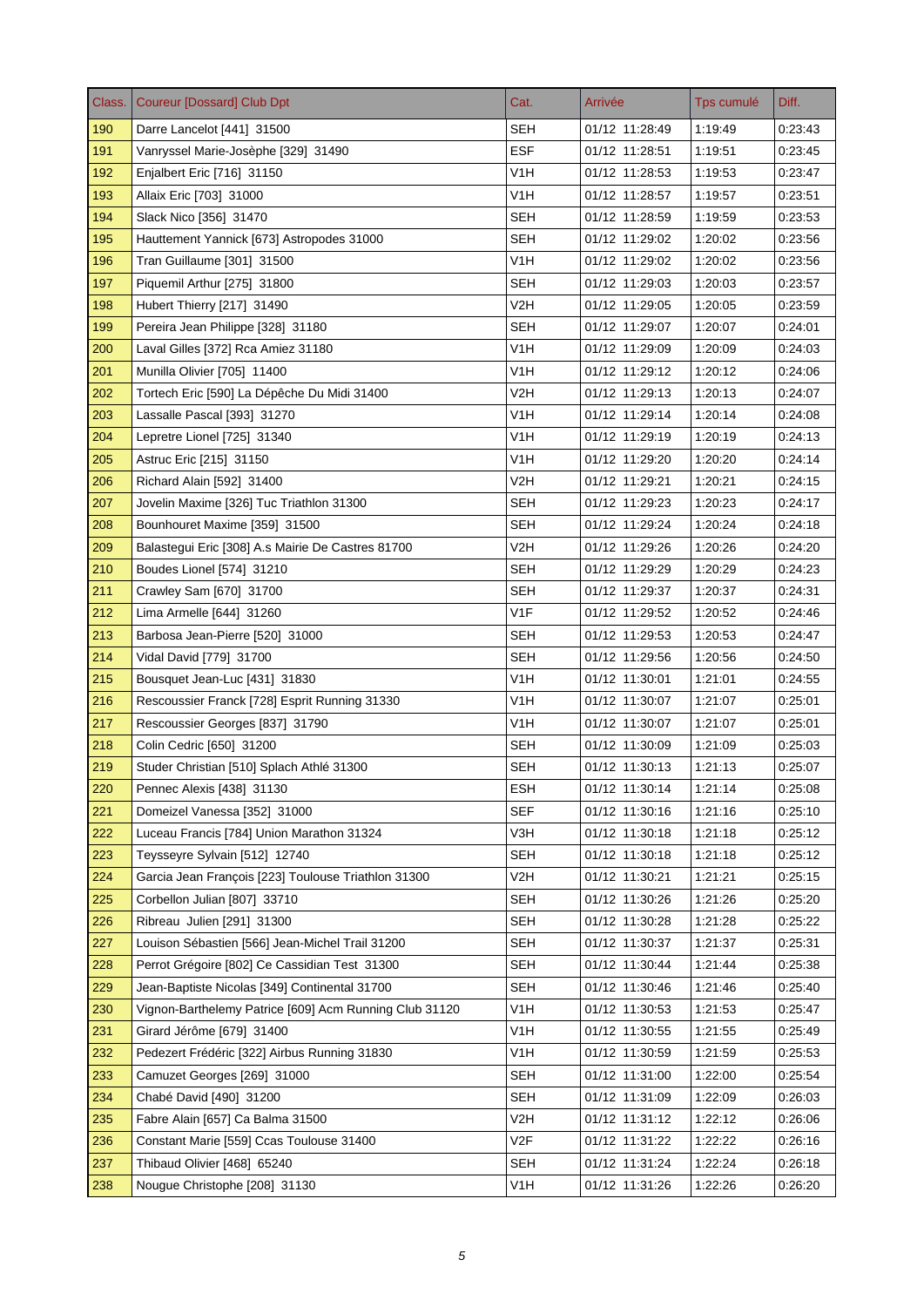| Class. | Coureur [Dossard] Club Dpt                             | Cat.             | Arrivée        | Tps cumulé | Diff.   |
|--------|--------------------------------------------------------|------------------|----------------|------------|---------|
| 190    | Darre Lancelot [441] 31500                             | <b>SEH</b>       | 01/12 11:28:49 | 1:19:49    | 0:23:43 |
| 191    | Vanryssel Marie-Josèphe [329] 31490                    | <b>ESF</b>       | 01/12 11:28:51 | 1:19:51    | 0:23:45 |
| 192    | Enjalbert Eric [716] 31150                             | V1H              | 01/12 11:28:53 | 1:19:53    | 0:23:47 |
| 193    | Allaix Eric [703] 31000                                | V1H              | 01/12 11:28:57 | 1:19:57    | 0:23:51 |
| 194    | Slack Nico [356] 31470                                 | SEH              | 01/12 11:28:59 | 1:19:59    | 0.23.53 |
| 195    | Hauttement Yannick [673] Astropodes 31000              | <b>SEH</b>       | 01/12 11:29:02 | 1:20:02    | 0.23.56 |
| 196    | Tran Guillaume [301] 31500                             | V <sub>1</sub> H | 01/12 11:29:02 | 1:20:02    | 0:23:56 |
| 197    | Piquemil Arthur [275] 31800                            | SEH              | 01/12 11:29:03 | 1:20:03    | 0:23:57 |
| 198    | Hubert Thierry [217] 31490                             | V2H              | 01/12 11:29:05 | 1:20:05    | 0.23.59 |
| 199    | Pereira Jean Philippe [328] 31180                      | <b>SEH</b>       | 01/12 11:29:07 | 1:20:07    | 0.24.01 |
| 200    | Laval Gilles [372] Rca Amiez 31180                     | V1H              | 01/12 11:29:09 | 1:20:09    | 0:24:03 |
| 201    | Munilla Olivier [705] 11400                            | V <sub>1</sub> H | 01/12 11:29:12 | 1:20:12    | 0:24:06 |
| 202    | Tortech Eric [590] La Dépêche Du Midi 31400            | V2H              | 01/12 11:29:13 | 1:20:13    | 0:24:07 |
| 203    | Lassalle Pascal [393] 31270                            | V1H              | 01/12 11:29:14 | 1:20:14    | 0.24.08 |
| 204    | Lepretre Lionel [725] 31340                            | V1H              | 01/12 11:29:19 | 1:20:19    | 0.24.13 |
| 205    | Astruc Eric [215] 31150                                | V <sub>1</sub> H | 01/12 11:29:20 | 1:20:20    | 0.24.14 |
| 206    | Richard Alain [592] 31400                              | V2H              | 01/12 11:29:21 | 1:20:21    | 0:24:15 |
| 207    | Jovelin Maxime [326] Tuc Triathlon 31300               | SEH              | 01/12 11:29:23 | 1:20:23    | 0.24.17 |
| 208    | Bounhouret Maxime [359] 31500                          | <b>SEH</b>       | 01/12 11:29:24 | 1:20:24    | 0.24.18 |
| 209    | Balastegui Eric [308] A.s Mairie De Castres 81700      | V2H              | 01/12 11:29:26 | 1:20:26    | 0:24:20 |
| 210    | Boudes Lionel [574] 31210                              | <b>SEH</b>       | 01/12 11:29:29 | 1:20:29    | 0.24.23 |
| 211    | Crawley Sam [670] 31700                                | <b>SEH</b>       | 01/12 11:29:37 | 1:20:37    | 0:24:31 |
| 212    | Lima Armelle [644] 31260                               | V1F              | 01/12 11:29:52 | 1:20:52    | 0:24:46 |
| 213    | Barbosa Jean-Pierre [520] 31000                        | <b>SEH</b>       | 01/12 11:29:53 | 1:20:53    | 0:24:47 |
| 214    | Vidal David [779] 31700                                | SEH              | 01/12 11:29:56 | 1:20:56    | 0:24:50 |
| 215    | Bousquet Jean-Luc [431] 31830                          | V1H              | 01/12 11:30:01 | 1:21:01    | 0:24:55 |
| 216    | Rescoussier Franck [728] Esprit Running 31330          | V <sub>1</sub> H | 01/12 11:30:07 | 1:21:07    | 0:25:01 |
| 217    | Rescoussier Georges [837] 31790                        | V <sub>1</sub> H | 01/12 11:30:07 | 1:21:07    | 0:25:01 |
| 218    | Colin Cedric [650] 31200                               | <b>SEH</b>       | 01/12 11:30:09 | 1:21:09    | 0.25.03 |
| 219    | Studer Christian [510] Splach Athlé 31300              | <b>SEH</b>       | 01/12 11:30:13 | 1:21:13    | 0:25:07 |
| 220    | Pennec Alexis [438] 31130                              | <b>ESH</b>       | 01/12 11:30:14 | 1:21:14    | 0:25:08 |
| 221    | Domeizel Vanessa [352] 31000                           | <b>SEF</b>       | 01/12 11:30:16 | 1:21:16    | 0.25.10 |
| 222    | Luceau Francis [784] Union Marathon 31324              | V3H              | 01/12 11:30:18 | 1:21:18    | 0:25:12 |
| 223    | Teysseyre Sylvain [512] 12740                          | <b>SEH</b>       | 01/12 11:30:18 | 1:21:18    | 0:25:12 |
| 224    | Garcia Jean François [223] Toulouse Triathlon 31300    | V2H              | 01/12 11:30:21 | 1:21:21    | 0:25:15 |
| 225    | Corbellon Julian [807] 33710                           | <b>SEH</b>       | 01/12 11:30:26 | 1:21:26    | 0:25:20 |
| 226    | Ribreau Julien [291] 31300                             | <b>SEH</b>       | 01/12 11:30:28 | 1:21:28    | 0:25:22 |
| 227    | Louison Sébastien [566] Jean-Michel Trail 31200        | <b>SEH</b>       | 01/12 11:30:37 | 1.21:37    | 0.25.31 |
| 228    | Perrot Grégoire [802] Ce Cassidian Test 31300          | <b>SEH</b>       | 01/12 11:30:44 | 1:21:44    | 0.25.38 |
| 229    | Jean-Baptiste Nicolas [349] Continental 31700          | <b>SEH</b>       | 01/12 11:30:46 | 1:21:46    | 0:25:40 |
| 230    | Vignon-Barthelemy Patrice [609] Acm Running Club 31120 | V <sub>1</sub> H | 01/12 11:30:53 | 1:21:53    | 0.25.47 |
| 231    | Girard Jérôme [679] 31400                              | V <sub>1</sub> H | 01/12 11:30:55 | 1:21:55    | 0:25:49 |
| 232    | Pedezert Frédéric [322] Airbus Running 31830           | V1H              | 01/12 11:30:59 | 1:21:59    | 0.25.53 |
| 233    | Camuzet Georges [269] 31000                            | SEH              | 01/12 11:31:00 | 1:22:00    | 0:25:54 |
| 234    | Chabé David [490] 31200                                | <b>SEH</b>       | 01/12 11:31:09 | 1:22:09    | 0.26.03 |
| 235    | Fabre Alain [657] Ca Balma 31500                       | V2H              | 01/12 11:31:12 | 1:22:12    | 0:26:06 |
| 236    | Constant Marie [559] Ccas Toulouse 31400               | V2F              | 01/12 11:31:22 | 1:22:22    | 0:26:16 |
| 237    | Thibaud Olivier [468] 65240                            | <b>SEH</b>       | 01/12 11:31:24 | 1:22:24    | 0.26.18 |
| 238    | Nougue Christophe [208] 31130                          | V <sub>1</sub> H | 01/12 11:31:26 | 1:22:26    | 0.26.20 |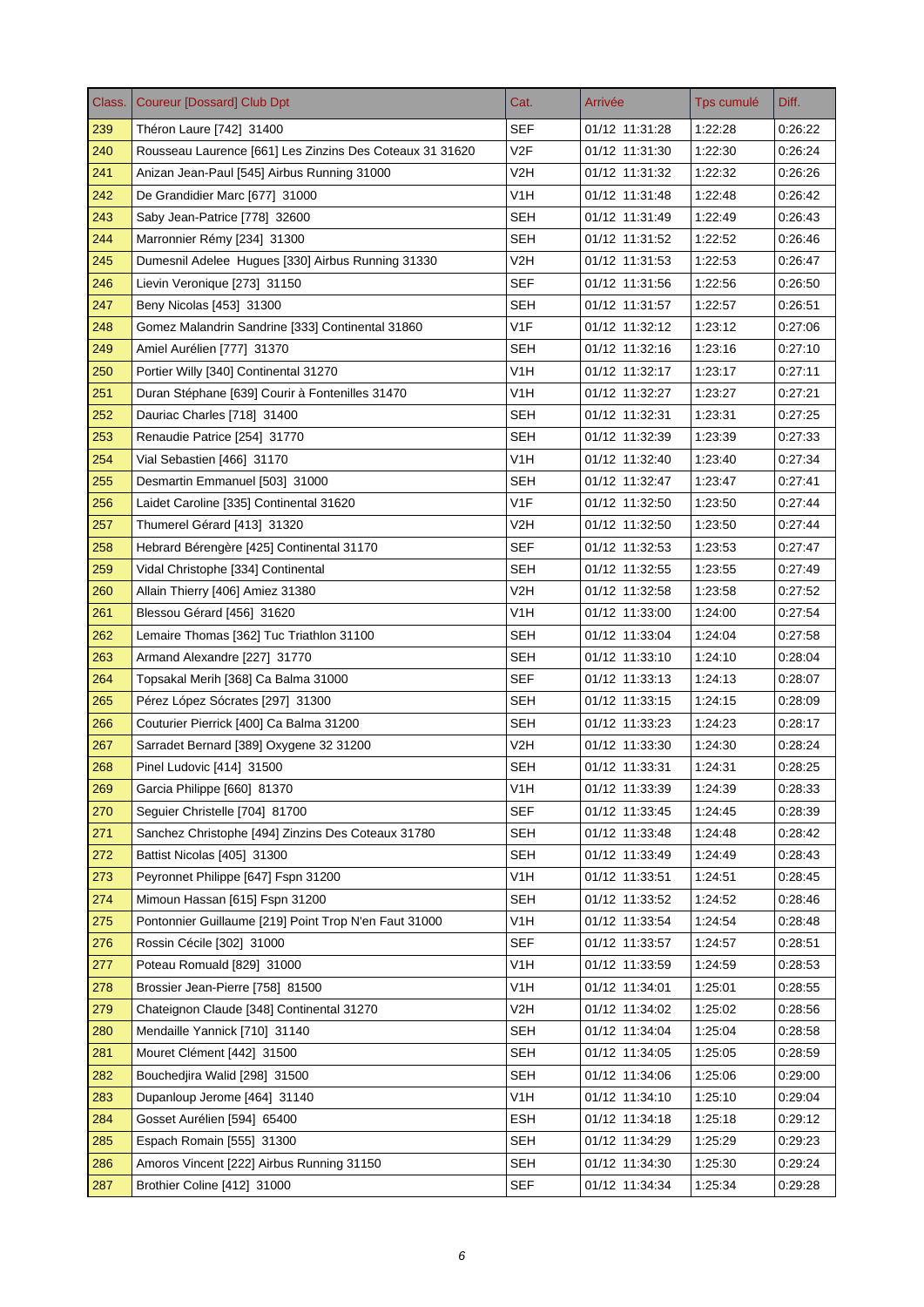| Class. | <b>Coureur [Dossard] Club Dpt</b>                        | Cat.             | Arrivée        | Tps cumulé | Diff.   |
|--------|----------------------------------------------------------|------------------|----------------|------------|---------|
| 239    | Théron Laure [742] 31400                                 | <b>SEF</b>       | 01/12 11:31:28 | 1:22:28    | 0:26:22 |
| 240    | Rousseau Laurence [661] Les Zinzins Des Coteaux 31 31620 | V2F              | 01/12 11:31:30 | 1:22:30    | 0:26:24 |
| 241    | Anizan Jean-Paul [545] Airbus Running 31000              | V2H              | 01/12 11:31:32 | 1:22:32    | 0:26:26 |
| 242    | De Grandidier Marc [677] 31000                           | V <sub>1</sub> H | 01/12 11:31:48 | 1:22:48    | 0:26:42 |
| 243    | Saby Jean-Patrice [778] 32600                            | <b>SEH</b>       | 01/12 11:31:49 | 1:22:49    | 0:26:43 |
| 244    | Marronnier Rémy [234] 31300                              | SEH              | 01/12 11:31:52 | 1:22:52    | 0:26:46 |
| 245    | Dumesnil Adelee Hugues [330] Airbus Running 31330        | V2H              | 01/12 11:31:53 | 1:22:53    | 0:26:47 |
| 246    | Lievin Veronique [273] 31150                             | SEF              | 01/12 11:31:56 | 1:22:56    | 0.26:50 |
| 247    | Beny Nicolas [453] 31300                                 | <b>SEH</b>       | 01/12 11:31:57 | 1:22:57    | 0:26:51 |
| 248    | Gomez Malandrin Sandrine [333] Continental 31860         | V <sub>1F</sub>  | 01/12 11:32:12 | 1:23:12    | 0:27:06 |
| 249    | Amiel Aurélien [777] 31370                               | <b>SEH</b>       | 01/12 11:32:16 | 1:23:16    | 0.27.10 |
| 250    | Portier Willy [340] Continental 31270                    | V <sub>1</sub> H | 01/12 11:32:17 | 1:23:17    | 0.27:11 |
| 251    | Duran Stéphane [639] Courir à Fontenilles 31470          | V1H              | 01/12 11:32:27 | 1:23:27    | 0:27:21 |
| 252    | Dauriac Charles [718] 31400                              | SEH              | 01/12 11:32:31 | 1:23:31    | 0.27.25 |
| 253    | Renaudie Patrice [254] 31770                             | SEH              | 01/12 11:32:39 | 1:23:39    | 0.27.33 |
| 254    | Vial Sebastien [466] 31170                               | V1H              | 01/12 11:32:40 | 1:23:40    | 0:27:34 |
| 255    | Desmartin Emmanuel [503] 31000                           | <b>SEH</b>       | 01/12 11:32:47 | 1:23:47    | 0:27:41 |
| 256    | Laidet Caroline [335] Continental 31620                  | V <sub>1</sub> F | 01/12 11:32:50 | 1:23:50    | 0.27.44 |
| 257    | Thumerel Gérard [413] 31320                              | V2H              | 01/12 11:32:50 | 1:23:50    | 0:27:44 |
| 258    | Hebrard Bérengère [425] Continental 31170                | <b>SEF</b>       | 01/12 11:32:53 | 1:23:53    | 0.27:47 |
| 259    | Vidal Christophe [334] Continental                       | <b>SEH</b>       | 01/12 11:32:55 | 1:23:55    | 0.27.49 |
| 260    | Allain Thierry [406] Amiez 31380                         | V2H              | 01/12 11:32:58 | 1:23:58    | 0.27:52 |
| 261    | Blessou Gérard [456] 31620                               | V <sub>1</sub> H | 01/12 11:33:00 | 1:24:00    | 0:27:54 |
| 262    | Lemaire Thomas [362] Tuc Triathlon 31100                 | <b>SEH</b>       | 01/12 11:33:04 | 1:24:04    | 0:27:58 |
| 263    | Armand Alexandre [227] 31770                             | SEH              | 01/12 11:33:10 | 1:24:10    | 0:28:04 |
| 264    | Topsakal Merih [368] Ca Balma 31000                      | <b>SEF</b>       | 01/12 11:33:13 | 1:24:13    | 0:28:07 |
| 265    | Pérez López Sócrates [297] 31300                         | <b>SEH</b>       | 01/12 11:33:15 | 1:24:15    | 0:28:09 |
| 266    | Couturier Pierrick [400] Ca Balma 31200                  | SEH              | 01/12 11:33:23 | 1:24:23    | 0:28:17 |
| 267    | Sarradet Bernard [389] Oxygene 32 31200                  | V2H              | 01/12 11:33:30 | 1:24:30    | 0:28:24 |
| 268    | Pinel Ludovic [414] 31500                                | SEH              | 01/12 11:33:31 | 1:24:31    | 0:28:25 |
| 269    | Garcia Philippe [660] 81370                              | V <sub>1</sub> H | 01/12 11:33:39 | 1:24:39    | 0:28:33 |
| 270    | Sequier Christelle [704] 81700                           | <b>SEF</b>       | 01/12 11:33:45 | 1:24:45    | 0.28.39 |
| 271    | Sanchez Christophe [494] Zinzins Des Coteaux 31780       | <b>SEH</b>       | 01/12 11:33:48 | 1:24:48    | 0:28:42 |
| 272    | Battist Nicolas [405] 31300                              | <b>SEH</b>       | 01/12 11:33:49 | 1:24:49    | 0:28:43 |
| 273    | Peyronnet Philippe [647] Fspn 31200                      | V1H              | 01/12 11:33:51 | 1:24:51    | 0.28.45 |
| 274    | Mimoun Hassan [615] Fspn 31200                           | <b>SEH</b>       | 01/12 11:33:52 | 1:24:52    | 0:28:46 |
| 275    | Pontonnier Guillaume [219] Point Trop N'en Faut 31000    | V <sub>1</sub> H | 01/12 11:33:54 | 1.24.54    | 0.28.48 |
| 276    | Rossin Cécile [302] 31000                                | <b>SEF</b>       | 01/12 11:33:57 | 1:24:57    | 0:28:51 |
| 277    | Poteau Romuald [829] 31000                               | V <sub>1</sub> H | 01/12 11:33:59 | 1:24:59    | 0:28:53 |
| 278    | Brossier Jean-Pierre [758] 81500                         | V1H              | 01/12 11:34:01 | 1:25:01    | 0:28:55 |
| 279    | Chateignon Claude [348] Continental 31270                | V2H              | 01/12 11:34:02 | 1:25:02    | 0:28:56 |
| 280    | Mendaille Yannick [710] 31140                            | <b>SEH</b>       | 01/12 11:34:04 | 1.25:04    | 0:28:58 |
| 281    | Mouret Clément [442] 31500                               | <b>SEH</b>       | 01/12 11:34:05 | 1:25:05    | 0.28.59 |
| 282    | Bouchedjira Walid [298] 31500                            | <b>SEH</b>       | 01/12 11:34:06 | 1:25:06    | 0.29.00 |
| 283    | Dupanloup Jerome [464] 31140                             | V <sub>1</sub> H | 01/12 11:34:10 | 1:25:10    | 0:29:04 |
| 284    | Gosset Aurélien [594] 65400                              | <b>ESH</b>       | 01/12 11:34:18 | 1:25:18    | 0.29.12 |
| 285    | Espach Romain [555] 31300                                | <b>SEH</b>       | 01/12 11:34:29 | 1:25:29    | 0:29:23 |
| 286    | Amoros Vincent [222] Airbus Running 31150                | <b>SEH</b>       | 01/12 11:34:30 | 1:25:30    | 0:29:24 |
| 287    | Brothier Coline [412] 31000                              | <b>SEF</b>       | 01/12 11:34:34 | 1:25:34    | 0.29.28 |
|        |                                                          |                  |                |            |         |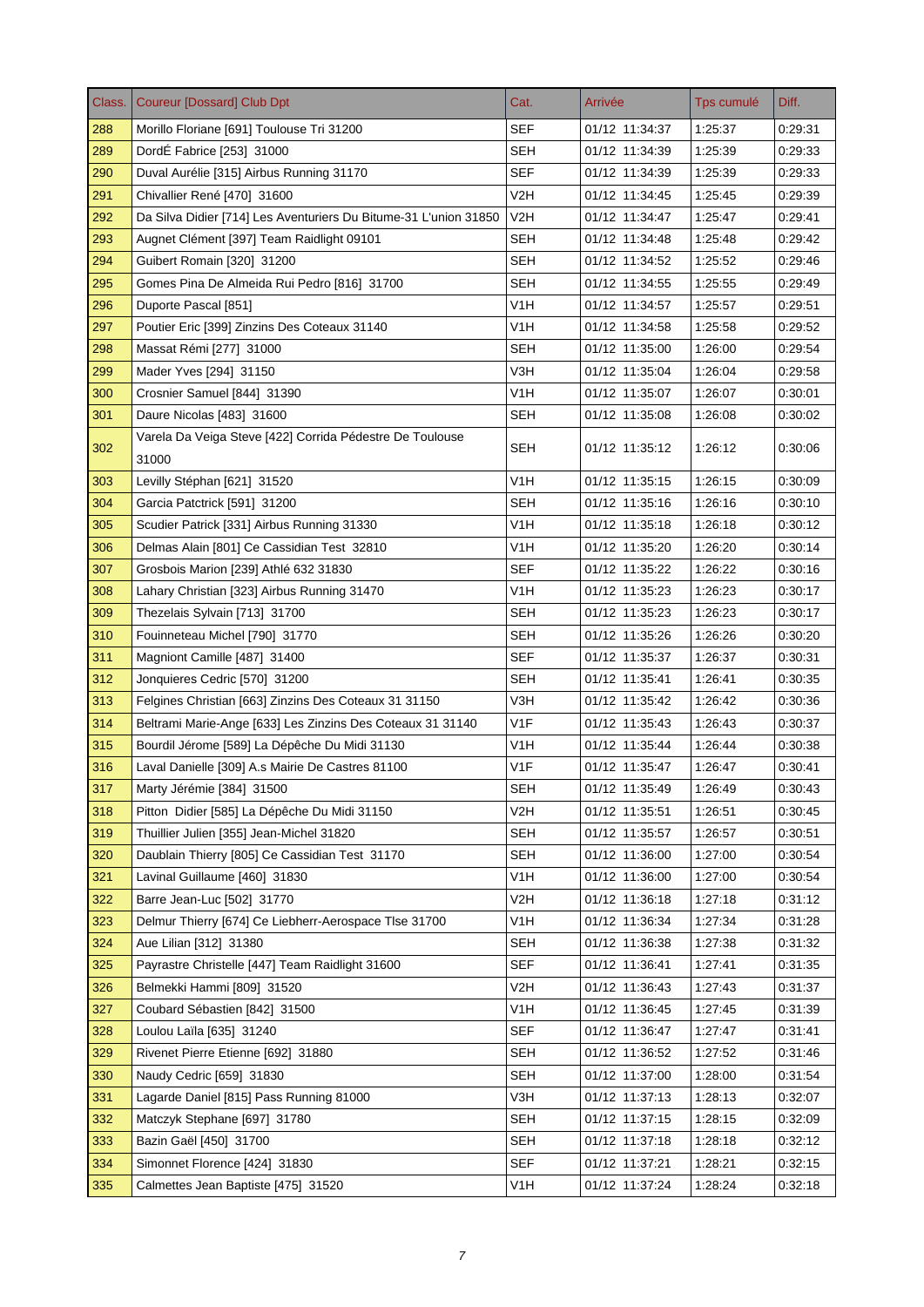| Class. | <b>Coureur [Dossard] Club Dpt</b>                                 | Cat.             | Arrivée        | Tps cumulé | Diff.   |
|--------|-------------------------------------------------------------------|------------------|----------------|------------|---------|
| 288    | Morillo Floriane [691] Toulouse Tri 31200                         | <b>SEF</b>       | 01/12 11:34:37 | 1:25:37    | 0.29.31 |
| 289    | DordÉ Fabrice [253] 31000                                         | <b>SEH</b>       | 01/12 11:34:39 | 1:25:39    | 0:29:33 |
| 290    | Duval Aurélie [315] Airbus Running 31170                          | <b>SEF</b>       | 01/12 11:34:39 | 1:25:39    | 0:29:33 |
| 291    | Chivallier René [470] 31600                                       | V2H              | 01/12 11:34:45 | 1:25:45    | 0:29:39 |
| 292    | Da Silva Didier [714] Les Aventuriers Du Bitume-31 L'union 31850  | V2H              | 01/12 11:34:47 | 1:25:47    | 0.29.41 |
| 293    | Augnet Clément [397] Team Raidlight 09101                         | SEH              | 01/12 11:34:48 | 1.25:48    | 0:29:42 |
| 294    | Guibert Romain [320] 31200                                        | <b>SEH</b>       | 01/12 11:34:52 | 1:25:52    | 0:29:46 |
| 295    | Gomes Pina De Almeida Rui Pedro [816] 31700                       | SEH              | 01/12 11:34:55 | 1:25:55    | 0.29.49 |
| 296    | Duporte Pascal [851]                                              | V <sub>1</sub> H | 01/12 11:34:57 | 1:25:57    | 0:29:51 |
| 297    | Poutier Eric [399] Zinzins Des Coteaux 31140                      | V <sub>1</sub> H | 01/12 11:34:58 | 1:25:58    | 0:29:52 |
| 298    | Massat Rémi [277] 31000                                           | SEH              | 01/12 11:35:00 | 1:26:00    | 0.29.54 |
| 299    | Mader Yves [294] 31150                                            | V3H              | 01/12 11:35:04 | 1:26:04    | 0.29.58 |
| 300    | Crosnier Samuel [844] 31390                                       | V <sub>1</sub> H | 01/12 11:35:07 | 1:26:07    | 0:30:01 |
| 301    | Daure Nicolas [483] 31600                                         | <b>SEH</b>       | 01/12 11:35:08 | 1:26:08    | 0:30:02 |
| 302    | Varela Da Veiga Steve [422] Corrida Pédestre De Toulouse<br>31000 | SEH              | 01/12 11:35:12 | 1:26:12    | 0:30:06 |
| 303    | Levilly Stéphan [621] 31520                                       | V1H              | 01/12 11:35:15 | 1:26:15    | 0:30:09 |
| 304    | Garcia Patctrick [591] 31200                                      | <b>SEH</b>       | 01/12 11:35:16 | 1:26:16    | 0:30:10 |
| 305    | Scudier Patrick [331] Airbus Running 31330                        | V1H              | 01/12 11:35:18 | 1.26:18    | 0:30:12 |
| 306    | Delmas Alain [801] Ce Cassidian Test 32810                        | V1H              | 01/12 11:35:20 | 1:26:20    | 0.30.14 |
| 307    | Grosbois Marion [239] Athlé 632 31830                             | <b>SEF</b>       | 01/12 11:35:22 | 1:26:22    | 0.30.16 |
| 308    | Lahary Christian [323] Airbus Running 31470                       | V <sub>1</sub> H | 01/12 11:35:23 | 1:26:23    | 0:30:17 |
| 309    | Thezelais Sylvain [713] 31700                                     | <b>SEH</b>       | 01/12 11:35:23 | 1:26:23    | 0.30.17 |
| 310    | Fouinneteau Michel [790] 31770                                    | <b>SEH</b>       | 01/12 11:35:26 | 1:26:26    | 0:30:20 |
| 311    | Magniont Camille [487] 31400                                      | <b>SEF</b>       | 01/12 11:35:37 | 1:26:37    | 0:30:31 |
| 312    | Jonquieres Cedric [570] 31200                                     | SEH              | 01/12 11:35:41 | 1:26:41    | 0.30.35 |
| 313    | Felgines Christian [663] Zinzins Des Coteaux 31 31150             | V3H              | 01/12 11:35:42 | 1:26:42    | 0:30:36 |
| 314    | Beltrami Marie-Ange [633] Les Zinzins Des Coteaux 31 31140        | V1F              | 01/12 11:35:43 | 1:26:43    | 0:30:37 |
| 315    | Bourdil Jérome [589] La Dépêche Du Midi 31130                     | V <sub>1</sub> H | 01/12 11:35:44 | 1.26:44    | 0.30.38 |
| 316    | Laval Danielle [309] A.s Mairie De Castres 81100                  | V1F              | 01/12 11:35:47 | 1:26:47    | 0:30:41 |
| 317    | Marty Jérémie [384] 31500                                         | <b>SEH</b>       | 01/12 11:35:49 | 1:26:49    | 0.30.43 |
| 318    | Pitton Didier [585] La Dépêche Du Midi 31150                      | V2H              | 01/12 11:35:51 | 1:26:51    | 0:30:45 |
| 319    | Thuillier Julien [355] Jean-Michel 31820                          | <b>SEH</b>       | 01/12 11:35:57 | 1:26:57    | 0:30:51 |
| 320    | Daublain Thierry [805] Ce Cassidian Test 31170                    | SEH              | 01/12 11:36:00 | 1.27:00    | 0:30:54 |
| 321    | Lavinal Guillaume [460] 31830                                     | V1H              | 01/12 11:36:00 | 1:27:00    | 0.30.54 |
| 322    | Barre Jean-Luc [502] 31770                                        | V <sub>2</sub> H | 01/12 11:36:18 | 1:27:18    | 0:31:12 |
| 323    | Delmur Thierry [674] Ce Liebherr-Aerospace Tlse 31700             | V1H              | 01/12 11:36:34 | 1.27:34    | 0.31.28 |
| 324    | Aue Lilian [312] 31380                                            | SEH              | 01/12 11:36:38 | 1:27:38    | 0:31:32 |
| 325    | Payrastre Christelle [447] Team Raidlight 31600                   | <b>SEF</b>       | 01/12 11:36:41 | 1:27:41    | 0.31.35 |
| 326    | Belmekki Hammi [809] 31520                                        | V <sub>2</sub> H | 01/12 11:36:43 | 1:27:43    | 0:31:37 |
| 327    | Coubard Sébastien [842] 31500                                     | V <sub>1</sub> H | 01/12 11:36:45 | 1:27:45    | 0:31:39 |
| 328    | Loulou Laïla [635] 31240                                          | <b>SEF</b>       | 01/12 11:36:47 | 1.27.47    | 0:31:41 |
| 329    | Rivenet Pierre Etienne [692] 31880                                | <b>SEH</b>       | 01/12 11:36:52 | 1:27:52    | 0.31.46 |
| 330    | Naudy Cedric [659] 31830                                          | SEH              | 01/12 11:37:00 | 1:28:00    | 0.31.54 |
| 331    | Lagarde Daniel [815] Pass Running 81000                           | V3H              | 01/12 11:37:13 | 1.28.13    | 0:32:07 |
| 332    | Matczyk Stephane [697] 31780                                      | <b>SEH</b>       | 01/12 11:37:15 | 1:28:15    | 0.32:09 |
| 333    | Bazin Gaël [450] 31700                                            | <b>SEH</b>       | 01/12 11:37:18 | 1:28:18    | 0:32:12 |
| 334    | Simonnet Florence [424] 31830                                     | <b>SEF</b>       | 01/12 11:37:21 | 1:28:21    | 0:32:15 |
| 335    | Calmettes Jean Baptiste [475] 31520                               | V <sub>1</sub> H | 01/12 11:37:24 | 1:28:24    | 0:32:18 |
|        |                                                                   |                  |                |            |         |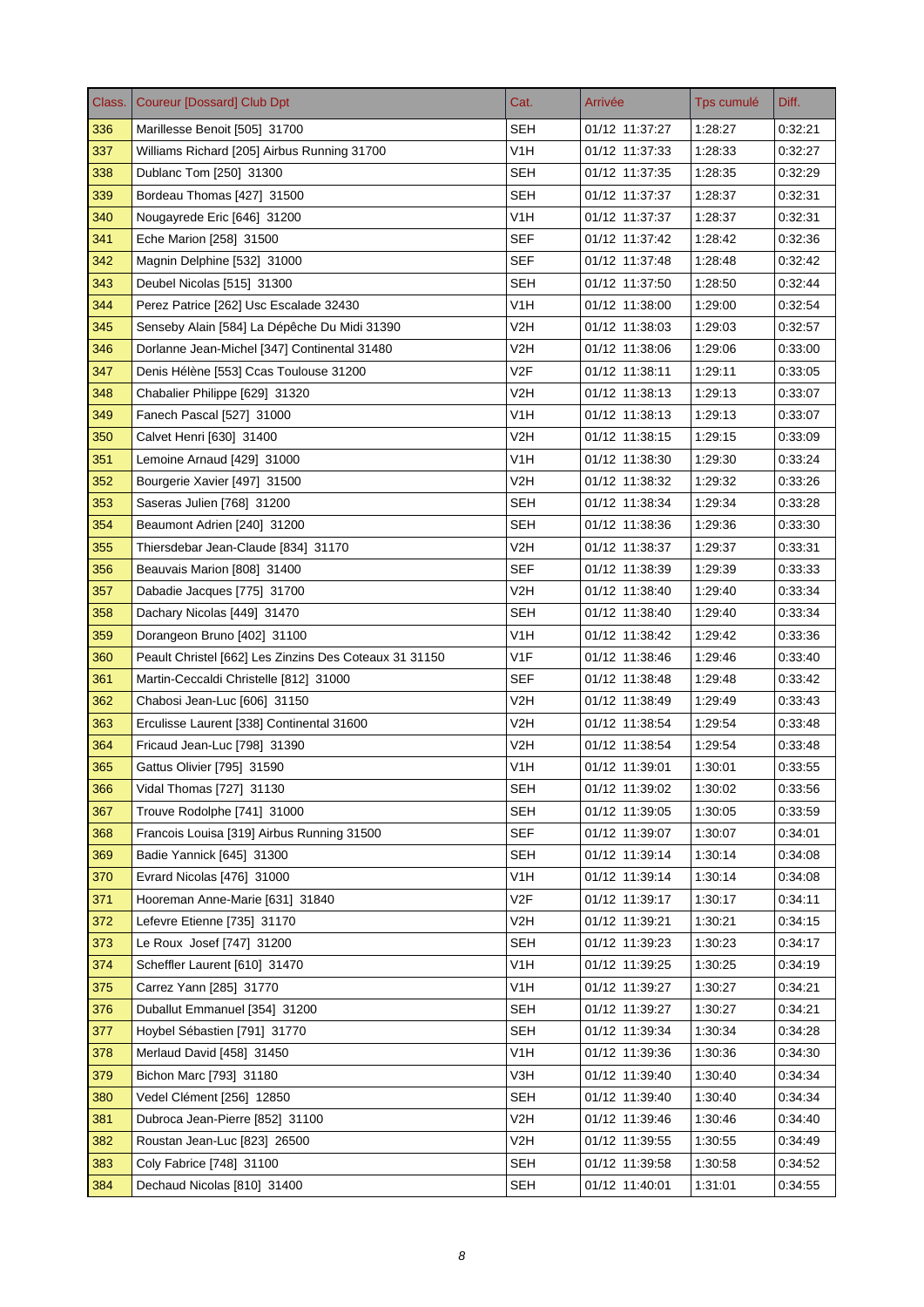| Class. | <b>Coureur [Dossard] Club Dpt</b>                      | Cat.             | Arrivée        | Tps cumulé | Diff.   |
|--------|--------------------------------------------------------|------------------|----------------|------------|---------|
| 336    | Marillesse Benoit [505] 31700                          | <b>SEH</b>       | 01/12 11:37:27 | 1:28:27    | 0:32:21 |
| 337    | Williams Richard [205] Airbus Running 31700            | V <sub>1</sub> H | 01/12 11:37:33 | 1:28:33    | 0:32:27 |
| 338    | Dublanc Tom [250] 31300                                | <b>SEH</b>       | 01/12 11:37:35 | 1:28:35    | 0.32.29 |
| 339    | Bordeau Thomas [427] 31500                             | SEH              | 01/12 11:37:37 | 1:28:37    | 0:32:31 |
| 340    | Nougayrede Eric [646] 31200                            | V1H              | 01/12 11:37:37 | 1:28:37    | 0:32:31 |
| 341    | Eche Marion [258] 31500                                | SEF              | 01/12 11:37:42 | 1:28:42    | 0.32.36 |
| 342    | Magnin Delphine [532] 31000                            | <b>SEF</b>       | 01/12 11:37:48 | 1:28:48    | 0.32.42 |
| 343    | Deubel Nicolas [515] 31300                             | SEH              | 01/12 11:37:50 | 1:28:50    | 0:32:44 |
| 344    | Perez Patrice [262] Usc Escalade 32430                 | V1H              | 01/12 11:38:00 | 1:29:00    | 0.32.54 |
| 345    | Senseby Alain [584] La Dépêche Du Midi 31390           | V2H              | 01/12 11:38:03 | 1:29:03    | 0.32.57 |
| 346    | Dorlanne Jean-Michel [347] Continental 31480           | V2H              | 01/12 11:38:06 | 1:29:06    | 0.33.00 |
| 347    | Denis Hélène [553] Ccas Toulouse 31200                 | V <sub>2F</sub>  | 01/12 11:38:11 | 1:29:11    | 0.33.05 |
| 348    | Chabalier Philippe [629] 31320                         | V2H              | 01/12 11:38:13 | 1:29:13    | 0:33:07 |
| 349    | Fanech Pascal [527] 31000                              | V <sub>1</sub> H | 01/12 11:38:13 | 1:29:13    | 0:33:07 |
| 350    | Calvet Henri [630] 31400                               | V2H              | 01/12 11:38:15 | 1:29:15    | 0.33.09 |
| 351    | Lemoine Arnaud [429] 31000                             | V <sub>1</sub> H | 01/12 11:38:30 | 1:29:30    | 0:33:24 |
| 352    | Bourgerie Xavier [497] 31500                           | V <sub>2</sub> H | 01/12 11:38:32 | 1:29:32    | 0:33:26 |
| 353    | Saseras Julien [768] 31200                             | <b>SEH</b>       | 01/12 11:38:34 | 1:29:34    | 0:33:28 |
| 354    | Beaumont Adrien [240] 31200                            | SEH              | 01/12 11:38:36 | 1:29:36    | 0:33:30 |
| 355    | Thiersdebar Jean-Claude [834] 31170                    | V2H              | 01/12 11:38:37 | 1:29:37    | 0:33:31 |
| 356    | Beauvais Marion [808] 31400                            | <b>SEF</b>       | 01/12 11:38:39 | 1:29:39    | 0:33:33 |
| 357    | Dabadie Jacques [775] 31700                            | V2H              | 01/12 11:38:40 | 1:29:40    | 0.33.34 |
| 358    | Dachary Nicolas [449] 31470                            | <b>SEH</b>       | 01/12 11:38:40 | 1:29:40    | 0.33.34 |
| 359    | Dorangeon Bruno [402] 31100                            | V <sub>1</sub> H | 01/12 11:38:42 | 1:29:42    | 0:33:36 |
| 360    | Peault Christel [662] Les Zinzins Des Coteaux 31 31150 | V <sub>1</sub> F | 01/12 11:38:46 | 1:29:46    | 0:33:40 |
| 361    | Martin-Ceccaldi Christelle [812] 31000                 | SEF              | 01/12 11:38:48 | 1:29:48    | 0.33.42 |
| 362    | Chabosi Jean-Luc [606] 31150                           | V <sub>2</sub> H | 01/12 11:38:49 | 1:29:49    | 0:33:43 |
| 363    | Erculisse Laurent [338] Continental 31600              | V <sub>2</sub> H | 01/12 11:38:54 | 1:29:54    | 0:33:48 |
| 364    | Fricaud Jean-Luc [798] 31390                           | V2H              | 01/12 11:38:54 | 1:29:54    | 0.33.48 |
| 365    | Gattus Olivier [795] 31590                             | V1H              | 01/12 11:39:01 | 1:30:01    | 0:33:55 |
| 366    | Vidal Thomas [727] 31130                               | <b>SEH</b>       | 01/12 11:39:02 | 1:30:02    | 0:33:56 |
| 367    | Trouve Rodolphe [741] 31000                            | <b>SEH</b>       | 01/12 11:39:05 | 1:30:05    | 0.33.59 |
| 368    | Francois Louisa [319] Airbus Running 31500             | <b>SEF</b>       | 01/12 11:39:07 | 1:30:07    | 0.34.01 |
| 369    | Badie Yannick [645] 31300                              | <b>SEH</b>       | 01/12 11:39:14 | 1:30:14    | 0:34:08 |
| 370    | Evrard Nicolas [476] 31000                             | V1H              | 01/12 11:39:14 | 1:30:14    | 0.34.08 |
| 371    | Hooreman Anne-Marie [631] 31840                        | V2F              | 01/12 11:39:17 | 1:30:17    | 0:34:11 |
| 372    | Lefevre Etienne [735] 31170                            | V2H              | 01/12 11:39:21 | 1:30:21    | 0:34:15 |
| 373    | Le Roux Josef [747] 31200                              | <b>SEH</b>       | 01/12 11:39:23 | 1:30:23    | 0.34.17 |
| 374    | Scheffler Laurent [610] 31470                          | V <sub>1</sub> H | 01/12 11:39:25 | 1:30:25    | 0:34:19 |
| 375    | Carrez Yann [285] 31770                                | V <sub>1</sub> H | 01/12 11:39:27 | 1:30:27    | 0:34:21 |
| 376    | Duballut Emmanuel [354] 31200                          | <b>SEH</b>       | 01/12 11:39:27 | 1:30:27    | 0:34:21 |
| 377    | Hoybel Sébastien [791] 31770                           | <b>SEH</b>       | 01/12 11:39:34 | 1:30:34    | 0.34.28 |
| 378    | Merlaud David [458] 31450                              | V <sub>1</sub> H | 01/12 11:39:36 | 1:30:36    | 0.34.30 |
| 379    | Bichon Marc [793] 31180                                | V3H              | 01/12 11:39:40 | 1:30:40    | 0.34.34 |
| 380    | Vedel Clément [256] 12850                              | <b>SEH</b>       | 01/12 11:39:40 | 1:30:40    | 0.34.34 |
| 381    | Dubroca Jean-Pierre [852] 31100                        | V2H              | 01/12 11:39:46 | 1:30:46    | 0.34.40 |
| 382    | Roustan Jean-Luc [823] 26500                           | V <sub>2</sub> H | 01/12 11:39:55 | 1:30:55    | 0:34:49 |
| 383    | Coly Fabrice [748] 31100                               | <b>SEH</b>       | 01/12 11:39:58 | 1:30:58    | 0:34:52 |
| 384    | Dechaud Nicolas [810] 31400                            | <b>SEH</b>       | 01/12 11:40:01 | 1:31:01    | 0.34.55 |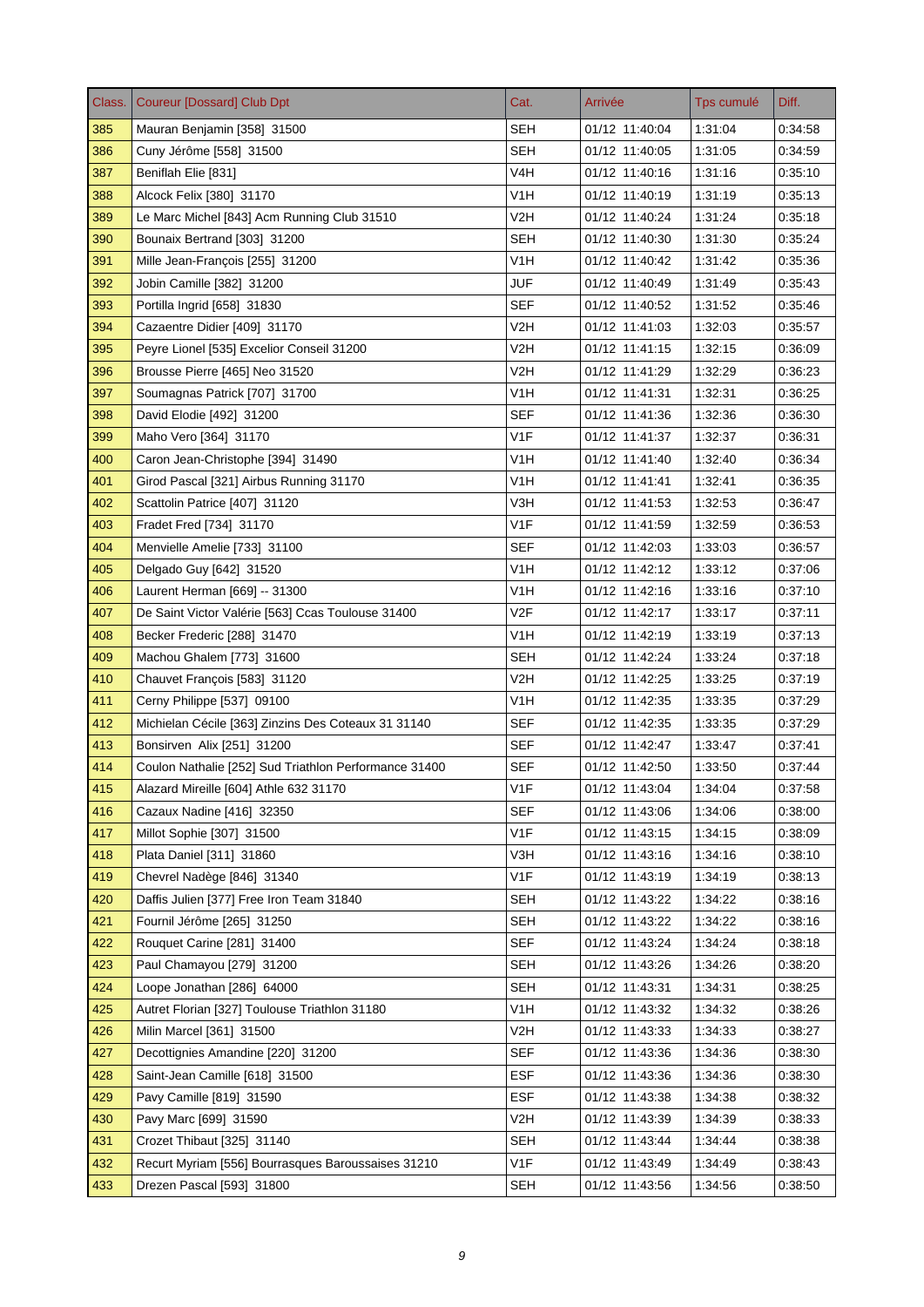| Class. | <b>Coureur [Dossard] Club Dpt</b>                     | Cat.             | Arrivée        | Tps cumulé | Diff.   |
|--------|-------------------------------------------------------|------------------|----------------|------------|---------|
| 385    | Mauran Benjamin [358] 31500                           | <b>SEH</b>       | 01/12 11:40:04 | 1:31:04    | 0:34:58 |
| 386    | Cuny Jérôme [558] 31500                               | <b>SEH</b>       | 01/12 11:40:05 | 1:31:05    | 0:34:59 |
| 387    | Beniflah Elie [831]                                   | V4H              | 01/12 11:40:16 | 1:31:16    | 0.35.10 |
| 388    | Alcock Felix [380] 31170                              | V1H              | 01/12 11:40:19 | 1:31:19    | 0:35:13 |
| 389    | Le Marc Michel [843] Acm Running Club 31510           | V <sub>2</sub> H | 01/12 11:40:24 | 1:31:24    | 0.35.18 |
| 390    | Bounaix Bertrand [303] 31200                          | <b>SEH</b>       | 01/12 11:40:30 | 1:31:30    | 0:35:24 |
| 391    | Mille Jean-François [255] 31200                       | V <sub>1</sub> H | 01/12 11:40:42 | 1:31:42    | 0:35:36 |
| 392    | Jobin Camille [382] 31200                             | JUF              | 01/12 11:40:49 | 1:31:49    | 0:35:43 |
| 393    | Portilla Ingrid [658] 31830                           | SEF              | 01/12 11:40:52 | 1:31:52    | 0:35:46 |
| 394    | Cazaentre Didier [409] 31170                          | V2H              | 01/12 11:41:03 | 1:32:03    | 0:35:57 |
| 395    | Peyre Lionel [535] Excelior Conseil 31200             | V2H              | 01/12 11:41:15 | 1:32:15    | 0.36.09 |
| 396    | Brousse Pierre [465] Neo 31520                        | V <sub>2</sub> H | 01/12 11:41:29 | 1:32:29    | 0.36.23 |
| 397    | Soumagnas Patrick [707] 31700                         | V <sub>1</sub> H | 01/12 11:41:31 | 1:32:31    | 0:36:25 |
| 398    | David Elodie [492] 31200                              | SEF              | 01/12 11:41:36 | 1:32:36    | 0:36:30 |
| 399    | Maho Vero [364] 31170                                 | V <sub>1</sub> F | 01/12 11:41:37 | 1:32:37    | 0:36:31 |
| 400    | Caron Jean-Christophe [394] 31490                     | V <sub>1</sub> H | 01/12 11:41:40 | 1:32:40    | 0:36:34 |
| 401    | Girod Pascal [321] Airbus Running 31170               | V1H              | 01/12 11:41:41 | 1:32:41    | 0:36:35 |
| 402    | Scattolin Patrice [407] 31120                         | V3H              | 01/12 11:41:53 | 1:32:53    | 0:36:47 |
| 403    | Fradet Fred [734] 31170                               | V <sub>1F</sub>  | 01/12 11:41:59 | 1:32:59    | 0:36:53 |
| 404    | Menvielle Amelie [733] 31100                          | SEF              | 01/12 11:42:03 | 1:33:03    | 0:36:57 |
| 405    | Delgado Guy [642] 31520                               | V <sub>1</sub> H | 01/12 11:42:12 | 1:33:12    | 0.37.06 |
| 406    | Laurent Herman [669] -- 31300                         | V1H              | 01/12 11:42:16 | 1:33:16    | 0:37:10 |
| 407    | De Saint Victor Valérie [563] Ccas Toulouse 31400     | V2F              | 01/12 11:42:17 | 1:33:17    | 0.37.11 |
| 408    | Becker Frederic [288] 31470                           | V <sub>1</sub> H | 01/12 11:42:19 | 1:33:19    | 0:37:13 |
| 409    | Machou Ghalem [773] 31600                             | SEH              | 01/12 11:42:24 | 1:33:24    | 0.37.18 |
| 410    | Chauvet François [583] 31120                          | V2H              | 01/12 11:42:25 | 1:33:25    | 0.37.19 |
| 411    | Cerny Philippe [537] 09100                            | V <sub>1</sub> H | 01/12 11:42:35 | 1:33:35    | 0:37:29 |
| 412    | Michielan Cécile [363] Zinzins Des Coteaux 31 31140   | <b>SEF</b>       | 01/12 11:42:35 | 1:33:35    | 0:37:29 |
| 413    | Bonsirven Alix [251] 31200                            | <b>SEF</b>       | 01/12 11:42:47 | 1:33:47    | 0:37:41 |
| 414    | Coulon Nathalie [252] Sud Triathlon Performance 31400 | <b>SEF</b>       | 01/12 11:42:50 | 1:33:50    | 0:37:44 |
| 415    | Alazard Mireille [604] Athle 632 31170                | V1F              | 01/12 11:43:04 | 1:34:04    | 0:37:58 |
| 416    | Cazaux Nadine [416] 32350                             | <b>SEF</b>       | 01/12 11:43:06 | 1:34:06    | 0.38.00 |
| 417    | Millot Sophie [307] 31500                             | V1F              | 01/12 11:43:15 | 1:34:15    | 0:38:09 |
| 418    | Plata Daniel [311] 31860                              | V3H              | 01/12 11:43:16 | 1:34:16    | 0:38:10 |
| 419    | Chevrel Nadège [846] 31340                            | V <sub>1</sub> F | 01/12 11:43:19 | 1:34:19    | 0:38:13 |
| 420    | Daffis Julien [377] Free Iron Team 31840              | <b>SEH</b>       | 01/12 11:43:22 | 1:34:22    | 0:38:16 |
| 421    | Fournil Jérôme [265] 31250                            | <b>SEH</b>       | 01/12 11:43:22 | 1:34:22    | 0:38:16 |
| 422    | Rouquet Carine [281] 31400                            | <b>SEF</b>       | 01/12 11:43:24 | 1:34:24    | 0.38.18 |
| 423    | Paul Chamayou [279] 31200                             | <b>SEH</b>       | 01/12 11:43:26 | 1:34:26    | 0.38.20 |
| 424    | Loope Jonathan [286] 64000                            | <b>SEH</b>       | 01/12 11:43:31 | 1:34:31    | 0:38:25 |
| 425    | Autret Florian [327] Toulouse Triathlon 31180         | V <sub>1</sub> H | 01/12 11:43:32 | 1:34:32    | 0:38:26 |
| 426    | Milin Marcel [361] 31500                              | V2H              | 01/12 11:43:33 | 1:34:33    | 0:38:27 |
| 427    | Decottignies Amandine [220] 31200                     | <b>SEF</b>       | 01/12 11:43:36 | 1.34.36    | 0.38.30 |
| 428    | Saint-Jean Camille [618] 31500                        | <b>ESF</b>       | 01/12 11:43:36 | 1:34:36    | 0:38:30 |
| 429    | Pavy Camille [819] 31590                              | <b>ESF</b>       | 01/12 11:43:38 | 1:34:38    | 0.38.32 |
| 430    | Pavy Marc [699] 31590                                 | V2H              | 01/12 11:43:39 | 1:34:39    | 0.38.33 |
| 431    | Crozet Thibaut [325] 31140                            | <b>SEH</b>       | 01/12 11:43:44 | 1.34.44    | 0:38:38 |
| 432    | Recurt Myriam [556] Bourrasques Baroussaises 31210    | V1F              | 01/12 11:43:49 | 1:34:49    | 0.38.43 |
| 433    | Drezen Pascal [593] 31800                             | <b>SEH</b>       | 01/12 11:43:56 | 1:34:56    | 0.38.50 |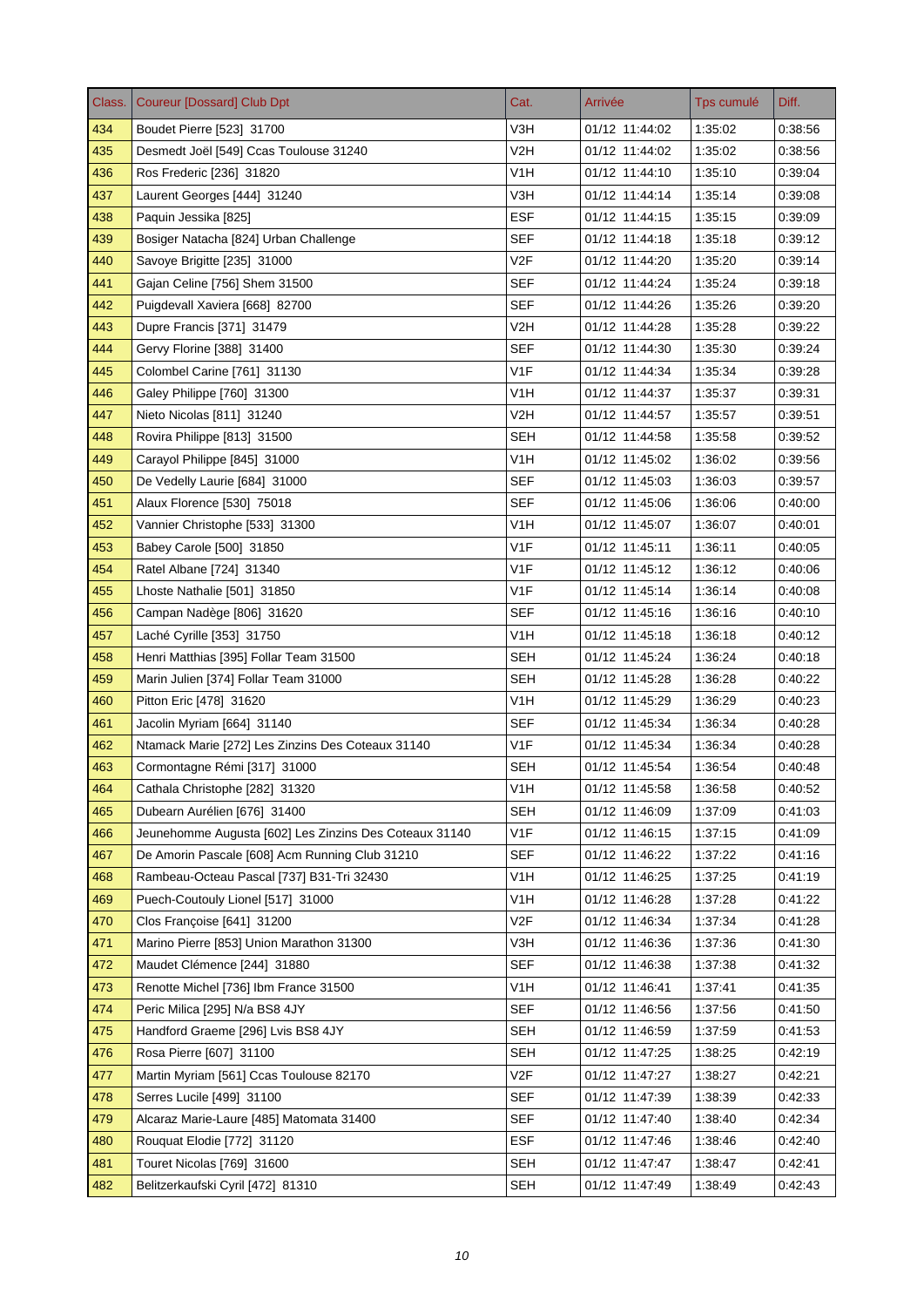| Class. | <b>Coureur [Dossard] Club Dpt</b>                      | Cat.             | Arrivée        | Tps cumulé | Diff.   |
|--------|--------------------------------------------------------|------------------|----------------|------------|---------|
| 434    | Boudet Pierre [523] 31700                              | V3H              | 01/12 11:44:02 | 1:35:02    | 0.38.56 |
| 435    | Desmedt Joël [549] Ccas Toulouse 31240                 | V2H              | 01/12 11:44:02 | 1:35:02    | 0:38:56 |
| 436    | Ros Frederic [236] 31820                               | V1H              | 01/12 11:44:10 | 1:35:10    | 0.39.04 |
| 437    | Laurent Georges [444] 31240                            | V3H              | 01/12 11:44:14 | 1:35:14    | 0:39:08 |
| 438    | Paquin Jessika [825]                                   | <b>ESF</b>       | 01/12 11:44:15 | 1:35:15    | 0:39:09 |
| 439    | Bosiger Natacha [824] Urban Challenge                  | <b>SEF</b>       | 01/12 11:44:18 | 1:35:18    | 0:39:12 |
| 440    | Savoye Brigitte [235] 31000                            | V <sub>2F</sub>  | 01/12 11:44:20 | 1:35:20    | 0.39.14 |
| 441    | Gajan Celine [756] Shem 31500                          | <b>SEF</b>       | 01/12 11:44:24 | 1:35:24    | 0:39:18 |
| 442    | Puigdevall Xaviera [668] 82700                         | SEF              | 01/12 11:44:26 | 1:35:26    | 0.39.20 |
| 443    | Dupre Francis [371] 31479                              | V2H              | 01/12 11:44:28 | 1:35:28    | 0:39:22 |
| 444    | Gervy Florine [388] 31400                              | SEF              | 01/12 11:44:30 | 1:35:30    | 0:39:24 |
| 445    | Colombel Carine [761] 31130                            | V <sub>1</sub> F | 01/12 11:44:34 | 1:35:34    | 0.39.28 |
| 446    | Galey Philippe [760] 31300                             | V <sub>1</sub> H | 01/12 11:44:37 | 1:35:37    | 0:39:31 |
| 447    | Nieto Nicolas [811] 31240                              | V2H              | 01/12 11:44:57 | 1:35:57    | 0.39.51 |
| 448    | Rovira Philippe [813] 31500                            | SEH              | 01/12 11:44:58 | 1:35:58    | 0.39.52 |
| 449    | Carayol Philippe [845] 31000                           | V <sub>1</sub> H | 01/12 11:45:02 | 1:36:02    | 0.39.56 |
| 450    | De Vedelly Laurie [684] 31000                          | <b>SEF</b>       | 01/12 11:45:03 | 1:36:03    | 0:39:57 |
| 451    | Alaux Florence [530] 75018                             | <b>SEF</b>       | 01/12 11:45:06 | 1:36:06    | 0:40:00 |
| 452    | Vannier Christophe [533] 31300                         | V1H              | 01/12 11:45:07 | 1:36:07    | 0:40:01 |
| 453    | Babey Carole [500] 31850                               | V1F              | 01/12 11:45:11 | 1:36:11    | 0:40:05 |
| 454    | Ratel Albane [724] 31340                               | V <sub>1</sub> F | 01/12 11:45:12 | 1:36:12    | 0.40.06 |
| 455    | Lhoste Nathalie [501] 31850                            | V1F              | 01/12 11:45:14 | 1:36:14    | 0:40:08 |
| 456    | Campan Nadège [806] 31620                              | SEF              | 01/12 11:45:16 | 1:36:16    | 0:40:10 |
| 457    | Laché Cyrille [353] 31750                              | V <sub>1</sub> H | 01/12 11:45:18 | 1:36:18    | 0:40:12 |
| 458    | Henri Matthias [395] Follar Team 31500                 | SEH              | 01/12 11:45:24 | 1:36:24    | 0.40.18 |
| 459    | Marin Julien [374] Follar Team 31000                   | <b>SEH</b>       | 01/12 11:45:28 | 1:36:28    | 0.40.22 |
| 460    | Pitton Eric [478] 31620                                | V <sub>1</sub> H | 01/12 11:45:29 | 1:36:29    | 0:40:23 |
| 461    | Jacolin Myriam [664] 31140                             | <b>SEF</b>       | 01/12 11:45:34 | 1:36:34    | 0:40:28 |
| 462    | Ntamack Marie [272] Les Zinzins Des Coteaux 31140      | V <sub>1F</sub>  | 01/12 11:45:34 | 1:36:34    | 0:40:28 |
| 463    | Cormontagne Rémi [317] 31000                           | <b>SEH</b>       | 01/12 11:45:54 | 1:36:54    | 0:40:48 |
| 464    | Cathala Christophe [282] 31320                         | V1H              | 01/12 11:45:58 | 1:36:58    | 0:40:52 |
| 465    | Dubearn Aurélien [676] 31400                           | <b>SEH</b>       | 01/12 11:46:09 | 1:37:09    | 0.41.03 |
| 466    | Jeunehomme Augusta [602] Les Zinzins Des Coteaux 31140 | V <sub>1</sub> F | 01/12 11:46:15 | 1:37:15    | 0:41:09 |
| 467    | De Amorin Pascale [608] Acm Running Club 31210         | <b>SEF</b>       | 01/12 11:46:22 | 1.37.22    | 0:41:16 |
| 468    | Rambeau-Octeau Pascal [737] B31-Tri 32430              | V1H              | 01/12 11:46:25 | 1:37:25    | 0.41.19 |
| 469    | Puech-Coutouly Lionel [517] 31000                      | V <sub>1</sub> H | 01/12 11:46:28 | 1:37:28    | 0.41:22 |
| 470    | Clos Françoise [641] 31200                             | V2F              | 01/12 11:46:34 | 1.37:34    | 0:41:28 |
| 471    | Marino Pierre [853] Union Marathon 31300               | V3H              | 01/12 11:46:36 | 1:37:36    | 0.41.30 |
| 472    | Maudet Clémence [244] 31880                            | <b>SEF</b>       | 01/12 11:46:38 | 1:37:38    | 0.41.32 |
| 473    | Renotte Michel [736] Ibm France 31500                  | V <sub>1</sub> H | 01/12 11:46:41 | 1:37:41    | 0.41:35 |
| 474    | Peric Milica [295] N/a BS8 4JY                         | <b>SEF</b>       | 01/12 11:46:56 | 1:37:56    | 0:41:50 |
| 475    | Handford Graeme [296] Lvis BS8 4JY                     | <b>SEH</b>       | 01/12 11:46:59 | 1:37:59    | 0.41.53 |
| 476    | Rosa Pierre [607] 31100                                | <b>SEH</b>       | 01/12 11:47:25 | 1:38:25    | 0.42.19 |
| 477    | Martin Myriam [561] Ccas Toulouse 82170                | V <sub>2</sub> F | 01/12 11:47:27 | 1:38:27    | 0:42:21 |
| 478    | Serres Lucile [499] 31100                              | <b>SEF</b>       | 01/12 11:47:39 | 1:38:39    | 0:42:33 |
| 479    | Alcaraz Marie-Laure [485] Matomata 31400               | <b>SEF</b>       | 01/12 11:47:40 | 1:38:40    | 0.42.34 |
| 480    | Rouquat Elodie [772] 31120                             | <b>ESF</b>       | 01/12 11:47:46 | 1:38:46    | 0.42.40 |
| 481    | Touret Nicolas [769] 31600                             | <b>SEH</b>       | 01/12 11:47:47 | 1.38.47    | 0.42.41 |
| 482    | Belitzerkaufski Cyril [472] 81310                      | <b>SEH</b>       | 01/12 11:47:49 | 1:38:49    | 0.42.43 |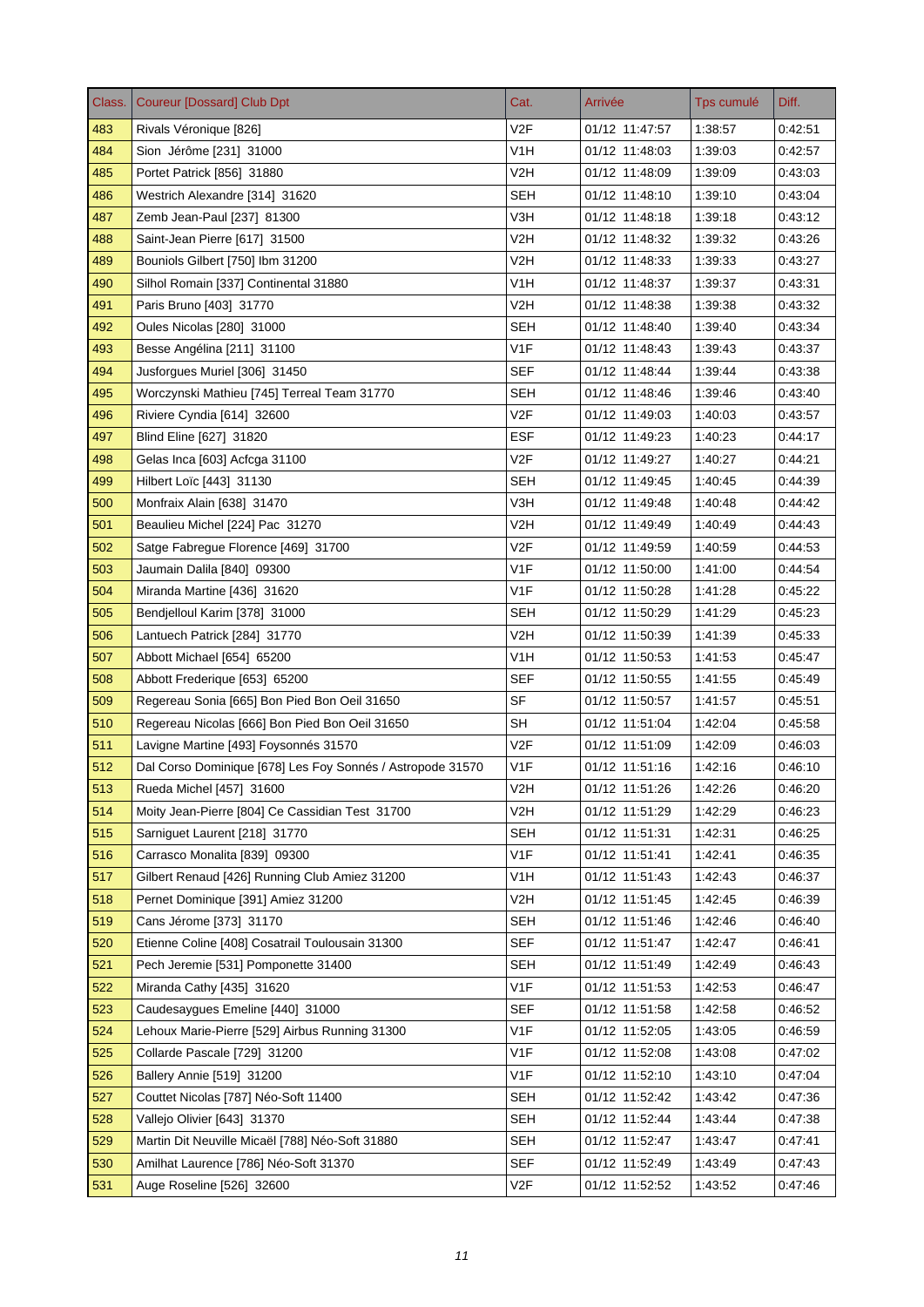| Class. | <b>Coureur [Dossard] Club Dpt</b>                          | Cat.             | Arrivée        | Tps cumulé | Diff.   |
|--------|------------------------------------------------------------|------------------|----------------|------------|---------|
| 483    | Rivals Véronique [826]                                     | V <sub>2F</sub>  | 01/12 11:47:57 | 1:38:57    | 0:42:51 |
| 484    | Sion Jérôme [231] 31000                                    | V <sub>1</sub> H | 01/12 11:48:03 | 1:39:03    | 0:42:57 |
| 485    | Portet Patrick [856] 31880                                 | V2H              | 01/12 11:48:09 | 1:39:09    | 0:43:03 |
| 486    | Westrich Alexandre [314] 31620                             | SEH              | 01/12 11:48:10 | 1:39:10    | 0.43.04 |
| 487    | Zemb Jean-Paul [237] 81300                                 | V3H              | 01/12 11:48:18 | 1:39:18    | 0:43:12 |
| 488    | Saint-Jean Pierre [617] 31500                              | V <sub>2</sub> H | 01/12 11:48:32 | 1:39:32    | 0:43:26 |
| 489    | Bouniols Gilbert [750] Ibm 31200                           | V2H              | 01/12 11:48:33 | 1:39:33    | 0:43:27 |
| 490    | Silhol Romain [337] Continental 31880                      | V <sub>1</sub> H | 01/12 11:48:37 | 1:39:37    | 0:43:31 |
| 491    | Paris Bruno [403] 31770                                    | V2H              | 01/12 11:48:38 | 1:39:38    | 0:43:32 |
| 492    | Oules Nicolas [280] 31000                                  | <b>SEH</b>       | 01/12 11:48:40 | 1:39:40    | 0.43.34 |
| 493    | Besse Angélina [211] 31100                                 | V1F              | 01/12 11:48:43 | 1:39:43    | 0:43:37 |
| 494    | Jusforgues Muriel [306] 31450                              | <b>SEF</b>       | 01/12 11:48:44 | 1:39:44    | 0.43.38 |
| 495    | Worczynski Mathieu [745] Terreal Team 31770                | <b>SEH</b>       | 01/12 11:48:46 | 1:39:46    | 0:43:40 |
| 496    | Riviere Cyndia [614] 32600                                 | V <sub>2F</sub>  | 01/12 11:49:03 | 1:40:03    | 0:43:57 |
| 497    | Blind Eline [627] 31820                                    | ESF              | 01/12 11:49:23 | 1:40:23    | 0.44.17 |
| 498    | Gelas Inca [603] Acfcga 31100                              | V <sub>2F</sub>  | 01/12 11:49:27 | 1:40:27    | 0:44:21 |
| 499    | Hilbert Loïc [443] 31130                                   | <b>SEH</b>       | 01/12 11:49:45 | 1:40:45    | 0.44.39 |
| 500    | Monfraix Alain [638] 31470                                 | V3H              | 01/12 11:49:48 | 1:40:48    | 0:44:42 |
| 501    | Beaulieu Michel [224] Pac 31270                            | V2H              | 01/12 11:49:49 | 1:40:49    | 0:44:43 |
| 502    | Satge Fabregue Florence [469] 31700                        | V2F              | 01/12 11:49:59 | 1:40:59    | 0.44.53 |
| 503    | Jaumain Dalila [840] 09300                                 | V <sub>1</sub> F | 01/12 11:50:00 | 1:41:00    | 0.44.54 |
| 504    | Miranda Martine [436] 31620                                | V1F              | 01/12 11:50:28 | 1:41:28    | 0.45.22 |
| 505    | Bendjelloul Karim [378] 31000                              | <b>SEH</b>       | 01/12 11:50:29 | 1:41:29    | 0.45.23 |
| 506    | Lantuech Patrick [284] 31770                               | V2H              | 01/12 11:50:39 | 1:41:39    | 0:45:33 |
| 507    | Abbott Michael [654] 65200                                 | V1H              | 01/12 11:50:53 | 1:41:53    | 0.45.47 |
| 508    | Abbott Frederique [653] 65200                              | SEF              | 01/12 11:50:55 | 1:41:55    | 0.45.49 |
| 509    | Regereau Sonia [665] Bon Pied Bon Oeil 31650               | <b>SF</b>        | 01/12 11:50:57 | 1:41:57    | 0:45.51 |
| 510    | Regereau Nicolas [666] Bon Pied Bon Oeil 31650             | SH               | 01/12 11:51:04 | 1:42:04    | 0:45:58 |
| 511    | Lavigne Martine [493] Foysonnés 31570                      | V <sub>2F</sub>  | 01/12 11:51:09 | 1:42:09    | 0:46:03 |
| 512    | Dal Corso Dominique [678] Les Foy Sonnés / Astropode 31570 | V <sub>1F</sub>  | 01/12 11:51:16 | 1:42:16    | 0:46:10 |
| 513    | Rueda Michel [457] 31600                                   | V2H              | 01/12 11:51:26 | 1:42:26    | 0:46:20 |
| 514    | Moity Jean-Pierre [804] Ce Cassidian Test 31700            | V2H              | 01/12 11:51:29 | 1:42:29    | 0.46.23 |
| 515    | Sarniguet Laurent [218] 31770                              | SEH              | 01/12 11:51:31 | 1:42:31    | 0:46:25 |
| 516    | Carrasco Monalita [839] 09300                              | V1F              | 01/12 11:51:41 | 1:42:41    | 0:46:35 |
| 517    | Gilbert Renaud [426] Running Club Amiez 31200              | V1H              | 01/12 11:51:43 | 1:42:43    | 0.46.37 |
| 518    | Pernet Dominique [391] Amiez 31200                         | V <sub>2</sub> H | 01/12 11:51:45 | 1.42.45    | 0.46.39 |
| 519    | Cans Jérome [373] 31170                                    | <b>SEH</b>       | 01/12 11:51:46 | 1.42.46    | 0:46:40 |
| 520    | Etienne Coline [408] Cosatrail Toulousain 31300            | <b>SEF</b>       | 01/12 11:51:47 | 1.42:47    | 0:46:41 |
| 521    | Pech Jeremie [531] Pomponette 31400                        | <b>SEH</b>       | 01/12 11:51:49 | 1:42:49    | 0:46:43 |
| 522    | Miranda Cathy [435] 31620                                  | V <sub>1</sub> F | 01/12 11:51:53 | 1:42:53    | 0:46:47 |
| 523    | Caudesaygues Emeline [440] 31000                           | <b>SEF</b>       | 01/12 11:51:58 | 1:42:58    | 0:46:52 |
| 524    | Lehoux Marie-Pierre [529] Airbus Running 31300             | V1F              | 01/12 11:52:05 | 1:43:05    | 0:46:59 |
| 525    | Collarde Pascale [729] 31200                               | V <sub>1</sub> F | 01/12 11:52:08 | 1:43:08    | 0.47.02 |
| 526    | Ballery Annie [519] 31200                                  | V <sub>1</sub> F | 01/12 11:52:10 | 1:43:10    | 0:47:04 |
| 527    | Couttet Nicolas [787] Néo-Soft 11400                       | <b>SEH</b>       | 01/12 11:52:42 | 1.43.42    | 0.47.36 |
| 528    | Vallejo Olivier [643] 31370                                | <b>SEH</b>       | 01/12 11:52:44 | 1:43:44    | 0.47.38 |
| 529    | Martin Dit Neuville Micaël [788] Néo-Soft 31880            | <b>SEH</b>       | 01/12 11:52:47 | 1:43:47    | 0.47.41 |
| 530    | Amilhat Laurence [786] Néo-Soft 31370                      | <b>SEF</b>       | 01/12 11:52:49 | 1.43.49    | 0.47.43 |
| 531    | Auge Roseline [526] 32600                                  | V2F              | 01/12 11:52:52 | 1.43.52    | 0.47.46 |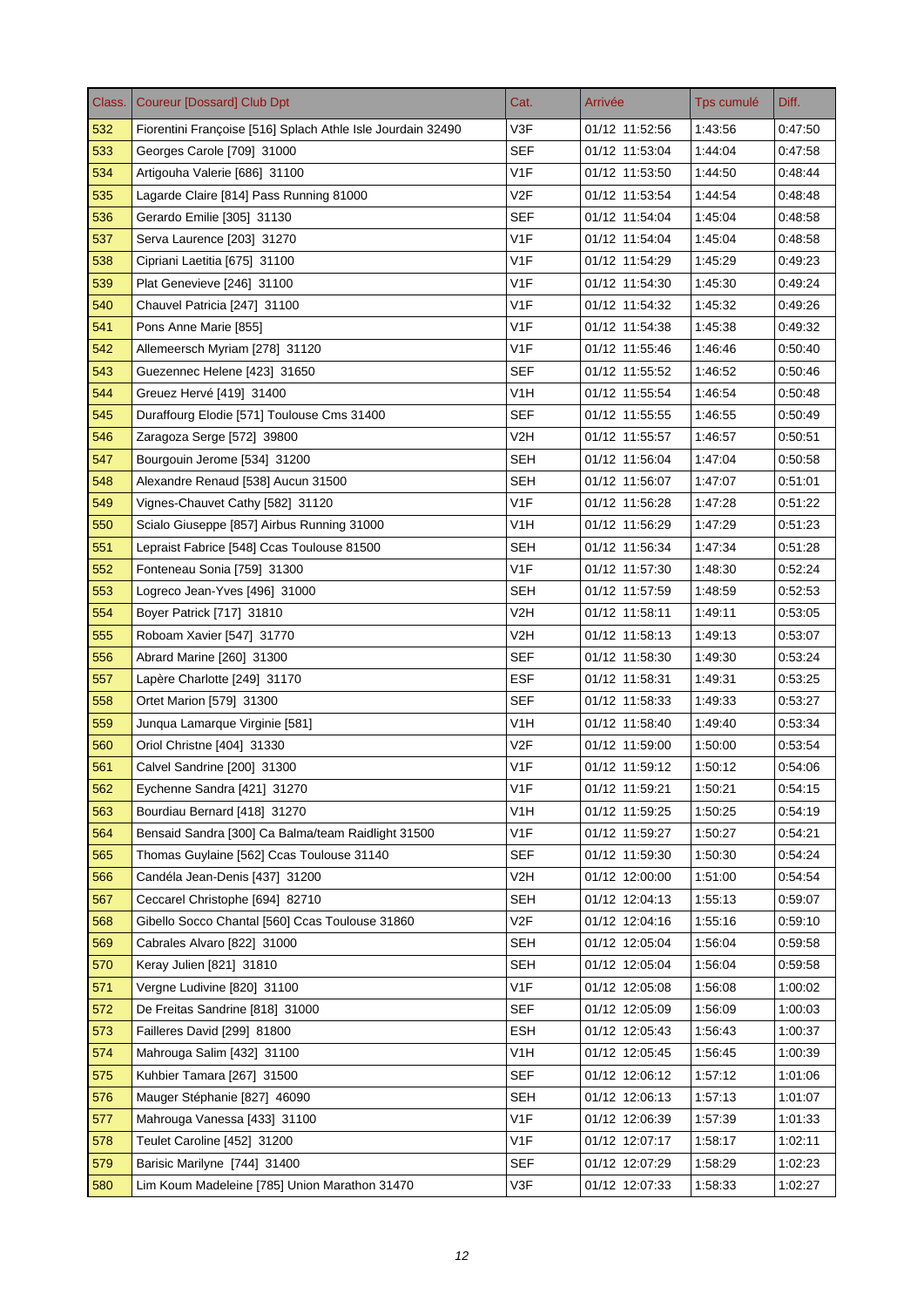| Class. | <b>Coureur [Dossard] Club Dpt</b>                           | Cat.             | Arrivée        | Tps cumulé | Diff.   |
|--------|-------------------------------------------------------------|------------------|----------------|------------|---------|
| 532    | Fiorentini Françoise [516] Splach Athle Isle Jourdain 32490 | V3F              | 01/12 11:52:56 | 1:43:56    | 0:47:50 |
| 533    | Georges Carole [709] 31000                                  | <b>SEF</b>       | 01/12 11:53:04 | 1:44:04    | 0:47:58 |
| 534    | Artigouha Valerie [686] 31100                               | V1F              | 01/12 11:53:50 | 1:44:50    | 0.48.44 |
| 535    | Lagarde Claire [814] Pass Running 81000                     | V <sub>2</sub> F | 01/12 11:53:54 | 1:44:54    | 0:48:48 |
| 536    | Gerardo Emilie [305] 31130                                  | <b>SEF</b>       | 01/12 11:54:04 | 1:45:04    | 0:48:58 |
| 537    | Serva Laurence [203] 31270                                  | V <sub>1</sub> F | 01/12 11:54:04 | 1:45:04    | 0:48:58 |
| 538    | Cipriani Laetitia [675] 31100                               | V <sub>1F</sub>  | 01/12 11:54:29 | 1:45:29    | 0:49:23 |
| 539    | Plat Genevieve [246] 31100                                  | V <sub>1F</sub>  | 01/12 11:54:30 | 1:45:30    | 0:49:24 |
| 540    | Chauvel Patricia [247] 31100                                | V <sub>1F</sub>  | 01/12 11:54:32 | 1:45:32    | 0.49.26 |
| 541    | Pons Anne Marie [855]                                       | V <sub>1F</sub>  | 01/12 11:54:38 | 1:45:38    | 0:49:32 |
| 542    | Allemeersch Myriam [278] 31120                              | V <sub>1F</sub>  | 01/12 11:55:46 | 1:46:46    | 0.50.40 |
| 543    | Guezennec Helene [423] 31650                                | <b>SEF</b>       | 01/12 11:55:52 | 1:46:52    | 0:50:46 |
| 544    | Greuez Hervé [419] 31400                                    | V1H              | 01/12 11:55:54 | 1:46:54    | 0:50:48 |
| 545    | Duraffourg Elodie [571] Toulouse Cms 31400                  | <b>SEF</b>       | 01/12 11:55:55 | 1:46:55    | 0:50:49 |
| 546    | Zaragoza Serge [572] 39800                                  | V2H              | 01/12 11:55:57 | 1:46:57    | 0:50:51 |
| 547    | Bourgouin Jerome [534] 31200                                | <b>SEH</b>       | 01/12 11:56:04 | 1:47:04    | 0:50:58 |
| 548    | Alexandre Renaud [538] Aucun 31500                          | <b>SEH</b>       | 01/12 11:56:07 | 1:47:07    | 0:51:01 |
| 549    | Vignes-Chauvet Cathy [582] 31120                            | V1F              | 01/12 11:56:28 | 1:47:28    | 0:51:22 |
| 550    | Scialo Giuseppe [857] Airbus Running 31000                  | V1H              | 01/12 11:56:29 | 1:47:29    | 0:51:23 |
| 551    | Lepraist Fabrice [548] Ccas Toulouse 81500                  | SEH              | 01/12 11:56:34 | 1:47:34    | 0.51.28 |
| 552    | Fonteneau Sonia [759] 31300                                 | V <sub>1F</sub>  | 01/12 11:57:30 | 1:48:30    | 0.52.24 |
| 553    | Logreco Jean-Yves [496] 31000                               | SEH              | 01/12 11:57:59 | 1:48:59    | 0.52.53 |
| 554    | Boyer Patrick [717] 31810                                   | V2H              | 01/12 11:58:11 | 1:49:11    | 0:53:05 |
| 555    | Roboam Xavier [547] 31770                                   | V2H              | 01/12 11:58:13 | 1:49:13    | 0:53:07 |
| 556    | Abrard Marine [260] 31300                                   | <b>SEF</b>       | 01/12 11:58:30 | 1:49:30    | 0:53:24 |
| 557    | Lapère Charlotte [249] 31170                                | <b>ESF</b>       | 01/12 11:58:31 | 1:49:31    | 0.53.25 |
| 558    | Ortet Marion [579] 31300                                    | <b>SEF</b>       | 01/12 11:58:33 | 1:49:33    | 0.53.27 |
| 559    | Junqua Lamarque Virginie [581]                              | V1H              | 01/12 11:58:40 | 1:49:40    | 0:53:34 |
| 560    | Oriol Christne [404] 31330                                  | V <sub>2F</sub>  | 01/12 11:59:00 | 1:50:00    | 0.53.54 |
| 561    | Calvel Sandrine [200] 31300                                 | V <sub>1F</sub>  | 01/12 11:59:12 | 1:50:12    | 0:54:06 |
| 562    | Eychenne Sandra [421] 31270                                 | V <sub>1</sub> F | 01/12 11:59:21 | 1:50:21    | 0:54:15 |
| 563    | Bourdiau Bernard [418] 31270                                | V <sub>1</sub> H | 01/12 11:59:25 | 1:50:25    | 0.54.19 |
| 564    | Bensaid Sandra [300] Ca Balma/team Raidlight 31500          | V <sub>1</sub> F | 01/12 11:59:27 | 1:50:27    | 0:54:21 |
| 565    | Thomas Guylaine [562] Ccas Toulouse 31140                   | <b>SEF</b>       | 01/12 11:59:30 | 1:50:30    | 0:54:24 |
| 566    | Candéla Jean-Denis [437] 31200                              | V2H              | 01/12 12:00:00 | 1:51:00    | 0.54.54 |
| 567    | Ceccarel Christophe [694] 82710                             | <b>SEH</b>       | 01/12 12:04:13 | 1:55:13    | 0:59:07 |
| 568    | Gibello Socco Chantal [560] Ccas Toulouse 31860             | V <sub>2</sub> F | 01/12 12:04:16 | 1.55.16    | 0:59:10 |
| 569    | Cabrales Alvaro [822] 31000                                 | <b>SEH</b>       | 01/12 12:05:04 | 1:56:04    | 0.59.58 |
| 570    | Keray Julien [821] 31810                                    | <b>SEH</b>       | 01/12 12:05:04 | 1:56:04    | 0:59:58 |
| 571    | Vergne Ludivine [820] 31100                                 | V <sub>1</sub> F | 01/12 12:05:08 | 1:56:08    | 1:00:02 |
| 572    | De Freitas Sandrine [818] 31000                             | <b>SEF</b>       | 01/12 12:05:09 | 1:56:09    | 1:00:03 |
| 573    | Failleres David [299] 81800                                 | <b>ESH</b>       | 01/12 12:05:43 | 1.56:43    | 1:00:37 |
| 574    | Mahrouga Salim [432] 31100                                  | V <sub>1</sub> H | 01/12 12:05:45 | 1:56:45    | 1:00:39 |
| 575    | Kuhbier Tamara [267] 31500                                  | <b>SEF</b>       | 01/12 12:06:12 | 1:57:12    | 1:01:06 |
| 576    | Mauger Stéphanie [827] 46090                                | <b>SEH</b>       | 01/12 12:06:13 | 1.57.13    | 1:01:07 |
| 577    | Mahrouga Vanessa [433] 31100                                | V1F              | 01/12 12:06:39 | 1:57:39    | 1.01.33 |
| 578    | Teulet Caroline [452] 31200                                 | V <sub>1</sub> F | 01/12 12:07:17 | 1:58:17    | 1:02:11 |
| 579    | Barisic Marilyne [744] 31400                                | <b>SEF</b>       | 01/12 12:07:29 | 1.58:29    | 1:02:23 |
| 580    | Lim Koum Madeleine [785] Union Marathon 31470               | V3F              | 01/12 12:07:33 | 1.58:33    | 1:02:27 |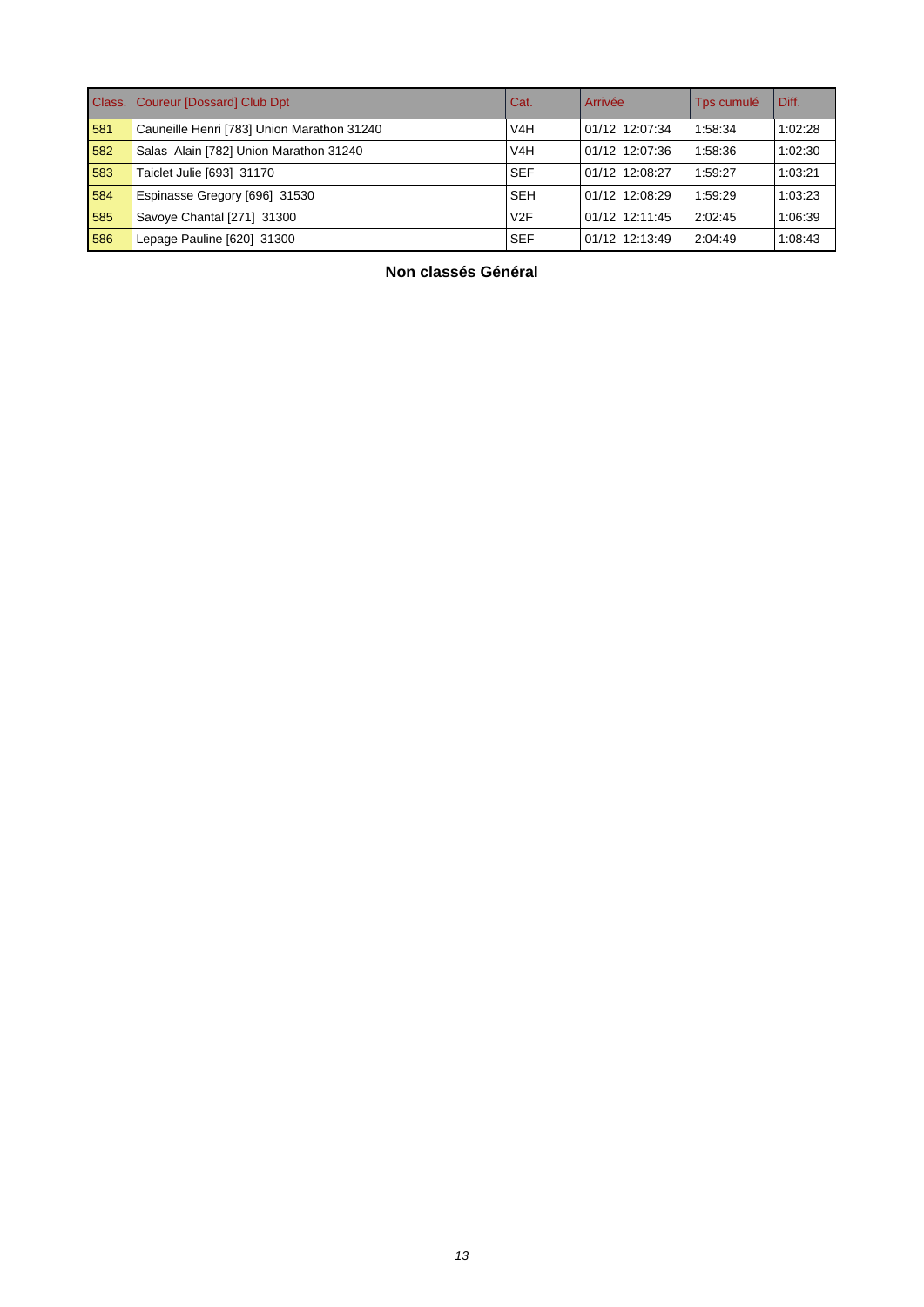| Class. | Coureur [Dossard] Club Dpt                 | Cat.             | Arrivée        | Tps cumulé | l Diff. |
|--------|--------------------------------------------|------------------|----------------|------------|---------|
| 581    | Cauneille Henri [783] Union Marathon 31240 | V <sub>4</sub> H | 01/12 12:07:34 | 1:58:34    | 1:02:28 |
| 582    | Salas Alain [782] Union Marathon 31240     | V <sub>4</sub> H | 01/12 12:07:36 | 1:58:36    | 1:02:30 |
| 583    | Taiclet Julie [693] 31170                  | <b>SEF</b>       | 01/12 12:08:27 | 1:59:27    | 1:03:21 |
| 584    | Espinasse Gregory [696] 31530              | <b>SEH</b>       | 01/12 12:08:29 | 1:59:29    | 1:03:23 |
| 585    | Savoye Chantal [271] 31300                 | V2F              | 01/12 12:11:45 | 2:02:45    | 1:06:39 |
| 586    | Lepage Pauline [620] 31300                 | <b>SEF</b>       | 01/12 12:13:49 | 2:04:49    | 1:08:43 |

**Non classés Général**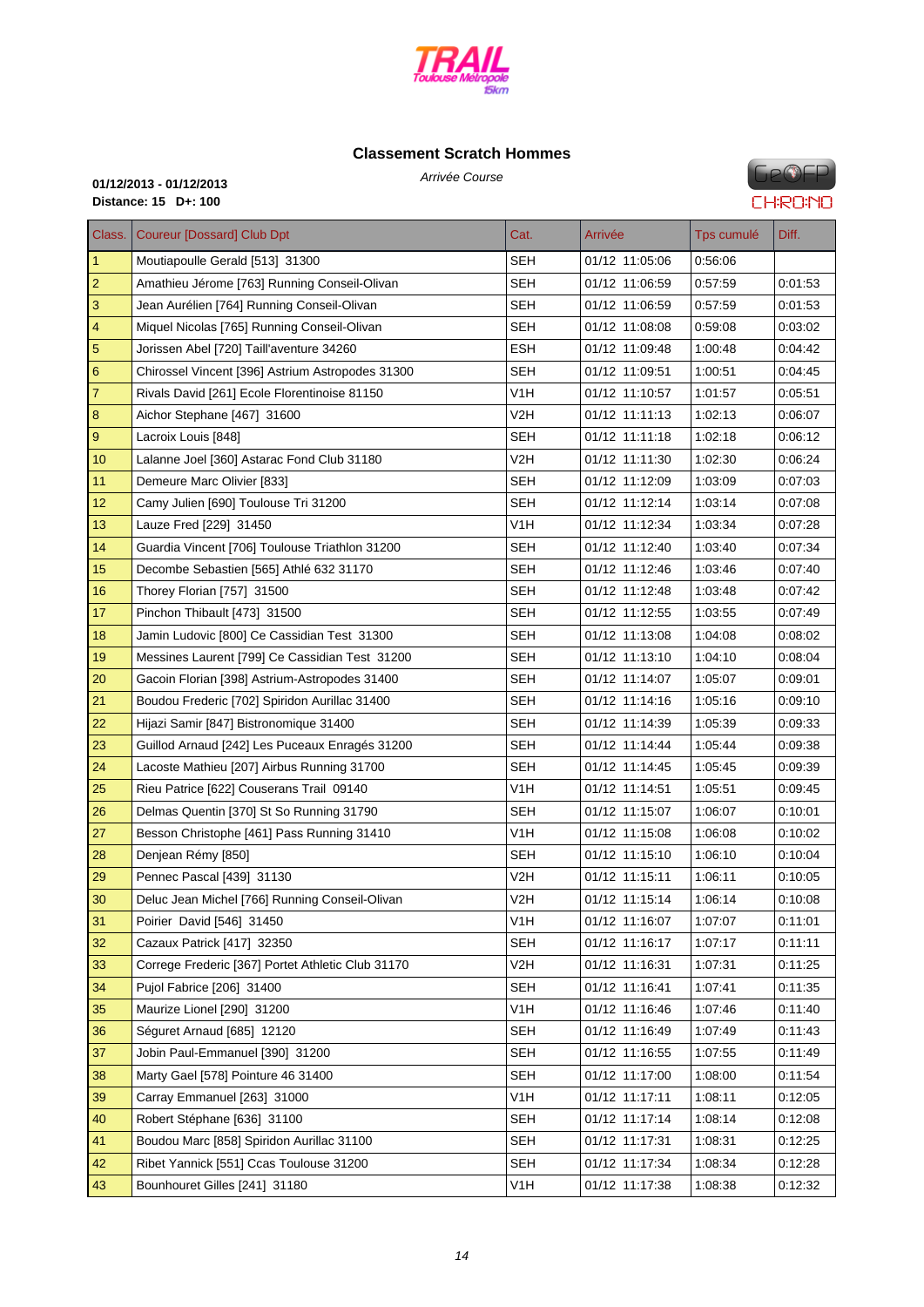

# **Classe[ment Scratch H](http://www.cosatrail.fr/crbst_25.html)ommes**

Arrivée Course **01/12/2013 - 01/12/2013 Distance: 15 D+: 100**

# **GeOFP CHRONO**

| Class.           | <b>Coureur [Dossard] Club Dpt</b>                 | Cat.             | Arrivée        | Tps cumulé | Diff.   |
|------------------|---------------------------------------------------|------------------|----------------|------------|---------|
| $\overline{1}$   | Moutiapoulle Gerald [513] 31300                   | <b>SEH</b>       | 01/12 11:05:06 | 0:56:06    |         |
| $\overline{c}$   | Amathieu Jérome [763] Running Conseil-Olivan      | <b>SEH</b>       | 01/12 11:06:59 | 0:57:59    | 0:01:53 |
| 3                | Jean Aurélien [764] Running Conseil-Olivan        | <b>SEH</b>       | 01/12 11:06:59 | 0:57:59    | 0:01:53 |
| 4                | Miquel Nicolas [765] Running Conseil-Olivan       | SEH              | 01/12 11:08:08 | 0:59:08    | 0:03:02 |
| $\sqrt{5}$       | Jorissen Abel [720] Taill'aventure 34260          | <b>ESH</b>       | 01/12 11:09:48 | 1:00:48    | 0:04:42 |
| $\boldsymbol{6}$ | Chirossel Vincent [396] Astrium Astropodes 31300  | <b>SEH</b>       | 01/12 11:09:51 | 1:00:51    | 0:04:45 |
| $\overline{7}$   | Rivals David [261] Ecole Florentinoise 81150      | V1H              | 01/12 11:10:57 | 1:01:57    | 0:05:51 |
| $\bf 8$          | Aichor Stephane [467] 31600                       | V2H              | 01/12 11:11:13 | 1:02:13    | 0:06:07 |
| $\boldsymbol{9}$ | Lacroix Louis [848]                               | SEH              | 01/12 11:11:18 | 1:02:18    | 0:06:12 |
| 10               | Lalanne Joel [360] Astarac Fond Club 31180        | V2H              | 01/12 11:11:30 | 1:02:30    | 0:06:24 |
| 11               | Demeure Marc Olivier [833]                        | SEH              | 01/12 11:12:09 | 1:03:09    | 0:07:03 |
| 12               | Camy Julien [690] Toulouse Tri 31200              | <b>SEH</b>       | 01/12 11:12:14 | 1:03:14    | 0.07:08 |
| 13               | Lauze Fred [229] 31450                            | V <sub>1</sub> H | 01/12 11:12:34 | 1:03:34    | 0:07:28 |
| 14               | Guardia Vincent [706] Toulouse Triathlon 31200    | <b>SEH</b>       | 01/12 11:12:40 | 1:03:40    | 0.07:34 |
| 15               | Decombe Sebastien [565] Athlé 632 31170           | SEH              | 01/12 11:12:46 | 1:03:46    | 0:07:40 |
| 16               | Thorey Florian [757] 31500                        | <b>SEH</b>       | 01/12 11:12:48 | 1:03:48    | 0:07:42 |
| 17               | Pinchon Thibault [473] 31500                      | <b>SEH</b>       | 01/12 11:12:55 | 1:03:55    | 0:07:49 |
| 18               | Jamin Ludovic [800] Ce Cassidian Test 31300       | <b>SEH</b>       | 01/12 11:13:08 | 1:04:08    | 0:08:02 |
| 19               | Messines Laurent [799] Ce Cassidian Test 31200    | <b>SEH</b>       | 01/12 11:13:10 | 1:04:10    | 0:08:04 |
| 20               | Gacoin Florian [398] Astrium-Astropodes 31400     | <b>SEH</b>       | 01/12 11:14:07 | 1:05:07    | 0:09:01 |
| 21               | Boudou Frederic [702] Spiridon Aurillac 31400     | <b>SEH</b>       | 01/12 11:14:16 | 1:05:16    | 0:09:10 |
| 22               | Hijazi Samir [847] Bistronomique 31400            | SEH              | 01/12 11:14:39 | 1:05:39    | 0:09:33 |
| 23               | Guillod Arnaud [242] Les Puceaux Enragés 31200    | <b>SEH</b>       | 01/12 11:14:44 | 1:05:44    | 0:09:38 |
| 24               | Lacoste Mathieu [207] Airbus Running 31700        | <b>SEH</b>       | 01/12 11:14:45 | 1:05:45    | 0:09:39 |
| 25               | Rieu Patrice [622] Couserans Trail 09140          | V1H              | 01/12 11:14:51 | 1:05:51    | 0:09:45 |
| 26               | Delmas Quentin [370] St So Running 31790          | SEH              | 01/12 11:15:07 | 1:06:07    | 0.10:01 |
| 27               | Besson Christophe [461] Pass Running 31410        | V1H              | 01/12 11:15:08 | 1:06:08    | 0.10:02 |
| 28               | Denjean Rémy [850]                                | SEH              | 01/12 11:15:10 | 1:06:10    | 0:10:04 |
| 29               | Pennec Pascal [439] 31130                         | V2H              | 01/12 11:15:11 | 1:06:11    | 0:10:05 |
| 30               | Deluc Jean Michel [766] Running Conseil-Olivan    | V <sub>2</sub> H | 01/12 11:15:14 | 1:06:14    | 0:10:08 |
| 31               | Poirier David [546] 31450                         | V1H              | 01/12 11:16:07 | 1:07:07    | 0:11:01 |
| 32               | Cazaux Patrick [417] 32350                        | <b>SEH</b>       | 01/12 11:16:17 | 1:07:17    | 0.11:11 |
| 33               | Correge Frederic [367] Portet Athletic Club 31170 | V2H              | 01/12 11:16:31 | 1:07:31    | 0.11:25 |
| 34               | Pujol Fabrice [206] 31400                         | <b>SEH</b>       | 01/12 11:16:41 | 1:07:41    | 0:11:35 |
| 35               | Maurize Lionel [290] 31200                        | V <sub>1</sub> H | 01/12 11:16:46 | 1:07:46    | 0:11:40 |
| 36               | Séguret Arnaud [685] 12120                        | <b>SEH</b>       | 01/12 11:16:49 | 1:07:49    | 0:11:43 |
| 37               | Jobin Paul-Emmanuel [390] 31200                   | <b>SEH</b>       | 01/12 11:16:55 | 1:07:55    | 0:11:49 |
| 38               | Marty Gael [578] Pointure 46 31400                | <b>SEH</b>       | 01/12 11:17:00 | 1:08:00    | 0:11:54 |
| 39               | Carray Emmanuel [263] 31000                       | V <sub>1</sub> H | 01/12 11:17:11 | 1:08:11    | 0:12:05 |
| 40               | Robert Stéphane [636] 31100                       | <b>SEH</b>       | 01/12 11:17:14 | 1:08:14    | 0:12:08 |
| 41               | Boudou Marc [858] Spiridon Aurillac 31100         | <b>SEH</b>       | 01/12 11:17:31 | 1:08:31    | 0:12:25 |
| 42               | Ribet Yannick [551] Ccas Toulouse 31200           | <b>SEH</b>       | 01/12 11:17:34 | 1:08:34    | 0:12:28 |
| 43               | Bounhouret Gilles [241] 31180                     | V <sub>1</sub> H | 01/12 11:17:38 | 1:08:38    | 0:12:32 |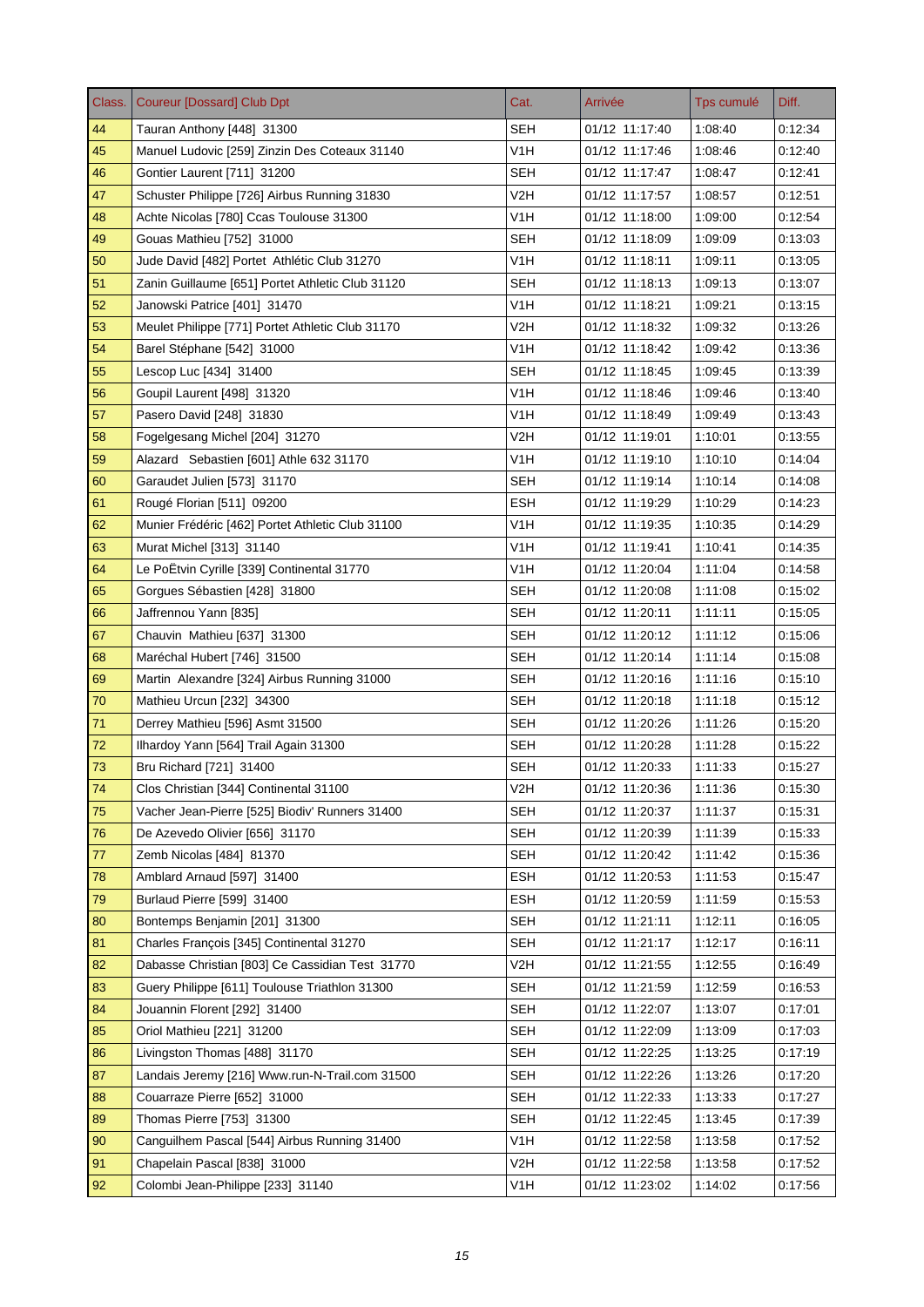| Class. | <b>Coureur [Dossard] Club Dpt</b>                | Cat.             | Arrivée        | Tps cumulé | Diff.   |
|--------|--------------------------------------------------|------------------|----------------|------------|---------|
| 44     | Tauran Anthony [448] 31300                       | <b>SEH</b>       | 01/12 11:17:40 | 1:08:40    | 0:12:34 |
| 45     | Manuel Ludovic [259] Zinzin Des Coteaux 31140    | V1H              | 01/12 11:17:46 | 1:08:46    | 0:12:40 |
| 46     | Gontier Laurent [711] 31200                      | <b>SEH</b>       | 01/12 11:17:47 | 1:08:47    | 0.12.41 |
| 47     | Schuster Philippe [726] Airbus Running 31830     | V2H              | 01/12 11:17:57 | 1:08:57    | 0.12.51 |
| 48     | Achte Nicolas [780] Ccas Toulouse 31300          | V1H              | 01/12 11:18:00 | 1:09:00    | 0:12:54 |
| 49     | Gouas Mathieu [752] 31000                        | SEH              | 01/12 11:18:09 | 1:09:09    | 0.13:03 |
| 50     | Jude David [482] Portet Athlétic Club 31270      | V <sub>1</sub> H | 01/12 11:18:11 | 1:09:11    | 0.13:05 |
| 51     | Zanin Guillaume [651] Portet Athletic Club 31120 | SEH              | 01/12 11:18:13 | 1:09:13    | 0:13:07 |
| 52     | Janowski Patrice [401] 31470                     | V <sub>1</sub> H | 01/12 11:18:21 | 1:09:21    | 0.13.15 |
| 53     | Meulet Philippe [771] Portet Athletic Club 31170 | V2H              | 01/12 11:18:32 | 1:09:32    | 0:13:26 |
| 54     | Barel Stéphane [542] 31000                       | V <sub>1</sub> H | 01/12 11:18:42 | 1:09:42    | 0.13.36 |
| 55     | Lescop Luc [434] 31400                           | <b>SEH</b>       | 01/12 11:18:45 | 1:09:45    | 0.13.39 |
| 56     | Goupil Laurent [498] 31320                       | V1H              | 01/12 11:18:46 | 1:09:46    | 0:13:40 |
| 57     | Pasero David [248] 31830                         | V <sub>1</sub> H | 01/12 11:18:49 | 1:09:49    | 0.13.43 |
| 58     | Fogelgesang Michel [204] 31270                   | V2H              | 01/12 11:19:01 | 1:10:01    | 0.13.55 |
| 59     | Alazard Sebastien [601] Athle 632 31170          | V1H              | 01/12 11:19:10 | 1:10:10    | 0:14:04 |
| 60     | Garaudet Julien [573] 31170                      | <b>SEH</b>       | 01/12 11:19:14 | 1:10:14    | 0:14:08 |
| 61     | Rougé Florian [511] 09200                        | <b>ESH</b>       | 01/12 11:19:29 | 1:10:29    | 0:14:23 |
| 62     | Munier Frédéric [462] Portet Athletic Club 31100 | V1H              | 01/12 11:19:35 | 1:10:35    | 0.14.29 |
| 63     | Murat Michel [313] 31140                         | V <sub>1</sub> H | 01/12 11:19:41 | 1:10:41    | 0.14.35 |
| 64     | Le PoËtvin Cyrille [339] Continental 31770       | V <sub>1</sub> H | 01/12 11:20:04 | 1:11:04    | 0.14.58 |
| 65     | Gorgues Sébastien [428] 31800                    | <b>SEH</b>       | 01/12 11:20:08 | 1:11:08    | 0.15.02 |
| 66     | Jaffrennou Yann [835]                            | <b>SEH</b>       | 01/12 11:20:11 | 1:11:11    | 0.15:05 |
| 67     | Chauvin Mathieu [637] 31300                      | <b>SEH</b>       | 01/12 11:20:12 | 1:11:12    | 0:15:06 |
| 68     | Maréchal Hubert [746] 31500                      | <b>SEH</b>       | 01/12 11:20:14 | 1:11:14    | 0:15:08 |
| 69     | Martin Alexandre [324] Airbus Running 31000      | SEH              | 01/12 11:20:16 | 1:11:16    | 0.15.10 |
| 70     | Mathieu Urcun [232] 34300                        | <b>SEH</b>       | 01/12 11:20:18 | 1:11:18    | 0:15:12 |
| 71     | Derrey Mathieu [596] Asmt 31500                  | SEH              | 01/12 11:20:26 | 1:11:26    | 0:15:20 |
| 72     | Ilhardoy Yann [564] Trail Again 31300            | <b>SEH</b>       | 01/12 11:20:28 | 1:11:28    | 0.15.22 |
| 73     | Bru Richard [721] 31400                          | SEH              | 01/12 11:20:33 | 1:11:33    | 0:15:27 |
| 74     | Clos Christian [344] Continental 31100           | V2H              | 01/12 11:20:36 | 1:11:36    | 0:15:30 |
| 75     | Vacher Jean-Pierre [525] Biodiv' Runners 31400   | <b>SEH</b>       | 01/12 11:20:37 | 1:11:37    | 0.15.31 |
| 76     | De Azevedo Olivier [656] 31170                   | <b>SEH</b>       | 01/12 11:20:39 | 1:11:39    | 0:15:33 |
| 77     | Zemb Nicolas [484] 81370                         | <b>SEH</b>       | 01/12 11:20:42 | 1:11:42    | 0:15:36 |
| 78     | Amblard Arnaud [597] 31400                       | <b>ESH</b>       | 01/12 11:20:53 | 1:11:53    | 0:15:47 |
| 79     | Burlaud Pierre [599] 31400                       | <b>ESH</b>       | 01/12 11:20:59 | 1:11:59    | 0:15:53 |
| 80     | Bontemps Benjamin [201] 31300                    | <b>SEH</b>       | 01/12 11:21:11 | 1:12:11    | 0:16:05 |
| 81     | Charles François [345] Continental 31270         | <b>SEH</b>       | 01/12 11:21:17 | 1:12:17    | 0.16.11 |
| 82     | Dabasse Christian [803] Ce Cassidian Test 31770  | V2H              | 01/12 11:21:55 | 1:12:55    | 0:16:49 |
| 83     | Guery Philippe [611] Toulouse Triathlon 31300    | <b>SEH</b>       | 01/12 11:21:59 | 1:12:59    | 0:16:53 |
| 84     | Jouannin Florent [292] 31400                     | <b>SEH</b>       | 01/12 11:22:07 | 1:13:07    | 0:17:01 |
| 85     | Oriol Mathieu [221] 31200                        | <b>SEH</b>       | 01/12 11:22:09 | 1:13:09    | 0.17.03 |
| 86     | Livingston Thomas [488] 31170                    | <b>SEH</b>       | 01/12 11:22:25 | 1:13:25    | 0.17.19 |
| 87     | Landais Jeremy [216] Www.run-N-Trail.com 31500   | <b>SEH</b>       | 01/12 11:22:26 | 1:13:26    | 0:17:20 |
| 88     | Couarraze Pierre [652] 31000                     | <b>SEH</b>       | 01/12 11:22:33 | 1:13:33    | 0:17:27 |
| 89     | Thomas Pierre [753] 31300                        | <b>SEH</b>       | 01/12 11:22:45 | 1:13:45    | 0.17.39 |
| 90     | Canguilhem Pascal [544] Airbus Running 31400     | V <sub>1</sub> H | 01/12 11:22:58 | 1:13:58    | 0:17:52 |
| 91     | Chapelain Pascal [838] 31000                     | V2H              | 01/12 11:22:58 | 1:13:58    | 0:17:52 |
| 92     | Colombi Jean-Philippe [233] 31140                | V <sub>1</sub> H | 01/12 11:23:02 | 1:14:02    | 0:17:56 |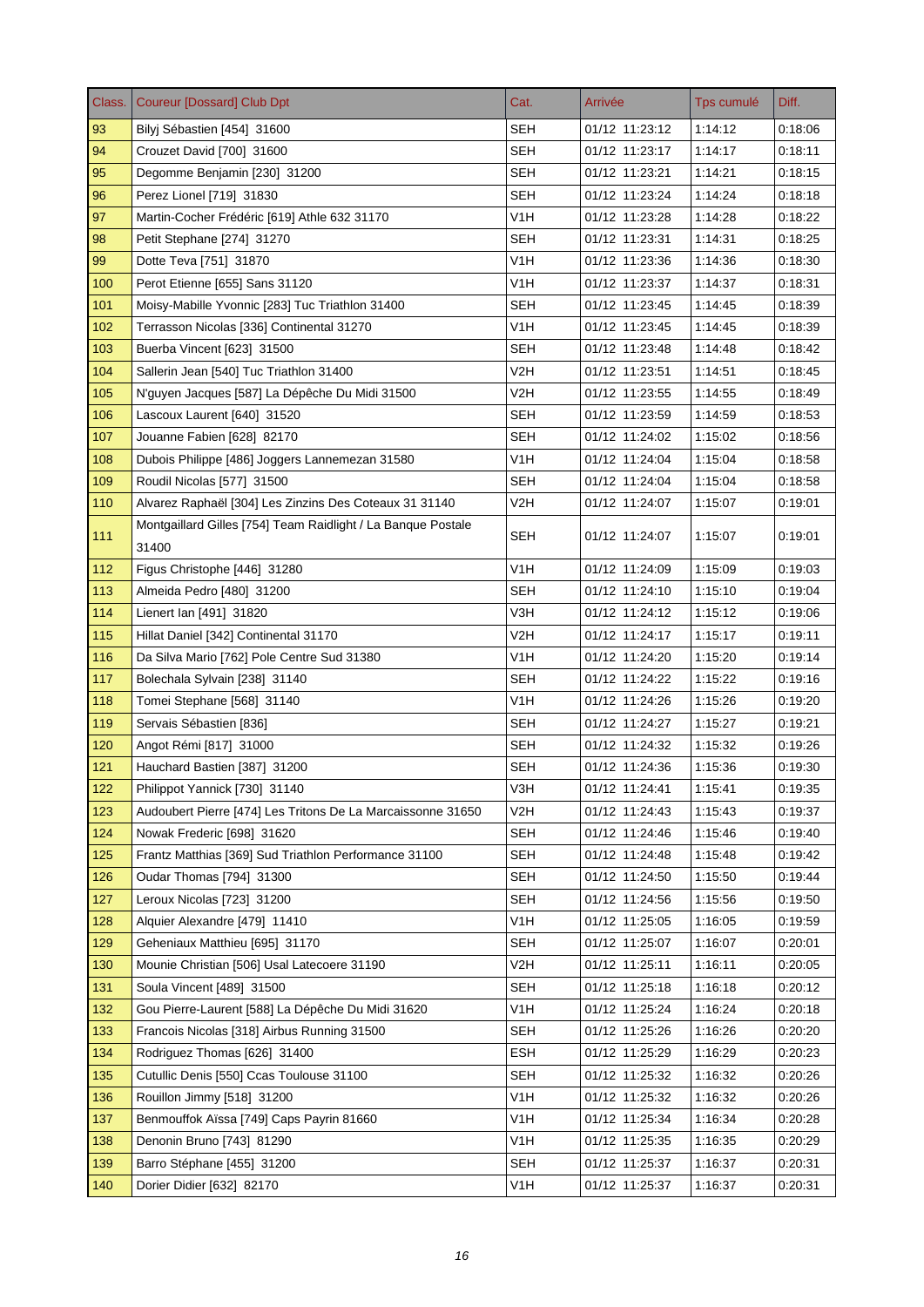| Class. | <b>Coureur [Dossard] Club Dpt</b>                                     | Cat.             | Arrivée        | Tps cumulé | Diff.   |
|--------|-----------------------------------------------------------------------|------------------|----------------|------------|---------|
| 93     | Bilyj Sébastien [454] 31600                                           | <b>SEH</b>       | 01/12 11:23:12 | 1:14:12    | 0:18:06 |
| 94     | Crouzet David [700] 31600                                             | <b>SEH</b>       | 01/12 11:23:17 | 1:14:17    | 0:18:11 |
| 95     | Degomme Benjamin [230] 31200                                          | <b>SEH</b>       | 01/12 11:23:21 | 1:14:21    | 0:18:15 |
| 96     | Perez Lionel [719] 31830                                              | SEH              | 01/12 11:23:24 | 1:14:24    | 0.18.18 |
| 97     | Martin-Cocher Frédéric [619] Athle 632 31170                          | V1H              | 01/12 11:23:28 | 1:14:28    | 0:18:22 |
| 98     | Petit Stephane [274] 31270                                            | <b>SEH</b>       | 01/12 11:23:31 | 1:14:31    | 0.18.25 |
| 99     | Dotte Teva [751] 31870                                                | V <sub>1</sub> H | 01/12 11:23:36 | 1:14:36    | 0:18:30 |
| 100    | Perot Etienne [655] Sans 31120                                        | V1H              | 01/12 11:23:37 | 1:14:37    | 0:18:31 |
| 101    | Moisy-Mabille Yvonnic [283] Tuc Triathlon 31400                       | <b>SEH</b>       | 01/12 11:23:45 | 1:14:45    | 0.18.39 |
| 102    | Terrasson Nicolas [336] Continental 31270                             | V <sub>1</sub> H | 01/12 11:23:45 | 1:14:45    | 0:18:39 |
| 103    | Buerba Vincent [623] 31500                                            | <b>SEH</b>       | 01/12 11:23:48 | 1:14:48    | 0.18.42 |
| 104    | Sallerin Jean [540] Tuc Triathlon 31400                               | V2H              | 01/12 11:23:51 | 1:14:51    | 0.18.45 |
| 105    | N'guyen Jacques [587] La Dépêche Du Midi 31500                        | V2H              | 01/12 11:23:55 | 1:14:55    | 0:18:49 |
| 106    | Lascoux Laurent [640] 31520                                           | <b>SEH</b>       | 01/12 11:23:59 | 1:14:59    | 0.18.53 |
| 107    | Jouanne Fabien [628] 82170                                            | SEH              | 01/12 11:24:02 | 1:15:02    | 0.18.56 |
| 108    | Dubois Philippe [486] Joggers Lannemezan 31580                        | V1H              | 01/12 11:24:04 | 1:15:04    | 0.18.58 |
| 109    | Roudil Nicolas [577] 31500                                            | <b>SEH</b>       | 01/12 11:24:04 | 1:15:04    | 0.18.58 |
| 110    | Alvarez Raphaël [304] Les Zinzins Des Coteaux 31 31140                | V2H              | 01/12 11:24:07 | 1:15:07    | 0:19:01 |
| 111    | Montgaillard Gilles [754] Team Raidlight / La Banque Postale<br>31400 | <b>SEH</b>       | 01/12 11:24:07 | 1:15:07    | 0:19:01 |
| 112    | Figus Christophe [446] 31280                                          | V <sub>1</sub> H | 01/12 11:24:09 | 1:15:09    | 0:19:03 |
| 113    | Almeida Pedro [480] 31200                                             | <b>SEH</b>       | 01/12 11:24:10 | 1:15:10    | 0.19.04 |
| 114    | Lienert Ian [491] 31820                                               | V3H              | 01/12 11:24:12 | 1:15:12    | 0.19.06 |
| 115    | Hillat Daniel [342] Continental 31170                                 | V2H              | 01/12 11:24:17 | 1:15:17    | 0:19:11 |
| 116    | Da Silva Mario [762] Pole Centre Sud 31380                            | V1H              | 01/12 11:24:20 | 1:15:20    | 0:19:14 |
| 117    | Bolechala Sylvain [238] 31140                                         | <b>SEH</b>       | 01/12 11:24:22 | 1:15:22    | 0.19.16 |
| 118    | Tomei Stephane [568] 31140                                            | V1H              | 01/12 11:24:26 | 1:15:26    | 0:19:20 |
| 119    | Servais Sébastien [836]                                               | <b>SEH</b>       | 01/12 11:24:27 | 1:15:27    | 0:19:21 |
| 120    | Angot Rémi [817] 31000                                                | <b>SEH</b>       | 01/12 11:24:32 | 1:15:32    | 0.19.26 |
| 121    | Hauchard Bastien [387] 31200                                          | SEH              | 01/12 11:24:36 | 1:15:36    | 0:19:30 |
| 122    | Philippot Yannick [730] 31140                                         | V3H              | 01/12 11:24:41 | 1:15:41    | 0:19:35 |
| 123    | Audoubert Pierre [474] Les Tritons De La Marcaissonne 31650           | V2H              | 01/12 11:24:43 | 1:15:43    | 0:19:37 |
| 124    | Nowak Frederic [698] 31620                                            | <b>SEH</b>       | 01/12 11:24:46 | 1:15:46    | 0.19.40 |
| 125    | Frantz Matthias [369] Sud Triathlon Performance 31100                 | <b>SEH</b>       | 01/12 11:24:48 | 1:15:48    | 0:19:42 |
| 126    | Oudar Thomas [794] 31300                                              | <b>SEH</b>       | 01/12 11:24:50 | 1:15:50    | 0.19.44 |
| 127    | Leroux Nicolas [723] 31200                                            | <b>SEH</b>       | 01/12 11:24:56 | 1:15:56    | 0:19:50 |
| 128    | Alquier Alexandre [479] 11410                                         | V <sub>1</sub> H | 01/12 11:25:05 | 1:16:05    | 0.19.59 |
| 129    | Geheniaux Matthieu [695] 31170                                        | <b>SEH</b>       | 01/12 11:25:07 | 1:16:07    | 0.20.01 |
| 130    | Mounie Christian [506] Usal Latecoere 31190                           | V2H              | 01/12 11:25:11 | 1:16:11    | 0:20:05 |
| 131    | Soula Vincent [489] 31500                                             | <b>SEH</b>       | 01/12 11:25:18 | 1:16:18    | 0:20:12 |
| 132    | Gou Pierre-Laurent [588] La Dépêche Du Midi 31620                     | V <sub>1</sub> H | 01/12 11:25:24 | 1:16:24    | 0:20:18 |
| 133    | Francois Nicolas [318] Airbus Running 31500                           | <b>SEH</b>       | 01/12 11:25:26 | 1:16:26    | 0:20:20 |
| 134    | Rodriguez Thomas [626] 31400                                          | <b>ESH</b>       | 01/12 11:25:29 | 1:16:29    | 0.20.23 |
| 135    | Cutullic Denis [550] Ccas Toulouse 31100                              | <b>SEH</b>       | 01/12 11:25:32 | 1:16:32    | 0:20:26 |
| 136    | Rouillon Jimmy [518] 31200                                            | V <sub>1</sub> H | 01/12 11:25:32 | 1:16:32    | 0:20:26 |
| 137    | Benmouffok Aïssa [749] Caps Payrin 81660                              | V1H              | 01/12 11:25:34 | 1:16:34    | 0.20.28 |
| 138    | Denonin Bruno [743] 81290                                             | V <sub>1</sub> H | 01/12 11:25:35 | 1:16:35    | 0:20:29 |
| 139    | Barro Stéphane [455] 31200                                            | <b>SEH</b>       | 01/12 11:25:37 | 1:16:37    | 0:20:31 |
| 140    | Dorier Didier [632] 82170                                             | V <sub>1</sub> H | 01/12 11:25:37 | 1:16:37    | 0:20:31 |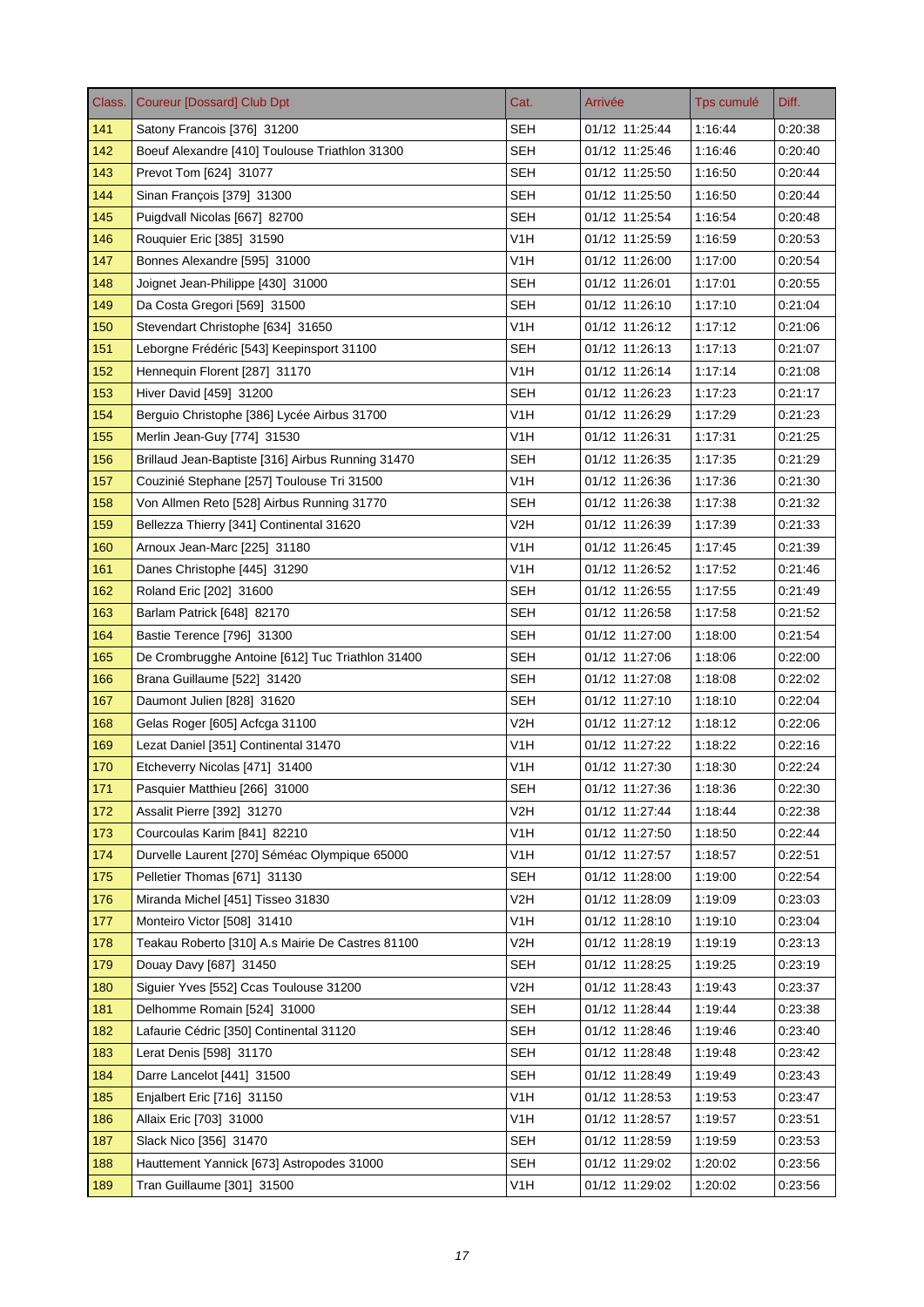| Class. | <b>Coureur [Dossard] Club Dpt</b>                 | Cat.             | Arrivée        | Tps cumulé | Diff.   |
|--------|---------------------------------------------------|------------------|----------------|------------|---------|
| 141    | Satony Francois [376] 31200                       | <b>SEH</b>       | 01/12 11:25:44 | 1:16:44    | 0:20:38 |
| 142    | Boeuf Alexandre [410] Toulouse Triathlon 31300    | <b>SEH</b>       | 01/12 11:25:46 | 1:16:46    | 0.20:40 |
| 143    | Prevot Tom [624] 31077                            | <b>SEH</b>       | 01/12 11:25:50 | 1:16:50    | 0.20.44 |
| 144    | Sinan François [379] 31300                        | SEH              | 01/12 11:25:50 | 1:16:50    | 0.20.44 |
| 145    | Puigdvall Nicolas [667] 82700                     | SEH              | 01/12 11:25:54 | 1:16:54    | 0:20:48 |
| 146    | Rouquier Eric [385] 31590                         | V1H              | 01/12 11:25:59 | 1:16:59    | 0:20:53 |
| 147    | Bonnes Alexandre [595] 31000                      | V <sub>1</sub> H | 01/12 11:26:00 | 1:17:00    | 0:20:54 |
| 148    | Joignet Jean-Philippe [430] 31000                 | SEH              | 01/12 11:26:01 | 1:17:01    | 0:20:55 |
| 149    | Da Costa Gregori [569] 31500                      | <b>SEH</b>       | 01/12 11:26:10 | 1:17:10    | 0.21:04 |
| 150    | Stevendart Christophe [634] 31650                 | V <sub>1</sub> H | 01/12 11:26:12 | 1:17:12    | 0.21:06 |
| 151    | Leborgne Frédéric [543] Keepinsport 31100         | SEH              | 01/12 11:26:13 | 1:17:13    | 0.21.07 |
| 152    | Hennequin Florent [287] 31170                     | V <sub>1</sub> H | 01/12 11:26:14 | 1:17:14    | 0:21:08 |
| 153    | Hiver David [459] 31200                           | <b>SEH</b>       | 01/12 11:26:23 | 1:17:23    | 0:21:17 |
| 154    | Berquio Christophe [386] Lycée Airbus 31700       | V <sub>1</sub> H | 01/12 11:26:29 | 1:17:29    | 0.21.23 |
| 155    | Merlin Jean-Guy [774] 31530                       | V1H              | 01/12 11:26:31 | 1:17:31    | 0.21.25 |
| 156    | Brillaud Jean-Baptiste [316] Airbus Running 31470 | SEH              | 01/12 11:26:35 | 1:17:35    | 0:21:29 |
| 157    | Couzinié Stephane [257] Toulouse Tri 31500        | V1H              | 01/12 11:26:36 | 1:17:36    | 0:21:30 |
| 158    | Von Allmen Reto [528] Airbus Running 31770        | <b>SEH</b>       | 01/12 11:26:38 | 1:17:38    | 0:21:32 |
| 159    | Bellezza Thierry [341] Continental 31620          | V2H              | 01/12 11:26:39 | 1:17:39    | 0:21:33 |
| 160    | Arnoux Jean-Marc [225] 31180                      | V1H              | 01/12 11:26:45 | 1:17:45    | 0:21:39 |
| 161    | Danes Christophe [445] 31290                      | V <sub>1</sub> H | 01/12 11:26:52 | 1:17:52    | 0.21.46 |
| 162    | Roland Eric [202] 31600                           | <b>SEH</b>       | 01/12 11:26:55 | 1:17:55    | 0.21.49 |
| 163    | Barlam Patrick [648] 82170                        | <b>SEH</b>       | 01/12 11:26:58 | 1:17:58    | 0.21.52 |
| 164    | Bastie Terence [796] 31300                        | <b>SEH</b>       | 01/12 11:27:00 | 1:18:00    | 0:21:54 |
| 165    | De Crombrugghe Antoine [612] Tuc Triathlon 31400  | <b>SEH</b>       | 01/12 11:27:06 | 1:18:06    | 0.22:00 |
| 166    | Brana Guillaume [522] 31420                       | SEH              | 01/12 11:27:08 | 1:18:08    | 0.22:02 |
| 167    | Daumont Julien [828] 31620                        | <b>SEH</b>       | 01/12 11:27:10 | 1:18:10    | 0:22:04 |
| 168    | Gelas Roger [605] Acfcga 31100                    | V2H              | 01/12 11:27:12 | 1:18:12    | 0:22:06 |
| 169    | Lezat Daniel [351] Continental 31470              | V <sub>1</sub> H | 01/12 11:27:22 | 1:18:22    | 0.22:16 |
| 170    | Etcheverry Nicolas [471] 31400                    | V1H              | 01/12 11:27:30 | 1:18:30    | 0.22:24 |
| 171    | Pasquier Matthieu [266] 31000                     | <b>SEH</b>       | 01/12 11:27:36 | 1:18:36    | 0:22:30 |
| 172    | Assalit Pierre [392] 31270                        | V2H              | 01/12 11:27:44 | 1:18:44    | 0:22:38 |
| 173    | Courcoulas Karim [841] 82210                      | V <sub>1</sub> H | 01/12 11:27:50 | 1:18:50    | 0.22.44 |
| 174    | Durvelle Laurent [270] Séméac Olympique 65000     | V <sub>1</sub> H | 01/12 11:27:57 | 1:18:57    | 0:22:51 |
| 175    | Pelletier Thomas [671] 31130                      | <b>SEH</b>       | 01/12 11:28:00 | 1:19:00    | 0.22.54 |
| 176    | Miranda Michel [451] Tisseo 31830                 | V <sub>2</sub> H | 01/12 11:28:09 | 1:19:09    | 0:23:03 |
| 177    | Monteiro Victor [508] 31410                       | V1H              | 01/12 11:28:10 | 1:19:10    | 0.23.04 |
| 178    | Teakau Roberto [310] A.s Mairie De Castres 81100  | V <sub>2</sub> H | 01/12 11:28:19 | 1:19:19    | 0.23.13 |
| 179    | Douay Davy [687] 31450                            | <b>SEH</b>       | 01/12 11:28:25 | 1:19:25    | 0.23.19 |
| 180    | Siguier Yves [552] Ccas Toulouse 31200            | V <sub>2</sub> H | 01/12 11:28:43 | 1:19:43    | 0.23.37 |
| 181    | Delhomme Romain [524] 31000                       | SEH              | 01/12 11:28:44 | 1:19:44    | 0:23:38 |
| 182    | Lafaurie Cédric [350] Continental 31120           | <b>SEH</b>       | 01/12 11:28:46 | 1:19:46    | 0.23.40 |
| 183    | Lerat Denis [598] 31170                           | <b>SEH</b>       | 01/12 11:28:48 | 1:19:48    | 0.23.42 |
| 184    | Darre Lancelot [441] 31500                        | <b>SEH</b>       | 01/12 11:28:49 | 1:19:49    | 0.23.43 |
| 185    | Enjalbert Eric [716] 31150                        | V <sub>1</sub> H | 01/12 11:28:53 | 1:19:53    | 0.23.47 |
| 186    | Allaix Eric [703] 31000                           | V1H              | 01/12 11:28:57 | 1:19:57    | 0:23:51 |
| 187    | Slack Nico [356] 31470                            | <b>SEH</b>       | 01/12 11:28:59 | 1:19:59    | 0:23:53 |
| 188    | Hauttement Yannick [673] Astropodes 31000         | SEH              | 01/12 11:29:02 | 1:20:02    | 0:23:56 |
| 189    | Tran Guillaume [301] 31500                        | V <sub>1</sub> H | 01/12 11:29:02 | 1:20:02    | 0.23.56 |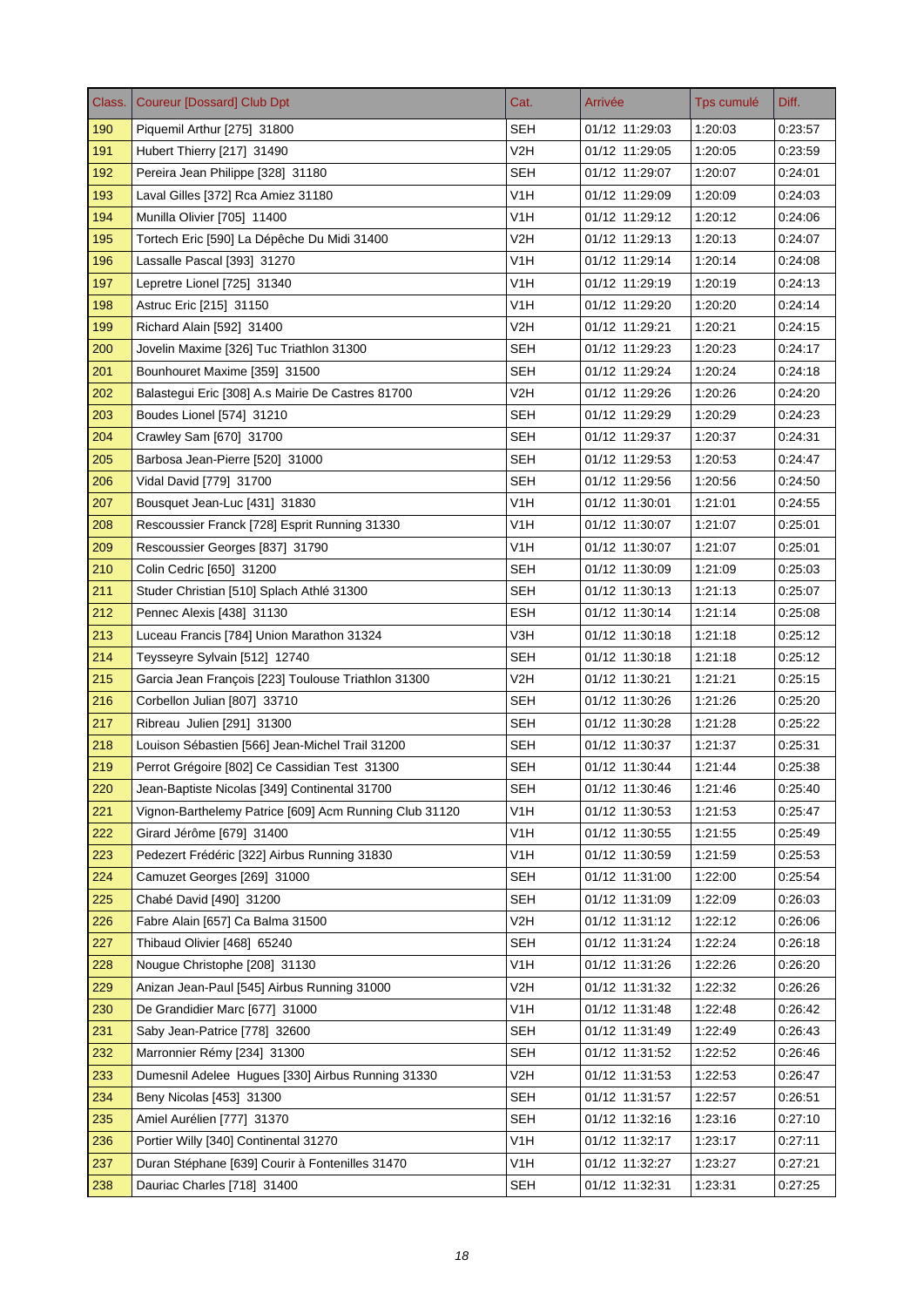| Class. | <b>Coureur [Dossard] Club Dpt</b>                      | Cat.             | Arrivée        | Tps cumulé | Diff.   |
|--------|--------------------------------------------------------|------------------|----------------|------------|---------|
| 190    | Piquemil Arthur [275] 31800                            | <b>SEH</b>       | 01/12 11:29:03 | 1:20:03    | 0:23:57 |
| 191    | Hubert Thierry [217] 31490                             | V2H              | 01/12 11:29:05 | 1:20:05    | 0:23:59 |
| 192    | Pereira Jean Philippe [328] 31180                      | <b>SEH</b>       | 01/12 11:29:07 | 1:20:07    | 0:24:01 |
| 193    | Laval Gilles [372] Rca Amiez 31180                     | V1H              | 01/12 11:29:09 | 1:20:09    | 0:24:03 |
| 194    | Munilla Olivier [705] 11400                            | V <sub>1</sub> H | 01/12 11:29:12 | 1:20:12    | 0:24:06 |
| 195    | Tortech Eric [590] La Dépêche Du Midi 31400            | V2H              | 01/12 11:29:13 | 1:20:13    | 0:24:07 |
| 196    | Lassalle Pascal [393] 31270                            | V <sub>1</sub> H | 01/12 11:29:14 | 1:20:14    | 0.24.08 |
| 197    | Lepretre Lionel [725] 31340                            | V1H              | 01/12 11:29:19 | 1:20:19    | 0.24.13 |
| 198    | Astruc Eric [215] 31150                                | V1H              | 01/12 11:29:20 | 1:20:20    | 0.24.14 |
| 199    | Richard Alain [592] 31400                              | V2H              | 01/12 11:29:21 | 1:20:21    | 0.24.15 |
| 200    | Jovelin Maxime [326] Tuc Triathlon 31300               | <b>SEH</b>       | 01/12 11:29:23 | 1:20:23    | 0:24:17 |
| 201    | Bounhouret Maxime [359] 31500                          | <b>SEH</b>       | 01/12 11:29:24 | 1:20:24    | 0.24.18 |
| 202    | Balastequi Eric [308] A.s Mairie De Castres 81700      | V2H              | 01/12 11:29:26 | 1:20:26    | 0:24:20 |
| 203    | Boudes Lionel [574] 31210                              | <b>SEH</b>       | 01/12 11:29:29 | 1:20:29    | 0:24:23 |
| 204    | Crawley Sam [670] 31700                                | SEH              | 01/12 11:29:37 | 1:20:37    | 0:24:31 |
| 205    | Barbosa Jean-Pierre [520] 31000                        | <b>SEH</b>       | 01/12 11:29:53 | 1:20:53    | 0:24:47 |
| 206    | Vidal David [779] 31700                                | <b>SEH</b>       | 01/12 11:29:56 | 1:20:56    | 0:24:50 |
| 207    | Bousquet Jean-Luc [431] 31830                          | V <sub>1</sub> H | 01/12 11:30:01 | 1:21:01    | 0.24.55 |
| 208    | Rescoussier Franck [728] Esprit Running 31330          | V1H              | 01/12 11:30:07 | 1:21:07    | 0:25.01 |
| 209    | Rescoussier Georges [837] 31790                        | V1H              | 01/12 11:30:07 | 1:21:07    | 0:25:01 |
| 210    | Colin Cedric [650] 31200                               | <b>SEH</b>       | 01/12 11:30:09 | 1:21:09    | 0:25:03 |
| 211    | Studer Christian [510] Splach Athlé 31300              | <b>SEH</b>       | 01/12 11:30:13 | 1:21:13    | 0.25.07 |
| 212    | Pennec Alexis [438] 31130                              | <b>ESH</b>       | 01/12 11:30:14 | 1:21:14    | 0:25:08 |
| 213    | Luceau Francis [784] Union Marathon 31324              | V3H              | 01/12 11:30:18 | 1:21:18    | 0:25:12 |
| 214    | Teysseyre Sylvain [512] 12740                          | <b>SEH</b>       | 01/12 11:30:18 | 1:21:18    | 0.25.12 |
| 215    | Garcia Jean François [223] Toulouse Triathlon 31300    | V2H              | 01/12 11:30:21 | 1:21:21    | 0.25.15 |
| 216    | Corbellon Julian [807] 33710                           | SEH              | 01/12 11:30:26 | 1:21:26    | 0:25:20 |
| 217    | Ribreau Julien [291] 31300                             | <b>SEH</b>       | 01/12 11:30:28 | 1:21:28    | 0:25:22 |
| 218    | Louison Sébastien [566] Jean-Michel Trail 31200        | <b>SEH</b>       | 01/12 11:30:37 | 1:21:37    | 0:25:31 |
| 219    | Perrot Grégoire [802] Ce Cassidian Test 31300          | SEH              | 01/12 11:30:44 | 1:21:44    | 0:25:38 |
| 220    | Jean-Baptiste Nicolas [349] Continental 31700          | <b>SEH</b>       | 01/12 11:30:46 | 1:21:46    | 0.25.40 |
| 221    | Vignon-Barthelemy Patrice [609] Acm Running Club 31120 | V <sub>1</sub> H | 01/12 11:30:53 | 1:21:53    | 0.25.47 |
| 222    | Girard Jérôme [679] 31400                              | V <sub>1</sub> H | 01/12 11:30:55 | 1:21:55    | 0:25:49 |
| 223    | Pedezert Frédéric [322] Airbus Running 31830           | V <sub>1</sub> H | 01/12 11:30:59 | 1:21:59    | 0.25.53 |
| 224    | Camuzet Georges [269] 31000                            | <b>SEH</b>       | 01/12 11:31:00 | 1:22:00    | 0.25.54 |
| 225    | Chabé David [490] 31200                                | <b>SEH</b>       | 01/12 11:31:09 | 1:22:09    | 0:26:03 |
| 226    | Fabre Alain [657] Ca Balma 31500                       | V2H              | 01/12 11:31:12 | 1:22:12    | 0.26.06 |
| 227    | Thibaud Olivier [468] 65240                            | <b>SEH</b>       | 01/12 11:31:24 | 1:22:24    | 0.26.18 |
| 228    | Nougue Christophe [208] 31130                          | V <sub>1</sub> H | 01/12 11:31:26 | 1:22:26    | 0:26:20 |
| 229    | Anizan Jean-Paul [545] Airbus Running 31000            | V2H              | 01/12 11:31:32 | 1:22:32    | 0:26:26 |
| 230    | De Grandidier Marc [677] 31000                         | V <sub>1</sub> H | 01/12 11:31:48 | 1:22:48    | 0:26:42 |
| 231    | Saby Jean-Patrice [778] 32600                          | <b>SEH</b>       | 01/12 11:31:49 | 1:22:49    | 0.26.43 |
| 232    | Marronnier Rémy [234] 31300                            | <b>SEH</b>       | 01/12 11:31:52 | 1:22:52    | 0.26.46 |
| 233    | Dumesnil Adelee Hugues [330] Airbus Running 31330      | V2H              | 01/12 11:31:53 | 1:22:53    | 0.26.47 |
| 234    | Beny Nicolas [453] 31300                               | SEH              | 01/12 11:31:57 | 1:22:57    | 0:26:51 |
| 235    | Amiel Aurélien [777] 31370                             | <b>SEH</b>       | 01/12 11:32:16 | 1:23:16    | 0.27.10 |
| 236    | Portier Willy [340] Continental 31270                  | V <sub>1</sub> H | 01/12 11:32:17 | 1:23:17    | 0:27:11 |
| 237    | Duran Stéphane [639] Courir à Fontenilles 31470        | V <sub>1</sub> H | 01/12 11:32:27 | 1.23.27    | 0:27:21 |
| 238    | Dauriac Charles [718] 31400                            | <b>SEH</b>       | 01/12 11:32:31 | 1:23:31    | 0:27:25 |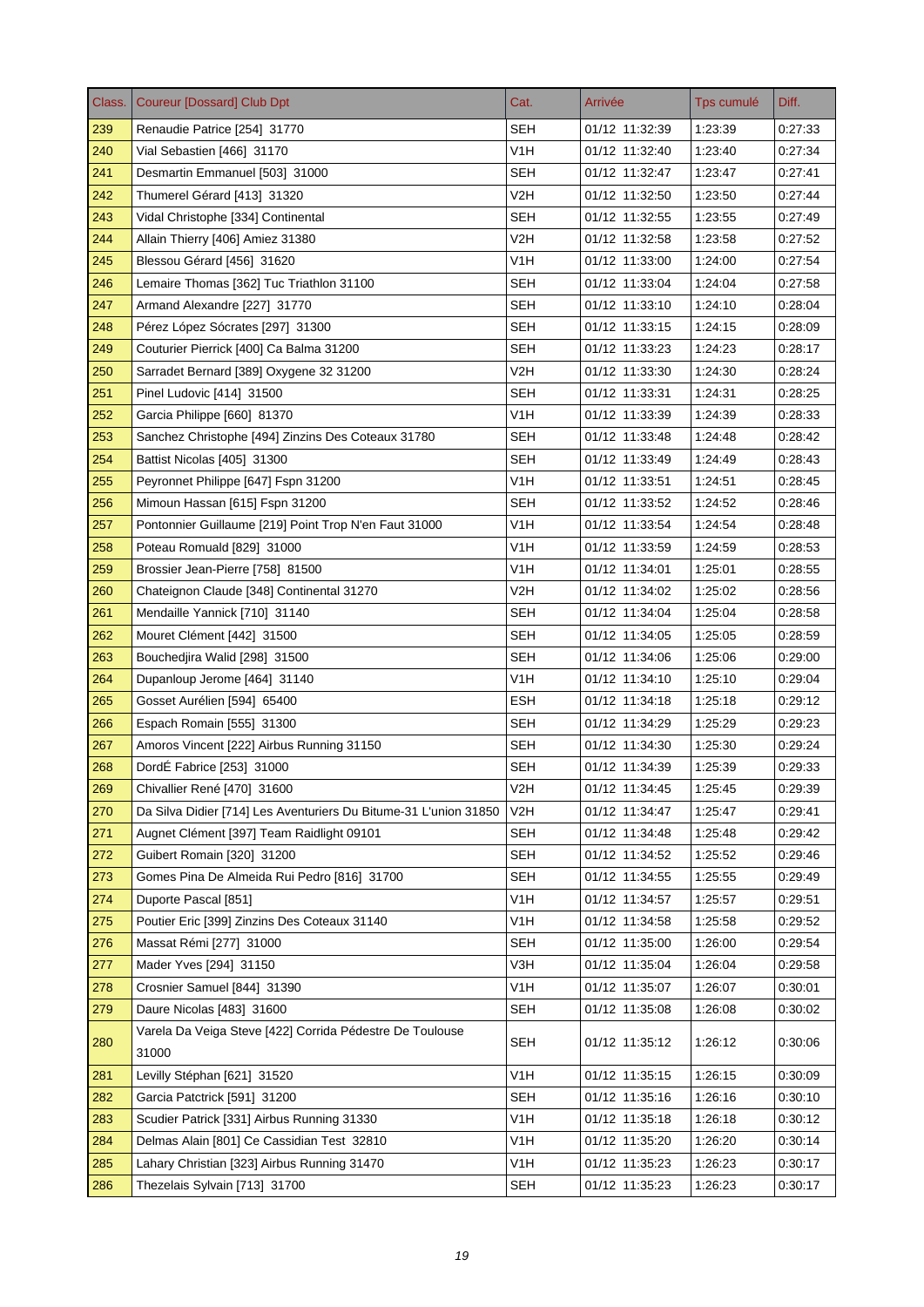| Class. | <b>Coureur [Dossard] Club Dpt</b>                                | Cat.             | Arrivée        | Tps cumulé | Diff.   |
|--------|------------------------------------------------------------------|------------------|----------------|------------|---------|
| 239    | Renaudie Patrice [254] 31770                                     | <b>SEH</b>       | 01/12 11:32:39 | 1:23:39    | 0:27:33 |
| 240    | Vial Sebastien [466] 31170                                       | V <sub>1</sub> H | 01/12 11:32:40 | 1:23:40    | 0:27:34 |
| 241    | Desmartin Emmanuel [503] 31000                                   | <b>SEH</b>       | 01/12 11:32:47 | 1:23:47    | 0.27.41 |
| 242    | Thumerel Gérard [413] 31320                                      | V2H              | 01/12 11:32:50 | 1:23:50    | 0.27.44 |
| 243    | Vidal Christophe [334] Continental                               | SEH              | 01/12 11:32:55 | 1:23:55    | 0:27:49 |
| 244    | Allain Thierry [406] Amiez 31380                                 | V2H              | 01/12 11:32:58 | 1:23:58    | 0.27:52 |
| 245    | Blessou Gérard [456] 31620                                       | V <sub>1</sub> H | 01/12 11:33:00 | 1:24:00    | 0.27:54 |
| 246    | Lemaire Thomas [362] Tuc Triathlon 31100                         | SEH              | 01/12 11:33:04 | 1:24:04    | 0.27:58 |
| 247    | Armand Alexandre [227] 31770                                     | <b>SEH</b>       | 01/12 11:33:10 | 1:24:10    | 0.28.04 |
| 248    | Pérez López Sócrates [297] 31300                                 | <b>SEH</b>       | 01/12 11:33:15 | 1:24:15    | 0.28:09 |
| 249    | Couturier Pierrick [400] Ca Balma 31200                          | <b>SEH</b>       | 01/12 11:33:23 | 1:24:23    | 0.28:17 |
| 250    | Sarradet Bernard [389] Oxygene 32 31200                          | V2H              | 01/12 11:33:30 | 1:24:30    | 0.28.24 |
| 251    | Pinel Ludovic [414] 31500                                        | <b>SEH</b>       | 01/12 11:33:31 | 1:24:31    | 0:28:25 |
| 252    | Garcia Philippe [660] 81370                                      | V <sub>1</sub> H | 01/12 11:33:39 | 1:24:39    | 0:28:33 |
| 253    | Sanchez Christophe [494] Zinzins Des Coteaux 31780               | SEH              | 01/12 11:33:48 | 1:24:48    | 0.28.42 |
| 254    | Battist Nicolas [405] 31300                                      | <b>SEH</b>       | 01/12 11:33:49 | 1:24:49    | 0:28:43 |
| 255    | Peyronnet Philippe [647] Fspn 31200                              | V <sub>1</sub> H | 01/12 11:33:51 | 1:24:51    | 0:28:45 |
| 256    | Mimoun Hassan [615] Fspn 31200                                   | <b>SEH</b>       | 01/12 11:33:52 | 1:24:52    | 0:28:46 |
| 257    | Pontonnier Guillaume [219] Point Trop N'en Faut 31000            | V1H              | 01/12 11:33:54 | 1:24:54    | 0:28:48 |
| 258    | Poteau Romuald [829] 31000                                       | V1H              | 01/12 11:33:59 | 1:24:59    | 0.28.53 |
| 259    | Brossier Jean-Pierre [758] 81500                                 | V <sub>1</sub> H | 01/12 11:34:01 | 1:25:01    | 0:28:55 |
| 260    | Chateignon Claude [348] Continental 31270                        | V2H              | 01/12 11:34:02 | 1:25:02    | 0.28.56 |
| 261    | Mendaille Yannick [710] 31140                                    | <b>SEH</b>       | 01/12 11:34:04 | 1:25:04    | 0.28.58 |
| 262    | Mouret Clément [442] 31500                                       | <b>SEH</b>       | 01/12 11:34:05 | 1:25:05    | 0:28:59 |
| 263    | Bouchedjira Walid [298] 31500                                    | SEH              | 01/12 11:34:06 | 1:25:06    | 0:29:00 |
| 264    | Dupanloup Jerome [464] 31140                                     | V1H              | 01/12 11:34:10 | 1:25:10    | 0.29.04 |
| 265    | Gosset Aurélien [594] 65400                                      | <b>ESH</b>       | 01/12 11:34:18 | 1:25:18    | 0:29:12 |
| 266    | Espach Romain [555] 31300                                        | <b>SEH</b>       | 01/12 11:34:29 | 1:25:29    | 0:29:23 |
| 267    | Amoros Vincent [222] Airbus Running 31150                        | <b>SEH</b>       | 01/12 11:34:30 | 1:25:30    | 0.29.24 |
| 268    | DordÉ Fabrice [253] 31000                                        | SEH              | 01/12 11:34:39 | 1:25:39    | 0:29:33 |
| 269    | Chivallier René [470] 31600                                      | V2H              | 01/12 11:34:45 | 1.25:45    | 0.29.39 |
| 270    | Da Silva Didier [714] Les Aventuriers Du Bitume-31 L'union 31850 | V2H              | 01/12 11:34:47 | 1:25:47    | 0.29.41 |
| 271    | Augnet Clément [397] Team Raidlight 09101                        | <b>SEH</b>       | 01/12 11:34:48 | 1:25:48    | 0.29.42 |
| 272    | Guibert Romain [320] 31200                                       | <b>SEH</b>       | 01/12 11:34:52 | 1:25:52    | 0:29:46 |
| 273    | Gomes Pina De Almeida Rui Pedro [816] 31700                      | <b>SEH</b>       | 01/12 11:34:55 | 1:25:55    | 0.29.49 |
| 274    | Duporte Pascal [851]                                             | V1H              | 01/12 11:34:57 | 1:25:57    | 0:29:51 |
| 275    | Poutier Eric [399] Zinzins Des Coteaux 31140                     | V <sub>1</sub> H | 01/12 11:34:58 | 1:25:58    | 0.29.52 |
| 276    | Massat Rémi [277] 31000                                          | <b>SEH</b>       | 01/12 11:35:00 | 1:26:00    | 0:29:54 |
| 277    | Mader Yves [294] 31150                                           | V3H              | 01/12 11:35:04 | 1:26:04    | 0:29:58 |
| 278    | Crosnier Samuel [844] 31390                                      | V1H              | 01/12 11:35:07 | 1:26:07    | 0:30:01 |
| 279    | Daure Nicolas [483] 31600                                        | SEH              | 01/12 11:35:08 | 1:26:08    | 0:30:02 |
|        | Varela Da Veiga Steve [422] Corrida Pédestre De Toulouse         |                  |                |            |         |
| 280    | 31000                                                            | <b>SEH</b>       | 01/12 11:35:12 | 1:26:12    | 0:30:06 |
| 281    | Levilly Stéphan [621] 31520                                      | V1H              | 01/12 11:35:15 | 1:26:15    | 0.30.09 |
| 282    | Garcia Patctrick [591] 31200                                     | <b>SEH</b>       | 01/12 11:35:16 | 1.26.16    | 0:30:10 |
| 283    | Scudier Patrick [331] Airbus Running 31330                       | V1H              | 01/12 11:35:18 | 1:26:18    | 0.30.12 |
| 284    | Delmas Alain [801] Ce Cassidian Test 32810                       | V1H              | 01/12 11:35:20 | 1:26:20    | 0:30:14 |
| 285    | Lahary Christian [323] Airbus Running 31470                      | V <sub>1</sub> H | 01/12 11:35:23 | 1:26:23    | 0:30:17 |
| 286    | Thezelais Sylvain [713] 31700                                    | <b>SEH</b>       | 01/12 11:35:23 | 1:26:23    | 0.30.17 |
|        |                                                                  |                  |                |            |         |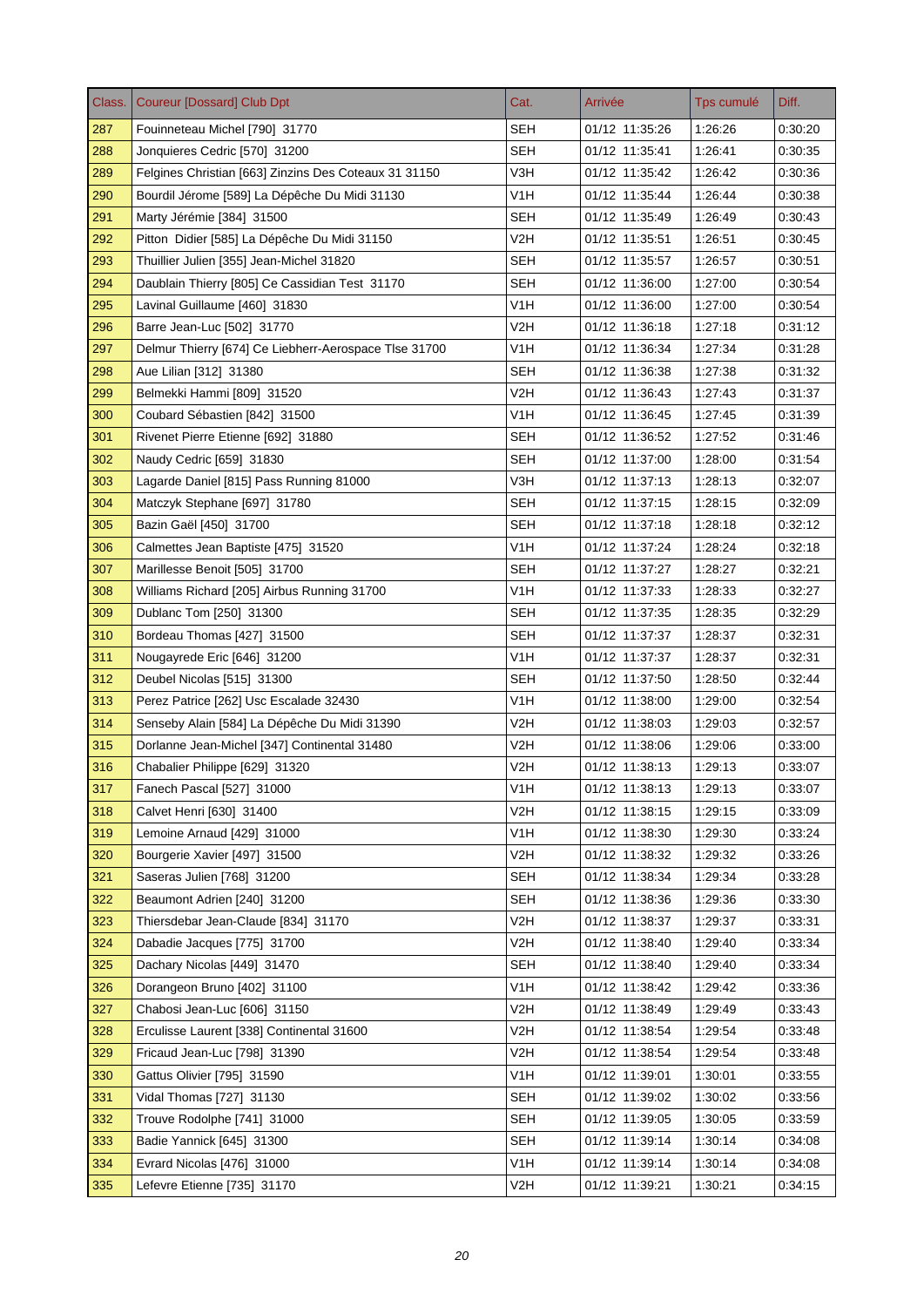| Class. | <b>Coureur [Dossard] Club Dpt</b>                     | Cat.             | Arrivée        | Tps cumulé | Diff.   |
|--------|-------------------------------------------------------|------------------|----------------|------------|---------|
| 287    | Fouinneteau Michel [790] 31770                        | <b>SEH</b>       | 01/12 11:35:26 | 1:26:26    | 0:30:20 |
| 288    | Jonquieres Cedric [570] 31200                         | <b>SEH</b>       | 01/12 11:35:41 | 1:26:41    | 0:30:35 |
| 289    | Felgines Christian [663] Zinzins Des Coteaux 31 31150 | V3H              | 01/12 11:35:42 | 1:26:42    | 0.30.36 |
| 290    | Bourdil Jérome [589] La Dépêche Du Midi 31130         | V1H              | 01/12 11:35:44 | 1:26:44    | 0:30:38 |
| 291    | Marty Jérémie [384] 31500                             | SEH              | 01/12 11:35:49 | 1:26:49    | 0:30:43 |
| 292    | Pitton Didier [585] La Dépêche Du Midi 31150          | V2H              | 01/12 11:35:51 | 1:26:51    | 0:30:45 |
| 293    | Thuillier Julien [355] Jean-Michel 31820              | <b>SEH</b>       | 01/12 11:35:57 | 1:26:57    | 0:30:51 |
| 294    | Daublain Thierry [805] Ce Cassidian Test 31170        | <b>SEH</b>       | 01/12 11:36:00 | 1:27:00    | 0:30:54 |
| 295    | Lavinal Guillaume [460] 31830                         | V <sub>1</sub> H | 01/12 11:36:00 | 1:27:00    | 0.30.54 |
| 296    | Barre Jean-Luc [502] 31770                            | V2H              | 01/12 11:36:18 | 1:27:18    | 0.31.12 |
| 297    | Delmur Thierry [674] Ce Liebherr-Aerospace Tlse 31700 | V <sub>1</sub> H | 01/12 11:36:34 | 1:27:34    | 0:31:28 |
| 298    | Aue Lilian [312] 31380                                | SEH              | 01/12 11:36:38 | 1:27:38    | 0.31.32 |
| 299    | Belmekki Hammi [809] 31520                            | V2H              | 01/12 11:36:43 | 1:27:43    | 0:31:37 |
| 300    | Coubard Sébastien [842] 31500                         | V <sub>1</sub> H | 01/12 11:36:45 | 1:27:45    | 0:31:39 |
| 301    | Rivenet Pierre Etienne [692] 31880                    | SEH              | 01/12 11:36:52 | 1:27:52    | 0:31:46 |
| 302    | Naudy Cedric [659] 31830                              | <b>SEH</b>       | 01/12 11:37:00 | 1:28:00    | 0:31:54 |
| 303    | Lagarde Daniel [815] Pass Running 81000               | V3H              | 01/12 11:37:13 | 1:28:13    | 0:32:07 |
| 304    | Matczyk Stephane [697] 31780                          | SEH              | 01/12 11:37:15 | 1:28:15    | 0.32:09 |
| 305    | Bazin Gaël [450] 31700                                | <b>SEH</b>       | 01/12 11:37:18 | 1:28:18    | 0:32:12 |
| 306    | Calmettes Jean Baptiste [475] 31520                   | V <sub>1</sub> H | 01/12 11:37:24 | 1:28:24    | 0.32.18 |
| 307    | Marillesse Benoit [505] 31700                         | <b>SEH</b>       | 01/12 11:37:27 | 1:28:27    | 0:32:21 |
| 308    | Williams Richard [205] Airbus Running 31700           | V <sub>1</sub> H | 01/12 11:37:33 | 1:28:33    | 0:32:27 |
| 309    | Dublanc Tom [250] 31300                               | SEH              | 01/12 11:37:35 | 1:28:35    | 0:32:29 |
| 310    | Bordeau Thomas [427] 31500                            | <b>SEH</b>       | 01/12 11:37:37 | 1:28:37    | 0:32:31 |
| 311    | Nougayrede Eric [646] 31200                           | V1H              | 01/12 11:37:37 | 1:28:37    | 0:32:31 |
| 312    | Deubel Nicolas [515] 31300                            | SEH              | 01/12 11:37:50 | 1:28:50    | 0.32.44 |
| 313    | Perez Patrice [262] Usc Escalade 32430                | V <sub>1</sub> H | 01/12 11:38:00 | 1:29:00    | 0:32:54 |
| 314    | Senseby Alain [584] La Dépêche Du Midi 31390          | V2H              | 01/12 11:38:03 | 1:29:03    | 0:32:57 |
| 315    | Dorlanne Jean-Michel [347] Continental 31480          | V2H              | 01/12 11:38:06 | 1:29:06    | 0.33.00 |
| 316    | Chabalier Philippe [629] 31320                        | V2H              | 01/12 11:38:13 | 1:29:13    | 0:33:07 |
| 317    | Fanech Pascal [527] 31000                             | V1H              | 01/12 11:38:13 | 1:29:13    | 0:33:07 |
| 318    | Calvet Henri [630] 31400                              | V <sub>2</sub> H | 01/12 11:38:15 | 1:29:15    | 0:33:09 |
| 319    | Lemoine Arnaud [429] 31000                            | V <sub>1</sub> H | 01/12 11:38:30 | 1:29:30    | 0:33:24 |
| 320    | Bourgerie Xavier [497] 31500                          | V2H              | 01/12 11:38:32 | 1:29:32    | 0:33:26 |
| 321    | Saseras Julien [768] 31200                            | <b>SEH</b>       | 01/12 11:38:34 | 1:29:34    | 0.33.28 |
| 322    | Beaumont Adrien [240] 31200                           | <b>SEH</b>       | 01/12 11:38:36 | 1:29:36    | 0:33:30 |
| 323    | Thiersdebar Jean-Claude [834] 31170                   | V2H              | 01/12 11:38:37 | 1.29:37    | 0:33:31 |
| 324    | Dabadie Jacques [775] 31700                           | V2H              | 01/12 11:38:40 | 1:29:40    | 0.33.34 |
| 325    | Dachary Nicolas [449] 31470                           | <b>SEH</b>       | 01/12 11:38:40 | 1:29:40    | 0:33:34 |
| 326    | Dorangeon Bruno [402] 31100                           | V <sub>1</sub> H | 01/12 11:38:42 | 1:29:42    | 0:33:36 |
| 327    | Chabosi Jean-Luc [606] 31150                          | V <sub>2</sub> H | 01/12 11:38:49 | 1:29:49    | 0:33:43 |
| 328    | Erculisse Laurent [338] Continental 31600             | V2H              | 01/12 11:38:54 | 1:29:54    | 0:33:48 |
| 329    | Fricaud Jean-Luc [798] 31390                          | V <sub>2</sub> H | 01/12 11:38:54 | 1:29:54    | 0.33.48 |
| 330    | Gattus Olivier [795] 31590                            | V <sub>1</sub> H | 01/12 11:39:01 | 1:30:01    | 0:33:55 |
| 331    | Vidal Thomas [727] 31130                              | <b>SEH</b>       | 01/12 11:39:02 | 1:30:02    | 0:33:56 |
| 332    | Trouve Rodolphe [741] 31000                           | <b>SEH</b>       | 01/12 11:39:05 | 1:30:05    | 0:33:59 |
| 333    | Badie Yannick [645] 31300                             | <b>SEH</b>       | 01/12 11:39:14 | 1:30:14    | 0:34:08 |
| 334    | Evrard Nicolas [476] 31000                            | V <sub>1</sub> H | 01/12 11:39:14 | 1:30:14    | 0.34.08 |
| 335    | Lefevre Etienne [735] 31170                           | V2H              | 01/12 11:39:21 | 1:30:21    | 0.34.15 |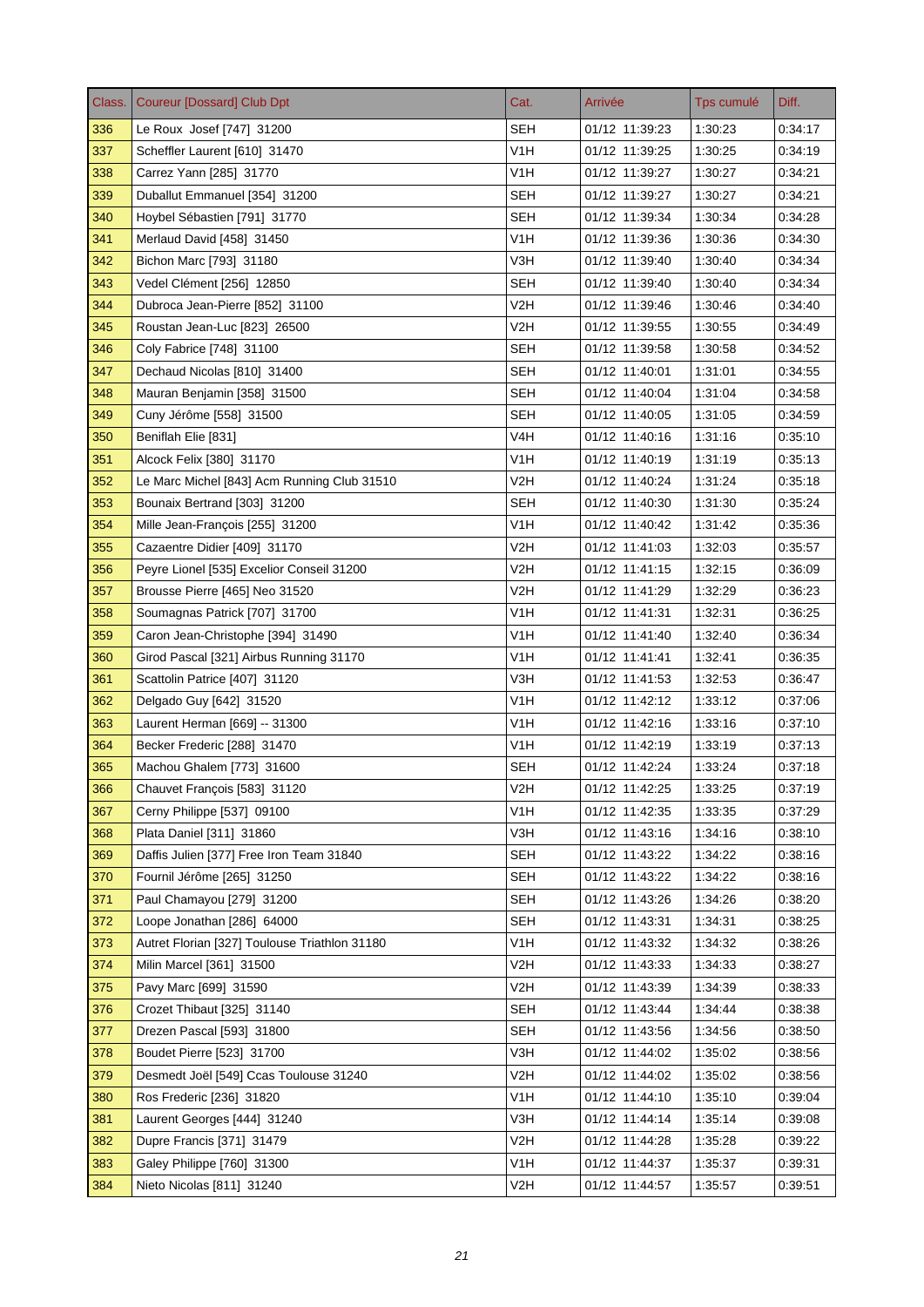| Class. | <b>Coureur [Dossard] Club Dpt</b>             | Cat.             | Arrivée        | Tps cumulé         | Diff.              |
|--------|-----------------------------------------------|------------------|----------------|--------------------|--------------------|
| 336    | Le Roux Josef [747] 31200                     | <b>SEH</b>       | 01/12 11:39:23 | 1:30:23            | 0:34:17            |
| 337    | Scheffler Laurent [610] 31470                 | V <sub>1</sub> H | 01/12 11:39:25 | 1:30:25            | 0:34:19            |
| 338    | Carrez Yann [285] 31770                       | V <sub>1</sub> H | 01/12 11:39:27 | 1:30:27            | 0:34:21            |
| 339    | Duballut Emmanuel [354] 31200                 | SEH              | 01/12 11:39:27 | 1:30:27            | 0:34:21            |
| 340    | Hoybel Sébastien [791] 31770                  | <b>SEH</b>       | 01/12 11:39:34 | 1:30:34            | 0:34:28            |
| 341    | Merlaud David [458] 31450                     | V1H              | 01/12 11:39:36 | 1:30:36            | 0.34.30            |
| 342    | Bichon Marc [793] 31180                       | V3H              | 01/12 11:39:40 | 1:30:40            | 0.34.34            |
| 343    | Vedel Clément [256] 12850                     | SEH              | 01/12 11:39:40 | 1:30:40            | 0:34:34            |
| 344    | Dubroca Jean-Pierre [852] 31100               | V2H              | 01/12 11:39:46 | 1:30:46            | 0.34.40            |
| 345    | Roustan Jean-Luc [823] 26500                  | V2H              | 01/12 11:39:55 | 1:30:55            | 0.34.49            |
| 346    | Coly Fabrice [748] 31100                      | <b>SEH</b>       | 01/12 11:39:58 | 1:30:58            | 0.34.52            |
| 347    | Dechaud Nicolas [810] 31400                   | <b>SEH</b>       | 01/12 11:40:01 | 1:31:01            | 0.34.55            |
| 348    | Mauran Benjamin [358] 31500                   | <b>SEH</b>       | 01/12 11:40:04 | 1:31:04            | 0:34:58            |
| 349    | Cuny Jérôme [558] 31500                       | <b>SEH</b>       | 01/12 11:40:05 | 1:31:05            | 0.34.59            |
| 350    | Beniflah Elie [831]                           | V4H              | 01/12 11:40:16 | 1:31:16            | 0.35.10            |
| 351    | Alcock Felix [380] 31170                      | V <sub>1</sub> H | 01/12 11:40:19 | 1:31:19            | 0.35.13            |
| 352    | Le Marc Michel [843] Acm Running Club 31510   | V <sub>2</sub> H | 01/12 11:40:24 | 1:31:24            | 0.35.18            |
| 353    | Bounaix Bertrand [303] 31200                  | <b>SEH</b>       | 01/12 11:40:30 | 1:31:30            | 0:35:24            |
| 354    | Mille Jean-François [255] 31200               | V1H              | 01/12 11:40:42 | 1:31:42            | 0:35:36            |
| 355    | Cazaentre Didier [409] 31170                  | V2H              | 01/12 11:41:03 | 1:32:03            | 0.35.57            |
| 356    | Peyre Lionel [535] Excelior Conseil 31200     | V2H              | 01/12 11:41:15 | 1:32:15            | 0.36.09            |
| 357    | Brousse Pierre [465] Neo 31520                | V <sub>2</sub> H | 01/12 11:41:29 | 1:32:29            | 0.36.23            |
| 358    | Soumagnas Patrick [707] 31700                 | V <sub>1</sub> H | 01/12 11:41:31 | 1:32:31            | 0.36.25            |
| 359    | Caron Jean-Christophe [394] 31490             | V <sub>1</sub> H | 01/12 11:41:40 | 1:32:40            | 0:36:34            |
| 360    | Girod Pascal [321] Airbus Running 31170       | V1H              | 01/12 11:41:41 | 1:32:41            | 0:36:35            |
| 361    | Scattolin Patrice [407] 31120                 | V3H              | 01/12 11:41:53 | 1:32:53            | 0.36.47            |
| 362    | Delgado Guy [642] 31520                       | V <sub>1</sub> H | 01/12 11:42:12 | 1:33:12            | 0:37:06            |
| 363    | Laurent Herman [669] -- 31300                 | V1H              | 01/12 11:42:16 | 1:33:16            | 0.37:10            |
| 364    | Becker Frederic [288] 31470                   | V <sub>1</sub> H | 01/12 11:42:19 | 1:33:19            | 0.37.13            |
| 365    | Machou Ghalem [773] 31600                     | SEH              | 01/12 11:42:24 | 1:33:24            | 0:37:18            |
| 366    | Chauvet François [583] 31120                  | V2H              | 01/12 11:42:25 | 1:33:25            | 0.37.19            |
| 367    | Cerny Philippe [537] 09100                    | V <sub>1</sub> H | 01/12 11:42:35 | 1:33:35            | 0.37.29            |
| 368    | Plata Daniel [311] 31860                      | V3H              | 01/12 11:43:16 | 1:34:16            | 0.38:10            |
| 369    | Daffis Julien [377] Free Iron Team 31840      | <b>SEH</b>       | 01/12 11:43:22 | 1:34:22            | 0:38:16            |
| 370    | Fournil Jérôme [265] 31250                    | <b>SEH</b>       | 01/12 11:43:22 | 1:34:22            | 0.38.16            |
| 371    | Paul Chamayou [279] 31200                     | <b>SEH</b>       | 01/12 11:43:26 | 1:34:26            | 0:38:20            |
| 372    | Loope Jonathan [286] 64000                    | <b>SEH</b>       | 01/12 11:43:31 | 1:34:31            | 0.38.25            |
| 373    | Autret Florian [327] Toulouse Triathlon 31180 | V <sub>1</sub> H | 01/12 11:43:32 | 1:34:32            | 0:38:26            |
| 374    | Milin Marcel [361] 31500                      | V2H              | 01/12 11:43:33 | 1:34:33            | 0:38:27            |
| 375    | Pavy Marc [699] 31590                         | V <sub>2</sub> H | 01/12 11:43:39 | 1:34:39            | 0:38:33            |
| 376    | Crozet Thibaut [325] 31140                    | <b>SEH</b>       | 01/12 11:43:44 | 1.34.44            | 0:38:38            |
| 377    | Drezen Pascal [593] 31800                     | <b>SEH</b>       | 01/12 11:43:56 | 1:34:56            | 0:38:50            |
| 378    | Boudet Pierre [523] 31700                     | V3H              | 01/12 11:44:02 | 1:35:02            | 0.38.56            |
| 379    | Desmedt Joël [549] Ccas Toulouse 31240        | V2H              | 01/12 11:44:02 | 1:35:02            | 0.38.56            |
| 380    | Ros Frederic [236] 31820                      | V <sub>1</sub> H | 01/12 11:44:10 | 1:35:10            | 0:39:04            |
| 381    | Laurent Georges [444] 31240                   | V3H              | 01/12 11:44:14 | 1:35:14            | 0.39.08            |
| 382    | Dupre Francis [371] 31479                     | V2H              | 01/12 11:44:28 | 1:35:28            | 0:39:22            |
|        | Galey Philippe [760] 31300                    | V <sub>1</sub> H | 01/12 11:44:37 |                    |                    |
| 383    |                                               | V <sub>2</sub> H |                | 1:35:37<br>1.35.57 | 0:39:31<br>0:39:51 |
| 384    | Nieto Nicolas [811] 31240                     |                  | 01/12 11:44:57 |                    |                    |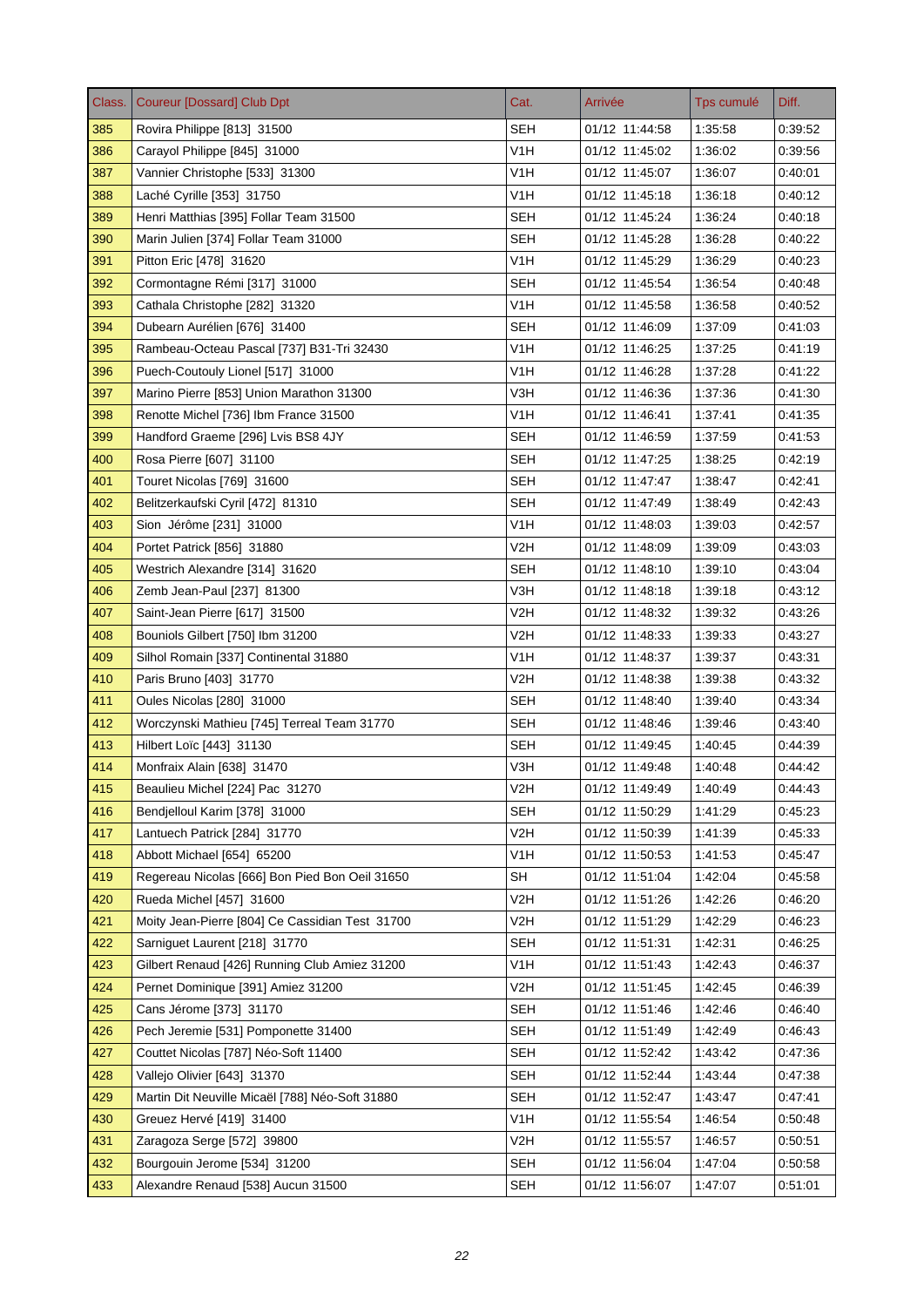| Class. | <b>Coureur [Dossard] Club Dpt</b>               | Cat.             | Arrivée        | Tps cumulé | Diff.   |
|--------|-------------------------------------------------|------------------|----------------|------------|---------|
| 385    | Rovira Philippe [813] 31500                     | <b>SEH</b>       | 01/12 11:44:58 | 1:35:58    | 0:39:52 |
| 386    | Carayol Philippe [845] 31000                    | V <sub>1</sub> H | 01/12 11:45:02 | 1:36:02    | 0:39:56 |
| 387    | Vannier Christophe [533] 31300                  | V <sub>1</sub> H | 01/12 11:45:07 | 1:36:07    | 0.40.01 |
| 388    | Laché Cyrille [353] 31750                       | V1H              | 01/12 11:45:18 | 1:36:18    | 0.40.12 |
| 389    | Henri Matthias [395] Follar Team 31500          | SEH              | 01/12 11:45:24 | 1:36:24    | 0:40:18 |
| 390    | Marin Julien [374] Follar Team 31000            | <b>SEH</b>       | 01/12 11:45:28 | 1:36:28    | 0:40:22 |
| 391    | Pitton Eric [478] 31620                         | V <sub>1</sub> H | 01/12 11:45:29 | 1:36:29    | 0:40:23 |
| 392    | Cormontagne Rémi [317] 31000                    | SEH              | 01/12 11:45:54 | 1:36:54    | 0:40:48 |
| 393    | Cathala Christophe [282] 31320                  | V <sub>1</sub> H | 01/12 11:45:58 | 1:36:58    | 0.40.52 |
| 394    | Dubearn Aurélien [676] 31400                    | <b>SEH</b>       | 01/12 11:46:09 | 1:37:09    | 0:41:03 |
| 395    | Rambeau-Octeau Pascal [737] B31-Tri 32430       | V <sub>1</sub> H | 01/12 11:46:25 | 1.37:25    | 0.41.19 |
| 396    | Puech-Coutouly Lionel [517] 31000               | V <sub>1</sub> H | 01/12 11:46:28 | 1:37:28    | 0.41.22 |
| 397    | Marino Pierre [853] Union Marathon 31300        | V3H              | 01/12 11:46:36 | 1:37:36    | 0:41:30 |
| 398    | Renotte Michel [736] Ibm France 31500           | V <sub>1</sub> H | 01/12 11:46:41 | 1:37:41    | 0.41.35 |
| 399    | Handford Graeme [296] Lvis BS8 4JY              | SEH              | 01/12 11:46:59 | 1:37:59    | 0.41.53 |
| 400    | Rosa Pierre [607] 31100                         | <b>SEH</b>       | 01/12 11:47:25 | 1:38:25    | 0:42:19 |
| 401    | Touret Nicolas [769] 31600                      | <b>SEH</b>       | 01/12 11:47:47 | 1:38:47    | 0:42:41 |
| 402    | Belitzerkaufski Cyril [472] 81310               | <b>SEH</b>       | 01/12 11:47:49 | 1:38:49    | 0.42.43 |
| 403    | Sion Jérôme [231] 31000                         | V1H              | 01/12 11:48:03 | 1:39:03    | 0:42:57 |
| 404    | Portet Patrick [856] 31880                      | V2H              | 01/12 11:48:09 | 1:39:09    | 0.43.03 |
| 405    | Westrich Alexandre [314] 31620                  | <b>SEH</b>       | 01/12 11:48:10 | 1:39:10    | 0:43:04 |
| 406    | Zemb Jean-Paul [237] 81300                      | V3H              | 01/12 11:48:18 | 1:39:18    | 0.43.12 |
| 407    | Saint-Jean Pierre [617] 31500                   | V <sub>2</sub> H | 01/12 11:48:32 | 1:39:32    | 0.43.26 |
| 408    | Bouniols Gilbert [750] Ibm 31200                | V2H              | 01/12 11:48:33 | 1:39:33    | 0:43:27 |
| 409    | Silhol Romain [337] Continental 31880           | V1H              | 01/12 11:48:37 | 1:39:37    | 0:43:31 |
| 410    | Paris Bruno [403] 31770                         | V2H              | 01/12 11:48:38 | 1:39:38    | 0.43.32 |
| 411    | Oules Nicolas [280] 31000                       | <b>SEH</b>       | 01/12 11:48:40 | 1:39:40    | 0:43:34 |
| 412    | Worczynski Mathieu [745] Terreal Team 31770     | <b>SEH</b>       | 01/12 11:48:46 | 1:39:46    | 0:43:40 |
| 413    | Hilbert Loïc [443] 31130                        | <b>SEH</b>       | 01/12 11:49:45 | 1:40:45    | 0.44.39 |
| 414    | Monfraix Alain [638] 31470                      | V3H              | 01/12 11:49:48 | 1:40:48    | 0:44:42 |
| 415    | Beaulieu Michel [224] Pac 31270                 | V2H              | 01/12 11:49:49 | 1:40:49    | 0.44.43 |
| 416    | Bendjelloul Karim [378] 31000                   | <b>SEH</b>       | 01/12 11:50:29 | 1:41:29    | 0.45.23 |
| 417    | Lantuech Patrick [284] 31770                    | V <sub>2</sub> H | 01/12 11:50:39 | 1:41:39    | 0.45.33 |
| 418    | Abbott Michael [654] 65200                      | V <sub>1</sub> H | 01/12 11:50:53 | 1.41.53    | 0:45:47 |
| 419    | Regereau Nicolas [666] Bon Pied Bon Oeil 31650  | <b>SH</b>        | 01/12 11:51:04 | 1:42:04    | 0.45.58 |
| 420    | Rueda Michel [457] 31600                        | V <sub>2</sub> H | 01/12 11:51:26 | 1:42:26    | 0:46:20 |
| 421    | Moity Jean-Pierre [804] Ce Cassidian Test 31700 | V2H              | 01/12 11:51:29 | 1:42:29    | 0.46.23 |
| 422    | Sarniquet Laurent [218] 31770                   | <b>SEH</b>       | 01/12 11:51:31 | 1:42:31    | 0.46.25 |
| 423    | Gilbert Renaud [426] Running Club Amiez 31200   | V <sub>1</sub> H | 01/12 11:51:43 | 1.42.43    | 0.46.37 |
| 424    | Pernet Dominique [391] Amiez 31200              | V2H              | 01/12 11:51:45 | 1.42.45    | 0.46.39 |
| 425    | Cans Jérome [373] 31170                         | SEH              | 01/12 11:51:46 | 1.42.46    | 0:46:40 |
| 426    | Pech Jeremie [531] Pomponette 31400             | <b>SEH</b>       | 01/12 11:51:49 | 1:42:49    | 0.46.43 |
| 427    | Couttet Nicolas [787] Néo-Soft 11400            | <b>SEH</b>       | 01/12 11:52:42 | 1:43:42    | 0.47.36 |
| 428    | Vallejo Olivier [643] 31370                     | SEH              | 01/12 11:52:44 | 1.43:44    | 0.47.38 |
| 429    | Martin Dit Neuville Micaël [788] Néo-Soft 31880 | SEH              | 01/12 11:52:47 | 1.43.47    | 0.47.41 |
| 430    | Greuez Hervé [419] 31400                        | V1H              | 01/12 11:55:54 | 1.46:54    | 0.50.48 |
| 431    | Zaragoza Serge [572] 39800                      | V2H              | 01/12 11:55:57 | 1:46:57    | 0:50:51 |
| 432    | Bourgouin Jerome [534] 31200                    | SEH              | 01/12 11:56:04 | 1.47:04    | 0.50.58 |
| 433    | Alexandre Renaud [538] Aucun 31500              | <b>SEH</b>       | 01/12 11:56:07 | 1.47:07    | 0.51.01 |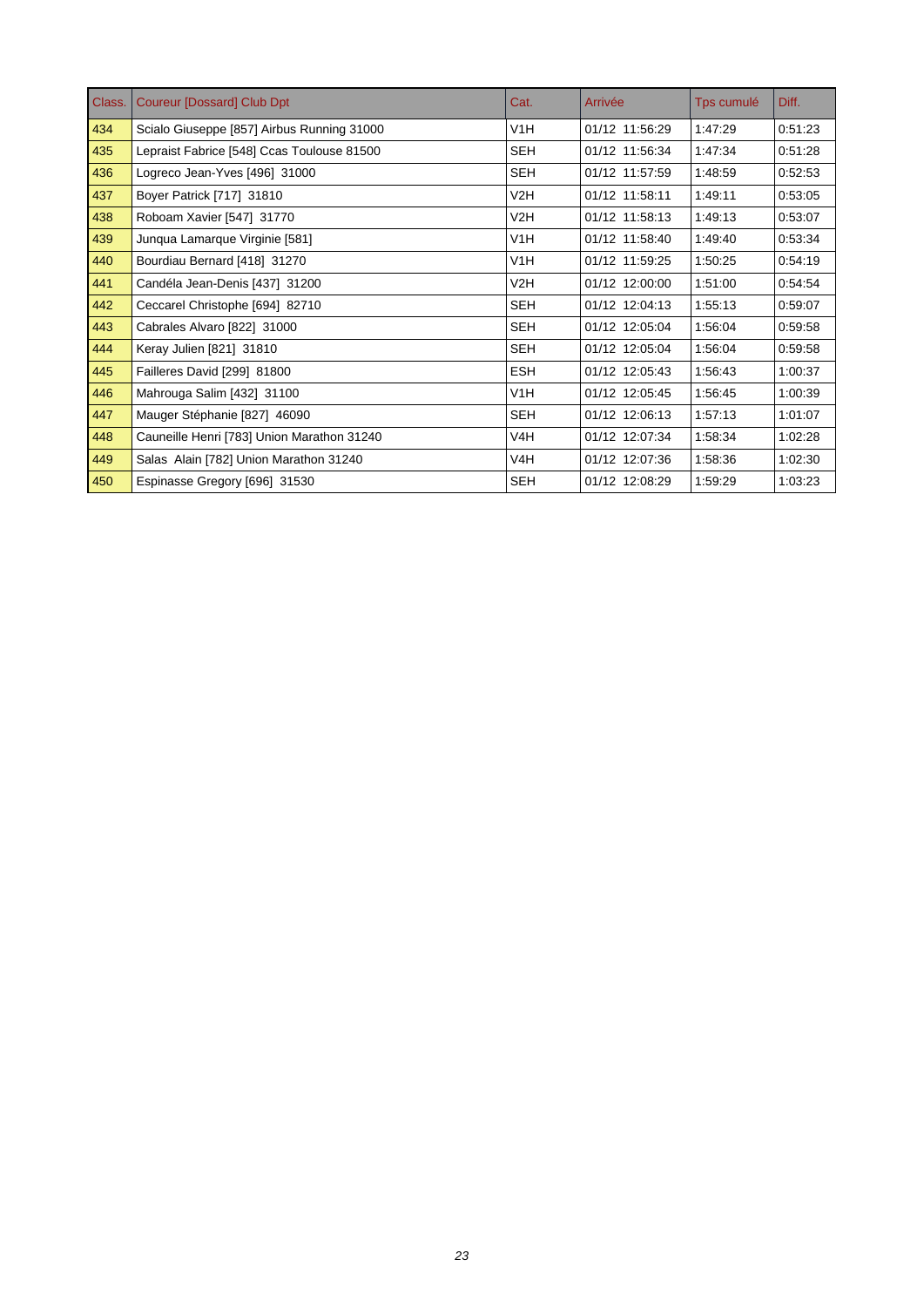| Class. | <b>Coureur [Dossard] Club Dpt</b>          | Cat.             | Arrivée        | Tps cumulé | Diff.   |
|--------|--------------------------------------------|------------------|----------------|------------|---------|
| 434    | Scialo Giuseppe [857] Airbus Running 31000 | V <sub>1</sub> H | 01/12 11:56:29 | 1:47:29    | 0:51:23 |
| 435    | Lepraist Fabrice [548] Ccas Toulouse 81500 | <b>SEH</b>       | 01/12 11:56:34 | 1:47:34    | 0:51:28 |
| 436    | Logreco Jean-Yves [496] 31000              | <b>SEH</b>       | 01/12 11:57:59 | 1:48:59    | 0:52:53 |
| 437    | Boyer Patrick [717] 31810                  | V2H              | 01/12 11:58:11 | 1.49.11    | 0:53:05 |
| 438    | Roboam Xavier [547] 31770                  | V2H              | 01/12 11:58:13 | 1:49:13    | 0:53:07 |
| 439    | Junqua Lamarque Virginie [581]             | V1H              | 01/12 11:58:40 | 1:49:40    | 0:53:34 |
| 440    | Bourdiau Bernard [418] 31270               | V1H              | 01/12 11:59:25 | 1:50:25    | 0:54:19 |
| 441    | Candéla Jean-Denis [437] 31200             | V2H              | 01/12 12:00:00 | 1:51:00    | 0:54:54 |
| 442    | Ceccarel Christophe [694] 82710            | <b>SEH</b>       | 01/12 12:04:13 | 1:55:13    | 0:59:07 |
| 443    | Cabrales Alvaro [822] 31000                | <b>SEH</b>       | 01/12 12:05:04 | 1:56:04    | 0:59:58 |
| 444    | Keray Julien [821] 31810                   | <b>SEH</b>       | 01/12 12:05:04 | 1:56:04    | 0:59:58 |
| 445    | Failleres David [299] 81800                | <b>ESH</b>       | 01/12 12:05:43 | 1:56:43    | 1:00:37 |
| 446    | Mahrouga Salim [432] 31100                 | V <sub>1</sub> H | 01/12 12:05:45 | 1:56:45    | 1:00:39 |
| 447    | Mauger Stéphanie [827] 46090               | <b>SEH</b>       | 01/12 12:06:13 | 1:57:13    | 1:01:07 |
| 448    | Cauneille Henri [783] Union Marathon 31240 | V4H              | 01/12 12:07:34 | 1:58:34    | 1:02:28 |
| 449    | Salas Alain [782] Union Marathon 31240     | V <sub>4</sub> H | 01/12 12:07:36 | 1:58:36    | 1:02:30 |
| 450    | Espinasse Gregory [696] 31530              | <b>SEH</b>       | 01/12 12:08:29 | 1:59:29    | 1:03:23 |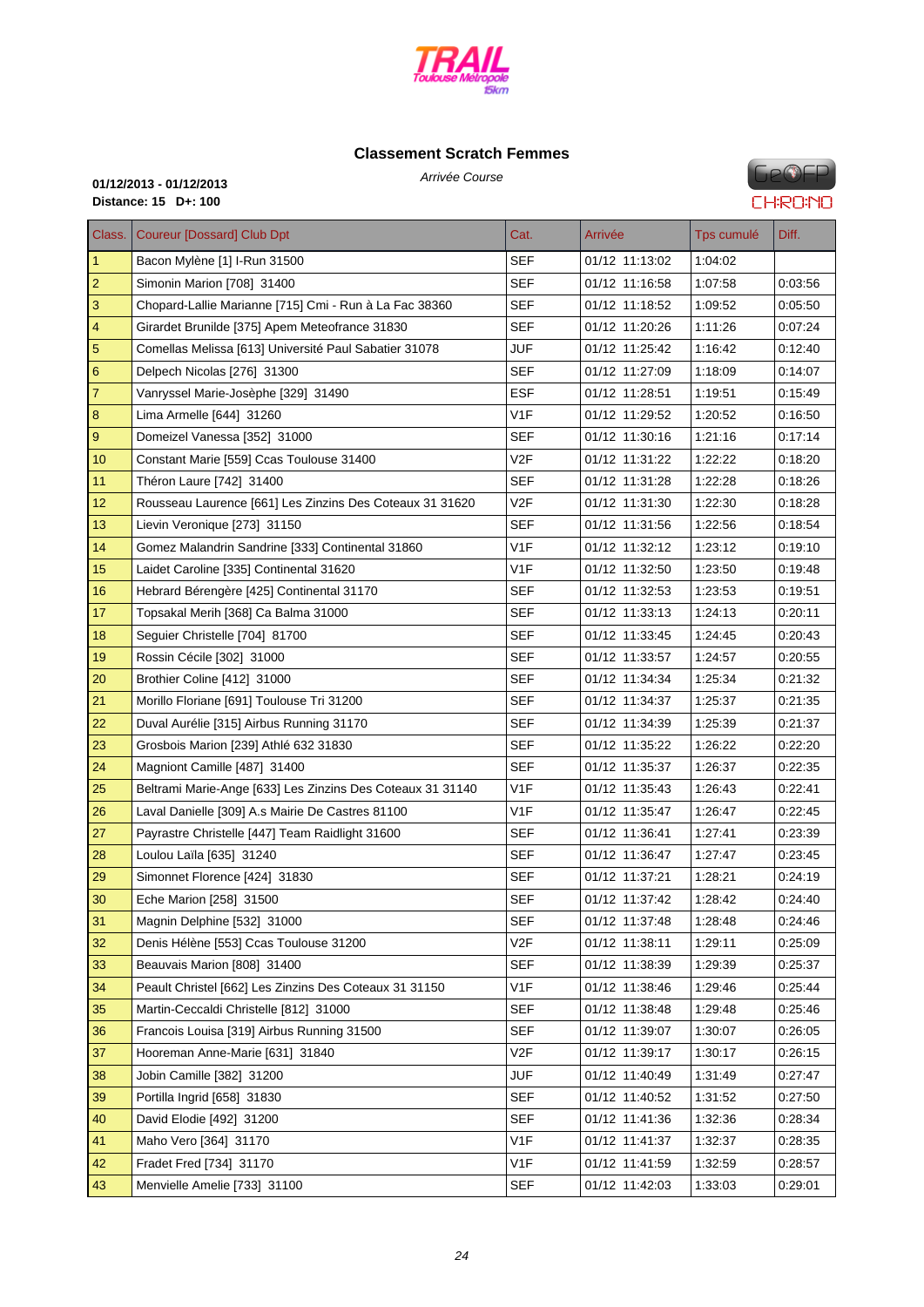

#### **Classe[ment Scratch F](http://www.cosatrail.fr/crbst_25.html)emmes**

Arrivée Course **01/12/2013 - 01/12/2013 Distance: 15 D+: 100**

| Class.           | <b>Coureur [Dossard] Club Dpt</b>                          | Cat.             | Arrivée        | Tps cumulé | Diff.   |
|------------------|------------------------------------------------------------|------------------|----------------|------------|---------|
| $\mathbf{1}$     | Bacon Mylène [1] I-Run 31500                               | <b>SEF</b>       | 01/12 11:13:02 | 1:04:02    |         |
| $\overline{2}$   | Simonin Marion [708] 31400                                 | <b>SEF</b>       | 01/12 11:16:58 | 1:07:58    | 0:03:56 |
| $\mathsf 3$      | Chopard-Lallie Marianne [715] Cmi - Run à La Fac 38360     | SEF              | 01/12 11:18:52 | 1:09:52    | 0:05:50 |
| $\overline{4}$   | Girardet Brunilde [375] Apem Meteofrance 31830             | <b>SEF</b>       | 01/12 11:20:26 | 1:11:26    | 0.07:24 |
| $\sqrt{5}$       | Comellas Melissa [613] Université Paul Sabatier 31078      | <b>JUF</b>       | 01/12 11:25:42 | 1:16:42    | 0.12:40 |
| $6\phantom{1}6$  | Delpech Nicolas [276] 31300                                | <b>SEF</b>       | 01/12 11:27:09 | 1:18:09    | 0:14:07 |
| $\overline{7}$   | Vanryssel Marie-Josèphe [329] 31490                        | <b>ESF</b>       | 01/12 11:28:51 | 1:19:51    | 0:15:49 |
| 8                | Lima Armelle [644] 31260                                   | V <sub>1</sub> F | 01/12 11:29:52 | 1:20:52    | 0:16:50 |
| $\boldsymbol{9}$ | Domeizel Vanessa [352] 31000                               | <b>SEF</b>       | 01/12 11:30:16 | 1:21:16    | 0:17:14 |
| 10 <sup>°</sup>  | Constant Marie [559] Ccas Toulouse 31400                   | V2F              | 01/12 11:31:22 | 1:22:22    | 0:18:20 |
| 11               | Théron Laure [742] 31400                                   | <b>SEF</b>       | 01/12 11:31:28 | 1:22:28    | 0.18.26 |
| 12               | Rousseau Laurence [661] Les Zinzins Des Coteaux 31 31620   | V2F              | 01/12 11:31:30 | 1:22:30    | 0:18:28 |
| 13 <sup>2</sup>  | Lievin Veronique [273] 31150                               | <b>SEF</b>       | 01/12 11:31:56 | 1:22:56    | 0:18:54 |
| 14               | Gomez Malandrin Sandrine [333] Continental 31860           | V <sub>1</sub> F | 01/12 11:32:12 | 1:23:12    | 0.19:10 |
| 15               | Laidet Caroline [335] Continental 31620                    | V1F              | 01/12 11:32:50 | 1:23:50    | 0:19:48 |
| 16               | Hebrard Bérengère [425] Continental 31170                  | <b>SEF</b>       | 01/12 11:32:53 | 1:23:53    | 0:19:51 |
| 17               | Topsakal Merih [368] Ca Balma 31000                        | SEF              | 01/12 11:33:13 | 1:24:13    | 0:20:11 |
| 18               | Seguier Christelle [704] 81700                             | <b>SEF</b>       | 01/12 11:33:45 | 1:24:45    | 0:20:43 |
| 19               | Rossin Cécile [302] 31000                                  | <b>SEF</b>       | 01/12 11:33:57 | 1:24:57    | 0.20:55 |
| 20               | Brothier Coline [412] 31000                                | SEF              | 01/12 11:34:34 | 1:25:34    | 0:21:32 |
| 21               | Morillo Floriane [691] Toulouse Tri 31200                  | SEF              | 01/12 11:34:37 | 1:25:37    | 0:21:35 |
| 22               | Duval Aurélie [315] Airbus Running 31170                   | <b>SEF</b>       | 01/12 11:34:39 | 1:25:39    | 0.21:37 |
| 23               | Grosbois Marion [239] Athlé 632 31830                      | <b>SEF</b>       | 01/12 11:35:22 | 1:26:22    | 0:22:20 |
| 24               | Magniont Camille [487] 31400                               | <b>SEF</b>       | 01/12 11:35:37 | 1:26:37    | 0:22:35 |
| 25               | Beltrami Marie-Ange [633] Les Zinzins Des Coteaux 31 31140 | V <sub>1</sub> F | 01/12 11:35:43 | 1:26:43    | 0:22:41 |
| 26               | Laval Danielle [309] A.s Mairie De Castres 81100           | V1F              | 01/12 11:35:47 | 1:26:47    | 0:22:45 |
| 27               | Payrastre Christelle [447] Team Raidlight 31600            | <b>SEF</b>       | 01/12 11:36:41 | 1:27:41    | 0.23.39 |
| 28               | Loulou Laïla [635] 31240                                   | SEF              | 01/12 11:36:47 | 1:27:47    | 0:23:45 |
| 29               | Simonnet Florence [424] 31830                              | <b>SEF</b>       | 01/12 11:37:21 | 1:28:21    | 0.24:19 |
| 30               | Eche Marion [258] 31500                                    | <b>SEF</b>       | 01/12 11:37:42 | 1:28:42    | 0:24:40 |
| 31               | Magnin Delphine [532] 31000                                | <b>SEF</b>       | 01/12 11:37:48 | 1:28:48    | 0:24:46 |
| 32               | Denis Hélène [553] Ccas Toulouse 31200                     | V <sub>2</sub> F | 01/12 11:38:11 | 1:29:11    | 0:25:09 |
| 33               | Beauvais Marion [808] 31400                                | <b>SEF</b>       | 01/12 11:38:39 | 1:29:39    | 0.25:37 |
| 34               | Peault Christel [662] Les Zinzins Des Coteaux 31 31150     | V1F              | 01/12 11:38:46 | 1:29:46    | 0:25:44 |
| 35               | Martin-Ceccaldi Christelle [812] 31000                     | <b>SEF</b>       | 01/12 11:38:48 | 1:29:48    | 0:25:46 |
| 36               | Francois Louisa [319] Airbus Running 31500                 | <b>SEF</b>       | 01/12 11:39:07 | 1:30:07    | 0:26:05 |
| 37               | Hooreman Anne-Marie [631] 31840                            | V <sub>2</sub> F | 01/12 11:39:17 | 1:30:17    | 0:26:15 |
| 38               | Jobin Camille [382] 31200                                  | JUF              | 01/12 11:40:49 | 1:31:49    | 0.27:47 |
| 39               | Portilla Ingrid [658] 31830                                | <b>SEF</b>       | 01/12 11:40:52 | 1:31:52    | 0:27:50 |
| 40               | David Elodie [492] 31200                                   | <b>SEF</b>       | 01/12 11:41:36 | 1:32:36    | 0.28:34 |
| 41               | Maho Vero [364] 31170                                      | V1F              | 01/12 11:41:37 | 1:32:37    | 0:28:35 |

 Fradet Fred [734] 31170 V1F 01/12 11:41:59 1:32:59 0:28:57 Menvielle Amelie [733] 31100 SEF 01/12 11:42:03 1:33:03 0:29:01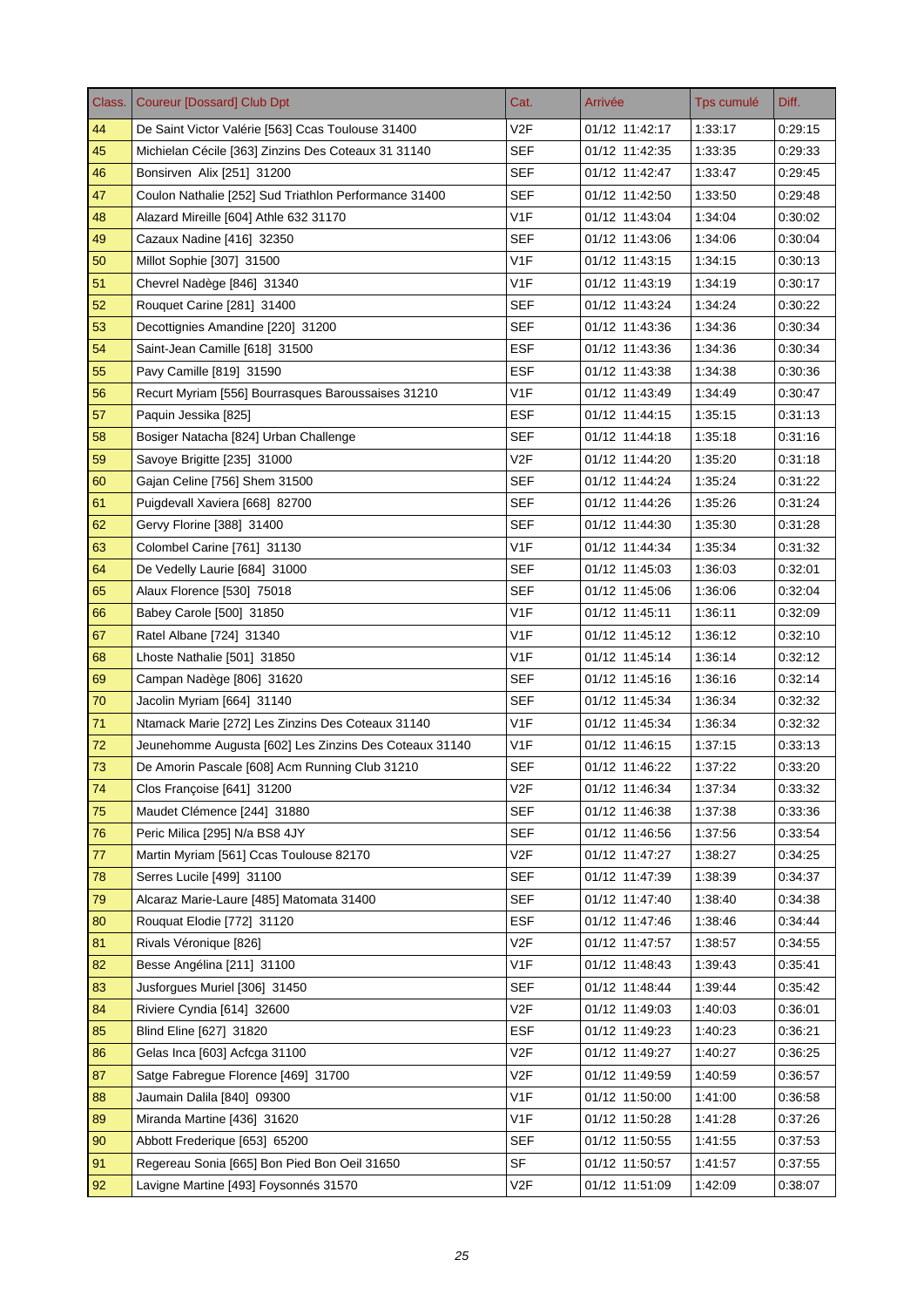| Class. | <b>Coureur [Dossard] Club Dpt</b>                      | Cat.             | Arrivée        | Tps cumulé | Diff.   |
|--------|--------------------------------------------------------|------------------|----------------|------------|---------|
| 44     | De Saint Victor Valérie [563] Ccas Toulouse 31400      | V <sub>2F</sub>  | 01/12 11:42:17 | 1:33:17    | 0:29:15 |
| 45     | Michielan Cécile [363] Zinzins Des Coteaux 31 31140    | <b>SEF</b>       | 01/12 11:42:35 | 1:33:35    | 0:29:33 |
| 46     | Bonsirven Alix [251] 31200                             | <b>SEF</b>       | 01/12 11:42:47 | 1:33:47    | 0.29.45 |
| 47     | Coulon Nathalie [252] Sud Triathlon Performance 31400  | <b>SEF</b>       | 01/12 11:42:50 | 1:33:50    | 0.29.48 |
| 48     | Alazard Mireille [604] Athle 632 31170                 | V <sub>1F</sub>  | 01/12 11:43:04 | 1:34:04    | 0:30:02 |
| 49     | Cazaux Nadine [416] 32350                              | SEF              | 01/12 11:43:06 | 1:34:06    | 0:30:04 |
| 50     | Millot Sophie [307] 31500                              | V <sub>1</sub> F | 01/12 11:43:15 | 1:34:15    | 0.30.13 |
| 51     | Chevrel Nadège [846] 31340                             | V <sub>1</sub> F | 01/12 11:43:19 | 1:34:19    | 0:30:17 |
| 52     | Rouquet Carine [281] 31400                             | <b>SEF</b>       | 01/12 11:43:24 | 1:34:24    | 0.30.22 |
| 53     | Decottignies Amandine [220] 31200                      | <b>SEF</b>       | 01/12 11:43:36 | 1:34:36    | 0:30:34 |
| 54     | Saint-Jean Camille [618] 31500                         | <b>ESF</b>       | 01/12 11:43:36 | 1:34:36    | 0.30.34 |
| 55     | Pavy Camille [819] 31590                               | <b>ESF</b>       | 01/12 11:43:38 | 1:34:38    | 0.30.36 |
| 56     | Recurt Myriam [556] Bourrasques Baroussaises 31210     | V <sub>1</sub> F | 01/12 11:43:49 | 1:34:49    | 0:30:47 |
| 57     | Paquin Jessika [825]                                   | <b>ESF</b>       | 01/12 11:44:15 | 1:35:15    | 0:31:13 |
| 58     | Bosiger Natacha [824] Urban Challenge                  | <b>SEF</b>       | 01/12 11:44:18 | 1:35:18    | 0.31.16 |
| 59     | Savoye Brigitte [235] 31000                            | V <sub>2F</sub>  | 01/12 11:44:20 | 1:35:20    | 0:31:18 |
| 60     | Gajan Celine [756] Shem 31500                          | <b>SEF</b>       | 01/12 11:44:24 | 1:35:24    | 0:31:22 |
| 61     | Puigdevall Xaviera [668] 82700                         | <b>SEF</b>       | 01/12 11:44:26 | 1:35:26    | 0:31:24 |
| 62     | Gervy Florine [388] 31400                              | SEF              | 01/12 11:44:30 | 1:35:30    | 0:31:28 |
| 63     | Colombel Carine [761] 31130                            | V <sub>1</sub> F | 01/12 11:44:34 | 1:35:34    | 0.31.32 |
| 64     | De Vedelly Laurie [684] 31000                          | <b>SEF</b>       | 01/12 11:45:03 | 1:36:03    | 0:32:01 |
| 65     | Alaux Florence [530] 75018                             | <b>SEF</b>       | 01/12 11:45:06 | 1:36:06    | 0.32.04 |
| 66     | Babey Carole [500] 31850                               | V <sub>1</sub> F | 01/12 11:45:11 | 1:36:11    | 0.32:09 |
| 67     | Ratel Albane [724] 31340                               | V <sub>1</sub> F | 01/12 11:45:12 | 1:36:12    | 0:32:10 |
| 68     | Lhoste Nathalie [501] 31850                            | V <sub>1</sub> F | 01/12 11:45:14 | 1:36:14    | 0.32.12 |
| 69     | Campan Nadège [806] 31620                              | <b>SEF</b>       | 01/12 11:45:16 | 1:36:16    | 0.32.14 |
| 70     | Jacolin Myriam [664] 31140                             | <b>SEF</b>       | 01/12 11:45:34 | 1:36:34    | 0:32:32 |
| 71     | Ntamack Marie [272] Les Zinzins Des Coteaux 31140      | V <sub>1</sub> F | 01/12 11:45:34 | 1:36:34    | 0.32.32 |
| 72     | Jeunehomme Augusta [602] Les Zinzins Des Coteaux 31140 | V <sub>1F</sub>  | 01/12 11:46:15 | 1:37:15    | 0.33.13 |
| 73     | De Amorin Pascale [608] Acm Running Club 31210         | SEF              | 01/12 11:46:22 | 1:37:22    | 0:33:20 |
| 74     | Clos Françoise [641] 31200                             | V <sub>2</sub> F | 01/12 11:46:34 | 1:37:34    | 0:33:32 |
| 75     | Maudet Clémence [244] 31880                            | <b>SEF</b>       | 01/12 11:46:38 | 1:37:38    | 0.33.36 |
| 76     | Peric Milica [295] N/a BS8 4JY                         | <b>SEF</b>       | 01/12 11:46:56 | 1:37:56    | 0:33:54 |
| 77     | Martin Myriam [561] Ccas Toulouse 82170                | V2F              | 01/12 11:47:27 | 1.38.27    | 0:34:25 |
| 78     | Serres Lucile [499] 31100                              | <b>SEF</b>       | 01/12 11:47:39 | 1:38:39    | 0.34.37 |
| 79     | Alcaraz Marie-Laure [485] Matomata 31400               | <b>SEF</b>       | 01/12 11:47:40 | 1:38:40    | 0:34:38 |
| 80     | Rouquat Elodie [772] 31120                             | <b>ESF</b>       | 01/12 11:47:46 | 1.38.46    | 0.34.44 |
| 81     | Rivals Véronique [826]                                 | V2F              | 01/12 11:47:57 | 1:38:57    | 0.34.55 |
| 82     | Besse Angélina [211] 31100                             | V <sub>1</sub> F | 01/12 11:48:43 | 1.39.43    | 0.35.41 |
| 83     | Jusforgues Muriel [306] 31450                          | <b>SEF</b>       | 01/12 11:48:44 | 1.39:44    | 0:35:42 |
| 84     | Riviere Cyndia [614] 32600                             | V <sub>2</sub> F | 01/12 11:49:03 | 1:40:03    | 0:36:01 |
| 85     | Blind Eline [627] 31820                                | <b>ESF</b>       | 01/12 11:49:23 | 1.40.23    | 0:36:21 |
| 86     | Gelas Inca [603] Acfcga 31100                          | V <sub>2</sub> F | 01/12 11:49:27 | 1:40:27    | 0.36.25 |
| 87     | Satge Fabregue Florence [469] 31700                    | V <sub>2F</sub>  | 01/12 11:49:59 | 1:40:59    | 0.36.57 |
| 88     | Jaumain Dalila [840] 09300                             | V <sub>1</sub> F | 01/12 11:50:00 | 1.41.00    | 0:36:58 |
| 89     | Miranda Martine [436] 31620                            | V <sub>1</sub> F | 01/12 11:50:28 | 1:41:28    | 0.37.26 |
| 90     | Abbott Frederique [653] 65200                          | <b>SEF</b>       | 01/12 11:50:55 | 1:41:55    | 0:37:53 |
| 91     | Regereau Sonia [665] Bon Pied Bon Oeil 31650           | <b>SF</b>        | 01/12 11:50:57 | 1.41:57    | 0:37:55 |
| 92     | Lavigne Martine [493] Foysonnés 31570                  | V2F              | 01/12 11:51:09 | 1:42:09    | 0.38.07 |
|        |                                                        |                  |                |            |         |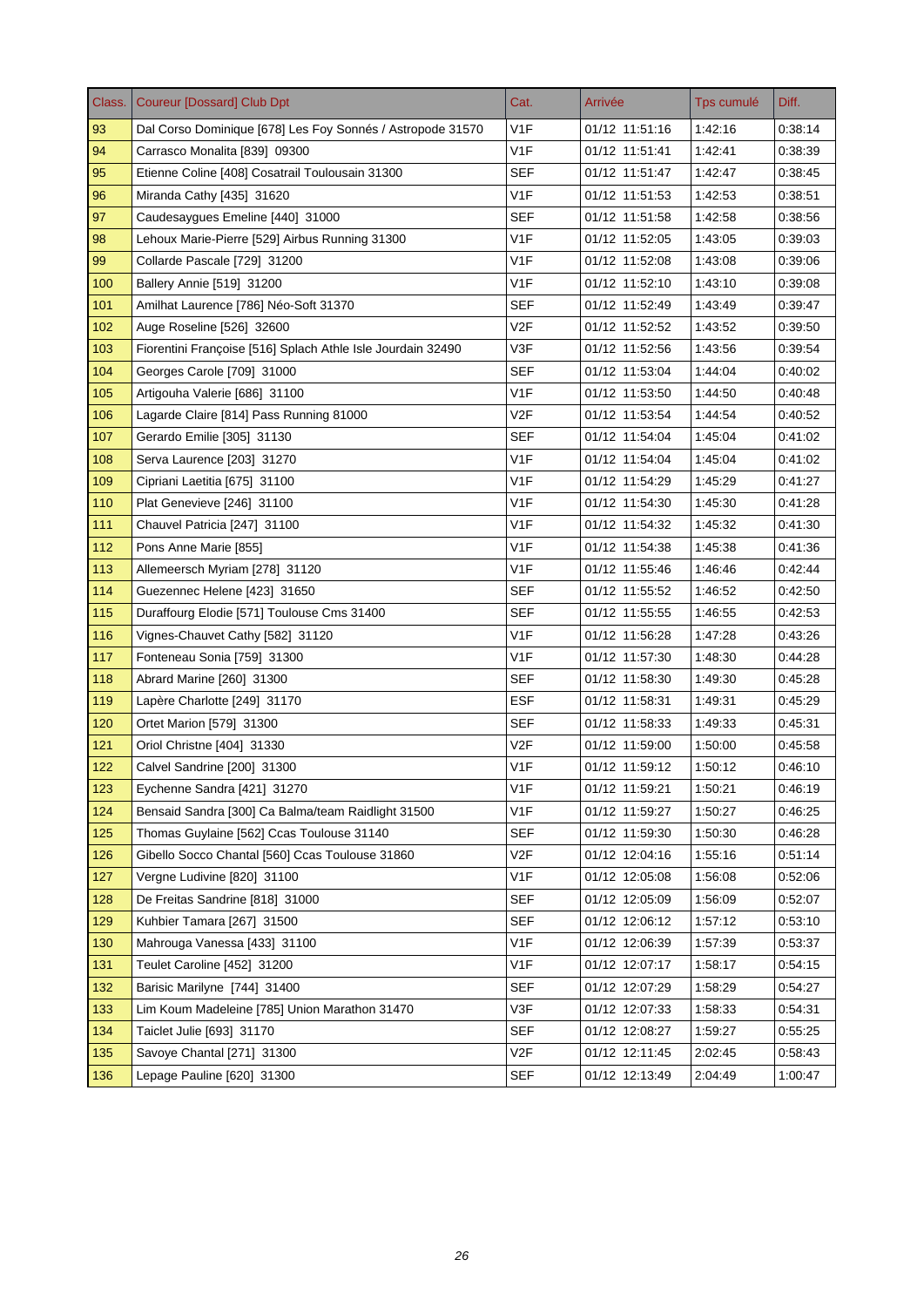| Class. | <b>Coureur [Dossard] Club Dpt</b>                           | Cat.             | Arrivée        | Tps cumulé | Diff.   |
|--------|-------------------------------------------------------------|------------------|----------------|------------|---------|
| 93     | Dal Corso Dominique [678] Les Foy Sonnés / Astropode 31570  | V <sub>1</sub> F | 01/12 11:51:16 | 1:42:16    | 0:38:14 |
| 94     | Carrasco Monalita [839] 09300                               | V <sub>1</sub> F | 01/12 11:51:41 | 1:42:41    | 0:38:39 |
| 95     | Etienne Coline [408] Cosatrail Toulousain 31300             | SEF              | 01/12 11:51:47 | 1:42:47    | 0:38:45 |
| 96     | Miranda Cathy [435] 31620                                   | V <sub>1F</sub>  | 01/12 11:51:53 | 1:42:53    | 0:38:51 |
| 97     | Caudesaygues Emeline [440] 31000                            | SEF              | 01/12 11:51:58 | 1:42:58    | 0:38:56 |
| 98     | Lehoux Marie-Pierre [529] Airbus Running 31300              | V <sub>1</sub> F | 01/12 11:52:05 | 1:43:05    | 0.39.03 |
| 99     | Collarde Pascale [729] 31200                                | V <sub>1</sub> F | 01/12 11:52:08 | 1:43:08    | 0:39:06 |
| 100    | Ballery Annie [519] 31200                                   | V <sub>1</sub> F | 01/12 11:52:10 | 1:43:10    | 0.39.08 |
| 101    | Amilhat Laurence [786] Néo-Soft 31370                       | SEF              | 01/12 11:52:49 | 1:43:49    | 0.39.47 |
| 102    | Auge Roseline [526] 32600                                   | V <sub>2F</sub>  | 01/12 11:52:52 | 1:43:52    | 0.39.50 |
| 103    | Fiorentini Françoise [516] Splach Athle Isle Jourdain 32490 | V3F              | 01/12 11:52:56 | 1:43:56    | 0.39.54 |
| 104    | Georges Carole [709] 31000                                  | <b>SEF</b>       | 01/12 11:53:04 | 1:44:04    | 0:40:02 |
| 105    | Artigouha Valerie [686] 31100                               | V <sub>1</sub> F | 01/12 11:53:50 | 1:44:50    | 0:40:48 |
| 106    | Lagarde Claire [814] Pass Running 81000                     | V2F              | 01/12 11:53:54 | 1:44:54    | 0:40:52 |
| 107    | Gerardo Emilie [305] 31130                                  | <b>SEF</b>       | 01/12 11:54:04 | 1:45:04    | 0.41.02 |
| 108    | Serva Laurence [203] 31270                                  | V1F              | 01/12 11:54:04 | 1:45:04    | 0:41:02 |
| 109    | Cipriani Laetitia [675] 31100                               | V <sub>1F</sub>  | 01/12 11:54:29 | 1:45:29    | 0.41.27 |
| 110    | Plat Genevieve [246] 31100                                  | V <sub>1F</sub>  | 01/12 11:54:30 | 1:45:30    | 0:41:28 |
| 111    | Chauvel Patricia [247] 31100                                | V <sub>1</sub> F | 01/12 11:54:32 | 1:45:32    | 0:41:30 |
| 112    | Pons Anne Marie [855]                                       | V1F              | 01/12 11:54:38 | 1:45:38    | 0:41:36 |
| 113    | Allemeersch Myriam [278] 31120                              | V <sub>1F</sub>  | 01/12 11:55:46 | 1:46:46    | 0.42.44 |
| 114    | Guezennec Helene [423] 31650                                | SEF              | 01/12 11:55:52 | 1:46:52    | 0.42:50 |
| 115    | Duraffourg Elodie [571] Toulouse Cms 31400                  | <b>SEF</b>       | 01/12 11:55:55 | 1:46:55    | 0.42.53 |
| 116    | Vignes-Chauvet Cathy [582] 31120                            | V <sub>1F</sub>  | 01/12 11:56:28 | 1:47:28    | 0:43:26 |
| 117    | Fonteneau Sonia [759] 31300                                 | V1F              | 01/12 11:57:30 | 1:48:30    | 0:44.28 |
| 118    | Abrard Marine [260] 31300                                   | <b>SEF</b>       | 01/12 11:58:30 | 1:49:30    | 0.45.28 |
| 119    | Lapère Charlotte [249] 31170                                | <b>ESF</b>       | 01/12 11:58:31 | 1:49:31    | 0.45.29 |
| 120    | Ortet Marion [579] 31300                                    | <b>SEF</b>       | 01/12 11:58:33 | 1:49:33    | 0:45:31 |
| 121    | Oriol Christne [404] 31330                                  | V <sub>2F</sub>  | 01/12 11:59:00 | 1:50:00    | 0:45:58 |
| 122    | Calvel Sandrine [200] 31300                                 | V <sub>1F</sub>  | 01/12 11:59:12 | 1:50:12    | 0.46.10 |
| 123    | Eychenne Sandra [421] 31270                                 | V <sub>1F</sub>  | 01/12 11:59:21 | 1:50:21    | 0.46.19 |
| 124    | Bensaid Sandra [300] Ca Balma/team Raidlight 31500          | V <sub>1</sub> F | 01/12 11:59:27 | 1.50:27    | 0.46.25 |
| 125    | Thomas Guylaine [562] Ccas Toulouse 31140                   | <b>SEF</b>       | 01/12 11:59:30 | 1:50:30    | 0:46:28 |
| 126    | Gibello Socco Chantal [560] Ccas Toulouse 31860             | V2F              | 01/12 12:04:16 | 1:55:16    | 0.51:14 |
| 127    | Vergne Ludivine [820] 31100                                 | V <sub>1F</sub>  | 01/12 12:05:08 | 1:56:08    | 0:52:06 |
| 128    | De Freitas Sandrine [818] 31000                             | <b>SEF</b>       | 01/12 12:05:09 | 1:56:09    | 0:52:07 |
| 129    | Kuhbier Tamara [267] 31500                                  | <b>SEF</b>       | 01/12 12:06:12 | 1:57:12    | 0.53.10 |
| 130    | Mahrouga Vanessa [433] 31100                                | V <sub>1</sub> F | 01/12 12:06:39 | 1:57:39    | 0:53:37 |
| 131    | Teulet Caroline [452] 31200                                 | V <sub>1</sub> F | 01/12 12:07:17 | 1:58:17    | 0:54:15 |
| 132    | Barisic Marilyne [744] 31400                                | <b>SEF</b>       | 01/12 12:07:29 | 1.58.29    | 0.54.27 |
| 133    | Lim Koum Madeleine [785] Union Marathon 31470               | V3F              | 01/12 12:07:33 | 1:58:33    | 0:54:31 |
| 134    | Taiclet Julie [693] 31170                                   | <b>SEF</b>       | 01/12 12:08:27 | 1.59.27    | 0:55:25 |
| 135    | Savoye Chantal [271] 31300                                  | V2F              | 01/12 12:11:45 | 2:02:45    | 0.58.43 |
| 136    | Lepage Pauline [620] 31300                                  | <b>SEF</b>       | 01/12 12:13:49 | 2:04:49    | 1:00:47 |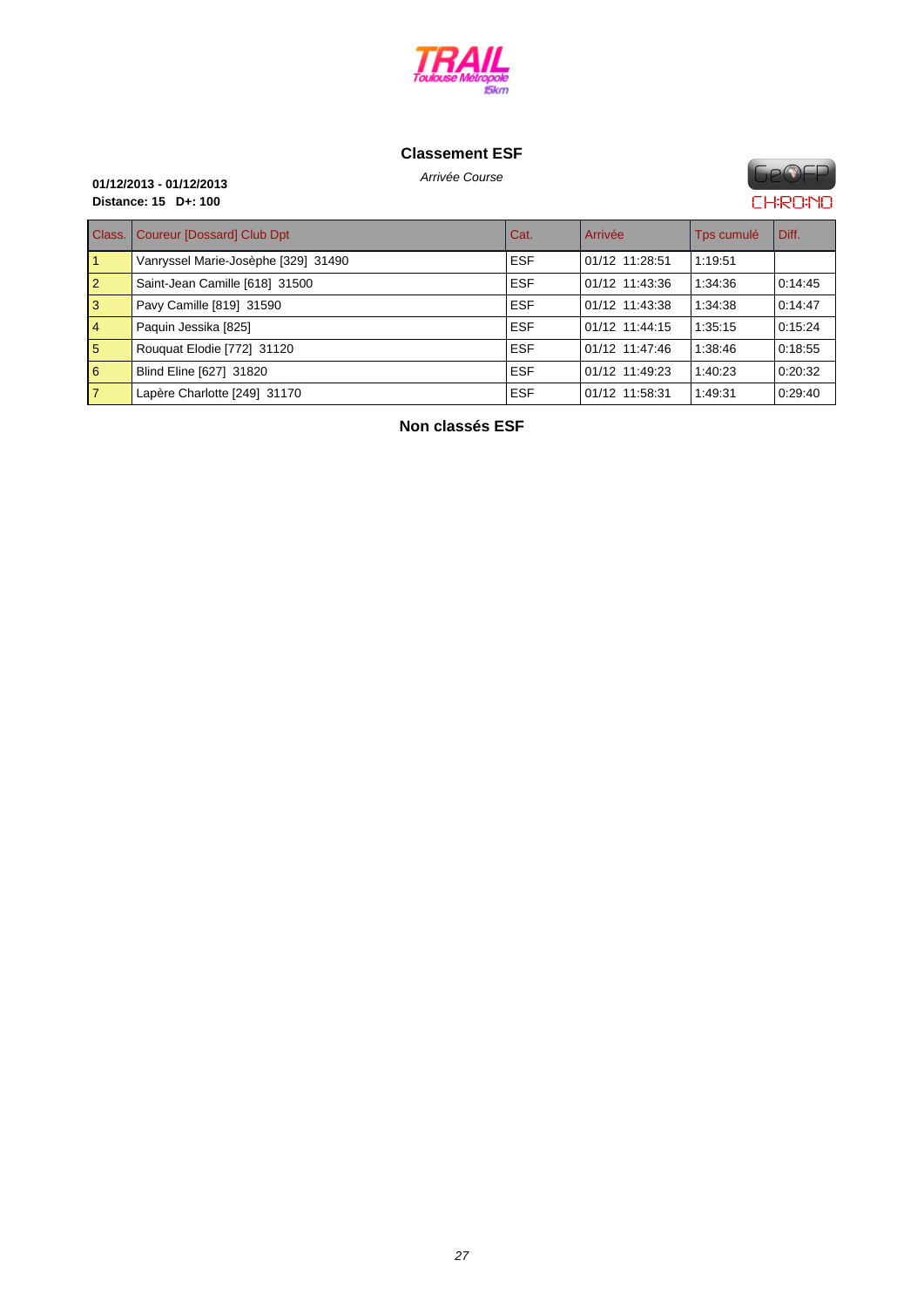

## **C[lassement ES](http://www.cosatrail.fr/crbst_25.html)F**

**FIP®FP CHRONO** 

# Arrivée Course **01/12/2013 - 01/12/2013 Distance: 15 D+: 100**

| Class.      | Coureur [Dossard] Club Dpt          | Cat.       | Arrivée        | Tps cumulé | Diff.   |
|-------------|-------------------------------------|------------|----------------|------------|---------|
|             | Vanryssel Marie-Josèphe [329] 31490 | <b>ESF</b> | 01/12 11:28:51 | 1:19:51    |         |
| $ 2\rangle$ | Saint-Jean Camille [618] 31500      | <b>ESF</b> | 01/12 11:43:36 | 1:34:36    | 0:14:45 |
| <b>3</b>    | Pavy Camille [819] 31590            | <b>ESF</b> | 01/12 11:43:38 | 1:34:38    | 0.14:47 |
| $\vert 4$   | Paquin Jessika [825]                | <b>ESF</b> | 01/12 11:44:15 | 1:35:15    | 0:15:24 |
| 5           | Rouquat Elodie [772] 31120          | <b>ESF</b> | 01/12 11:47:46 | 1:38:46    | 0:18:55 |
| 6           | Blind Eline [627] 31820             | <b>ESF</b> | 01/12 11:49:23 | 1:40:23    | 0:20:32 |
| 17          | Lapère Charlotte [249] 31170        | <b>ESF</b> | 01/12 11:58:31 | 1:49:31    | 0:29:40 |

**Non classés ESF**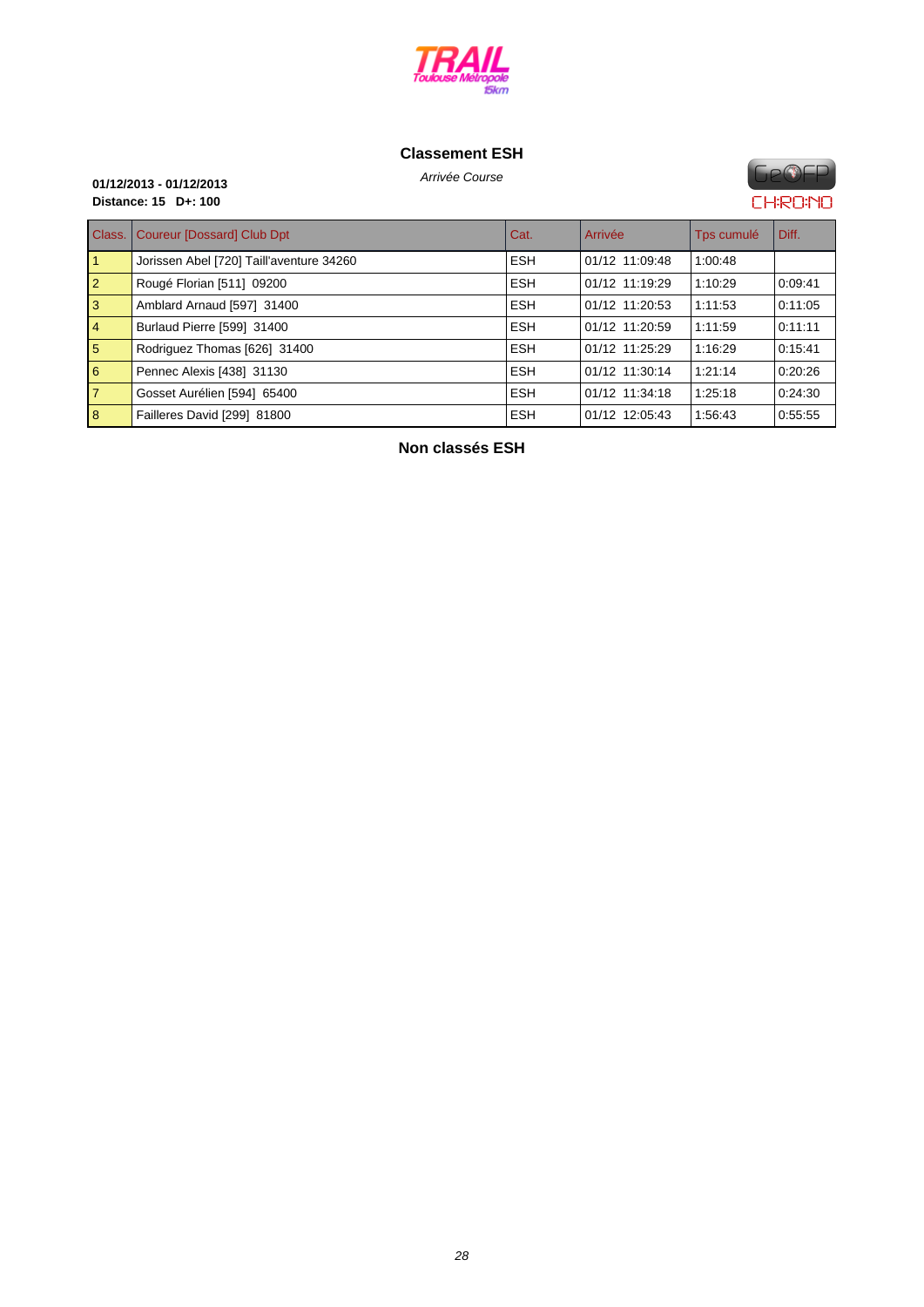

## **C[lassement ES](http://www.cosatrail.fr/crbst_25.html)H**

**GeOFP CHRONO** 

# Arrivée Course **01/12/2013 - 01/12/2013 Distance: 15 D+: 100**

| Class.         | <b>Coureur [Dossard] Club Dpt</b>        | Cat.       | Arrivée        | Tps cumulé | l Diff. |
|----------------|------------------------------------------|------------|----------------|------------|---------|
|                | Jorissen Abel [720] Taill'aventure 34260 | <b>ESH</b> | 01/12 11:09:48 | 1:00:48    |         |
| $\overline{2}$ | Rougé Florian [511] 09200                | <b>ESH</b> | 01/12 11:19:29 | 1:10:29    | 0:09:41 |
| 3              | Amblard Arnaud [597] 31400               | <b>ESH</b> | 01/12 11:20:53 | 1:11:53    | 0:11:05 |
| $\overline{4}$ | Burlaud Pierre [599] 31400               | <b>ESH</b> | 01/12 11:20:59 | 1:11:59    | 0:11:11 |
| 5              | Rodriguez Thomas [626] 31400             | <b>ESH</b> | 01/12 11:25:29 | 1:16:29    | 0:15:41 |
| 6              | Pennec Alexis [438] 31130                | <b>ESH</b> | 01/12 11:30:14 | 1:21:14    | 0:20:26 |
| $\overline{7}$ | Gosset Aurélien [594] 65400              | <b>ESH</b> | 01/12 11:34:18 | 1:25:18    | 0:24:30 |
| 8              | Failleres David [299] 81800              | <b>ESH</b> | 01/12 12:05:43 | 1:56:43    | 0.55.55 |

**Non classés ESH**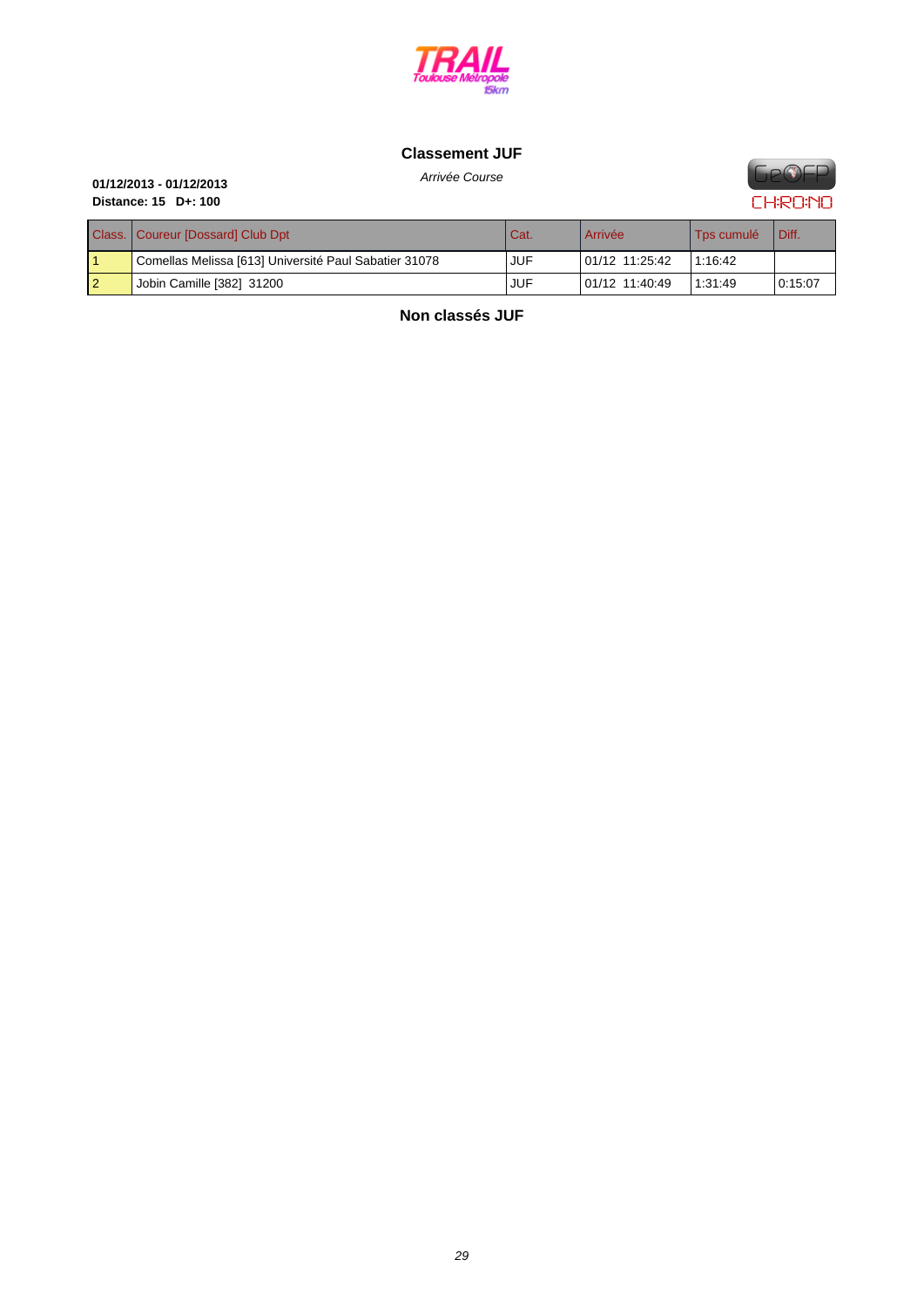

## **C[lassement JU](http://www.cosatrail.fr/crbst_25.html)F**



# Arrivée Course **01/12/2013 - 01/12/2013 Distance: 15 D+: 100**

| Class.   Coureur [Dossard] Club Dpt                   | Cat.       | Arrivée        | Tps cumulé | Diff.   |
|-------------------------------------------------------|------------|----------------|------------|---------|
| Comellas Melissa [613] Université Paul Sabatier 31078 | <b>JUF</b> | 01/12 11:25:42 | 1:16:42    |         |
| Jobin Camille [382] 31200                             | JUF        | 01/12 11:40:49 | 1:31:49    | 0:15:07 |

**Non classés JUF**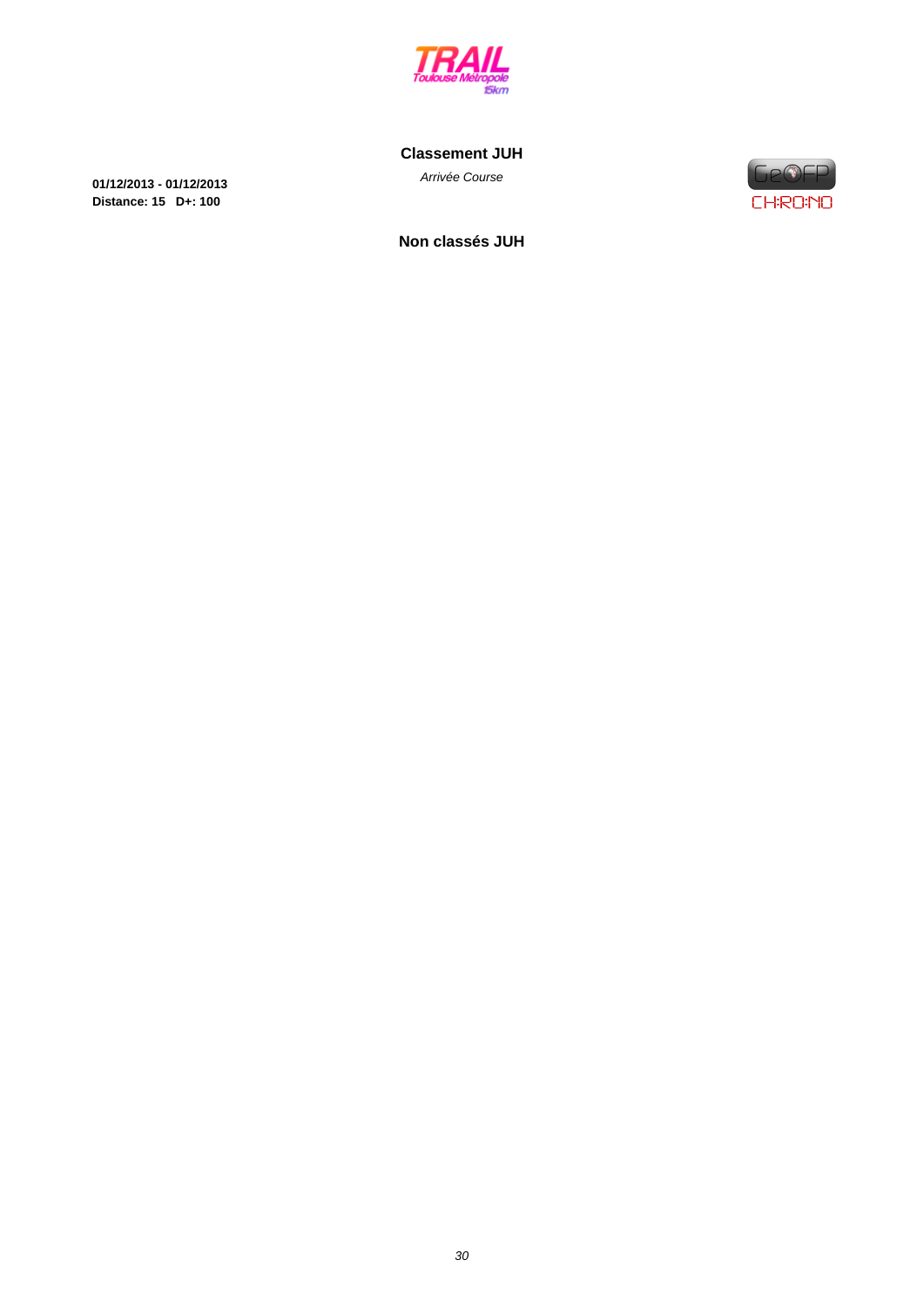

**C[lassement JU](http://www.cosatrail.fr/crbst_25.html)H**

Arrivée Course **01/12/2013 - 01/12/2013 Distance: 15 D+: 100**



**Non classés JUH**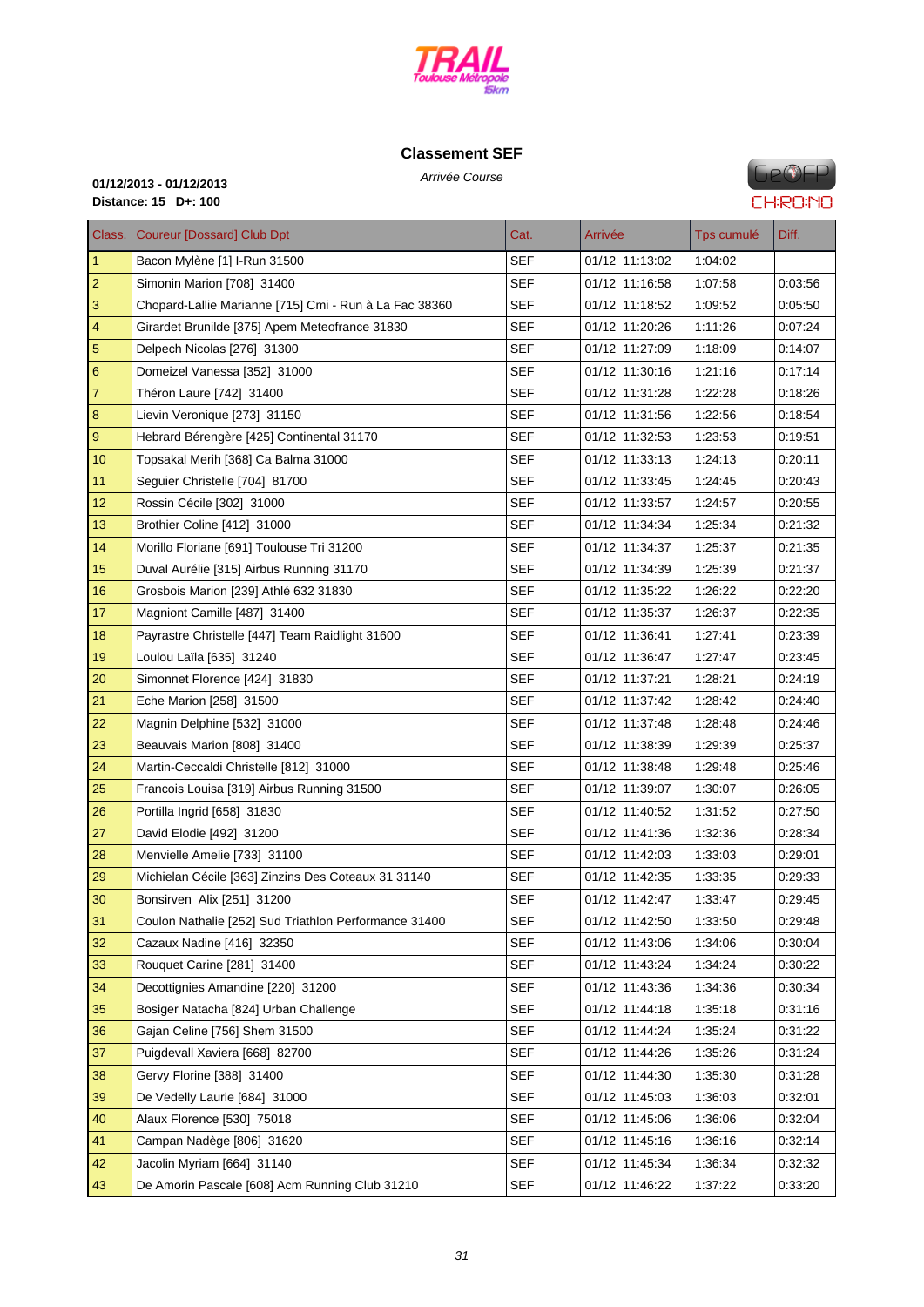

# **C[lassement SE](http://www.cosatrail.fr/crbst_25.html)F**

**GeOFP CHRONO** 

# Arrivée Course **01/12/2013 - 01/12/2013 Distance: 15 D+: 100**

| Class.                  | Coureur [Dossard] Club Dpt                             | Cat.       | Arrivée        | Tps cumulé | Diff.   |
|-------------------------|--------------------------------------------------------|------------|----------------|------------|---------|
| $\mathbf{1}$            | Bacon Mylène [1] I-Run 31500                           | <b>SEF</b> | 01/12 11:13:02 | 1:04:02    |         |
| $\overline{2}$          | Simonin Marion [708] 31400                             | SEF        | 01/12 11:16:58 | 1:07:58    | 0:03:56 |
| 3                       | Chopard-Lallie Marianne [715] Cmi - Run à La Fac 38360 | SEF        | 01/12 11:18:52 | 1:09:52    | 0:05:50 |
| $\overline{\mathbf{4}}$ | Girardet Brunilde [375] Apem Meteofrance 31830         | <b>SEF</b> | 01/12 11:20:26 | 1:11:26    | 0.07:24 |
| $\overline{5}$          | Delpech Nicolas [276] 31300                            | <b>SEF</b> | 01/12 11:27:09 | 1:18:09    | 0:14:07 |
| $6\phantom{1}6$         | Domeizel Vanessa [352] 31000                           | SEF        | 01/12 11:30:16 | 1:21:16    | 0.17:14 |
| $\overline{7}$          | Théron Laure [742] 31400                               | <b>SEF</b> | 01/12 11:31:28 | 1:22:28    | 0:18:26 |
| 8                       | Lievin Veronique [273] 31150                           | SEF        | 01/12 11:31:56 | 1:22:56    | 0.18.54 |
| $\boldsymbol{9}$        | Hebrard Bérengère [425] Continental 31170              | <b>SEF</b> | 01/12 11:32:53 | 1:23:53    | 0:19:51 |
| 10                      | Topsakal Merih [368] Ca Balma 31000                    | SEF        | 01/12 11:33:13 | 1:24:13    | 0:20:11 |
| 11                      | Seguier Christelle [704] 81700                         | <b>SEF</b> | 01/12 11:33:45 | 1:24:45    | 0:20:43 |
| 12                      | Rossin Cécile [302] 31000                              | <b>SEF</b> | 01/12 11:33:57 | 1:24:57    | 0:20:55 |
| 13                      | Brothier Coline [412] 31000                            | SEF        | 01/12 11:34:34 | 1:25:34    | 0:21:32 |
| 14                      | Morillo Floriane [691] Toulouse Tri 31200              | <b>SEF</b> | 01/12 11:34:37 | 1:25:37    | 0.21:35 |
| 15                      | Duval Aurélie [315] Airbus Running 31170               | <b>SEF</b> | 01/12 11:34:39 | 1:25:39    | 0:21:37 |
| 16                      | Grosbois Marion [239] Athlé 632 31830                  | <b>SEF</b> | 01/12 11:35:22 | 1:26:22    | 0:22:20 |
| 17                      | Magniont Camille [487] 31400                           | SEF        | 01/12 11:35:37 | 1:26:37    | 0:22:35 |
| 18                      | Payrastre Christelle [447] Team Raidlight 31600        | <b>SEF</b> | 01/12 11:36:41 | 1:27:41    | 0.23:39 |
| 19                      | Loulou Laïla [635] 31240                               | SEF        | 01/12 11:36:47 | 1:27:47    | 0:23:45 |
| 20                      | Simonnet Florence [424] 31830                          | <b>SEF</b> | 01/12 11:37:21 | 1:28:21    | 0.24:19 |
| 21                      | Eche Marion [258] 31500                                | SEF        | 01/12 11:37:42 | 1:28:42    | 0:24:40 |
| 22                      | Magnin Delphine [532] 31000                            | <b>SEF</b> | 01/12 11:37:48 | 1:28:48    | 0:24:46 |
| 23                      | Beauvais Marion [808] 31400                            | <b>SEF</b> | 01/12 11:38:39 | 1:29:39    | 0.25:37 |
| 24                      | Martin-Ceccaldi Christelle [812] 31000                 | SEF        | 01/12 11:38:48 | 1:29:48    | 0.25.46 |
| 25                      | Francois Louisa [319] Airbus Running 31500             | <b>SEF</b> | 01/12 11:39:07 | 1:30:07    | 0:26:05 |
| 26                      | Portilla Ingrid [658] 31830                            | SEF        | 01/12 11:40:52 | 1:31:52    | 0:27:50 |
| 27                      | David Elodie [492] 31200                               | <b>SEF</b> | 01/12 11:41:36 | 1:32:36    | 0:28:34 |
| 28                      | Menvielle Amelie [733] 31100                           | SEF        | 01/12 11:42:03 | 1:33:03    | 0.29.01 |
| 29                      | Michielan Cécile [363] Zinzins Des Coteaux 31 31140    | SEF        | 01/12 11:42:35 | 1:33:35    | 0:29:33 |
| 30                      | Bonsirven Alix [251] 31200                             | SEF        | 01/12 11:42:47 | 1:33:47    | 0:29:45 |
| 31                      | Coulon Nathalie [252] Sud Triathlon Performance 31400  | <b>SEF</b> | 01/12 11:42:50 | 1:33:50    | 0:29:48 |
| 32                      | Cazaux Nadine [416] 32350                              | <b>SEF</b> | 01/12 11:43:06 | 1:34:06    | 0:30:04 |
| 33                      | Rouquet Carine [281] 31400                             | <b>SEF</b> | 01/12 11:43:24 | 1:34:24    | 0.30.22 |
| 34                      | Decottignies Amandine [220] 31200                      | <b>SEF</b> | 01/12 11:43:36 | 1:34:36    | 0:30:34 |
| 35                      | Bosiger Natacha [824] Urban Challenge                  | <b>SEF</b> | 01/12 11:44:18 | 1:35:18    | 0.31:16 |
| 36                      | Gajan Celine [756] Shem 31500                          | <b>SEF</b> | 01/12 11:44:24 | 1:35:24    | 0.31.22 |
| 37                      | Puigdevall Xaviera [668] 82700                         | <b>SEF</b> | 01/12 11:44:26 | 1:35:26    | 0:31:24 |
| 38                      | Gervy Florine [388] 31400                              | <b>SEF</b> | 01/12 11:44:30 | 1:35:30    | 0:31:28 |
| 39                      | De Vedelly Laurie [684] 31000                          | <b>SEF</b> | 01/12 11:45:03 | 1:36:03    | 0.32:01 |
| 40                      | Alaux Florence [530] 75018                             | <b>SEF</b> | 01/12 11:45:06 | 1:36:06    | 0:32:04 |
| 41                      | Campan Nadège [806] 31620                              | <b>SEF</b> | 01/12 11:45:16 | 1:36:16    | 0:32:14 |
| 42                      | Jacolin Myriam [664] 31140                             | <b>SEF</b> | 01/12 11:45:34 | 1:36:34    | 0:32:32 |
| 43                      | De Amorin Pascale [608] Acm Running Club 31210         | <b>SEF</b> | 01/12 11:46:22 | 1:37:22    | 0.33.20 |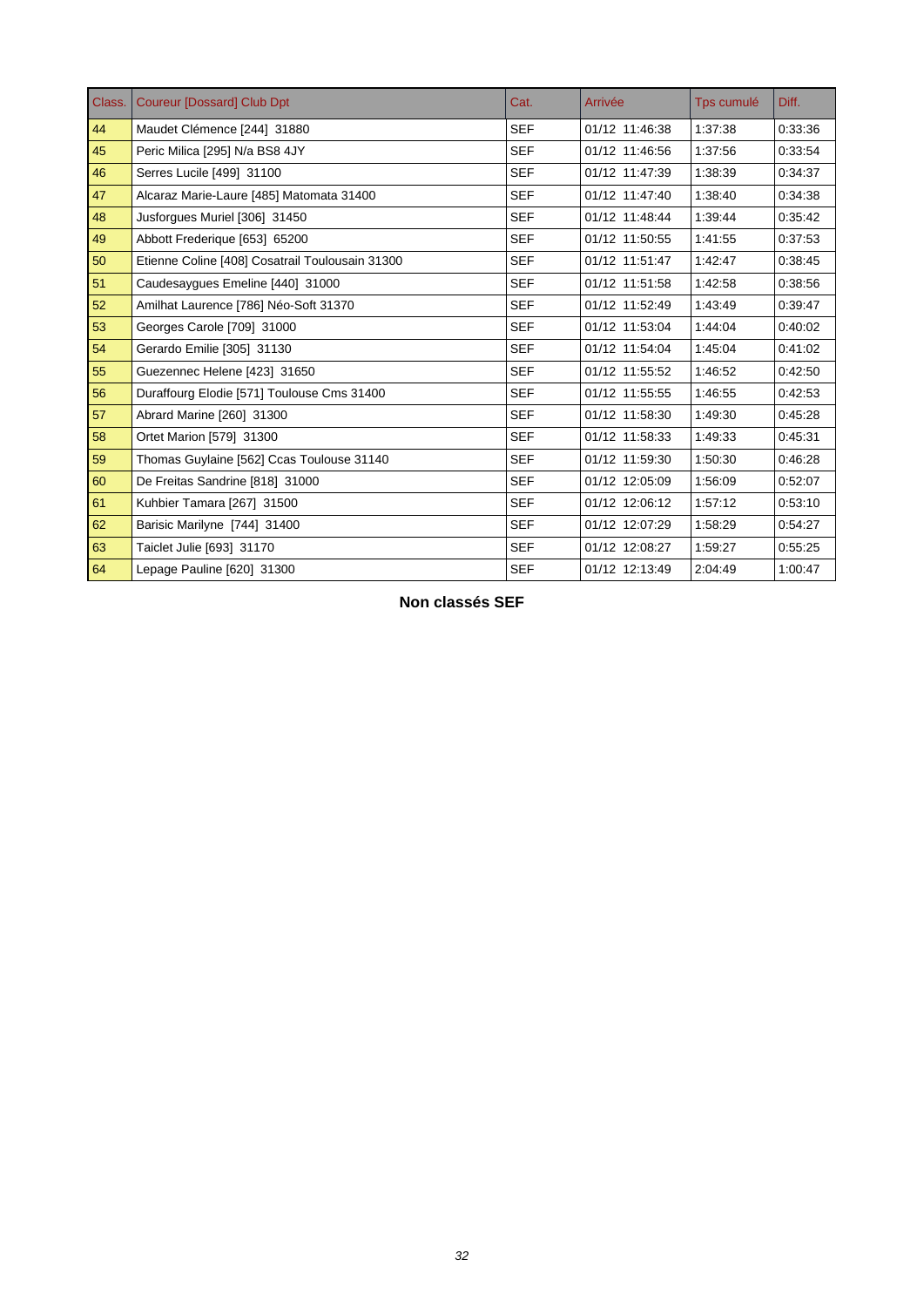| Class. | <b>Coureur [Dossard] Club Dpt</b>               | Cat.       | Arrivée        | Tps cumulé | Diff.   |
|--------|-------------------------------------------------|------------|----------------|------------|---------|
| 44     | Maudet Clémence [244] 31880                     | <b>SEF</b> | 01/12 11:46:38 | 1:37:38    | 0:33:36 |
| 45     | Peric Milica [295] N/a BS8 4JY                  | <b>SEF</b> | 01/12 11:46:56 | 1:37:56    | 0:33:54 |
| 46     | Serres Lucile [499] 31100                       | <b>SEF</b> | 01/12 11:47:39 | 1:38:39    | 0:34:37 |
| 47     | Alcaraz Marie-Laure [485] Matomata 31400        | <b>SEF</b> | 01/12 11:47:40 | 1:38:40    | 0:34:38 |
| 48     | Jusforques Muriel [306] 31450                   | <b>SEF</b> | 01/12 11:48:44 | 1:39:44    | 0:35:42 |
| 49     | Abbott Frederique [653] 65200                   | <b>SEF</b> | 01/12 11:50:55 | 1:41:55    | 0:37:53 |
| 50     | Etienne Coline [408] Cosatrail Toulousain 31300 | <b>SEF</b> | 01/12 11:51:47 | 1:42:47    | 0:38:45 |
| 51     | Caudesaygues Emeline [440] 31000                | <b>SEF</b> | 01/12 11:51:58 | 1:42:58    | 0:38:56 |
| 52     | Amilhat Laurence [786] Néo-Soft 31370           | <b>SEF</b> | 01/12 11:52:49 | 1:43:49    | 0:39:47 |
| 53     | Georges Carole [709] 31000                      | <b>SEF</b> | 01/12 11:53:04 | 1:44:04    | 0:40:02 |
| 54     | Gerardo Emilie [305] 31130                      | <b>SEF</b> | 01/12 11:54:04 | 1:45:04    | 0:41:02 |
| 55     | Guezennec Helene [423] 31650                    | <b>SEF</b> | 01/12 11:55:52 | 1:46:52    | 0:42:50 |
| 56     | Duraffourg Elodie [571] Toulouse Cms 31400      | <b>SEF</b> | 01/12 11:55:55 | 1:46:55    | 0:42:53 |
| 57     | Abrard Marine [260] 31300                       | <b>SEF</b> | 01/12 11:58:30 | 1:49:30    | 0:45:28 |
| 58     | Ortet Marion [579] 31300                        | <b>SEF</b> | 01/12 11:58:33 | 1:49:33    | 0:45:31 |
| 59     | Thomas Guylaine [562] Ccas Toulouse 31140       | <b>SEF</b> | 01/12 11:59:30 | 1:50:30    | 0:46:28 |
| 60     | De Freitas Sandrine [818] 31000                 | <b>SEF</b> | 01/12 12:05:09 | 1:56:09    | 0:52:07 |
| 61     | Kuhbier Tamara [267] 31500                      | <b>SEF</b> | 01/12 12:06:12 | 1:57:12    | 0:53:10 |
| 62     | Barisic Marilyne [744] 31400                    | <b>SEF</b> | 01/12 12:07:29 | 1:58:29    | 0:54:27 |
| 63     | Taiclet Julie [693] 31170                       | <b>SEF</b> | 01/12 12:08:27 | 1:59:27    | 0:55:25 |
| 64     | Lepage Pauline [620] 31300                      | <b>SEF</b> | 01/12 12:13:49 | 2:04:49    | 1:00:47 |

**Non classés SEF**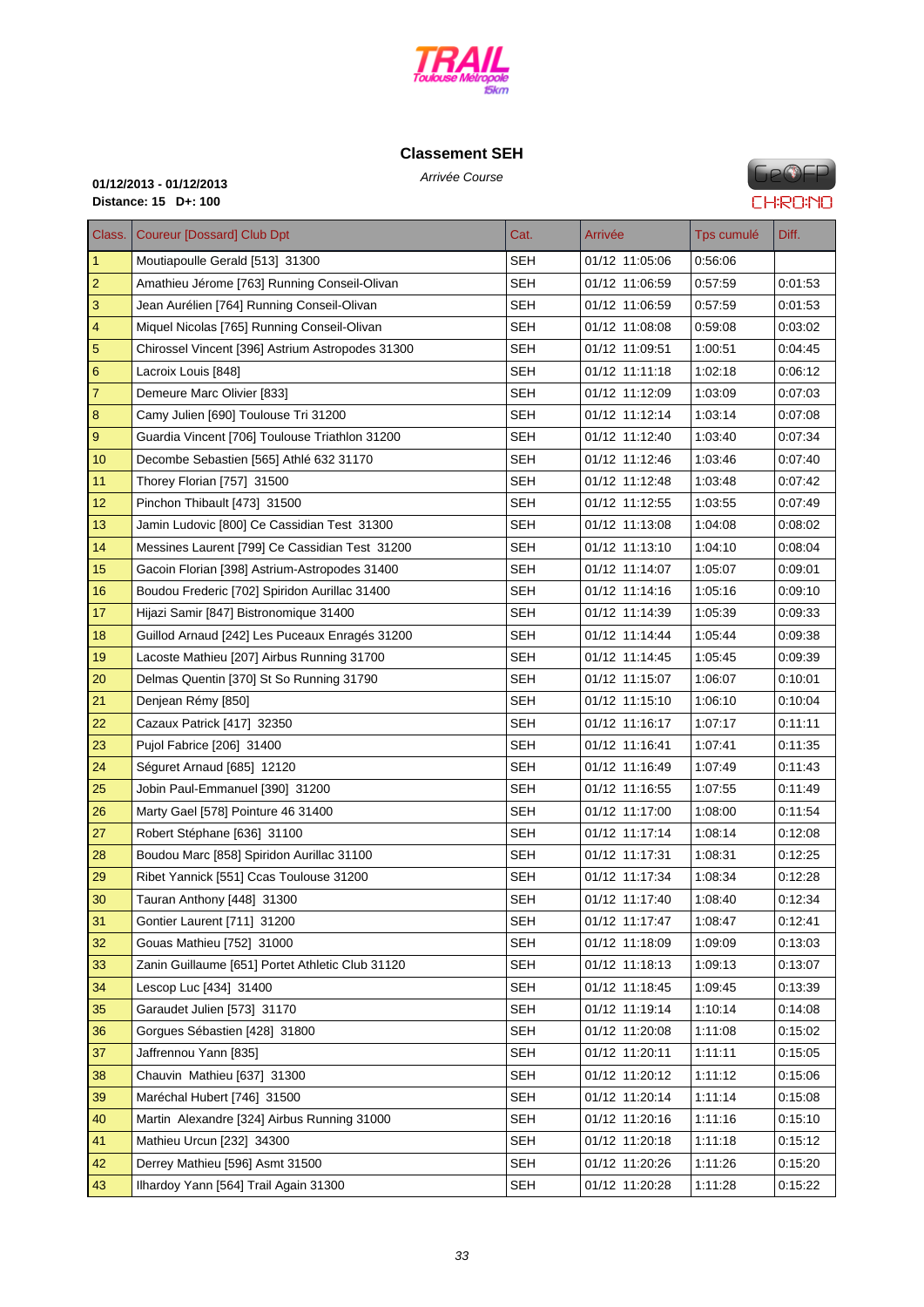

# **C[lassement SE](http://www.cosatrail.fr/crbst_25.html)H**

**GeOFP CHRONO** 

# Arrivée Course **01/12/2013 - 01/12/2013 Distance: 15 D+: 100**

| Class.                  | <b>Coureur [Dossard] Club Dpt</b>                | Cat.       | Arrivée        | Tps cumulé | Diff.   |
|-------------------------|--------------------------------------------------|------------|----------------|------------|---------|
| 1                       | Moutiapoulle Gerald [513] 31300                  | <b>SEH</b> | 01/12 11:05:06 | 0:56:06    |         |
| $\overline{c}$          | Amathieu Jérome [763] Running Conseil-Olivan     | SEH        | 01/12 11:06:59 | 0:57:59    | 0:01:53 |
| 3                       | Jean Aurélien [764] Running Conseil-Olivan       | <b>SEH</b> | 01/12 11:06:59 | 0:57:59    | 0:01:53 |
| $\overline{\mathbf{4}}$ | Miquel Nicolas [765] Running Conseil-Olivan      | SEH        | 01/12 11:08:08 | 0:59:08    | 0:03:02 |
| $\overline{5}$          | Chirossel Vincent [396] Astrium Astropodes 31300 | SEH        | 01/12 11:09:51 | 1:00:51    | 0:04:45 |
| 6                       | Lacroix Louis [848]                              | <b>SEH</b> | 01/12 11:11:18 | 1:02:18    | 0:06:12 |
| $\overline{7}$          | Demeure Marc Olivier [833]                       | <b>SEH</b> | 01/12 11:12:09 | 1:03:09    | 0:07:03 |
| 8                       | Camy Julien [690] Toulouse Tri 31200             | <b>SEH</b> | 01/12 11:12:14 | 1:03:14    | 0.07:08 |
| 9                       | Guardia Vincent [706] Toulouse Triathlon 31200   | <b>SEH</b> | 01/12 11:12:40 | 1:03:40    | 0:07:34 |
| 10                      | Decombe Sebastien [565] Athlé 632 31170          | <b>SEH</b> | 01/12 11:12:46 | 1:03:46    | 0:07:40 |
| 11                      | Thorey Florian [757] 31500                       | SEH        | 01/12 11:12:48 | 1:03:48    | 0:07:42 |
| 12                      | Pinchon Thibault [473] 31500                     | <b>SEH</b> | 01/12 11:12:55 | 1:03:55    | 0:07:49 |
| 13                      | Jamin Ludovic [800] Ce Cassidian Test 31300      | SEH        | 01/12 11:13:08 | 1:04:08    | 0:08:02 |
| 14                      | Messines Laurent [799] Ce Cassidian Test 31200   | SEH        | 01/12 11:13:10 | 1:04:10    | 0.08:04 |
| 15                      | Gacoin Florian [398] Astrium-Astropodes 31400    | <b>SEH</b> | 01/12 11:14:07 | 1:05:07    | 0:09:01 |
| 16                      | Boudou Frederic [702] Spiridon Aurillac 31400    | SEH        | 01/12 11:14:16 | 1:05:16    | 0:09:10 |
| 17                      | Hijazi Samir [847] Bistronomique 31400           | <b>SEH</b> | 01/12 11:14:39 | 1:05:39    | 0.09.33 |
| 18                      | Guillod Arnaud [242] Les Puceaux Enragés 31200   | <b>SEH</b> | 01/12 11:14:44 | 1:05:44    | 0:09:38 |
| 19                      | Lacoste Mathieu [207] Airbus Running 31700       | SEH        | 01/12 11:14:45 | 1:05:45    | 0.09.39 |
| 20                      | Delmas Quentin [370] St So Running 31790         | SEH        | 01/12 11:15:07 | 1:06:07    | 0:10:01 |
| 21                      | Denjean Rémy [850]                               | <b>SEH</b> | 01/12 11:15:10 | 1:06:10    | 0.10:04 |
| 22                      | Cazaux Patrick [417] 32350                       | SEH        | 01/12 11:16:17 | 1:07:17    | 0:11:11 |
| 23                      | Pujol Fabrice [206] 31400                        | <b>SEH</b> | 01/12 11:16:41 | 1:07:41    | 0:11:35 |
| 24                      | Séguret Arnaud [685] 12120                       | <b>SEH</b> | 01/12 11:16:49 | 1:07:49    | 0.11.43 |
| 25                      | Jobin Paul-Emmanuel [390] 31200                  | SEH        | 01/12 11:16:55 | 1:07:55    | 0.11.49 |
| 26                      | Marty Gael [578] Pointure 46 31400               | <b>SEH</b> | 01/12 11:17:00 | 1:08:00    | 0.11.54 |
| 27                      | Robert Stéphane [636] 31100                      | SEH        | 01/12 11:17:14 | 1:08:14    | 0:12:08 |
| 28                      | Boudou Marc [858] Spiridon Aurillac 31100        | <b>SEH</b> | 01/12 11:17:31 | 1:08:31    | 0.12:25 |
| 29                      | Ribet Yannick [551] Ccas Toulouse 31200          | <b>SEH</b> | 01/12 11:17:34 | 1:08:34    | 0:12:28 |
| 30                      | Tauran Anthony [448] 31300                       | <b>SEH</b> | 01/12 11:17:40 | 1:08:40    | 0.12:34 |
| 31                      | Gontier Laurent [711] 31200                      | <b>SEH</b> | 01/12 11:17:47 | 1:08:47    | 0:12:41 |
| 32                      | Gouas Mathieu [752] 31000                        | <b>SEH</b> | 01/12 11:18:09 | 1:09:09    | 0.13.03 |
| 33                      | Zanin Guillaume [651] Portet Athletic Club 31120 | <b>SEH</b> | 01/12 11:18:13 | 1:09:13    | 0.13.07 |
| 34                      | Lescop Luc [434] 31400                           | <b>SEH</b> | 01/12 11:18:45 | 1:09:45    | 0:13:39 |
| 35                      | Garaudet Julien [573] 31170                      | <b>SEH</b> | 01/12 11:19:14 | 1:10:14    | 0:14:08 |
| 36                      | Gorgues Sébastien [428] 31800                    | <b>SEH</b> | 01/12 11:20:08 | 1:11:08    | 0:15:02 |
| 37                      | Jaffrennou Yann [835]                            | <b>SEH</b> | 01/12 11:20:11 | 1:11:11    | 0.15:05 |
| 38                      | Chauvin Mathieu [637] 31300                      | <b>SEH</b> | 01/12 11:20:12 | 1:11:12    | 0:15:06 |
| 39                      | Maréchal Hubert [746] 31500                      | <b>SEH</b> | 01/12 11:20:14 | 1:11:14    | 0:15:08 |
| 40                      | Martin Alexandre [324] Airbus Running 31000      | <b>SEH</b> | 01/12 11:20:16 | 1:11:16    | 0:15:10 |
| 41                      | Mathieu Urcun [232] 34300                        | <b>SEH</b> | 01/12 11:20:18 | 1:11:18    | 0:15:12 |
| 42                      | Derrey Mathieu [596] Asmt 31500                  | <b>SEH</b> | 01/12 11:20:26 | 1:11:26    | 0:15:20 |
| 43                      | Ilhardoy Yann [564] Trail Again 31300            | <b>SEH</b> | 01/12 11:20:28 | 1:11:28    | 0.15.22 |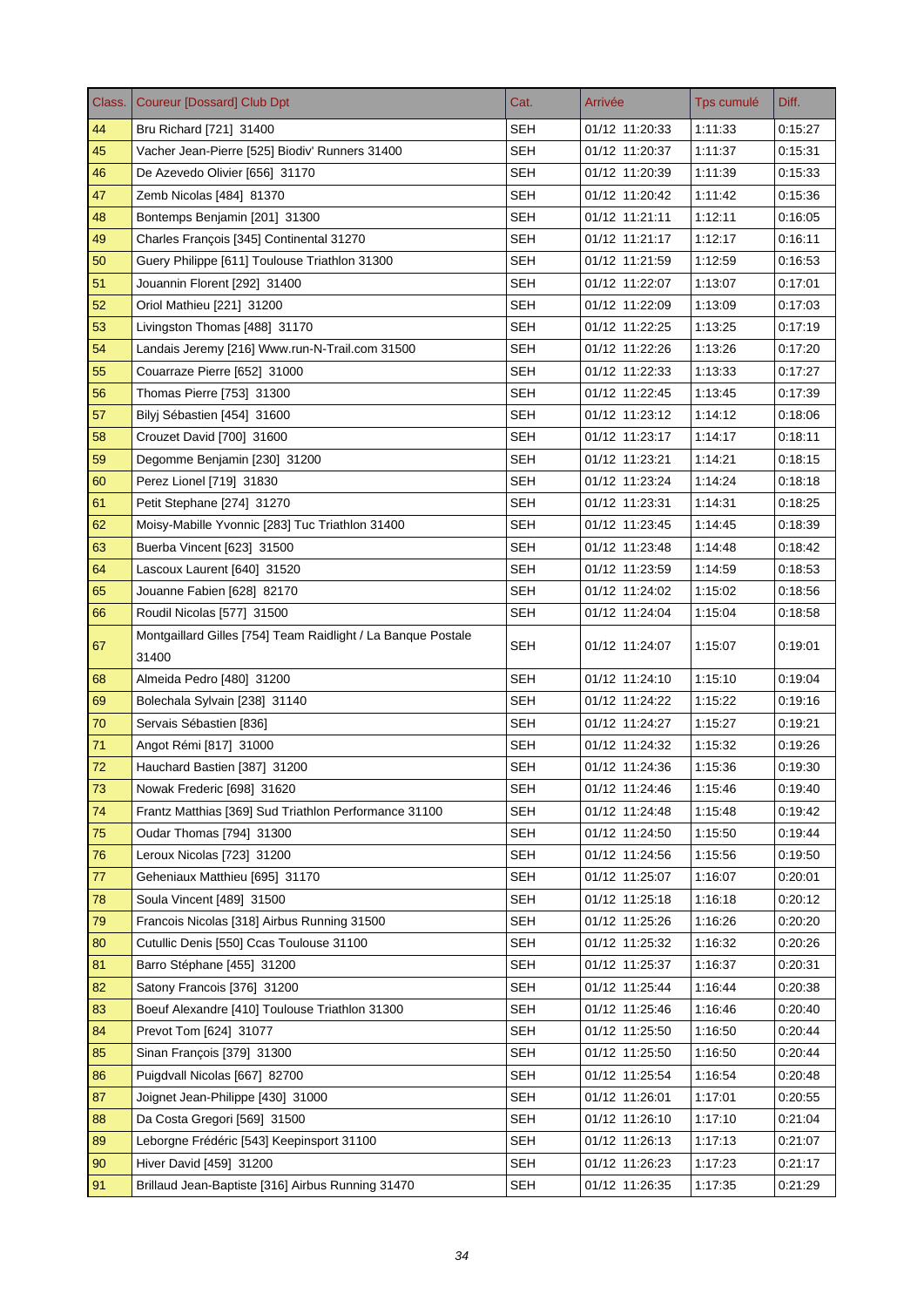| Class. | <b>Coureur [Dossard] Club Dpt</b>                            | Cat.       | Arrivée        | Tps cumulé | Diff.   |
|--------|--------------------------------------------------------------|------------|----------------|------------|---------|
| 44     | Bru Richard [721] 31400                                      | <b>SEH</b> | 01/12 11:20:33 | 1:11:33    | 0.15.27 |
| 45     | Vacher Jean-Pierre [525] Biodiv' Runners 31400               | <b>SEH</b> | 01/12 11:20:37 | 1:11:37    | 0:15:31 |
| 46     | De Azevedo Olivier [656] 31170                               | <b>SEH</b> | 01/12 11:20:39 | 1:11:39    | 0.15.33 |
| 47     | Zemb Nicolas [484] 81370                                     | <b>SEH</b> | 01/12 11:20:42 | 1:11:42    | 0.15.36 |
| 48     | Bontemps Benjamin [201] 31300                                | <b>SEH</b> | 01/12 11:21:11 | 1:12:11    | 0.16:05 |
| 49     | Charles François [345] Continental 31270                     | <b>SEH</b> | 01/12 11:21:17 | 1:12:17    | 0.16.11 |
| 50     | Guery Philippe [611] Toulouse Triathlon 31300                | <b>SEH</b> | 01/12 11:21:59 | 1:12:59    | 0:16:53 |
| 51     | Jouannin Florent [292] 31400                                 | <b>SEH</b> | 01/12 11:22:07 | 1:13:07    | 0:17:01 |
| 52     | Oriol Mathieu [221] 31200                                    | <b>SEH</b> | 01/12 11:22:09 | 1:13:09    | 0.17:03 |
| 53     | Livingston Thomas [488] 31170                                | <b>SEH</b> | 01/12 11:22:25 | 1:13:25    | 0.17.19 |
| 54     | Landais Jeremy [216] Www.run-N-Trail.com 31500               | <b>SEH</b> | 01/12 11:22:26 | 1:13:26    | 0:17:20 |
| 55     | Couarraze Pierre [652] 31000                                 | <b>SEH</b> | 01/12 11:22:33 | 1:13:33    | 0.17.27 |
| 56     | Thomas Pierre [753] 31300                                    | <b>SEH</b> | 01/12 11:22:45 | 1:13:45    | 0:17:39 |
| 57     | Bilyj Sébastien [454] 31600                                  | <b>SEH</b> | 01/12 11:23:12 | 1:14:12    | 0.18:06 |
| 58     | Crouzet David [700] 31600                                    | SEH        | 01/12 11:23:17 | 1:14:17    | 0.18.11 |
| 59     | Degomme Benjamin [230] 31200                                 | <b>SEH</b> | 01/12 11:23:21 | 1:14:21    | 0:18:15 |
| 60     | Perez Lionel [719] 31830                                     | <b>SEH</b> | 01/12 11:23:24 | 1:14:24    | 0.18.18 |
| 61     | Petit Stephane [274] 31270                                   | <b>SEH</b> | 01/12 11:23:31 | 1:14:31    | 0:18:25 |
| 62     | Moisy-Mabille Yvonnic [283] Tuc Triathlon 31400              | <b>SEH</b> | 01/12 11:23:45 | 1:14:45    | 0:18:39 |
| 63     | Buerba Vincent [623] 31500                                   | <b>SEH</b> | 01/12 11:23:48 | 1:14:48    | 0.18.42 |
| 64     | Lascoux Laurent [640] 31520                                  | <b>SEH</b> | 01/12 11:23:59 | 1:14:59    | 0.18.53 |
| 65     | Jouanne Fabien [628] 82170                                   | SEH        | 01/12 11:24:02 | 1:15:02    | 0:18:56 |
| 66     | Roudil Nicolas [577] 31500                                   | <b>SEH</b> | 01/12 11:24:04 | 1:15:04    | 0.18.58 |
| 67     | Montgaillard Gilles [754] Team Raidlight / La Banque Postale | <b>SEH</b> | 01/12 11:24:07 | 1:15:07    | 0:19:01 |
|        | 31400                                                        |            |                |            |         |
| 68     | Almeida Pedro [480] 31200                                    | <b>SEH</b> | 01/12 11:24:10 | 1:15:10    | 0.19:04 |
| 69     | Bolechala Sylvain [238] 31140                                | <b>SEH</b> | 01/12 11:24:22 | 1:15:22    | 0.19.16 |
| 70     | Servais Sébastien [836]                                      | <b>SEH</b> | 01/12 11:24:27 | 1:15:27    | 0:19:21 |
| 71     | Angot Rémi [817] 31000                                       | <b>SEH</b> | 01/12 11:24:32 | 1:15:32    | 0.19.26 |
| 72     | Hauchard Bastien [387] 31200                                 | <b>SEH</b> | 01/12 11:24:36 | 1:15:36    | 0:19:30 |
| 73     | Nowak Frederic [698] 31620                                   | SEH        | 01/12 11:24:46 | 1:15:46    | 0.19:40 |
| 74     | Frantz Matthias [369] Sud Triathlon Performance 31100        | <b>SEH</b> | 01/12 11:24:48 | 1:15:48    | 0.19.42 |
| 75     | Oudar Thomas [794] 31300                                     | <b>SEH</b> | 01/12 11:24:50 | 1:15:50    | 0:19:44 |
| 76     | Leroux Nicolas [723] 31200                                   | <b>SEH</b> | 01/12 11:24:56 | 1:15:56    | 0:19:50 |
| 77     | Geheniaux Matthieu [695] 31170                               | <b>SEH</b> | 01/12 11:25:07 | 1:16:07    | 0:20:01 |
| 78     | Soula Vincent [489] 31500                                    | <b>SEH</b> | 01/12 11:25:18 | 1:16:18    | 0:20:12 |
| 79     | Francois Nicolas [318] Airbus Running 31500                  | <b>SEH</b> | 01/12 11:25:26 | 1:16:26    | 0:20:20 |
| 80     | Cutullic Denis [550] Ccas Toulouse 31100                     | <b>SEH</b> | 01/12 11:25:32 | 1:16:32    | 0.20.26 |
| 81     | Barro Stéphane [455] 31200                                   | <b>SEH</b> | 01/12 11:25:37 | 1:16:37    | 0:20:31 |
| 82     | Satony Francois [376] 31200                                  | <b>SEH</b> | 01/12 11:25:44 | 1:16:44    | 0:20:38 |
| 83     | Boeuf Alexandre [410] Toulouse Triathlon 31300               | <b>SEH</b> | 01/12 11:25:46 | 1:16:46    | 0:20:40 |
| 84     | Prevot Tom [624] 31077                                       | <b>SEH</b> | 01/12 11:25:50 | 1:16:50    | 0.20.44 |
| 85     | Sinan François [379] 31300                                   | <b>SEH</b> | 01/12 11:25:50 | 1:16:50    | 0.20.44 |
| 86     | Puigdvall Nicolas [667] 82700                                | <b>SEH</b> | 01/12 11:25:54 | 1:16:54    | 0:20:48 |
| 87     | Joignet Jean-Philippe [430] 31000                            | <b>SEH</b> | 01/12 11:26:01 | 1:17:01    | 0:20:55 |
| 88     | Da Costa Gregori [569] 31500                                 | <b>SEH</b> | 01/12 11:26:10 | 1:17:10    | 0.21.04 |
| 89     | Leborgne Frédéric [543] Keepinsport 31100                    | <b>SEH</b> | 01/12 11:26:13 | 1:17:13    | 0:21:07 |
| 90     | Hiver David [459] 31200                                      | <b>SEH</b> | 01/12 11:26:23 | 1:17:23    | 0.21.17 |
| 91     | Brillaud Jean-Baptiste [316] Airbus Running 31470            | <b>SEH</b> | 01/12 11:26:35 | 1:17:35    | 0.21.29 |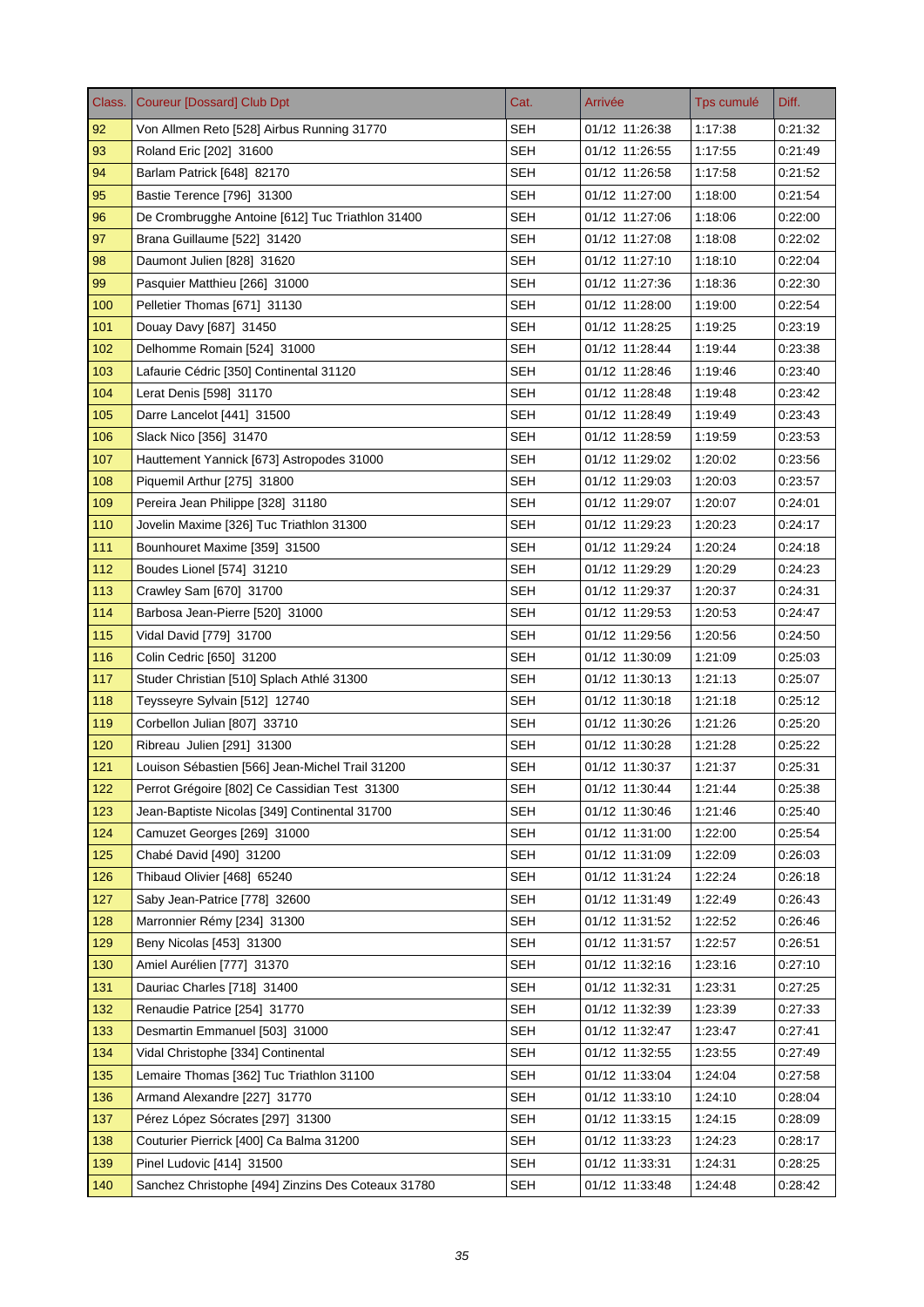| Class. | <b>Coureur [Dossard] Club Dpt</b>                  | Cat.       | Arrivée        | Tps cumulé | Diff.   |
|--------|----------------------------------------------------|------------|----------------|------------|---------|
| 92     | Von Allmen Reto [528] Airbus Running 31770         | <b>SEH</b> | 01/12 11:26:38 | 1:17:38    | 0:21:32 |
| 93     | Roland Eric [202] 31600                            | <b>SEH</b> | 01/12 11:26:55 | 1:17:55    | 0:21:49 |
| 94     | Barlam Patrick [648] 82170                         | <b>SEH</b> | 01/12 11:26:58 | 1:17:58    | 0.21.52 |
| 95     | Bastie Terence [796] 31300                         | SEH        | 01/12 11:27:00 | 1:18:00    | 0.21.54 |
| 96     | De Crombrugghe Antoine [612] Tuc Triathlon 31400   | <b>SEH</b> | 01/12 11:27:06 | 1:18:06    | 0:22:00 |
| 97     | Brana Guillaume [522] 31420                        | SEH        | 01/12 11:27:08 | 1:18:08    | 0:22:02 |
| 98     | Daumont Julien [828] 31620                         | <b>SEH</b> | 01/12 11:27:10 | 1:18:10    | 0:22:04 |
| 99     | Pasquier Matthieu [266] 31000                      | SEH        | 01/12 11:27:36 | 1:18:36    | 0.22:30 |
| 100    | Pelletier Thomas [671] 31130                       | <b>SEH</b> | 01/12 11:28:00 | 1:19:00    | 0.22.54 |
| 101    | Douay Davy [687] 31450                             | SEH        | 01/12 11:28:25 | 1:19:25    | 0.23.19 |
| 102    | Delhomme Romain [524] 31000                        | <b>SEH</b> | 01/12 11:28:44 | 1:19:44    | 0.23.38 |
| 103    | Lafaurie Cédric [350] Continental 31120            | <b>SEH</b> | 01/12 11:28:46 | 1:19:46    | 0.23.40 |
| 104    | Lerat Denis [598] 31170                            | <b>SEH</b> | 01/12 11:28:48 | 1:19:48    | 0:23:42 |
| 105    | Darre Lancelot [441] 31500                         | <b>SEH</b> | 01/12 11:28:49 | 1:19:49    | 0.23.43 |
| 106    | Slack Nico [356] 31470                             | SEH        | 01/12 11:28:59 | 1:19:59    | 0.23.53 |
| 107    | Hauttement Yannick [673] Astropodes 31000          | <b>SEH</b> | 01/12 11:29:02 | 1:20:02    | 0:23:56 |
| 108    | Piquemil Arthur [275] 31800                        | <b>SEH</b> | 01/12 11:29:03 | 1:20:03    | 0:23:57 |
| 109    | Pereira Jean Philippe [328] 31180                  | <b>SEH</b> | 01/12 11:29:07 | 1:20:07    | 0:24:01 |
| 110    | Jovelin Maxime [326] Tuc Triathlon 31300           | SEH        | 01/12 11:29:23 | 1:20:23    | 0.24.17 |
| 111    | Bounhouret Maxime [359] 31500                      | <b>SEH</b> | 01/12 11:29:24 | 1:20:24    | 0:24:18 |
| 112    | Boudes Lionel [574] 31210                          | <b>SEH</b> | 01/12 11:29:29 | 1:20:29    | 0:24:23 |
| 113    | Crawley Sam [670] 31700                            | <b>SEH</b> | 01/12 11:29:37 | 1:20:37    | 0:24:31 |
| 114    | Barbosa Jean-Pierre [520] 31000                    | <b>SEH</b> | 01/12 11:29:53 | 1:20:53    | 0:24:47 |
| 115    | Vidal David [779] 31700                            | <b>SEH</b> | 01/12 11:29:56 | 1:20:56    | 0:24:50 |
| 116    | Colin Cedric [650] 31200                           | SEH        | 01/12 11:30:09 | 1:21:09    | 0:25:03 |
| 117    | Studer Christian [510] Splach Athlé 31300          | SEH        | 01/12 11:30:13 | 1:21:13    | 0.25.07 |
| 118    | Teysseyre Sylvain [512] 12740                      | <b>SEH</b> | 01/12 11:30:18 | 1:21:18    | 0:25:12 |
| 119    | Corbellon Julian [807] 33710                       | <b>SEH</b> | 01/12 11:30:26 | 1:21:26    | 0.25:20 |
| 120    | Ribreau Julien [291] 31300                         | <b>SEH</b> | 01/12 11:30:28 | 1:21:28    | 0:25:22 |
| 121    | Louison Sébastien [566] Jean-Michel Trail 31200    | SEH        | 01/12 11:30:37 | 1:21:37    | 0:25:31 |
| 122    | Perrot Grégoire [802] Ce Cassidian Test 31300      | <b>SEH</b> | 01/12 11:30:44 | 1.21:44    | 0:25:38 |
| 123    | Jean-Baptiste Nicolas [349] Continental 31700      | <b>SEH</b> | 01/12 11:30:46 | 1.21:46    | 0.25.40 |
| 124    | Camuzet Georges [269] 31000                        | <b>SEH</b> | 01/12 11:31:00 | 1:22:00    | 0:25:54 |
| 125    | Chabé David [490] 31200                            | <b>SEH</b> | 01/12 11:31:09 | 1:22:09    | 0:26:03 |
| 126    | Thibaud Olivier [468] 65240                        | <b>SEH</b> | 01/12 11:31:24 | 1:22:24    | 0.26.18 |
| 127    | Saby Jean-Patrice [778] 32600                      | <b>SEH</b> | 01/12 11:31:49 | 1:22:49    | 0:26:43 |
| 128    | Marronnier Rémy [234] 31300                        | <b>SEH</b> | 01/12 11:31:52 | 1:22:52    | 0.26.46 |
| 129    | Beny Nicolas [453] 31300                           | <b>SEH</b> | 01/12 11:31:57 | 1:22:57    | 0:26:51 |
| 130    | Amiel Aurélien [777] 31370                         | <b>SEH</b> | 01/12 11:32:16 | 1:23:16    | 0.27.10 |
| 131    | Dauriac Charles [718] 31400                        | <b>SEH</b> | 01/12 11:32:31 | 1:23:31    | 0:27:25 |
| 132    | Renaudie Patrice [254] 31770                       | SEH        | 01/12 11:32:39 | 1:23:39    | 0:27:33 |
| 133    | Desmartin Emmanuel [503] 31000                     | <b>SEH</b> | 01/12 11:32:47 | 1.23.47    | 0.27.41 |
| 134    | Vidal Christophe [334] Continental                 | <b>SEH</b> | 01/12 11:32:55 | 1:23:55    | 0.27.49 |
| 135    | Lemaire Thomas [362] Tuc Triathlon 31100           | <b>SEH</b> | 01/12 11:33:04 | 1.24:04    | 0.27.58 |
| 136    | Armand Alexandre [227] 31770                       | <b>SEH</b> | 01/12 11:33:10 | 1:24:10    | 0:28:04 |
| 137    | Pérez López Sócrates [297] 31300                   | <b>SEH</b> | 01/12 11:33:15 | 1:24:15    | 0.28:09 |
| 138    | Couturier Pierrick [400] Ca Balma 31200            | <b>SEH</b> | 01/12 11:33:23 | 1:24:23    | 0:28:17 |
| 139    | Pinel Ludovic [414] 31500                          | <b>SEH</b> | 01/12 11:33:31 | 1:24:31    | 0:28:25 |
| 140    | Sanchez Christophe [494] Zinzins Des Coteaux 31780 | <b>SEH</b> | 01/12 11:33:48 | 1:24:48    | 0.28.42 |
|        |                                                    |            |                |            |         |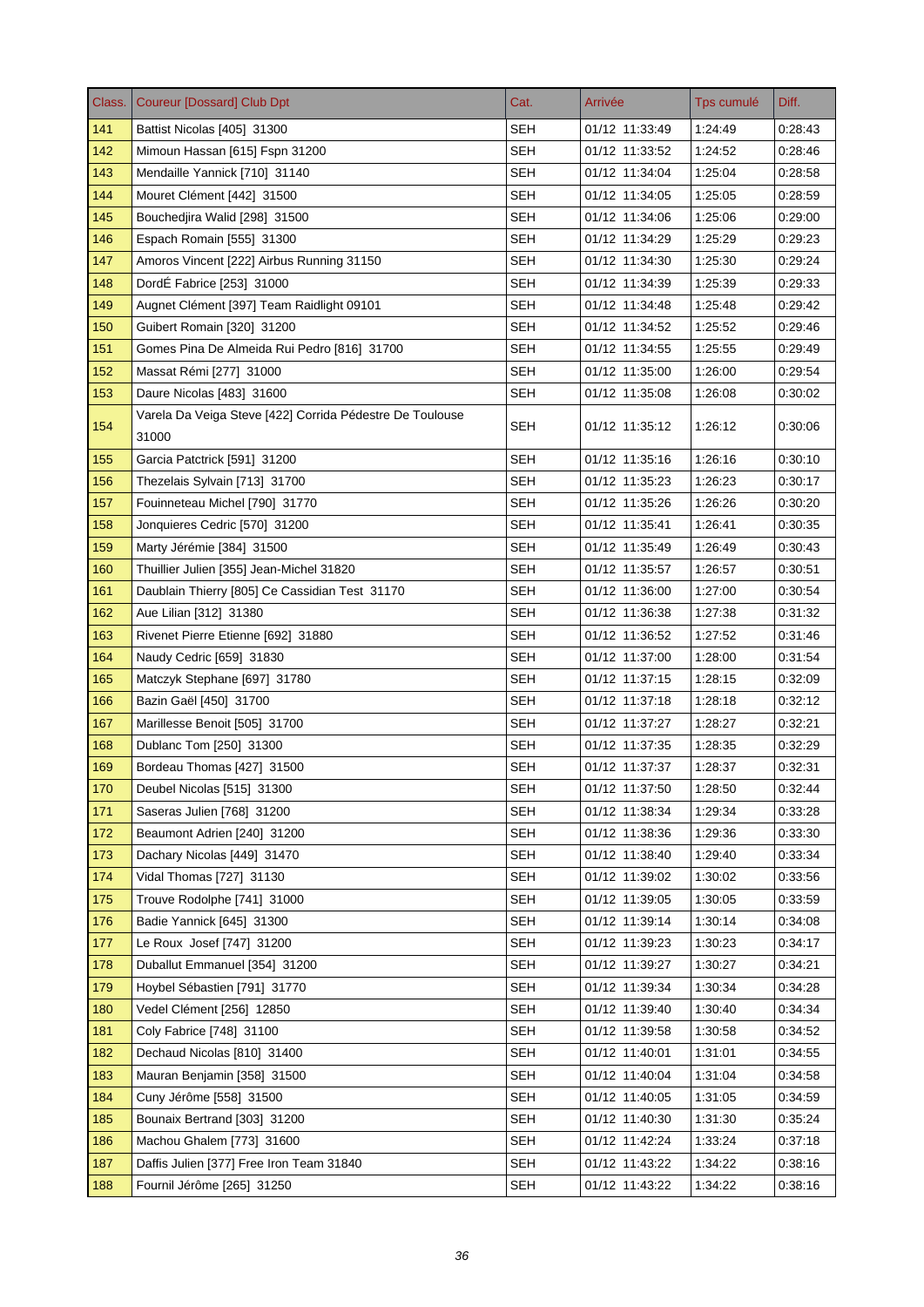| Class. | <b>Coureur [Dossard] Club Dpt</b>                                 | Cat.       | Arrivée        | Tps cumulé | Diff.   |
|--------|-------------------------------------------------------------------|------------|----------------|------------|---------|
| 141    | Battist Nicolas [405] 31300                                       | <b>SEH</b> | 01/12 11:33:49 | 1:24:49    | 0:28:43 |
| 142    | Mimoun Hassan [615] Fspn 31200                                    | <b>SEH</b> | 01/12 11:33:52 | 1:24:52    | 0:28:46 |
| 143    | Mendaille Yannick [710] 31140                                     | <b>SEH</b> | 01/12 11:34:04 | 1:25:04    | 0:28:58 |
| 144    | Mouret Clément [442] 31500                                        | SEH        | 01/12 11:34:05 | 1:25:05    | 0.28.59 |
| 145    | Bouchedjira Walid [298] 31500                                     | <b>SEH</b> | 01/12 11:34:06 | 1:25:06    | 0:29:00 |
| 146    | Espach Romain [555] 31300                                         | SEH        | 01/12 11:34:29 | 1:25:29    | 0:29:23 |
| 147    | Amoros Vincent [222] Airbus Running 31150                         | <b>SEH</b> | 01/12 11:34:30 | 1:25:30    | 0:29:24 |
| 148    | DordÉ Fabrice [253] 31000                                         | SEH        | 01/12 11:34:39 | 1:25:39    | 0.29.33 |
| 149    | Augnet Clément [397] Team Raidlight 09101                         | <b>SEH</b> | 01/12 11:34:48 | 1:25:48    | 0:29:42 |
| 150    | Guibert Romain [320] 31200                                        | <b>SEH</b> | 01/12 11:34:52 | 1:25:52    | 0:29:46 |
| 151    | Gomes Pina De Almeida Rui Pedro [816] 31700                       | <b>SEH</b> | 01/12 11:34:55 | 1:25:55    | 0.29.49 |
| 152    | Massat Rémi [277] 31000                                           | <b>SEH</b> | 01/12 11:35:00 | 1:26:00    | 0.29.54 |
| 153    | Daure Nicolas [483] 31600                                         | <b>SEH</b> | 01/12 11:35:08 | 1:26:08    | 0:30:02 |
| 154    | Varela Da Veiga Steve [422] Corrida Pédestre De Toulouse<br>31000 | SEH        | 01/12 11:35:12 | 1:26:12    | 0:30:06 |
| 155    | Garcia Patctrick [591] 31200                                      | <b>SEH</b> | 01/12 11:35:16 | 1:26:16    | 0:30:10 |
| 156    | Thezelais Sylvain [713] 31700                                     | SEH        | 01/12 11:35:23 | 1:26:23    | 0:30:17 |
| 157    | Fouinneteau Michel [790] 31770                                    | <b>SEH</b> | 01/12 11:35:26 | 1:26:26    | 0:30:20 |
| 158    | Jonquieres Cedric [570] 31200                                     | SEH        | 01/12 11:35:41 | 1:26:41    | 0:30:35 |
| 159    | Marty Jérémie [384] 31500                                         | <b>SEH</b> | 01/12 11:35:49 | 1:26:49    | 0.30.43 |
| 160    | Thuillier Julien [355] Jean-Michel 31820                          | <b>SEH</b> | 01/12 11:35:57 | 1:26:57    | 0:30:51 |
| 161    | Daublain Thierry [805] Ce Cassidian Test 31170                    | <b>SEH</b> | 01/12 11:36:00 | 1:27:00    | 0.30.54 |
| 162    | Aue Lilian [312] 31380                                            | <b>SEH</b> | 01/12 11:36:38 | 1:27:38    | 0:31:32 |
| 163    | Rivenet Pierre Etienne [692] 31880                                | <b>SEH</b> | 01/12 11:36:52 | 1:27:52    | 0:31:46 |
| 164    | Naudy Cedric [659] 31830                                          | <b>SEH</b> | 01/12 11:37:00 | 1:28:00    | 0:31:54 |
| 165    | Matczyk Stephane [697] 31780                                      | SEH        | 01/12 11:37:15 | 1:28:15    | 0.32:09 |
| 166    | Bazin Gaël [450] 31700                                            | <b>SEH</b> | 01/12 11:37:18 | 1:28:18    | 0:32:12 |
| 167    | Marillesse Benoit [505] 31700                                     | SEH        | 01/12 11:37:27 | 1:28:27    | 0:32:21 |
| 168    | Dublanc Tom [250] 31300                                           | <b>SEH</b> | 01/12 11:37:35 | 1:28:35    | 0:32:29 |
| 169    | Bordeau Thomas [427] 31500                                        | SEH        | 01/12 11:37:37 | 1:28:37    | 0:32:31 |
| 170    | Deubel Nicolas [515] 31300                                        | <b>SEH</b> | 01/12 11:37:50 | 1:28:50    | 0.32.44 |
| 171    | Saseras Julien [768] 31200                                        | <b>SEH</b> | 01/12 11:38:34 | 1:29:34    | 0.33.28 |
| 172    | Beaumont Adrien [240] 31200                                       | <b>SEH</b> | 01/12 11:38:36 | 1:29:36    | 0:33:30 |
| 173    | Dachary Nicolas [449] 31470                                       | <b>SEH</b> | 01/12 11:38:40 | 1.29.40    | 0:33:34 |
| 174    | Vidal Thomas [727] 31130                                          | <b>SEH</b> | 01/12 11:39:02 | 1:30:02    | 0.33.56 |
| 175    | Trouve Rodolphe [741] 31000                                       | <b>SEH</b> | 01/12 11:39:05 | 1:30:05    | 0:33:59 |
| 176    | Badie Yannick [645] 31300                                         | <b>SEH</b> | 01/12 11:39:14 | 1:30:14    | 0.34.08 |
| 177    | Le Roux Josef [747] 31200                                         | <b>SEH</b> | 01/12 11:39:23 | 1:30:23    | 0.34.17 |
| 178    | Duballut Emmanuel [354] 31200                                     | <b>SEH</b> | 01/12 11:39:27 | 1:30:27    | 0:34:21 |
| 179    | Hoybel Sébastien [791] 31770                                      | <b>SEH</b> | 01/12 11:39:34 | 1:30:34    | 0:34:28 |
| 180    | Vedel Clément [256] 12850                                         | <b>SEH</b> | 01/12 11:39:40 | 1:30:40    | 0:34:34 |
| 181    | Coly Fabrice [748] 31100                                          | <b>SEH</b> | 01/12 11:39:58 | 1:30:58    | 0.34.52 |
| 182    | Dechaud Nicolas [810] 31400                                       | <b>SEH</b> | 01/12 11:40:01 | 1:31:01    | 0.34.55 |
| 183    | Mauran Benjamin [358] 31500                                       | <b>SEH</b> | 01/12 11:40:04 | 1:31:04    | 0:34:58 |
| 184    | Cuny Jérôme [558] 31500                                           | <b>SEH</b> | 01/12 11:40:05 | 1:31:05    | 0:34:59 |
| 185    | Bounaix Bertrand [303] 31200                                      | <b>SEH</b> | 01/12 11:40:30 | 1:31:30    | 0.35.24 |
| 186    | Machou Ghalem [773] 31600                                         | <b>SEH</b> | 01/12 11:42:24 | 1:33:24    | 0:37:18 |
| 187    | Daffis Julien [377] Free Iron Team 31840                          | <b>SEH</b> | 01/12 11:43:22 | 1:34:22    | 0:38:16 |
| 188    | Fournil Jérôme [265] 31250                                        | <b>SEH</b> | 01/12 11:43:22 | 1:34:22    | 0.38.16 |
|        |                                                                   |            |                |            |         |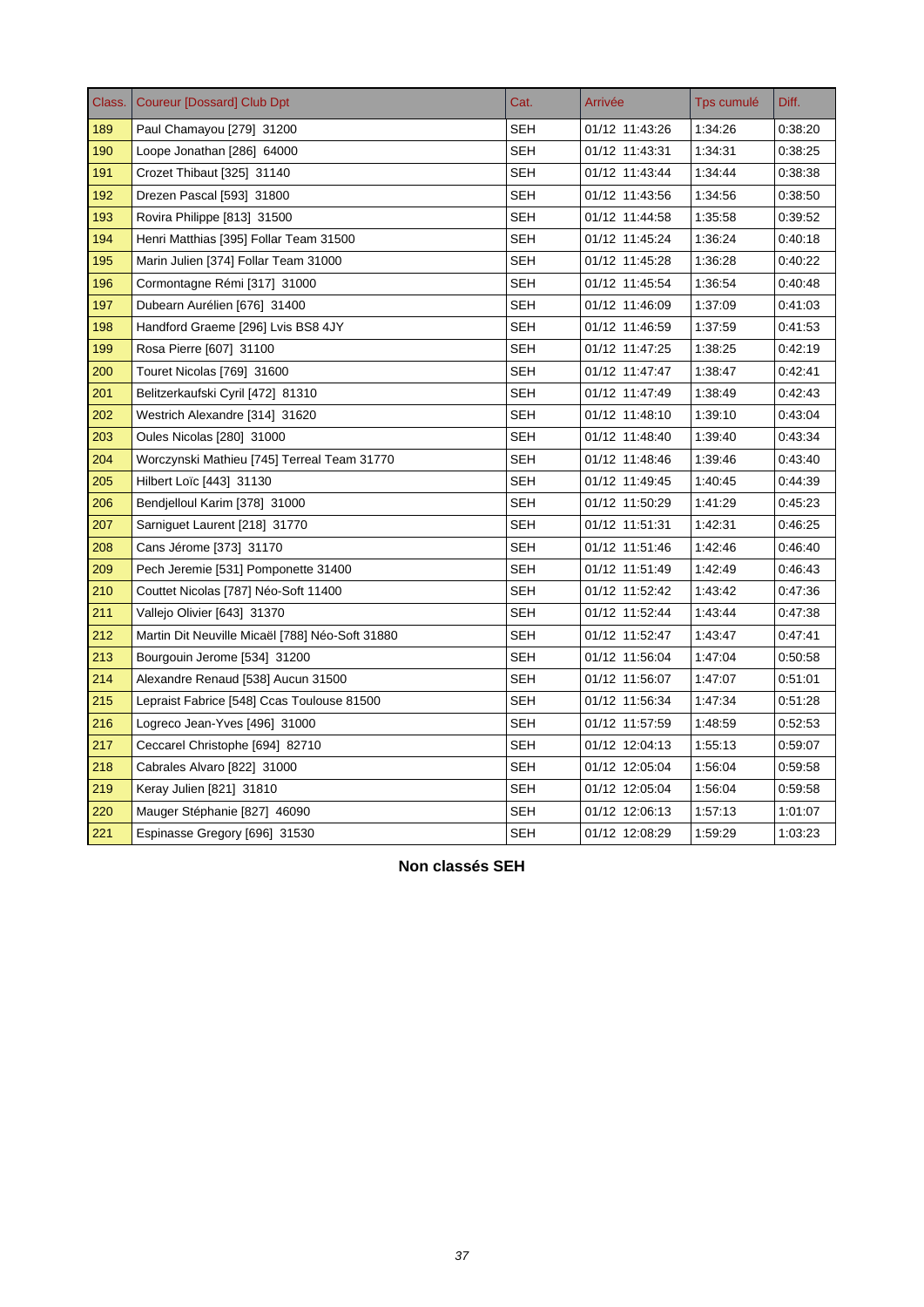| Class. | <b>Coureur [Dossard] Club Dpt</b>               | Cat.       | Arrivée        | Tps cumulé | Diff.   |
|--------|-------------------------------------------------|------------|----------------|------------|---------|
| 189    | Paul Chamayou [279] 31200                       | SEH        | 01/12 11:43:26 | 1:34:26    | 0:38:20 |
| 190    | Loope Jonathan [286] 64000                      | SEH        | 01/12 11:43:31 | 1:34:31    | 0:38:25 |
| 191    | Crozet Thibaut [325] 31140                      | SEH        | 01/12 11:43:44 | 1:34:44    | 0:38:38 |
| 192    | Drezen Pascal [593] 31800                       | <b>SEH</b> | 01/12 11:43:56 | 1:34:56    | 0:38:50 |
| 193    | Rovira Philippe [813] 31500                     | <b>SEH</b> | 01/12 11:44:58 | 1:35:58    | 0:39:52 |
| 194    | Henri Matthias [395] Follar Team 31500          | SEH        | 01/12 11:45:24 | 1:36:24    | 0.40.18 |
| 195    | Marin Julien [374] Follar Team 31000            | <b>SEH</b> | 01/12 11:45:28 | 1:36:28    | 0:40:22 |
| 196    | Cormontagne Rémi [317] 31000                    | <b>SEH</b> | 01/12 11:45:54 | 1:36:54    | 0:40:48 |
| 197    | Dubearn Aurélien [676] 31400                    | <b>SEH</b> | 01/12 11:46:09 | 1:37:09    | 0:41:03 |
| 198    | Handford Graeme [296] Lvis BS8 4JY              | SEH        | 01/12 11:46:59 | 1:37:59    | 0:41:53 |
| 199    | Rosa Pierre [607] 31100                         | <b>SEH</b> | 01/12 11:47:25 | 1:38:25    | 0:42:19 |
| 200    | Touret Nicolas [769] 31600                      | SEH        | 01/12 11:47:47 | 1:38:47    | 0:42:41 |
| 201    | Belitzerkaufski Cyril [472] 81310               | SEH        | 01/12 11:47:49 | 1:38:49    | 0:42:43 |
| 202    | Westrich Alexandre [314] 31620                  | <b>SEH</b> | 01/12 11:48:10 | 1:39:10    | 0:43:04 |
| 203    | Oules Nicolas [280] 31000                       | SEH        | 01/12 11:48:40 | 1:39:40    | 0:43:34 |
| 204    | Worczynski Mathieu [745] Terreal Team 31770     | <b>SEH</b> | 01/12 11:48:46 | 1:39:46    | 0:43:40 |
| 205    | Hilbert Loïc [443] 31130                        | <b>SEH</b> | 01/12 11:49:45 | 1:40:45    | 0:44:39 |
| 206    | Bendjelloul Karim [378] 31000                   | <b>SEH</b> | 01/12 11:50:29 | 1:41:29    | 0:45:23 |
| 207    | Sarniguet Laurent [218] 31770                   | SEH        | 01/12 11:51:31 | 1:42:31    | 0:46:25 |
| 208    | Cans Jérome [373] 31170                         | <b>SEH</b> | 01/12 11:51:46 | 1:42:46    | 0:46:40 |
| 209    | Pech Jeremie [531] Pomponette 31400             | <b>SEH</b> | 01/12 11:51:49 | 1:42:49    | 0:46:43 |
| 210    | Couttet Nicolas [787] Néo-Soft 11400            | SEH        | 01/12 11:52:42 | 1.43.42    | 0:47:36 |
| 211    | Vallejo Olivier [643] 31370                     | SEH        | 01/12 11:52:44 | 1:43:44    | 0:47:38 |
| 212    | Martin Dit Neuville Micaël [788] Néo-Soft 31880 | SEH        | 01/12 11:52:47 | 1:43:47    | 0:47.41 |
| 213    | Bourgouin Jerome [534] 31200                    | SEH        | 01/12 11:56:04 | 1.47:04    | 0.50.58 |
| 214    | Alexandre Renaud [538] Aucun 31500              | <b>SEH</b> | 01/12 11:56:07 | 1:47:07    | 0:51:01 |
| 215    | Lepraist Fabrice [548] Ccas Toulouse 81500      | <b>SEH</b> | 01/12 11:56:34 | 1.47.34    | 0.51.28 |
| 216    | Logreco Jean-Yves [496] 31000                   | <b>SEH</b> | 01/12 11:57:59 | 1:48:59    | 0:52:53 |
| 217    | Ceccarel Christophe [694] 82710                 | <b>SEH</b> | 01/12 12:04:13 | 1:55:13    | 0:59:07 |
| 218    | Cabrales Alvaro [822] 31000                     | <b>SEH</b> | 01/12 12:05:04 | 1.56:04    | 0.59.58 |
| 219    | Keray Julien [821] 31810                        | SEH        | 01/12 12:05:04 | 1:56:04    | 0:59:58 |
| 220    | Mauger Stéphanie [827] 46090                    | <b>SEH</b> | 01/12 12:06:13 | 1.57:13    | 1:01:07 |
| 221    | Espinasse Gregory [696] 31530                   | SEH        | 01/12 12:08:29 | 1:59:29    | 1:03:23 |

**Non classés SEH**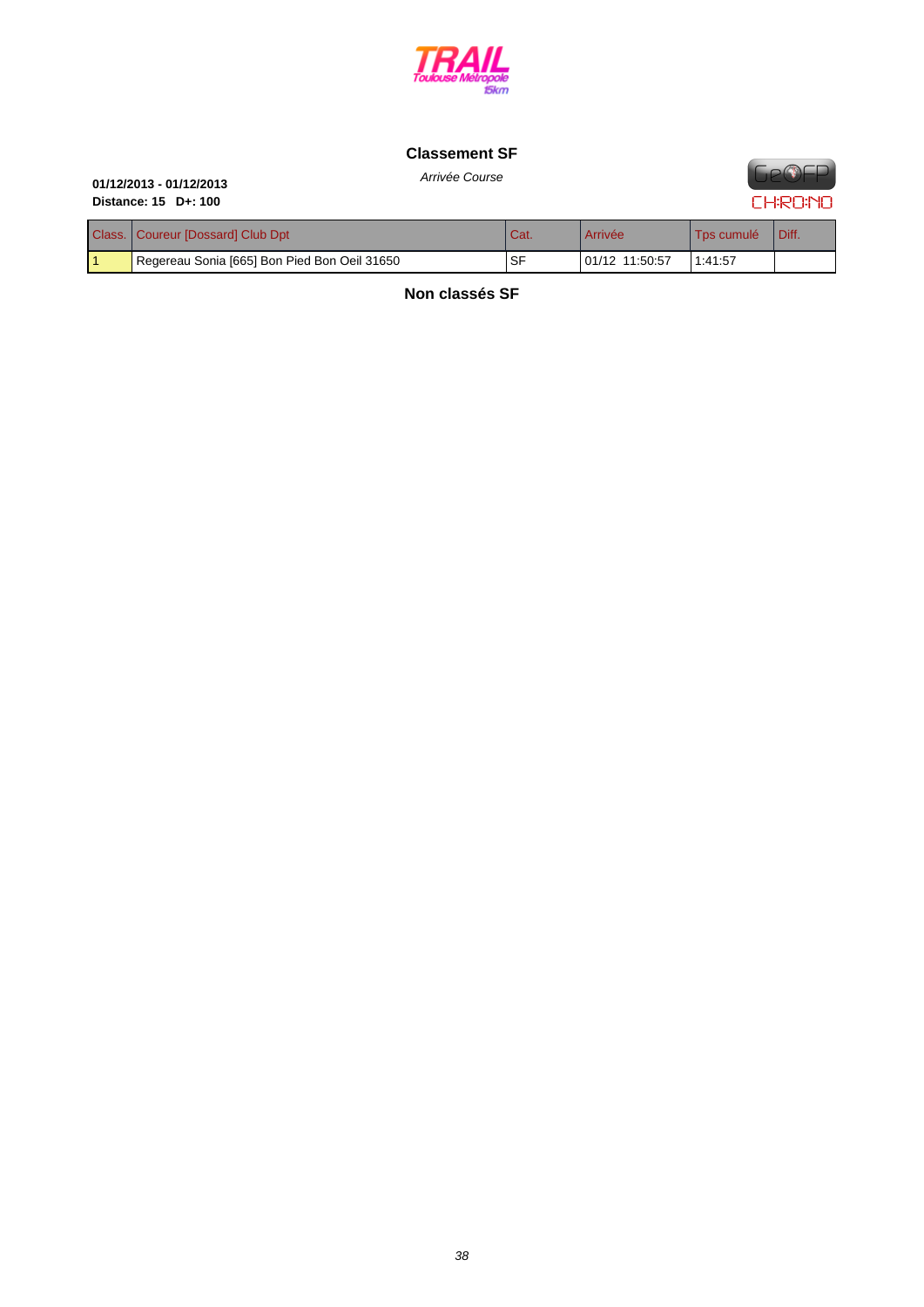

#### **[Classement SF](http://www.cosatrail.fr/crbst_25.html)**





| Arrivee Course |  |
|----------------|--|
|                |  |

| Class.   Coureur [Dossard] Club Dpt          | Cat. | Arrivée        | Tps cumulé | Diff. |
|----------------------------------------------|------|----------------|------------|-------|
| Regereau Sonia [665] Bon Pied Bon Oeil 31650 | . SF | 01/12 11:50:57 | 1:41:57    |       |

**Non classés SF**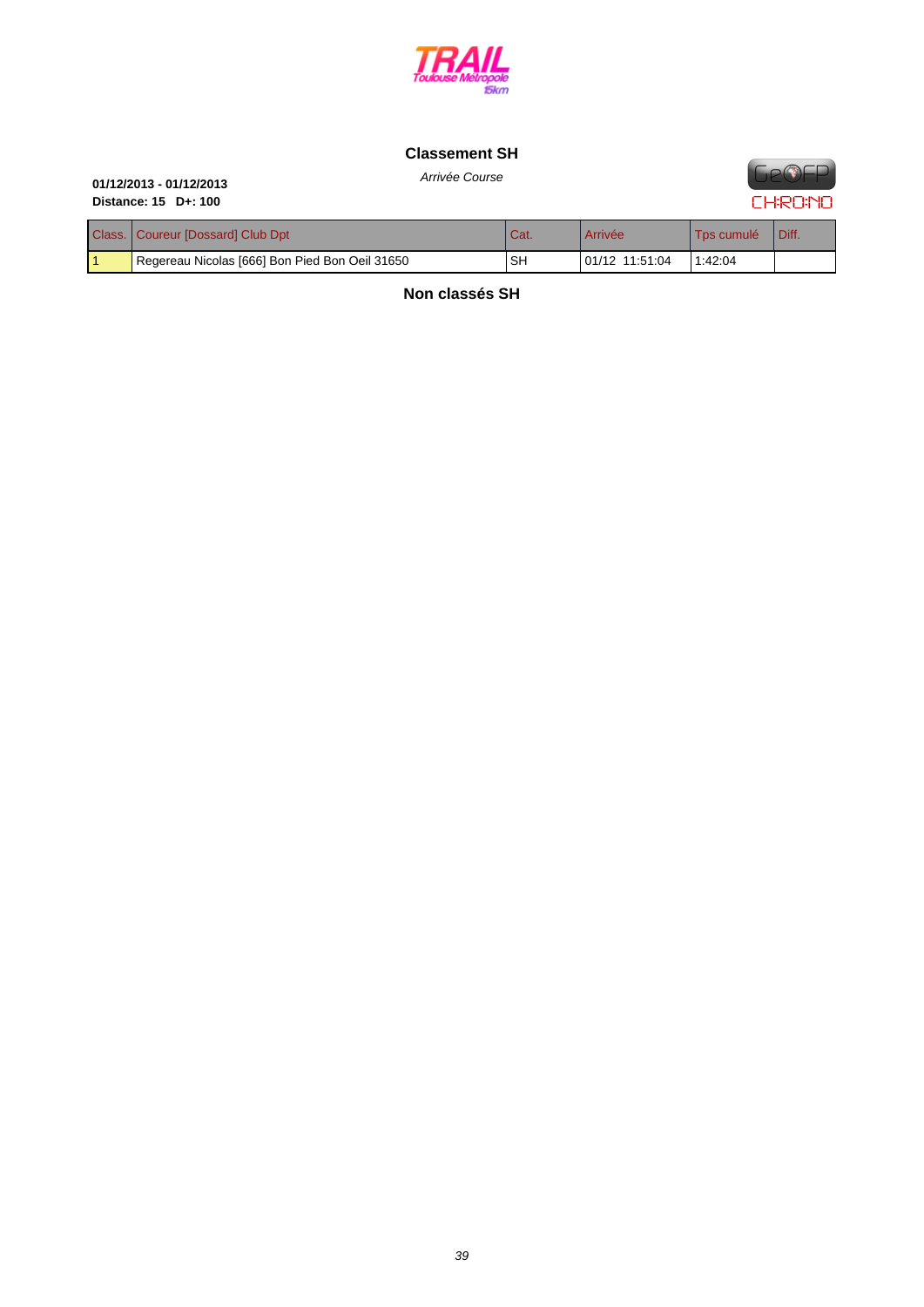

# **[Classement SH](http://www.cosatrail.fr/crbst_25.html)**

# Arrivée Course **01/12/2013 - 01/12/2013 Distance: 15 D+: 100**

**FIP®FP CHRONO** 

| Class.   Coureur [Dossard] Club Dpt            | Cat. | Arrivée        | Tos cumulé | Diff. |
|------------------------------------------------|------|----------------|------------|-------|
| Regereau Nicolas [666] Bon Pied Bon Oeil 31650 | SH   | 01/12 11:51:04 | 1:42:04    |       |

**Non classés SH**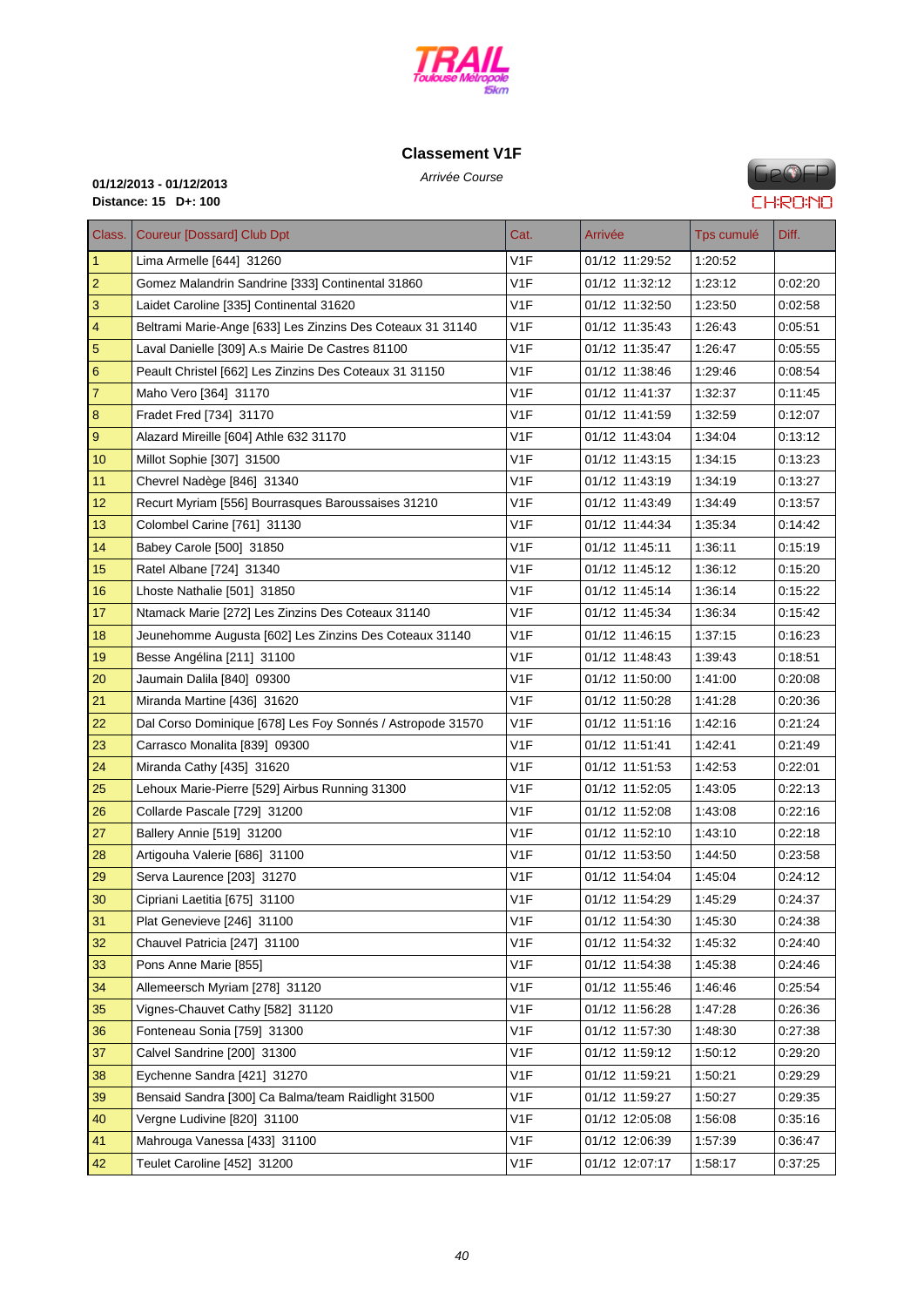

# **[Classement V1](http://www.cosatrail.fr/crbst_25.html)F**

**GeOFP CHRONO** 

# Arrivée Course **01/12/2013 - 01/12/2013 Distance: 15 D+: 100**

| Class.         | <b>Coureur [Dossard] Club Dpt</b>                          | Cat.             | Arrivée        | Tps cumulé | Diff.   |
|----------------|------------------------------------------------------------|------------------|----------------|------------|---------|
| $\mathbf{1}$   | Lima Armelle [644] 31260                                   | V1F              | 01/12 11:29:52 | 1:20:52    |         |
| $\overline{2}$ | Gomez Malandrin Sandrine [333] Continental 31860           | V1F              | 01/12 11:32:12 | 1:23:12    | 0:02:20 |
| 3              | Laidet Caroline [335] Continental 31620                    | V1F              | 01/12 11:32:50 | 1:23:50    | 0:02:58 |
| 4              | Beltrami Marie-Ange [633] Les Zinzins Des Coteaux 31 31140 | V <sub>1F</sub>  | 01/12 11:35:43 | 1:26:43    | 0:05:51 |
| $\sqrt{5}$     | Laval Danielle [309] A.s Mairie De Castres 81100           | V1F              | 01/12 11:35:47 | 1:26:47    | 0:05:55 |
| 6              | Peault Christel [662] Les Zinzins Des Coteaux 31 31150     | V <sub>1F</sub>  | 01/12 11:38:46 | 1:29:46    | 0:08:54 |
| $\overline{7}$ | Maho Vero [364] 31170                                      | V1F              | 01/12 11:41:37 | 1:32:37    | 0:11:45 |
| 8              | Fradet Fred [734] 31170                                    | V1F              | 01/12 11:41:59 | 1:32:59    | 0:12:07 |
| 9              | Alazard Mireille [604] Athle 632 31170                     | V <sub>1F</sub>  | 01/12 11:43:04 | 1:34:04    | 0:13:12 |
| 10             | Millot Sophie [307] 31500                                  | V <sub>1F</sub>  | 01/12 11:43:15 | 1:34:15    | 0.13.23 |
| 11             | Chevrel Nadège [846] 31340                                 | V1F              | 01/12 11:43:19 | 1:34:19    | 0:13:27 |
| 12             | Recurt Myriam [556] Bourrasques Baroussaises 31210         | V1F              | 01/12 11:43:49 | 1:34:49    | 0:13:57 |
| 13             | Colombel Carine [761] 31130                                | V1F              | 01/12 11:44:34 | 1:35:34    | 0:14:42 |
| 14             | Babey Carole [500] 31850                                   | V1F              | 01/12 11:45:11 | 1:36:11    | 0:15:19 |
| 15             | Ratel Albane [724] 31340                                   | V <sub>1F</sub>  | 01/12 11:45:12 | 1:36:12    | 0:15:20 |
| 16             | Lhoste Nathalie [501] 31850                                | V <sub>1</sub> F | 01/12 11:45:14 | 1:36:14    | 0:15:22 |
| 17             | Ntamack Marie [272] Les Zinzins Des Coteaux 31140          | V <sub>1F</sub>  | 01/12 11:45:34 | 1:36:34    | 0:15:42 |
| 18             | Jeunehomme Augusta [602] Les Zinzins Des Coteaux 31140     | V1F              | 01/12 11:46:15 | 1:37:15    | 0:16:23 |
| 19             | Besse Angélina [211] 31100                                 | V1F              | 01/12 11:48:43 | 1:39:43    | 0:18:51 |
| 20             | Jaumain Dalila [840] 09300                                 | V <sub>1F</sub>  | 01/12 11:50:00 | 1:41:00    | 0.20:08 |
| 21             | Miranda Martine [436] 31620                                | V <sub>1F</sub>  | 01/12 11:50:28 | 1:41:28    | 0.20.36 |
| 22             | Dal Corso Dominique [678] Les Foy Sonnés / Astropode 31570 | V1F              | 01/12 11:51:16 | 1:42:16    | 0:21:24 |
| 23             | Carrasco Monalita [839] 09300                              | V1F              | 01/12 11:51:41 | 1:42:41    | 0.21:49 |
| 24             | Miranda Cathy [435] 31620                                  | V1F              | 01/12 11:51:53 | 1:42:53    | 0.22:01 |
| 25             | Lehoux Marie-Pierre [529] Airbus Running 31300             | V1F              | 01/12 11:52:05 | 1:43:05    | 0.22:13 |
| 26             | Collarde Pascale [729] 31200                               | V <sub>1F</sub>  | 01/12 11:52:08 | 1:43:08    | 0:22:16 |
| 27             | Ballery Annie [519] 31200                                  | V <sub>1</sub> F | 01/12 11:52:10 | 1:43:10    | 0:22:18 |
| 28             | Artigouha Valerie [686] 31100                              | V <sub>1F</sub>  | 01/12 11:53:50 | 1:44:50    | 0.23.58 |
| 29             | Serva Laurence [203] 31270                                 | V1F              | 01/12 11:54:04 | 1:45:04    | 0:24:12 |
| 30             | Cipriani Laetitia [675] 31100                              | V <sub>1F</sub>  | 01/12 11:54:29 | 1:45:29    | 0:24:37 |
| 31             | Plat Genevieve [246] 31100                                 | V <sub>1</sub> F | 01/12 11:54:30 | 1:45:30    | 0.24:38 |
| 32             | Chauvel Patricia [247] 31100                               | V <sub>1</sub> F | 01/12 11:54:32 | 1:45:32    | 0:24:40 |
| 33             | Pons Anne Marie [855]                                      | V1F              | 01/12 11:54:38 | 1:45:38    | 0:24:46 |
| 34             | Allemeersch Myriam [278] 31120                             | V <sub>1F</sub>  | 01/12 11:55:46 | 1:46:46    | 0.25:54 |
| 35             | Vignes-Chauvet Cathy [582] 31120                           | V <sub>1</sub> F | 01/12 11:56:28 | 1:47:28    | 0:26:36 |
| 36             | Fonteneau Sonia [759] 31300                                | V1F              | 01/12 11:57:30 | 1:48:30    | 0.27:38 |
| 37             | Calvel Sandrine [200] 31300                                | V <sub>1F</sub>  | 01/12 11:59:12 | 1:50:12    | 0.29:20 |
| 38             | Eychenne Sandra [421] 31270                                | V1F              | 01/12 11:59:21 | 1:50:21    | 0.29.29 |
| 39             | Bensaid Sandra [300] Ca Balma/team Raidlight 31500         | V1F              | 01/12 11:59:27 | 1:50:27    | 0:29:35 |
| 40             | Vergne Ludivine [820] 31100                                | V <sub>1F</sub>  | 01/12 12:05:08 | 1:56:08    | 0.35:16 |
| 41             | Mahrouga Vanessa [433] 31100                               | V1F              | 01/12 12:06:39 | 1:57:39    | 0.36.47 |
| 42             | Teulet Caroline [452] 31200                                | V <sub>1</sub> F | 01/12 12:07:17 | 1:58:17    | 0.37:25 |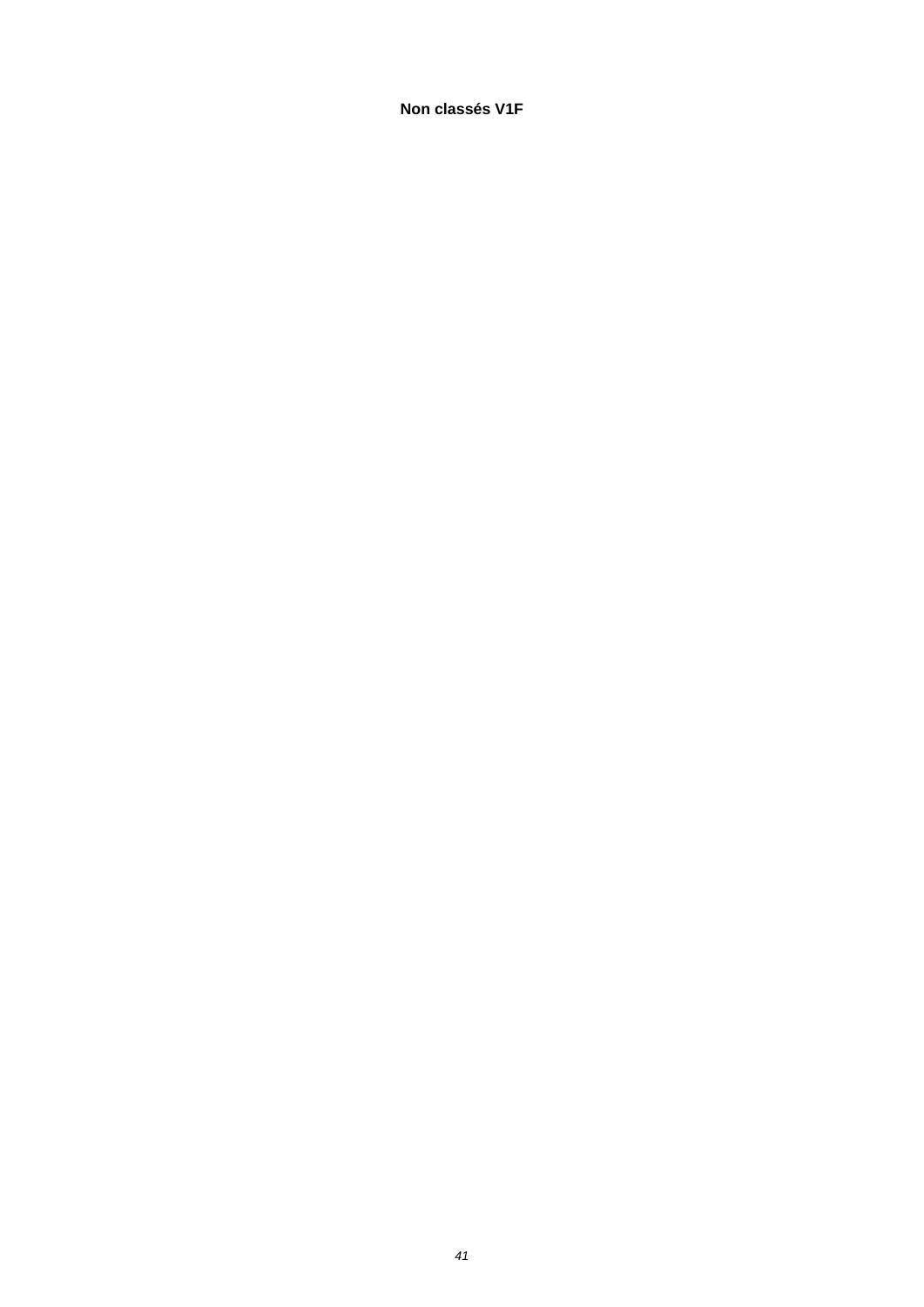**Non classés V1F**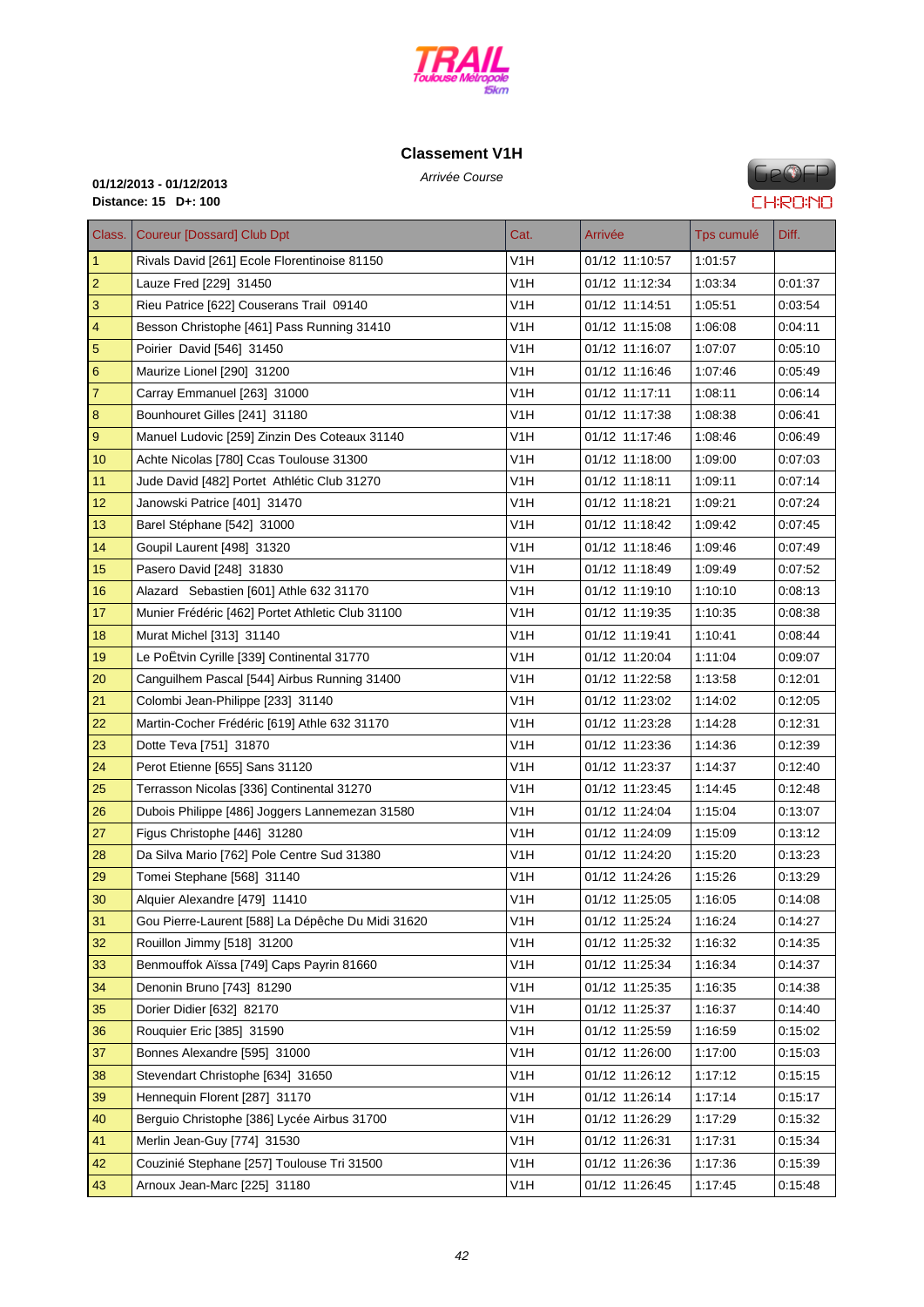

# **C[lassement V1](http://www.cosatrail.fr/crbst_25.html)H**

Arrivée Course **01/12/2013 - 01/12/2013 Distance: 15 D+: 100**

# **FIP®FP CHRONO**

| Class.                  | <b>Coureur [Dossard] Club Dpt</b>                 | Cat.             | Arrivée        | Tps cumulé | Diff.   |
|-------------------------|---------------------------------------------------|------------------|----------------|------------|---------|
| $\vert$ 1               | Rivals David [261] Ecole Florentinoise 81150      | V1H              | 01/12 11:10:57 | 1:01:57    |         |
| $\overline{2}$          | Lauze Fred [229] 31450                            | V1H              | 01/12 11:12:34 | 1:03:34    | 0:01:37 |
| $\mathsf 3$             | Rieu Patrice [622] Couserans Trail 09140          | V1H              | 01/12 11:14:51 | 1:05:51    | 0:03:54 |
| $\overline{\mathbf{4}}$ | Besson Christophe [461] Pass Running 31410        | V1H              | 01/12 11:15:08 | 1:06:08    | 0.04.11 |
| $\overline{5}$          | Poirier David [546] 31450                         | V1H              | 01/12 11:16:07 | 1:07:07    | 0:05:10 |
| $\boldsymbol{6}$        | Maurize Lionel [290] 31200                        | V <sub>1</sub> H | 01/12 11:16:46 | 1:07:46    | 0:05:49 |
| $\overline{7}$          | Carray Emmanuel [263] 31000                       | V1H              | 01/12 11:17:11 | 1:08:11    | 0:06:14 |
| 8                       | Bounhouret Gilles [241] 31180                     | V1H              | 01/12 11:17:38 | 1:08:38    | 0:06:41 |
| $\boldsymbol{9}$        | Manuel Ludovic [259] Zinzin Des Coteaux 31140     | V1H              | 01/12 11:17:46 | 1:08:46    | 0:06:49 |
| 10                      | Achte Nicolas [780] Ccas Toulouse 31300           | V1H              | 01/12 11:18:00 | 1:09:00    | 0:07:03 |
| 11                      | Jude David [482] Portet Athlétic Club 31270       | V <sub>1</sub> H | 01/12 11:18:11 | 1:09:11    | 0:07:14 |
| 12                      | Janowski Patrice [401] 31470                      | V1H              | 01/12 11:18:21 | 1:09:21    | 0:07:24 |
| 13                      | Barel Stéphane [542] 31000                        | V1H              | 01/12 11:18:42 | 1:09:42    | 0:07:45 |
| 14                      | Goupil Laurent [498] 31320                        | V1H              | 01/12 11:18:46 | 1:09:46    | 0:07:49 |
| 15                      | Pasero David [248] 31830                          | V1H              | 01/12 11:18:49 | 1:09:49    | 0.07:52 |
| 16                      | Alazard Sebastien [601] Athle 632 31170           | V1H              | 01/12 11:19:10 | 1:10:10    | 0:08:13 |
| 17                      | Munier Frédéric [462] Portet Athletic Club 31100  | V1H              | 01/12 11:19:35 | 1:10:35    | 0:08:38 |
| 18                      | Murat Michel [313] 31140                          | V1H              | 01/12 11:19:41 | 1:10:41    | 0:08:44 |
| 19                      | Le PoËtvin Cyrille [339] Continental 31770        | V1H              | 01/12 11:20:04 | 1:11:04    | 0:09:07 |
| 20                      | Canguilhem Pascal [544] Airbus Running 31400      | V1H              | 01/12 11:22:58 | 1:13:58    | 0:12:01 |
| 21                      | Colombi Jean-Philippe [233] 31140                 | V1H              | 01/12 11:23:02 | 1:14:02    | 0.12:05 |
| 22                      | Martin-Cocher Frédéric [619] Athle 632 31170      | V <sub>1</sub> H | 01/12 11:23:28 | 1:14:28    | 0:12:31 |
| 23                      | Dotte Teva [751] 31870                            | V1H              | 01/12 11:23:36 | 1:14:36    | 0:12:39 |
| 24                      | Perot Etienne [655] Sans 31120                    | V1H              | 01/12 11:23:37 | 1:14:37    | 0.12:40 |
| 25                      | Terrasson Nicolas [336] Continental 31270         | V1H              | 01/12 11:23:45 | 1:14:45    | 0.12:48 |
| 26                      | Dubois Philippe [486] Joggers Lannemezan 31580    | V1H              | 01/12 11:24:04 | 1:15:04    | 0.13:07 |
| 27                      | Figus Christophe [446] 31280                      | V1H              | 01/12 11:24:09 | 1:15:09    | 0:13:12 |
| 28                      | Da Silva Mario [762] Pole Centre Sud 31380        | V1H              | 01/12 11:24:20 | 1:15:20    | 0.13.23 |
| 29                      | Tomei Stephane [568] 31140                        | V1H              | 01/12 11:24:26 | 1:15:26    | 0.13:29 |
| 30                      | Alquier Alexandre [479] 11410                     | V1H              | 01/12 11:25:05 | 1:16:05    | 0.14:08 |
| 31                      | Gou Pierre-Laurent [588] La Dépêche Du Midi 31620 | V <sub>1</sub> H | 01/12 11:25:24 | 1:16:24    | 0.14:27 |
| 32                      | Rouillon Jimmy [518] 31200                        | V1H              | 01/12 11:25:32 | 1:16:32    | 0.14:35 |
| 33                      | Benmouffok Aïssa [749] Caps Payrin 81660          | V <sub>1</sub> H | 01/12 11:25:34 | 1:16:34    | 0:14:37 |
| 34                      | Denonin Bruno [743] 81290                         | V <sub>1</sub> H | 01/12 11:25:35 | 1:16:35    | 0:14:38 |
| 35                      | Dorier Didier [632] 82170                         | V <sub>1</sub> H | 01/12 11:25:37 | 1:16:37    | 0:14:40 |
| 36                      | Rouquier Eric [385] 31590                         | V <sub>1</sub> H | 01/12 11:25:59 | 1:16:59    | 0:15:02 |
| 37                      | Bonnes Alexandre [595] 31000                      | V <sub>1</sub> H | 01/12 11:26:00 | 1:17:00    | 0:15:03 |
| 38                      | Stevendart Christophe [634] 31650                 | V <sub>1</sub> H | 01/12 11:26:12 | 1:17:12    | 0.15:15 |
| 39                      | Hennequin Florent [287] 31170                     | V <sub>1</sub> H | 01/12 11:26:14 | 1:17:14    | 0:15:17 |
| 40                      | Berguio Christophe [386] Lycée Airbus 31700       | V <sub>1</sub> H | 01/12 11:26:29 | 1:17:29    | 0:15:32 |
| 41                      | Merlin Jean-Guy [774] 31530                       | V <sub>1</sub> H | 01/12 11:26:31 | 1:17:31    | 0:15:34 |
| 42                      | Couzinié Stephane [257] Toulouse Tri 31500        | V <sub>1</sub> H | 01/12 11:26:36 | 1:17:36    | 0:15:39 |
| 43                      | Arnoux Jean-Marc [225] 31180                      | V1H              | 01/12 11:26:45 | 1:17:45    | 0:15:48 |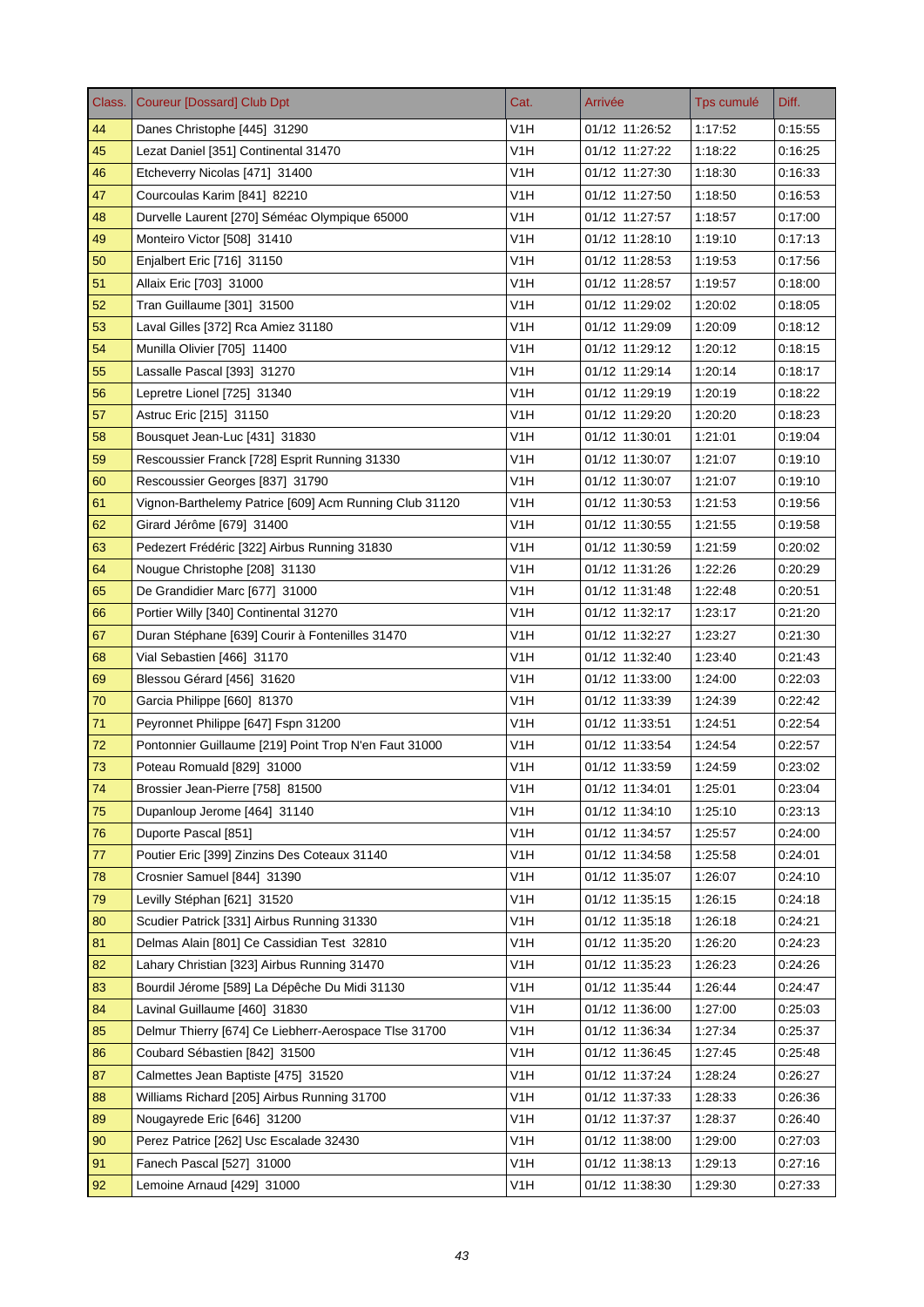| Class. | <b>Coureur [Dossard] Club Dpt</b>                      | Cat.             | Arrivée        | Tps cumulé | Diff.   |
|--------|--------------------------------------------------------|------------------|----------------|------------|---------|
| 44     | Danes Christophe [445] 31290                           | V1H              | 01/12 11:26:52 | 1:17:52    | 0:15:55 |
| 45     | Lezat Daniel [351] Continental 31470                   | V1H              | 01/12 11:27:22 | 1:18:22    | 0:16:25 |
| 46     | Etcheverry Nicolas [471] 31400                         | V1H              | 01/12 11:27:30 | 1:18:30    | 0.16.33 |
| 47     | Courcoulas Karim [841] 82210                           | V <sub>1</sub> H | 01/12 11:27:50 | 1:18:50    | 0.16.53 |
| 48     | Durvelle Laurent [270] Séméac Olympique 65000          | V1H              | 01/12 11:27:57 | 1:18:57    | 0:17:00 |
| 49     | Monteiro Victor [508] 31410                            | V <sub>1</sub> H | 01/12 11:28:10 | 1:19:10    | 0.17.13 |
| 50     | Enjalbert Eric [716] 31150                             | V <sub>1</sub> H | 01/12 11:28:53 | 1:19:53    | 0:17:56 |
| 51     | Allaix Eric [703] 31000                                | V1H              | 01/12 11:28:57 | 1:19:57    | 0:18:00 |
| 52     | Tran Guillaume [301] 31500                             | V <sub>1</sub> H | 01/12 11:29:02 | 1:20:02    | 0.18:05 |
| 53     | Laval Gilles [372] Rca Amiez 31180                     | V <sub>1</sub> H | 01/12 11:29:09 | 1:20:09    | 0:18:12 |
| 54     | Munilla Olivier [705] 11400                            | V1H              | 01/12 11:29:12 | 1:20:12    | 0.18.15 |
| 55     | Lassalle Pascal [393] 31270                            | V1H              | 01/12 11:29:14 | 1:20:14    | 0.18.17 |
| 56     | Lepretre Lionel [725] 31340                            | V1H              | 01/12 11:29:19 | 1:20:19    | 0:18:22 |
| 57     | Astruc Eric [215] 31150                                | V1H              | 01/12 11:29:20 | 1:20:20    | 0.18.23 |
| 58     | Bousquet Jean-Luc [431] 31830                          | V1H              | 01/12 11:30:01 | 1:21:01    | 0.19:04 |
| 59     | Rescoussier Franck [728] Esprit Running 31330          | V1H              | 01/12 11:30:07 | 1:21:07    | 0:19:10 |
| 60     | Rescoussier Georges [837] 31790                        | V <sub>1</sub> H | 01/12 11:30:07 | 1:21:07    | 0:19:10 |
| 61     | Vignon-Barthelemy Patrice [609] Acm Running Club 31120 | V <sub>1</sub> H | 01/12 11:30:53 | 1:21:53    | 0.19.56 |
| 62     | Girard Jérôme [679] 31400                              | V1H              | 01/12 11:30:55 | 1:21:55    | 0:19:58 |
| 63     | Pedezert Frédéric [322] Airbus Running 31830           | V <sub>1</sub> H | 01/12 11:30:59 | 1:21:59    | 0.20.02 |
| 64     | Nougue Christophe [208] 31130                          | V <sub>1</sub> H | 01/12 11:31:26 | 1:22:26    | 0:20:29 |
| 65     | De Grandidier Marc [677] 31000                         | V <sub>1</sub> H | 01/12 11:31:48 | 1:22:48    | 0:20:51 |
| 66     | Portier Willy [340] Continental 31270                  | V1H              | 01/12 11:32:17 | 1:23:17    | 0.21.20 |
| 67     | Duran Stéphane [639] Courir à Fontenilles 31470        | V1H              | 01/12 11:32:27 | 1:23:27    | 0:21:30 |
| 68     | Vial Sebastien [466] 31170                             | V1H              | 01/12 11:32:40 | 1:23:40    | 0:21:43 |
| 69     | Blessou Gérard [456] 31620                             | V1H              | 01/12 11:33:00 | 1:24:00    | 0.22:03 |
| 70     | Garcia Philippe [660] 81370                            | V1H              | 01/12 11:33:39 | 1:24:39    | 0:22:42 |
| 71     | Peyronnet Philippe [647] Fspn 31200                    | V <sub>1</sub> H | 01/12 11:33:51 | 1:24:51    | 0.22.54 |
| 72     | Pontonnier Guillaume [219] Point Trop N'en Faut 31000  | V <sub>1</sub> H | 01/12 11:33:54 | 1:24:54    | 0.22:57 |
| 73     | Poteau Romuald [829] 31000                             | V1H              | 01/12 11:33:59 | 1:24:59    | 0:23:02 |
| 74     | Brossier Jean-Pierre [758] 81500                       | V <sub>1</sub> H | 01/12 11:34:01 | 1:25:01    | 0:23:04 |
| 75     | Dupanloup Jerome [464] 31140                           | V <sub>1</sub> H | 01/12 11:34:10 | 1:25:10    | 0.23.13 |
| 76     | Duporte Pascal [851]                                   | V <sub>1</sub> H | 01/12 11:34:57 | 1:25:57    | 0.24.00 |
| 77     | Poutier Eric [399] Zinzins Des Coteaux 31140           | V <sub>1</sub> H | 01/12 11:34:58 | 1:25:58    | 0:24:01 |
| 78     | Crosnier Samuel [844] 31390                            | V1H              | 01/12 11:35:07 | 1:26:07    | 0.24.10 |
| 79     | Levilly Stéphan [621] 31520                            | V <sub>1</sub> H | 01/12 11:35:15 | 1:26:15    | 0:24:18 |
| 80     | Scudier Patrick [331] Airbus Running 31330             | V <sub>1</sub> H | 01/12 11:35:18 | 1:26:18    | 0:24:21 |
| 81     | Delmas Alain [801] Ce Cassidian Test 32810             | V <sub>1</sub> H | 01/12 11:35:20 | 1:26:20    | 0.24.23 |
| 82     | Lahary Christian [323] Airbus Running 31470            | V <sub>1</sub> H | 01/12 11:35:23 | 1:26:23    | 0:24:26 |
| 83     | Bourdil Jérome [589] La Dépêche Du Midi 31130          | V1H              | 01/12 11:35:44 | 1:26:44    | 0:24:47 |
| 84     | Lavinal Guillaume [460] 31830                          | V <sub>1</sub> H | 01/12 11:36:00 | 1:27:00    | 0:25:03 |
| 85     | Delmur Thierry [674] Ce Liebherr-Aerospace Tlse 31700  | V1H              | 01/12 11:36:34 | 1.27:34    | 0.25.37 |
| 86     | Coubard Sébastien [842] 31500                          | V1H              | 01/12 11:36:45 | 1:27:45    | 0:25:48 |
| 87     | Calmettes Jean Baptiste [475] 31520                    | V <sub>1</sub> H | 01/12 11:37:24 | 1:28:24    | 0.26.27 |
| 88     | Williams Richard [205] Airbus Running 31700            | V <sub>1</sub> H | 01/12 11:37:33 | 1.28.33    | 0:26:36 |
| 89     | Nougayrede Eric [646] 31200                            | V1H              | 01/12 11:37:37 | 1:28:37    | 0.26.40 |
| 90     | Perez Patrice [262] Usc Escalade 32430                 | V <sub>1</sub> H | 01/12 11:38:00 | 1:29:00    | 0:27:03 |
| 91     | Fanech Pascal [527] 31000                              | V <sub>1</sub> H | 01/12 11:38:13 | 1:29:13    | 0:27:16 |
| 92     | Lemoine Arnaud [429] 31000                             | V <sub>1</sub> H | 01/12 11:38:30 | 1:29:30    | 0:27:33 |
|        |                                                        |                  |                |            |         |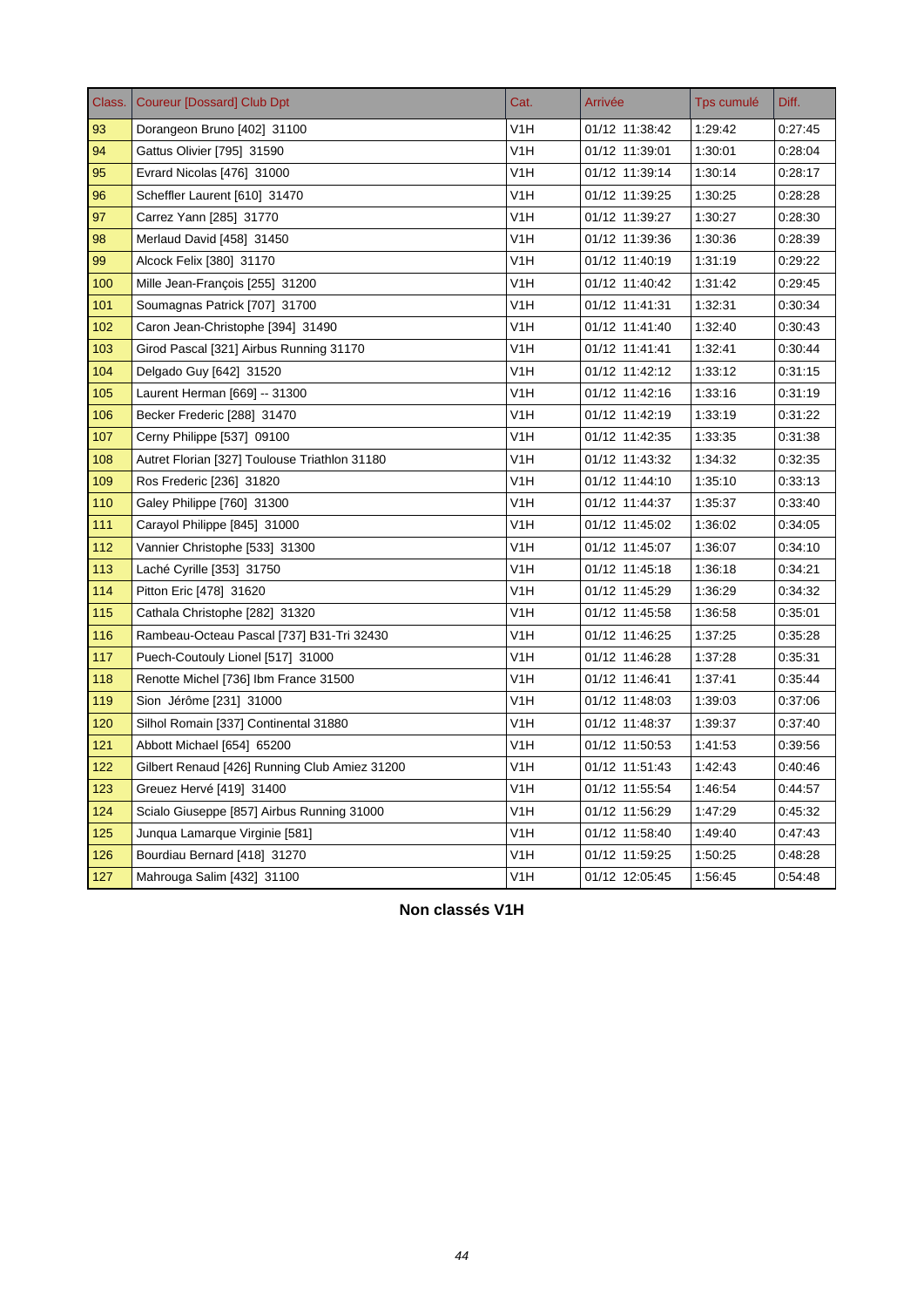| Class. | <b>Coureur [Dossard] Club Dpt</b>             | Cat.             | Arrivée        | Tps cumulé | Diff.   |
|--------|-----------------------------------------------|------------------|----------------|------------|---------|
| 93     | Dorangeon Bruno [402] 31100                   | V1H              | 01/12 11:38:42 | 1.29.42    | 0:27:45 |
| 94     | Gattus Olivier [795] 31590                    | V <sub>1</sub> H | 01/12 11:39:01 | 1:30:01    | 0:28:04 |
| 95     | Evrard Nicolas [476] 31000                    | V1H              | 01/12 11:39:14 | 1:30:14    | 0:28:17 |
| 96     | Scheffler Laurent [610] 31470                 | V1H              | 01/12 11:39:25 | 1:30:25    | 0:28:28 |
| 97     | Carrez Yann [285] 31770                       | V1H              | 01/12 11:39:27 | 1:30:27    | 0:28:30 |
| 98     | Merlaud David [458] 31450                     | V1H              | 01/12 11:39:36 | 1:30:36    | 0:28:39 |
| 99     | Alcock Felix [380] 31170                      | V1H              | 01/12 11:40:19 | 1:31:19    | 0:29:22 |
| 100    | Mille Jean-François [255] 31200               | V <sub>1</sub> H | 01/12 11:40:42 | 1.31.42    | 0:29:45 |
| 101    | Soumagnas Patrick [707] 31700                 | V <sub>1</sub> H | 01/12 11:41:31 | 1:32:31    | 0:30:34 |
| 102    | Caron Jean-Christophe [394] 31490             | V <sub>1</sub> H | 01/12 11:41:40 | 1:32:40    | 0.30.43 |
| 103    | Girod Pascal [321] Airbus Running 31170       | V <sub>1</sub> H | 01/12 11:41:41 | 1:32:41    | 0.30.44 |
| 104    | Delgado Guy [642] 31520                       | V <sub>1</sub> H | 01/12 11:42:12 | 1:33:12    | 0.31.15 |
| 105    | Laurent Herman [669] -- 31300                 | V <sub>1</sub> H | 01/12 11:42:16 | 1:33:16    | 0.31.19 |
| 106    | Becker Frederic [288] 31470                   | V <sub>1</sub> H | 01/12 11:42:19 | 1:33:19    | 0:31:22 |
| 107    | Cerny Philippe [537] 09100                    | V <sub>1</sub> H | 01/12 11:42:35 | 1:33:35    | 0:31:38 |
| 108    | Autret Florian [327] Toulouse Triathlon 31180 | V <sub>1</sub> H | 01/12 11:43:32 | 1:34:32    | 0:32:35 |
| 109    | Ros Frederic [236] 31820                      | V <sub>1</sub> H | 01/12 11:44:10 | 1:35:10    | 0:33:13 |
| 110    | Galey Philippe [760] 31300                    | V <sub>1</sub> H | 01/12 11:44:37 | 1.35.37    | 0:33:40 |
| 111    | Carayol Philippe [845] 31000                  | V <sub>1</sub> H | 01/12 11:45:02 | 1:36:02    | 0:34:05 |
| 112    | Vannier Christophe [533] 31300                | V <sub>1</sub> H | 01/12 11:45:07 | 1:36:07    | 0:34:10 |
| 113    | Laché Cyrille [353] 31750                     | V1H              | 01/12 11:45:18 | 1:36:18    | 0:34:21 |
| 114    | Pitton Eric [478] 31620                       | V1H              | 01/12 11:45:29 | 1:36:29    | 0:34:32 |
| 115    | Cathala Christophe [282] 31320                | V <sub>1</sub> H | 01/12 11:45:58 | 1:36:58    | 0:35:01 |
| 116    | Rambeau-Octeau Pascal [737] B31-Tri 32430     | V1H              | 01/12 11:46:25 | 1:37:25    | 0:35:28 |
| 117    | Puech-Coutouly Lionel [517] 31000             | V <sub>1</sub> H | 01/12 11:46:28 | 1:37:28    | 0:35:31 |
| 118    | Renotte Michel [736] Ibm France 31500         | V <sub>1</sub> H | 01/12 11:46:41 | 1:37:41    | 0:35:44 |
| 119    | Sion Jérôme [231] 31000                       | V <sub>1</sub> H | 01/12 11:48:03 | 1:39:03    | 0:37:06 |
| 120    | Silhol Romain [337] Continental 31880         | V <sub>1</sub> H | 01/12 11:48:37 | 1:39:37    | 0:37:40 |
| 121    | Abbott Michael [654] 65200                    | V1H              | 01/12 11:50:53 | 1:41:53    | 0:39:56 |
| 122    | Gilbert Renaud [426] Running Club Amiez 31200 | V <sub>1</sub> H | 01/12 11:51:43 | 1:42:43    | 0.40.46 |
| 123    | Greuez Hervé [419] 31400                      | V <sub>1</sub> H | 01/12 11:55:54 | 1.46.54    | 0:44:57 |
| 124    | Scialo Giuseppe [857] Airbus Running 31000    | V <sub>1</sub> H | 01/12 11:56:29 | 1:47:29    | 0:45:32 |
| 125    | Junqua Lamarque Virginie [581]                | V <sub>1</sub> H | 01/12 11:58:40 | 1.49.40    | 0:47:43 |
| 126    | Bourdiau Bernard [418] 31270                  | V1H              | 01/12 11:59:25 | 1:50:25    | 0:48:28 |
| 127    | Mahrouga Salim [432] 31100                    | V <sub>1</sub> H | 01/12 12:05:45 | 1:56:45    | 0:54:48 |

**Non classés V1H**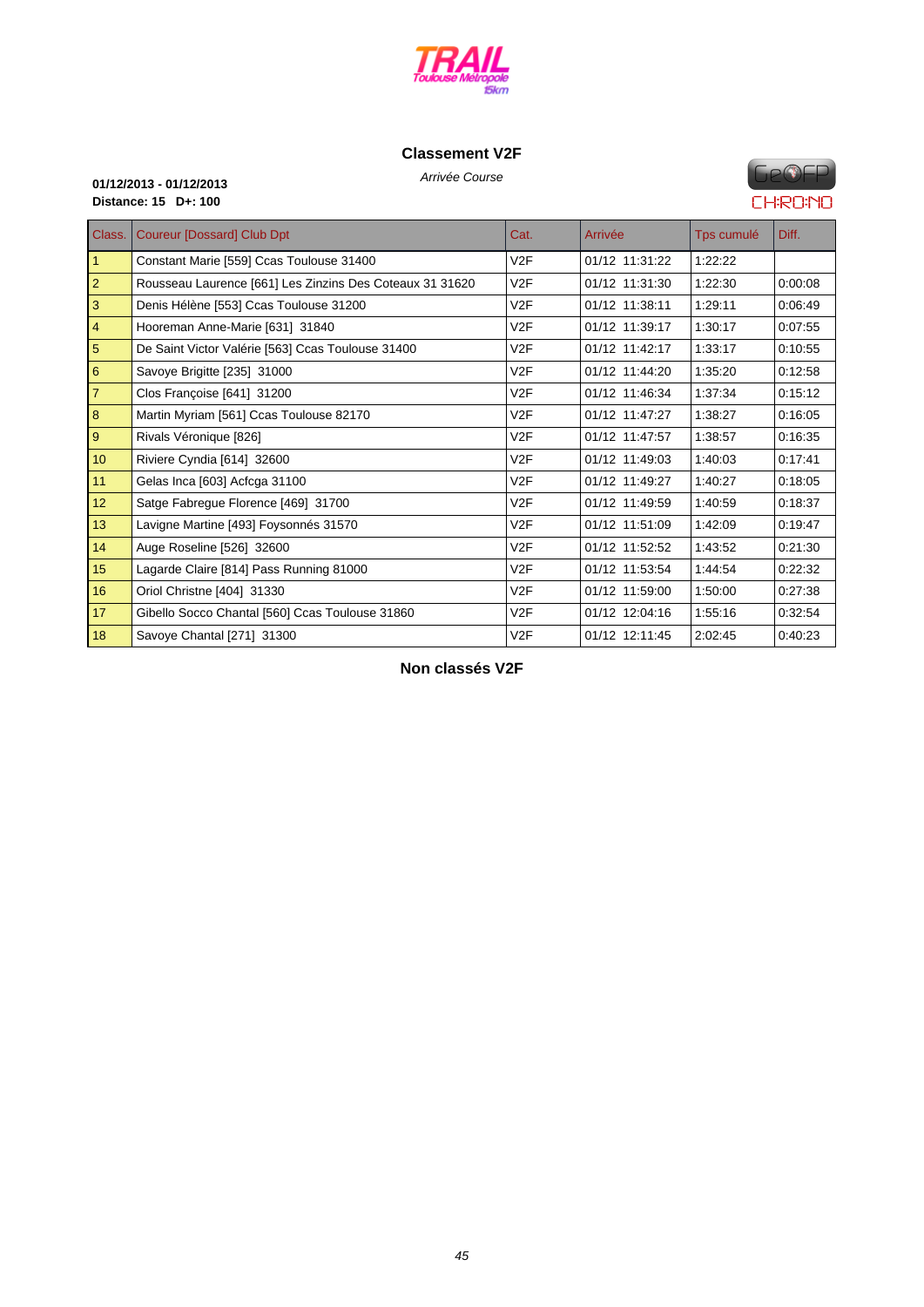

## **[Classement V2](http://www.cosatrail.fr/crbst_25.html)F**

Arrivée Course **01/12/2013 - 01/12/2013 Distance: 15 D+: 100**

# **FIP®FP CHRONO**

| Class.         | <b>Coureur [Dossard] Club Dpt</b>                        | Cat.             | Arrivée        | Tps cumulé | Diff.   |
|----------------|----------------------------------------------------------|------------------|----------------|------------|---------|
| $\mathbf{1}$   | Constant Marie [559] Ccas Toulouse 31400                 | V2F              | 01/12 11:31:22 | 1:22:22    |         |
| $\overline{2}$ | Rousseau Laurence [661] Les Zinzins Des Coteaux 31 31620 | V2F              | 01/12 11:31:30 | 1:22:30    | 0:00:08 |
| 3              | Denis Hélène [553] Ccas Toulouse 31200                   | V2F              | 01/12 11:38:11 | 1:29:11    | 0:06:49 |
| 4              | Hooreman Anne-Marie [631] 31840                          | V <sub>2</sub> F | 01/12 11:39:17 | 1:30:17    | 0:07:55 |
| 5              | De Saint Victor Valérie [563] Ccas Toulouse 31400        | V2F              | 01/12 11:42:17 | 1:33:17    | 0:10:55 |
| 6              | Savoye Brigitte [235] 31000                              | V <sub>2</sub> F | 01/12 11:44:20 | 1:35:20    | 0:12:58 |
| $\overline{7}$ | Clos Françoise [641] 31200                               | V2F              | 01/12 11:46:34 | 1:37:34    | 0:15:12 |
| 8              | Martin Myriam [561] Ccas Toulouse 82170                  | V2F              | 01/12 11:47:27 | 1:38:27    | 0:16:05 |
| 9              | Rivals Véronique [826]                                   | V2F              | 01/12 11:47:57 | 1:38:57    | 0:16:35 |
| 10             | Riviere Cyndia [614] 32600                               | V2F              | 01/12 11:49:03 | 1:40:03    | 0:17:41 |
| 11             | Gelas Inca [603] Acfcga 31100                            | V2F              | 01/12 11:49:27 | 1:40:27    | 0:18:05 |
| 12             | Satge Fabregue Florence [469] 31700                      | V2F              | 01/12 11:49:59 | 1:40:59    | 0:18:37 |
| 13             | Lavigne Martine [493] Foysonnés 31570                    | V2F              | 01/12 11:51:09 | 1:42:09    | 0:19:47 |
| 14             | Auge Roseline [526] 32600                                | V <sub>2</sub> F | 01/12 11:52:52 | 1:43:52    | 0:21:30 |
| 15             | Lagarde Claire [814] Pass Running 81000                  | V2F              | 01/12 11:53:54 | 1:44:54    | 0:22:32 |
| 16             | Oriol Christne [404] 31330                               | V2F              | 01/12 11:59:00 | 1:50:00    | 0:27:38 |
| 17             | Gibello Socco Chantal [560] Ccas Toulouse 31860          | V <sub>2</sub> F | 01/12 12:04:16 | 1:55:16    | 0:32:54 |
| 18             | Savoye Chantal [271] 31300                               | V2F              | 01/12 12:11:45 | 2:02:45    | 0:40:23 |

**Non classés V2F**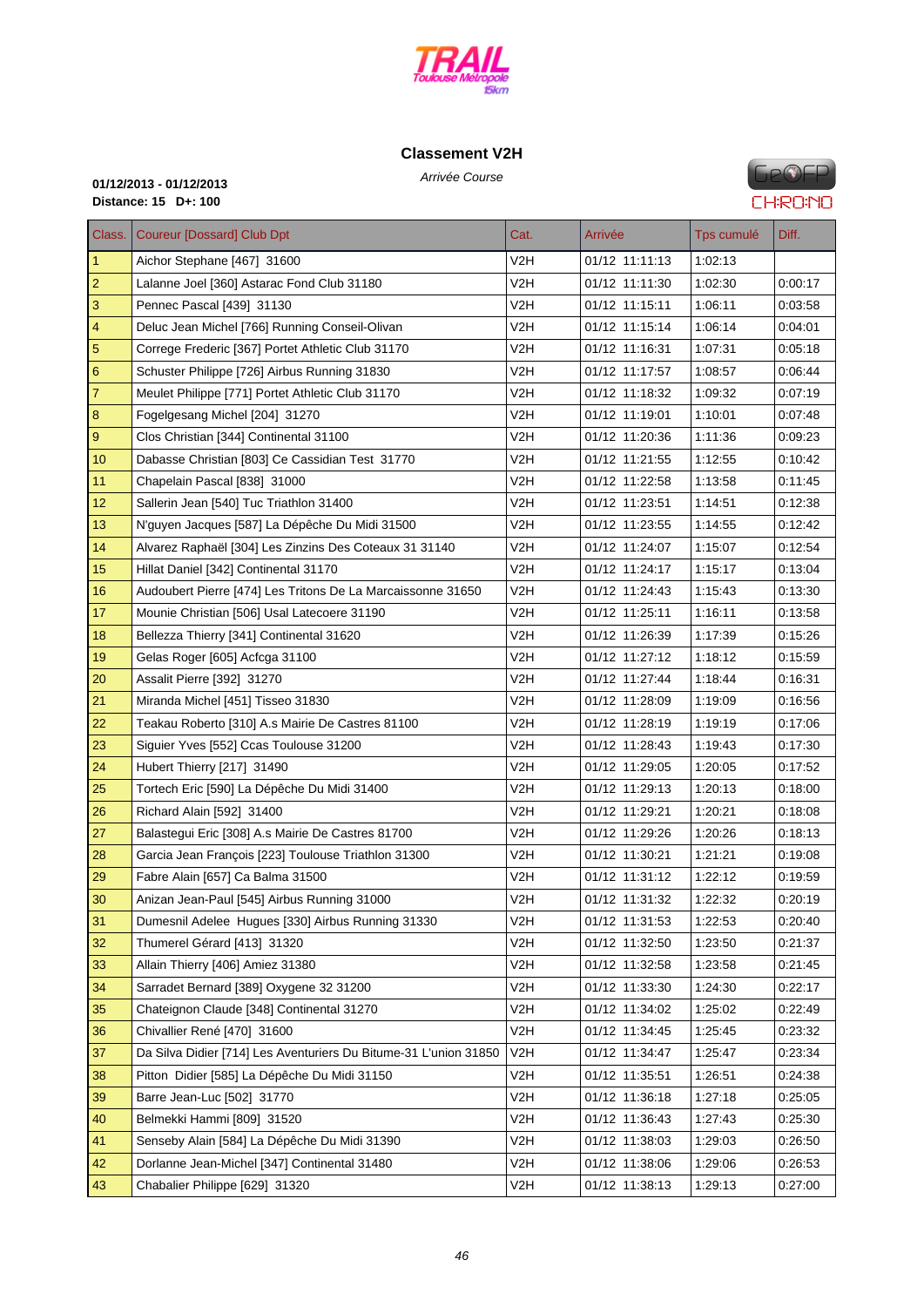

# **C[lassement V2](http://www.cosatrail.fr/crbst_25.html)H**

Arrivée Course **01/12/2013 - 01/12/2013 Distance: 15 D+: 100**

**GPOFP CHRONO** 

| Class.                    | <b>Coureur [Dossard] Club Dpt</b>                                | Cat.             | Arrivée        | Tps cumulé | Diff.   |
|---------------------------|------------------------------------------------------------------|------------------|----------------|------------|---------|
| $\vert$ 1                 | Aichor Stephane [467] 31600                                      | V2H              | 01/12 11:11:13 | 1:02:13    |         |
| $\overline{2}$            | Lalanne Joel [360] Astarac Fond Club 31180                       | V2H              | 01/12 11:11:30 | 1:02:30    | 0:00:17 |
| $\ensuremath{\mathsf{3}}$ | Pennec Pascal [439] 31130                                        | V2H              | 01/12 11:15:11 | 1:06:11    | 0:03:58 |
| $\overline{\mathbf{4}}$   | Deluc Jean Michel [766] Running Conseil-Olivan                   | V2H              | 01/12 11:15:14 | 1:06:14    | 0.04:01 |
| $\overline{5}$            | Correge Frederic [367] Portet Athletic Club 31170                | V2H              | 01/12 11:16:31 | 1:07:31    | 0:05:18 |
| $\boldsymbol{6}$          | Schuster Philippe [726] Airbus Running 31830                     | V2H              | 01/12 11:17:57 | 1:08:57    | 0.06.44 |
| $\overline{7}$            | Meulet Philippe [771] Portet Athletic Club 31170                 | V2H              | 01/12 11:18:32 | 1:09:32    | 0:07:19 |
| $\bf 8$                   | Fogelgesang Michel [204] 31270                                   | V2H              | 01/12 11:19:01 | 1:10:01    | 0.07:48 |
| $\boldsymbol{9}$          | Clos Christian [344] Continental 31100                           | V2H              | 01/12 11:20:36 | 1:11:36    | 0.09.23 |
| 10                        | Dabasse Christian [803] Ce Cassidian Test 31770                  | V2H              | 01/12 11:21:55 | 1:12:55    | 0:10:42 |
| 11                        | Chapelain Pascal [838] 31000                                     | V2H              | 01/12 11:22:58 | 1:13:58    | 0:11:45 |
| 12                        | Sallerin Jean [540] Tuc Triathlon 31400                          | V2H              | 01/12 11:23:51 | 1:14:51    | 0:12:38 |
| 13                        | N'guyen Jacques [587] La Dépêche Du Midi 31500                   | V2H              | 01/12 11:23:55 | 1:14:55    | 0.12:42 |
| 14                        | Alvarez Raphaël [304] Les Zinzins Des Coteaux 31 31140           | V2H              | 01/12 11:24:07 | 1:15:07    | 0.12:54 |
| 15                        | Hillat Daniel [342] Continental 31170                            | V2H              | 01/12 11:24:17 | 1:15:17    | 0:13:04 |
| 16                        | Audoubert Pierre [474] Les Tritons De La Marcaissonne 31650      | V2H              | 01/12 11:24:43 | 1:15:43    | 0:13:30 |
| 17                        | Mounie Christian [506] Usal Latecoere 31190                      | V2H              | 01/12 11:25:11 | 1:16:11    | 0.13:58 |
| 18                        | Bellezza Thierry [341] Continental 31620                         | V2H              | 01/12 11:26:39 | 1:17:39    | 0:15:26 |
| 19                        | Gelas Roger [605] Acfcga 31100                                   | V2H              | 01/12 11:27:12 | 1:18:12    | 0.15.59 |
| 20                        | Assalit Pierre [392] 31270                                       | V2H              | 01/12 11:27:44 | 1:18:44    | 0.16:31 |
| 21                        | Miranda Michel [451] Tisseo 31830                                | V2H              | 01/12 11:28:09 | 1:19:09    | 0:16:56 |
| 22                        | Teakau Roberto [310] A.s Mairie De Castres 81100                 | V2H              | 01/12 11:28:19 | 1:19:19    | 0:17:06 |
| 23                        | Siguier Yves [552] Ccas Toulouse 31200                           | V <sub>2</sub> H | 01/12 11:28:43 | 1:19:43    | 0.17:30 |
| 24                        | Hubert Thierry [217] 31490                                       | V2H              | 01/12 11:29:05 | 1:20:05    | 0:17:52 |
| 25                        | Tortech Eric [590] La Dépêche Du Midi 31400                      | V2H              | 01/12 11:29:13 | 1:20:13    | 0.18:00 |
| 26                        | Richard Alain [592] 31400                                        | V2H              | 01/12 11:29:21 | 1:20:21    | 0.18:08 |
| 27                        | Balastegui Eric [308] A.s Mairie De Castres 81700                | V2H              | 01/12 11:29:26 | 1:20:26    | 0:18:13 |
| 28                        | Garcia Jean François [223] Toulouse Triathlon 31300              | V2H              | 01/12 11:30:21 | 1:21:21    | 0.19.08 |
| 29                        | Fabre Alain [657] Ca Balma 31500                                 | V2H              | 01/12 11:31:12 | 1:22:12    | 0.19.59 |
| 30                        | Anizan Jean-Paul [545] Airbus Running 31000                      | V <sub>2</sub> H | 01/12 11:31:32 | 1:22:32    | 0:20:19 |
| 31                        | Dumesnil Adelee Hugues [330] Airbus Running 31330                | V2H              | 01/12 11:31:53 | 1:22:53    | 0.20:40 |
| 32                        | Thumerel Gérard [413] 31320                                      | V2H              | 01/12 11:32:50 | 1:23:50    | 0:21:37 |
| 33                        | Allain Thierry [406] Amiez 31380                                 | V2H              | 01/12 11:32:58 | 1:23:58    | 0:21:45 |
| 34                        | Sarradet Bernard [389] Oxygene 32 31200                          | V2H              | 01/12 11:33:30 | 1:24:30    | 0:22:17 |
| 35                        | Chateignon Claude [348] Continental 31270                        | V2H              | 01/12 11:34:02 | 1:25:02    | 0:22:49 |
| 36                        | Chivallier René [470] 31600                                      | V2H              | 01/12 11:34:45 | 1:25:45    | 0:23:32 |
| 37                        | Da Silva Didier [714] Les Aventuriers Du Bitume-31 L'union 31850 | V2H              | 01/12 11:34:47 | 1:25:47    | 0.23.34 |
| 38                        | Pitton Didier [585] La Dépêche Du Midi 31150                     | V2H              | 01/12 11:35:51 | 1:26:51    | 0:24:38 |
| 39                        | Barre Jean-Luc [502] 31770                                       | V2H              | 01/12 11:36:18 | 1:27:18    | 0.25.05 |
| 40                        | Belmekki Hammi [809] 31520                                       | V2H              | 01/12 11:36:43 | 1:27:43    | 0:25:30 |
| 41                        | Senseby Alain [584] La Dépêche Du Midi 31390                     | V2H              | 01/12 11:38:03 | 1:29:03    | 0:26:50 |
| 42                        | Dorlanne Jean-Michel [347] Continental 31480                     | V2H              | 01/12 11:38:06 | 1:29:06    | 0:26:53 |
| 43                        | Chabalier Philippe [629] 31320                                   | V <sub>2</sub> H | 01/12 11:38:13 | 1:29:13    | 0:27:00 |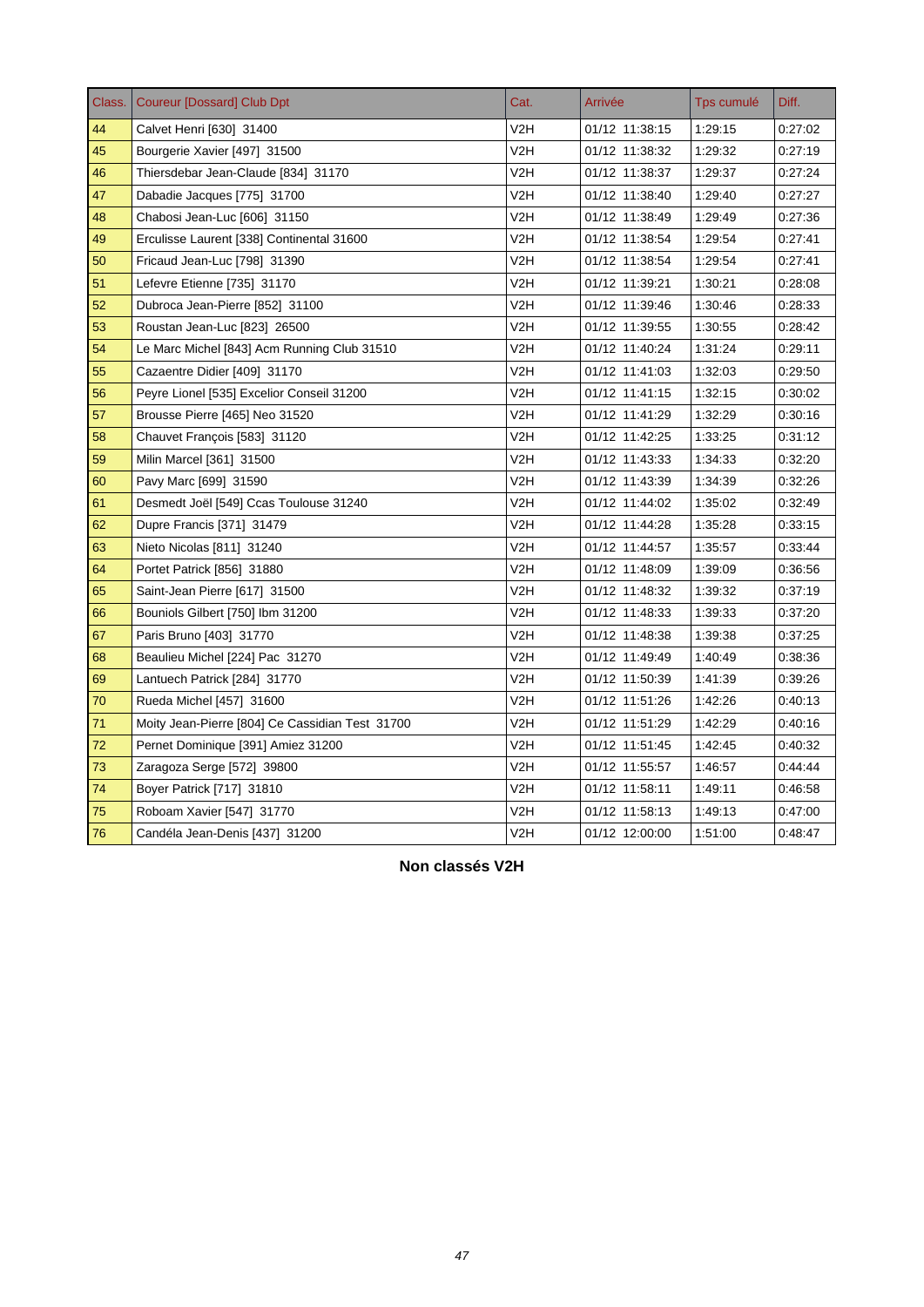| Class. | <b>Coureur [Dossard] Club Dpt</b>               | Cat.             | Arrivée        | Tps cumulé | Diff.   |
|--------|-------------------------------------------------|------------------|----------------|------------|---------|
| 44     | Calvet Henri [630] 31400                        | V2H              | 01/12 11:38:15 | 1:29:15    | 0:27:02 |
| 45     | Bourgerie Xavier [497] 31500                    | V <sub>2</sub> H | 01/12 11:38:32 | 1:29:32    | 0:27:19 |
| 46     | Thiersdebar Jean-Claude [834] 31170             | V2H              | 01/12 11:38:37 | 1:29:37    | 0:27:24 |
| 47     | Dabadie Jacques [775] 31700                     | V2H              | 01/12 11:38:40 | 1:29:40    | 0:27:27 |
| 48     | Chabosi Jean-Luc [606] 31150                    | V2H              | 01/12 11:38:49 | 1.29:49    | 0:27:36 |
| 49     | Erculisse Laurent [338] Continental 31600       | V2H              | 01/12 11:38:54 | 1.29:54    | 0:27:41 |
| 50     | Fricaud Jean-Luc [798] 31390                    | V2H              | 01/12 11:38:54 | 1:29:54    | 0.27.41 |
| 51     | Lefevre Etienne [735] 31170                     | V2H              | 01/12 11:39:21 | 1:30:21    | 0:28:08 |
| 52     | Dubroca Jean-Pierre [852] 31100                 | V2H              | 01/12 11:39:46 | 1:30:46    | 0:28:33 |
| 53     | Roustan Jean-Luc [823] 26500                    | V2H              | 01/12 11:39:55 | 1:30:55    | 0:28:42 |
| 54     | Le Marc Michel [843] Acm Running Club 31510     | V <sub>2</sub> H | 01/12 11:40:24 | 1:31:24    | 0:29:11 |
| 55     | Cazaentre Didier [409] 31170                    | V2H              | 01/12 11:41:03 | 1:32:03    | 0:29:50 |
| 56     | Peyre Lionel [535] Excelior Conseil 31200       | V2H              | 01/12 11:41:15 | 1:32:15    | 0:30:02 |
| 57     | Brousse Pierre [465] Neo 31520                  | V <sub>2</sub> H | 01/12 11:41:29 | 1:32:29    | 0:30:16 |
| 58     | Chauvet François [583] 31120                    | V2H              | 01/12 11:42:25 | 1:33:25    | 0:31:12 |
| 59     | Milin Marcel [361] 31500                        | V2H              | 01/12 11:43:33 | 1:34:33    | 0:32:20 |
| 60     | Pavy Marc [699] 31590                           | V2H              | 01/12 11:43:39 | 1:34:39    | 0:32:26 |
| 61     | Desmedt Joël [549] Ccas Toulouse 31240          | V2H              | 01/12 11:44:02 | 1:35:02    | 0:32:49 |
| 62     | Dupre Francis [371] 31479                       | V2H              | 01/12 11:44:28 | 1:35:28    | 0:33:15 |
| 63     | Nieto Nicolas [811] 31240                       | V2H              | 01/12 11:44:57 | 1:35:57    | 0:33:44 |
| 64     | Portet Patrick [856] 31880                      | V2H              | 01/12 11:48:09 | 1.39.09    | 0:36:56 |
| 65     | Saint-Jean Pierre [617] 31500                   | V2H              | 01/12 11:48:32 | 1:39:32    | 0:37:19 |
| 66     | Bouniols Gilbert [750] Ibm 31200                | V <sub>2</sub> H | 01/12 11:48:33 | 1:39:33    | 0:37:20 |
| 67     | Paris Bruno [403] 31770                         | V2H              | 01/12 11:48:38 | 1:39:38    | 0:37:25 |
| 68     | Beaulieu Michel [224] Pac 31270                 | V2H              | 01/12 11:49:49 | 1:40:49    | 0:38:36 |
| 69     | Lantuech Patrick [284] 31770                    | V2H              | 01/12 11:50:39 | 1:41:39    | 0:39:26 |
| 70     | Rueda Michel [457] 31600                        | V2H              | 01/12 11:51:26 | 1.42.26    | 0:40:13 |
| 71     | Moity Jean-Pierre [804] Ce Cassidian Test 31700 | V2H              | 01/12 11:51:29 | 1:42:29    | 0:40:16 |
| 72     | Pernet Dominique [391] Amiez 31200              | V2H              | 01/12 11:51:45 | 1:42:45    | 0:40:32 |
| 73     | Zaragoza Serge [572] 39800                      | V2H              | 01/12 11:55:57 | 1:46:57    | 0.44.44 |
| 74     | Boyer Patrick [717] 31810                       | V2H              | 01/12 11:58:11 | 1.49.11    | 0:46:58 |
| 75     | Roboam Xavier [547] 31770                       | V2H              | 01/12 11:58:13 | 1:49:13    | 0:47:00 |
| 76     | Candéla Jean-Denis [437] 31200                  | V2H              | 01/12 12:00:00 | 1:51:00    | 0:48.47 |

**Non classés V2H**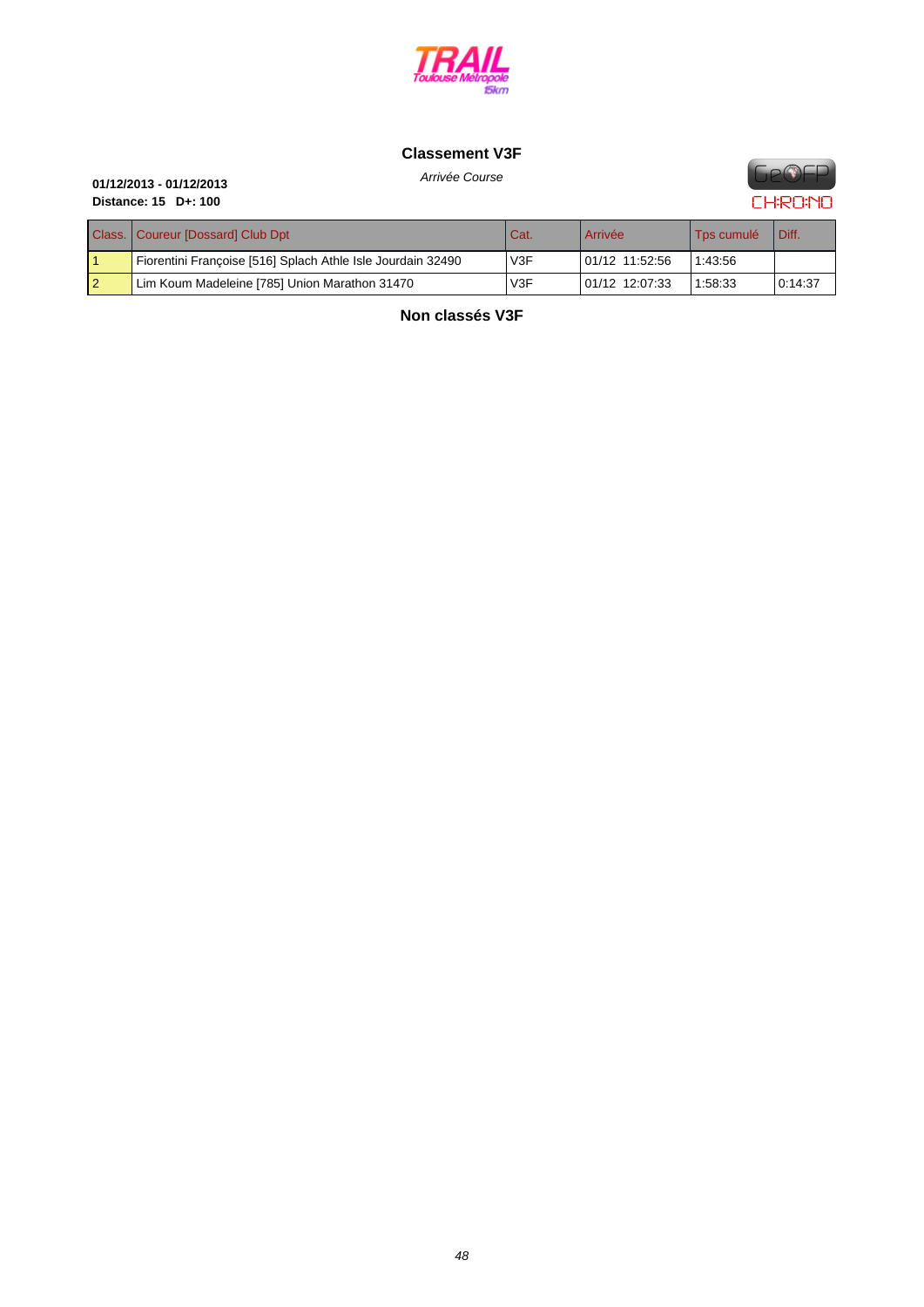

## **[Classement V3](http://www.cosatrail.fr/crbst_25.html)F**



Arrivée Course **01/12/2013 - 01/12/2013 Distance: 15 D+: 100**

| Class.   Coureur [Dossard] Club Dpt                         | Cat.             | Arrivée        | <sup>1</sup> Tps cumulé | Diff.   |
|-------------------------------------------------------------|------------------|----------------|-------------------------|---------|
| Fiorentini Françoise [516] Splach Athle Isle Jourdain 32490 | V <sub>3</sub> F | 01/12 11:52:56 | 1:43:56                 |         |
| Lim Koum Madeleine [785] Union Marathon 31470               | V <sub>3</sub> F | 01/12 12:07:33 | 1:58:33                 | 0:14:37 |

**Non classés V3F**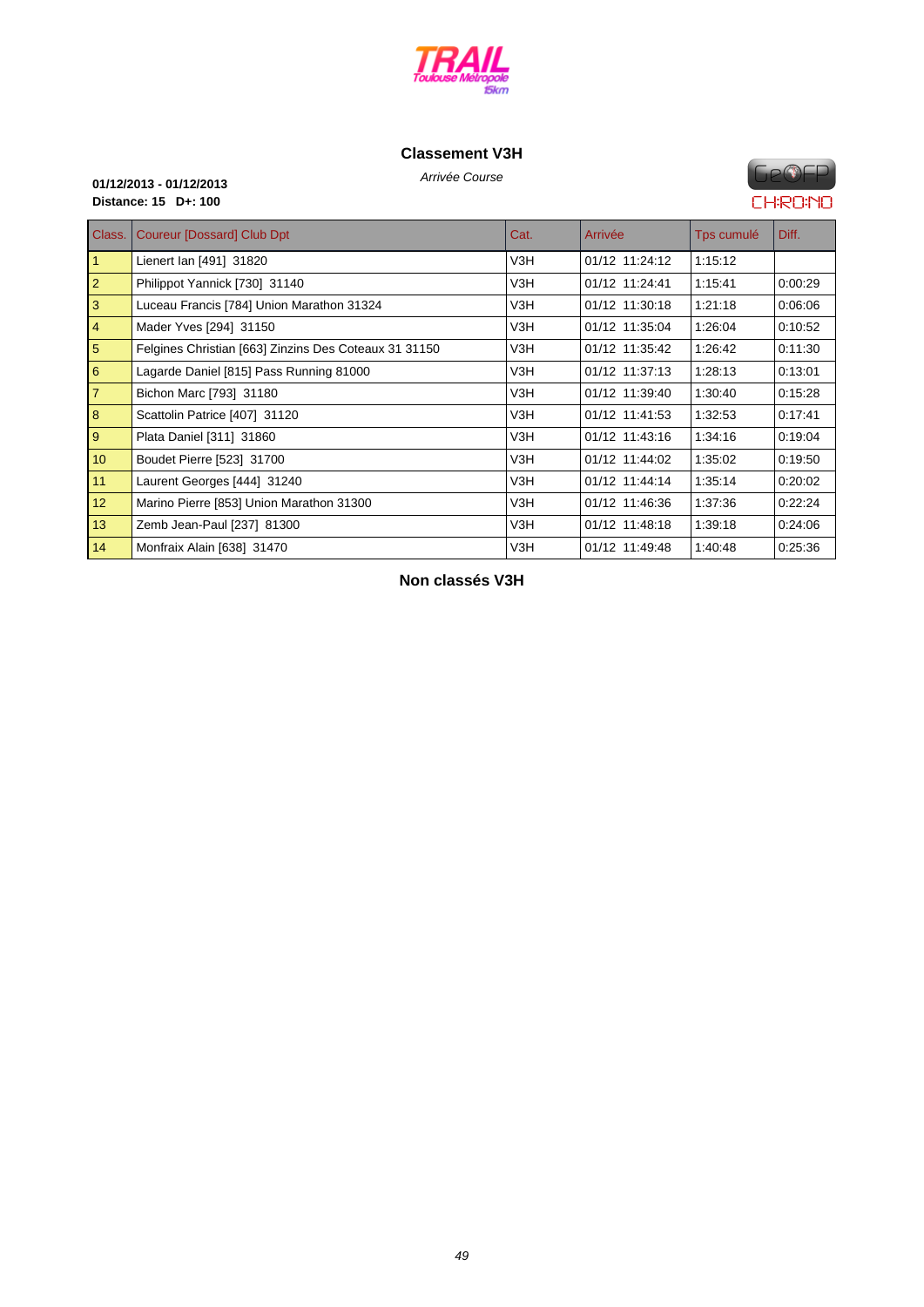

# **C[lassement V3](http://www.cosatrail.fr/crbst_25.html)H**

Arrivée Course **01/12/2013 - 01/12/2013 Distance: 15 D+: 100**

# **FIP®FP CHRONO**

| Class.          | <b>Coureur [Dossard] Club Dpt</b>                     | Cat. | Arrivée        | Tps cumulé | Diff.   |
|-----------------|-------------------------------------------------------|------|----------------|------------|---------|
| $\vert$ 1       | Lienert Ian [491] 31820                               | V3H  | 01/12 11:24:12 | 1:15:12    |         |
| $\vert$ 2       | Philippot Yannick [730] 31140                         | V3H  | 01/12 11:24:41 | 1:15:41    | 0:00:29 |
| $\vert$ 3       | Luceau Francis [784] Union Marathon 31324             | V3H  | 01/12 11:30:18 | 1:21:18    | 0:06:06 |
| $\vert 4 \vert$ | Mader Yves [294] 31150                                | V3H  | 01/12 11:35:04 | 1:26:04    | 0:10:52 |
| $\overline{5}$  | Felgines Christian [663] Zinzins Des Coteaux 31 31150 | V3H  | 01/12 11:35:42 | 1:26:42    | 0:11:30 |
| 6               | Lagarde Daniel [815] Pass Running 81000               | V3H  | 01/12 11:37:13 | 1:28:13    | 0:13:01 |
| $\overline{7}$  | Bichon Marc [793] 31180                               | V3H  | 01/12 11:39:40 | 1:30:40    | 0:15:28 |
| 8               | Scattolin Patrice [407] 31120                         | V3H  | 01/12 11:41:53 | 1:32:53    | 0:17:41 |
| $\vert$ 9       | Plata Daniel [311] 31860                              | V3H  | 01/12 11:43:16 | 1:34:16    | 0:19:04 |
| 10              | Boudet Pierre [523] 31700                             | V3H  | 01/12 11:44:02 | 1:35:02    | 0:19:50 |
| 11              | Laurent Georges [444] 31240                           | V3H  | 01/12 11:44:14 | 1:35:14    | 0:20:02 |
| 12              | Marino Pierre [853] Union Marathon 31300              | V3H  | 01/12 11:46:36 | 1:37:36    | 0:22:24 |
| 13              | Zemb Jean-Paul [237] 81300                            | V3H  | 01/12 11:48:18 | 1:39:18    | 0:24:06 |
| 14              | Monfraix Alain [638] 31470                            | V3H  | 01/12 11:49:48 | 1:40:48    | 0.25:36 |

**Non classés V3H**